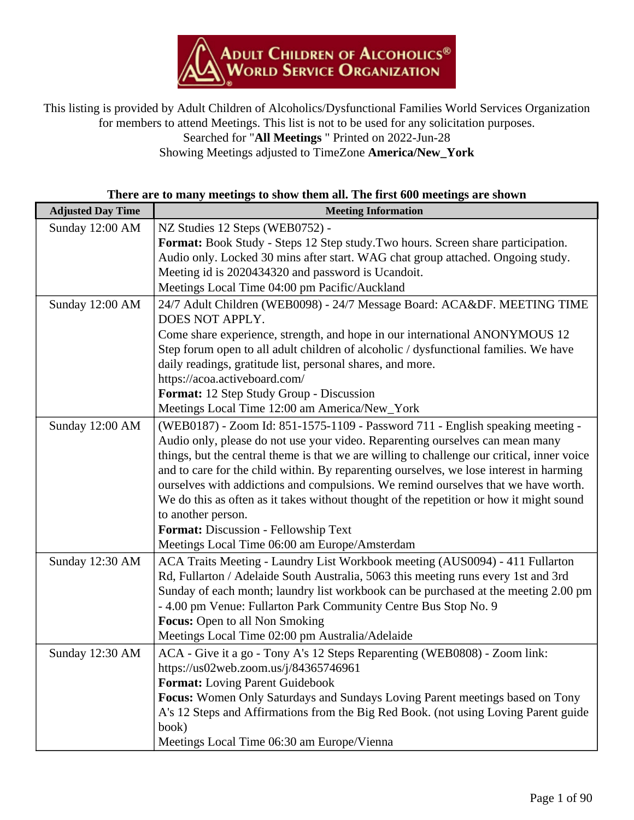

This listing is provided by Adult Children of Alcoholics/Dysfunctional Families World Services Organization for members to attend Meetings. This list is not to be used for any solicitation purposes.

Searched for "**All Meetings** " Printed on 2022-Jun-28

Showing Meetings adjusted to TimeZone **America/New\_York**

| There are to many meetings to show them all. The first 600 meetings are shown |  |
|-------------------------------------------------------------------------------|--|
|-------------------------------------------------------------------------------|--|

| <b>Adjusted Day Time</b> | <b>Meeting Information</b>                                                                                                                             |
|--------------------------|--------------------------------------------------------------------------------------------------------------------------------------------------------|
| Sunday 12:00 AM          | NZ Studies 12 Steps (WEB0752) -                                                                                                                        |
|                          | Format: Book Study - Steps 12 Step study. Two hours. Screen share participation.                                                                       |
|                          | Audio only. Locked 30 mins after start. WAG chat group attached. Ongoing study.                                                                        |
|                          | Meeting id is 2020434320 and password is Ucandoit.                                                                                                     |
|                          | Meetings Local Time 04:00 pm Pacific/Auckland                                                                                                          |
| Sunday 12:00 AM          | 24/7 Adult Children (WEB0098) - 24/7 Message Board: ACA&DF. MEETING TIME                                                                               |
|                          | DOES NOT APPLY.                                                                                                                                        |
|                          | Come share experience, strength, and hope in our international ANONYMOUS 12                                                                            |
|                          | Step forum open to all adult children of alcoholic / dysfunctional families. We have                                                                   |
|                          | daily readings, gratitude list, personal shares, and more.                                                                                             |
|                          | https://acoa.activeboard.com/                                                                                                                          |
|                          | Format: 12 Step Study Group - Discussion                                                                                                               |
|                          | Meetings Local Time 12:00 am America/New_York                                                                                                          |
| Sunday 12:00 AM          | (WEB0187) - Zoom Id: 851-1575-1109 - Password 711 - English speaking meeting -                                                                         |
|                          | Audio only, please do not use your video. Reparenting ourselves can mean many                                                                          |
|                          | things, but the central theme is that we are willing to challenge our critical, inner voice                                                            |
|                          | and to care for the child within. By reparenting ourselves, we lose interest in harming                                                                |
|                          | ourselves with addictions and compulsions. We remind ourselves that we have worth.                                                                     |
|                          | We do this as often as it takes without thought of the repetition or how it might sound                                                                |
|                          | to another person.                                                                                                                                     |
|                          | Format: Discussion - Fellowship Text                                                                                                                   |
|                          | Meetings Local Time 06:00 am Europe/Amsterdam                                                                                                          |
| Sunday 12:30 AM          | ACA Traits Meeting - Laundry List Workbook meeting (AUS0094) - 411 Fullarton                                                                           |
|                          | Rd, Fullarton / Adelaide South Australia, 5063 this meeting runs every 1st and 3rd                                                                     |
|                          | Sunday of each month; laundry list workbook can be purchased at the meeting 2.00 pm<br>- 4.00 pm Venue: Fullarton Park Community Centre Bus Stop No. 9 |
|                          | <b>Focus:</b> Open to all Non Smoking                                                                                                                  |
|                          | Meetings Local Time 02:00 pm Australia/Adelaide                                                                                                        |
| Sunday 12:30 AM          | ACA - Give it a go - Tony A's 12 Steps Reparenting (WEB0808) - Zoom link:                                                                              |
|                          | https://us02web.zoom.us/j/84365746961                                                                                                                  |
|                          | <b>Format:</b> Loving Parent Guidebook                                                                                                                 |
|                          | Focus: Women Only Saturdays and Sundays Loving Parent meetings based on Tony                                                                           |
|                          | A's 12 Steps and Affirmations from the Big Red Book. (not using Loving Parent guide                                                                    |
|                          | book)                                                                                                                                                  |
|                          | Meetings Local Time 06:30 am Europe/Vienna                                                                                                             |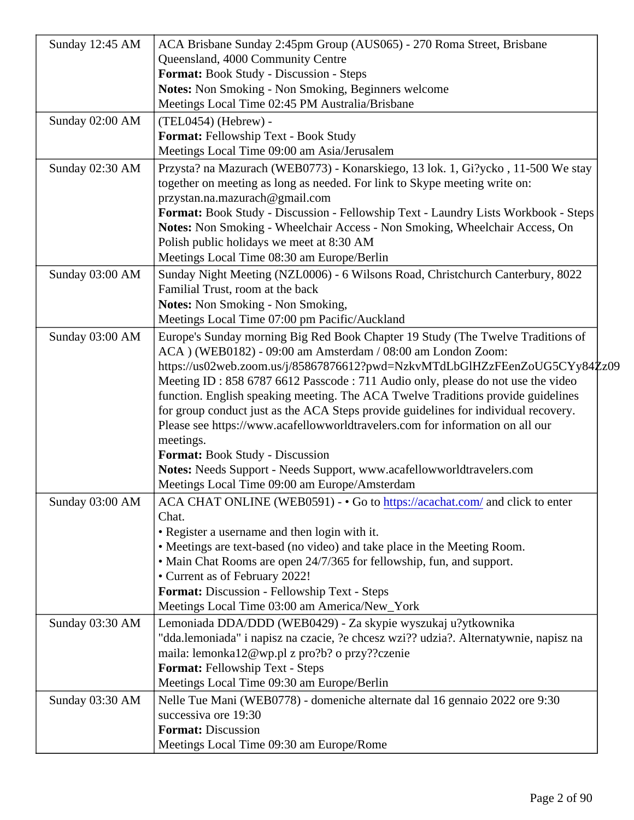| Sunday 12:45 AM | ACA Brisbane Sunday 2:45pm Group (AUS065) - 270 Roma Street, Brisbane                                                                                                                                                                                                                                                                                                                                                                                                                                                                                                                                                                                                                                                                                                |  |
|-----------------|----------------------------------------------------------------------------------------------------------------------------------------------------------------------------------------------------------------------------------------------------------------------------------------------------------------------------------------------------------------------------------------------------------------------------------------------------------------------------------------------------------------------------------------------------------------------------------------------------------------------------------------------------------------------------------------------------------------------------------------------------------------------|--|
|                 | Queensland, 4000 Community Centre                                                                                                                                                                                                                                                                                                                                                                                                                                                                                                                                                                                                                                                                                                                                    |  |
|                 | Format: Book Study - Discussion - Steps                                                                                                                                                                                                                                                                                                                                                                                                                                                                                                                                                                                                                                                                                                                              |  |
|                 | Notes: Non Smoking - Non Smoking, Beginners welcome                                                                                                                                                                                                                                                                                                                                                                                                                                                                                                                                                                                                                                                                                                                  |  |
|                 | Meetings Local Time 02:45 PM Australia/Brisbane                                                                                                                                                                                                                                                                                                                                                                                                                                                                                                                                                                                                                                                                                                                      |  |
| Sunday 02:00 AM | (TEL0454) (Hebrew) -                                                                                                                                                                                                                                                                                                                                                                                                                                                                                                                                                                                                                                                                                                                                                 |  |
|                 | Format: Fellowship Text - Book Study                                                                                                                                                                                                                                                                                                                                                                                                                                                                                                                                                                                                                                                                                                                                 |  |
|                 | Meetings Local Time 09:00 am Asia/Jerusalem                                                                                                                                                                                                                                                                                                                                                                                                                                                                                                                                                                                                                                                                                                                          |  |
| Sunday 02:30 AM | Przysta? na Mazurach (WEB0773) - Konarskiego, 13 lok. 1, Gi?ycko, 11-500 We stay<br>together on meeting as long as needed. For link to Skype meeting write on:<br>przystan.na.mazurach@gmail.com<br>Format: Book Study - Discussion - Fellowship Text - Laundry Lists Workbook - \$teps<br>Notes: Non Smoking - Wheelchair Access - Non Smoking, Wheelchair Access, On<br>Polish public holidays we meet at 8:30 AM                                                                                                                                                                                                                                                                                                                                                  |  |
|                 | Meetings Local Time 08:30 am Europe/Berlin                                                                                                                                                                                                                                                                                                                                                                                                                                                                                                                                                                                                                                                                                                                           |  |
| Sunday 03:00 AM | Sunday Night Meeting (NZL0006) - 6 Wilsons Road, Christchurch Canterbury, 8022<br>Familial Trust, room at the back<br>Notes: Non Smoking - Non Smoking,<br>Meetings Local Time 07:00 pm Pacific/Auckland                                                                                                                                                                                                                                                                                                                                                                                                                                                                                                                                                             |  |
| Sunday 03:00 AM | Europe's Sunday morning Big Red Book Chapter 19 Study (The Twelve Traditions of                                                                                                                                                                                                                                                                                                                                                                                                                                                                                                                                                                                                                                                                                      |  |
|                 | ACA ) (WEB0182) - 09:00 am Amsterdam / 08:00 am London Zoom:<br>https://us02web.zoom.us/j/85867876612?pwd=NzkvMTdLbGlHZzFEenZoUG5CYy84Z<br>Meeting ID: 858 6787 6612 Passcode: 711 Audio only, please do not use the video<br>function. English speaking meeting. The ACA Twelve Traditions provide guidelines<br>for group conduct just as the ACA Steps provide guidelines for individual recovery.<br>Please see https://www.acafellowworldtravelers.com for information on all our<br>meetings.<br>Format: Book Study - Discussion<br>Notes: Needs Support - Needs Support, www.acafellowworldtravelers.com<br>Meetings Local Time 09:00 am Europe/Amsterdam<br>Sunday 03:00 AM   ACA CHAT ONLINE (WEB0591) - • Go to the trips://acachat.com and click to enter |  |
|                 | Chat.<br>• Register a username and then login with it.<br>• Meetings are text-based (no video) and take place in the Meeting Room.<br>• Main Chat Rooms are open 24/7/365 for fellowship, fun, and support.<br>• Current as of February 2022!<br>Format: Discussion - Fellowship Text - Steps<br>Meetings Local Time 03:00 am America/New_York                                                                                                                                                                                                                                                                                                                                                                                                                       |  |
| Sunday 03:30 AM | Lemoniada DDA/DDD (WEB0429) - Za skypie wyszukaj u?ytkownika<br>"dda.lemoniada" i napisz na czacie, ?e chcesz wzi?? udzia?. Alternatywnie, napisz na<br>maila: lemonka12@wp.pl z pro?b? o przy??czenie<br>Format: Fellowship Text - Steps<br>Meetings Local Time 09:30 am Europe/Berlin                                                                                                                                                                                                                                                                                                                                                                                                                                                                              |  |
| Sunday 03:30 AM | Nelle Tue Mani (WEB0778) - domeniche alternate dal 16 gennaio 2022 ore 9:30<br>successiva ore 19:30<br>Format: Discussion<br>Meetings Local Time 09:30 am Europe/Rome                                                                                                                                                                                                                                                                                                                                                                                                                                                                                                                                                                                                |  |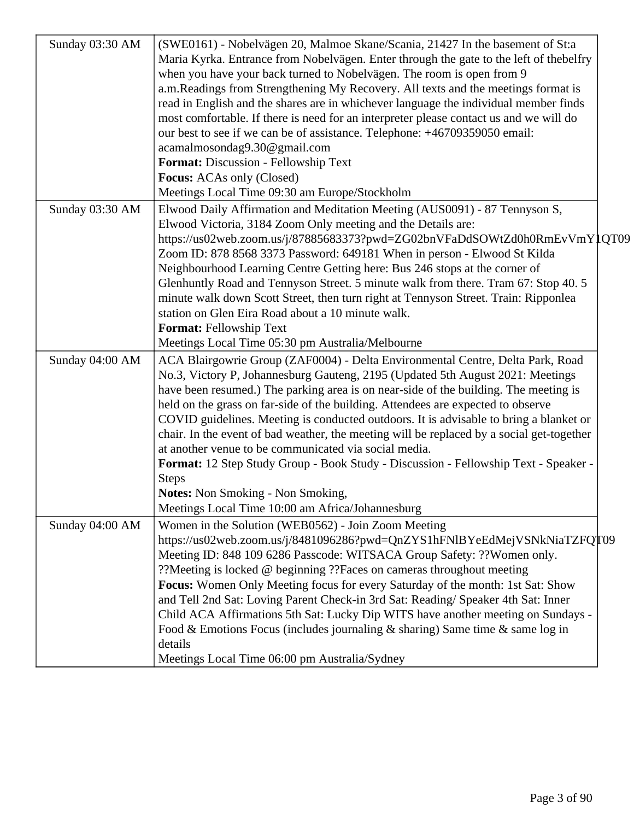| Sunday 03:30 AM | (SWE0161) - Nobelvägen 20, Malmoe Skane/Scania, 21427 In the basement of St:a<br>Maria Kyrka. Entrance from Nobelvägen. Enter through the gate to the left of thebelfry<br>when you have your back turned to Nobelvägen. The room is open from 9<br>a.m.Readings from Strengthening My Recovery. All texts and the meetings format is<br>read in English and the shares are in whichever language the individual member finds<br>most comfortable. If there is need for an interpreter please contact us and we will do<br>our best to see if we can be of assistance. Telephone: +46709359050 email:<br>acamalmosondag9.30@gmail.com<br>Format: Discussion - Fellowship Text<br><b>Focus:</b> ACAs only (Closed)<br>Meetings Local Time 09:30 am Europe/Stockholm                           |  |
|-----------------|----------------------------------------------------------------------------------------------------------------------------------------------------------------------------------------------------------------------------------------------------------------------------------------------------------------------------------------------------------------------------------------------------------------------------------------------------------------------------------------------------------------------------------------------------------------------------------------------------------------------------------------------------------------------------------------------------------------------------------------------------------------------------------------------|--|
| Sunday 03:30 AM | Elwood Daily Affirmation and Meditation Meeting (AUS0091) - 87 Tennyson S,<br>Elwood Victoria, 3184 Zoom Only meeting and the Details are:<br>https://us02web.zoom.us/j/87885683373?pwd=ZG02bnVFaDdSOWtZd0h0RmEvVmY1QT09<br>Zoom ID: 878 8568 3373 Password: 649181 When in person - Elwood St Kilda<br>Neighbourhood Learning Centre Getting here: Bus 246 stops at the corner of<br>Glenhuntly Road and Tennyson Street. 5 minute walk from there. Tram 67: Stop 40. 5<br>minute walk down Scott Street, then turn right at Tennyson Street. Train: Ripponlea<br>station on Glen Eira Road about a 10 minute walk.<br>Format: Fellowship Text<br>Meetings Local Time 05:30 pm Australia/Melbourne                                                                                          |  |
| Sunday 04:00 AM | ACA Blairgowrie Group (ZAF0004) - Delta Environmental Centre, Delta Park, Road<br>No.3, Victory P, Johannesburg Gauteng, 2195 (Updated 5th August 2021: Meetings<br>have been resumed.) The parking area is on near-side of the building. The meeting is<br>held on the grass on far-side of the building. Attendees are expected to observe<br>COVID guidelines. Meeting is conducted outdoors. It is advisable to bring a blanket or<br>chair. In the event of bad weather, the meeting will be replaced by a social get-together<br>at another venue to be communicated via social media.<br>Format: 12 Step Study Group - Book Study - Discussion - Fellowship Text - Speaker -<br><b>Steps</b><br>Notes: Non Smoking - Non Smoking,<br>Meetings Local Time 10:00 am Africa/Johannesburg |  |
| Sunday 04:00 AM | Women in the Solution (WEB0562) - Join Zoom Meeting<br>https://us02web.zoom.us/j/8481096286?pwd=QnZYS1hFNIBYeEdMejVSNkNiaTZFQT09<br>Meeting ID: 848 109 6286 Passcode: WITSACA Group Safety: ?? Women only.<br>??Meeting is locked @ beginning ??Faces on cameras throughout meeting<br>Focus: Women Only Meeting focus for every Saturday of the month: 1st Sat: Show<br>and Tell 2nd Sat: Loving Parent Check-in 3rd Sat: Reading/Speaker 4th Sat: Inner<br>Child ACA Affirmations 5th Sat: Lucky Dip WITS have another meeting on Sundays -<br>Food & Emotions Focus (includes journaling & sharing) Same time & same log in<br>details<br>Meetings Local Time 06:00 pm Australia/Sydney                                                                                                  |  |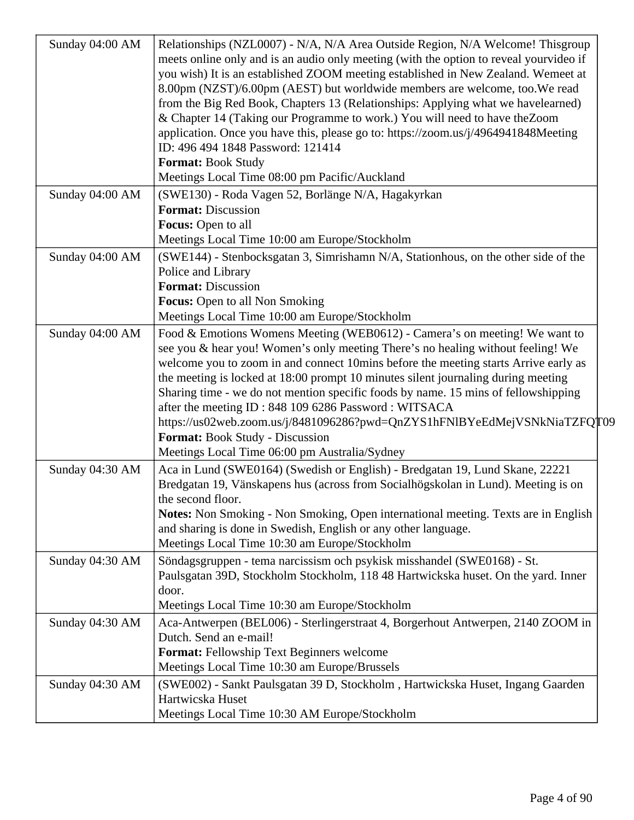| Sunday 04:00 AM | Relationships (NZL0007) - N/A, N/A Area Outside Region, N/A Welcome! This group<br>meets online only and is an audio only meeting (with the option to reveal yourvideo if<br>you wish) It is an established ZOOM meeting established in New Zealand. Wemeet at<br>8.00pm (NZST)/6.00pm (AEST) but worldwide members are welcome, too. We read<br>from the Big Red Book, Chapters 13 (Relationships: Applying what we havelearned)<br>& Chapter 14 (Taking our Programme to work.) You will need to have the Zoom<br>application. Once you have this, please go to: https://zoom.us/j/4964941848Meeting<br>ID: 496 494 1848 Password: 121414<br>Format: Book Study<br>Meetings Local Time 08:00 pm Pacific/Auckland |
|-----------------|--------------------------------------------------------------------------------------------------------------------------------------------------------------------------------------------------------------------------------------------------------------------------------------------------------------------------------------------------------------------------------------------------------------------------------------------------------------------------------------------------------------------------------------------------------------------------------------------------------------------------------------------------------------------------------------------------------------------|
| Sunday 04:00 AM | (SWE130) - Roda Vagen 52, Borlänge N/A, Hagakyrkan<br><b>Format: Discussion</b><br>Focus: Open to all<br>Meetings Local Time 10:00 am Europe/Stockholm                                                                                                                                                                                                                                                                                                                                                                                                                                                                                                                                                             |
| Sunday 04:00 AM | (SWE144) - Stenbocksgatan 3, Simrishamn N/A, Stationhous, on the other side of the<br>Police and Library<br><b>Format: Discussion</b><br><b>Focus:</b> Open to all Non Smoking<br>Meetings Local Time 10:00 am Europe/Stockholm                                                                                                                                                                                                                                                                                                                                                                                                                                                                                    |
| Sunday 04:00 AM | Food & Emotions Womens Meeting (WEB0612) - Camera's on meeting! We want to<br>see you & hear you! Women's only meeting There's no healing without feeling! We<br>welcome you to zoom in and connect 10mins before the meeting starts Arrive early as<br>the meeting is locked at 18:00 prompt 10 minutes silent journaling during meeting<br>Sharing time - we do not mention specific foods by name. 15 mins of fellowshipping<br>after the meeting ID: 848 109 6286 Password: WITSACA<br>https://us02web.zoom.us/j/8481096286?pwd=QnZYS1hFNIBYeEdMejVSNkNiaTZFQT09<br>Format: Book Study - Discussion<br>Meetings Local Time 06:00 pm Australia/Sydney                                                           |
| Sunday 04:30 AM | Aca in Lund (SWE0164) (Swedish or English) - Bredgatan 19, Lund Skane, 22221<br>Bredgatan 19, Vänskapens hus (across from Socialhögskolan in Lund). Meeting is on<br>the second floor.<br><b>Notes:</b> Non Smoking - Non Smoking, Open international meeting. Texts are in English<br>and sharing is done in Swedish, English or any other language.<br>Meetings Local Time 10:30 am Europe/Stockholm                                                                                                                                                                                                                                                                                                             |
| Sunday 04:30 AM | Söndagsgruppen - tema narcissism och psykisk misshandel (SWE0168) - St.<br>Paulsgatan 39D, Stockholm Stockholm, 118 48 Hartwickska huset. On the yard. Inner<br>door.<br>Meetings Local Time 10:30 am Europe/Stockholm                                                                                                                                                                                                                                                                                                                                                                                                                                                                                             |
| Sunday 04:30 AM | Aca-Antwerpen (BEL006) - Sterlingerstraat 4, Borgerhout Antwerpen, 2140 ZOOM in<br>Dutch. Send an e-mail!<br>Format: Fellowship Text Beginners welcome<br>Meetings Local Time 10:30 am Europe/Brussels                                                                                                                                                                                                                                                                                                                                                                                                                                                                                                             |
| Sunday 04:30 AM | (SWE002) - Sankt Paulsgatan 39 D, Stockholm, Hartwickska Huset, Ingang Gaarden<br>Hartwicska Huset<br>Meetings Local Time 10:30 AM Europe/Stockholm                                                                                                                                                                                                                                                                                                                                                                                                                                                                                                                                                                |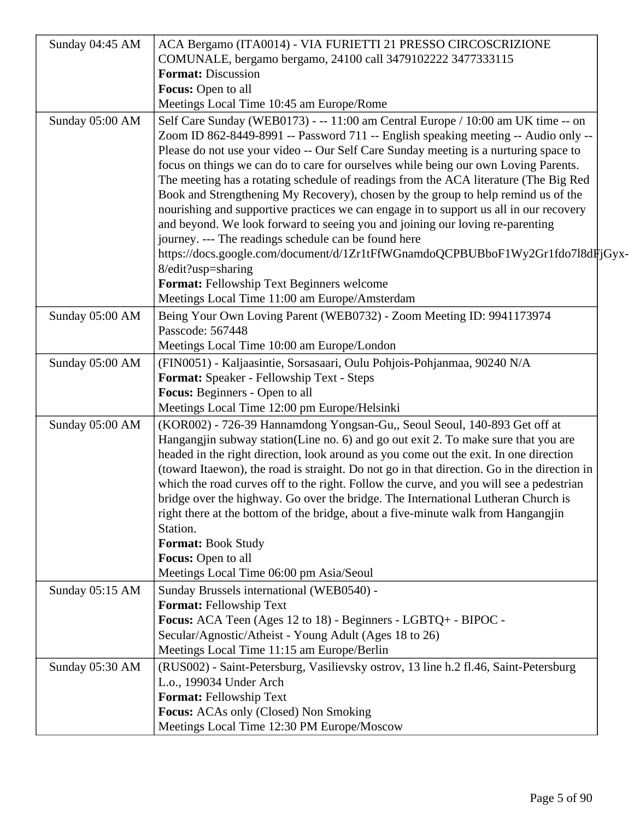| Sunday 04:45 AM | ACA Bergamo (ITA0014) - VIA FURIETTI 21 PRESSO CIRCOSCRIZIONE                                                                                                               |
|-----------------|-----------------------------------------------------------------------------------------------------------------------------------------------------------------------------|
|                 | COMUNALE, bergamo bergamo, 24100 call 3479102222 3477333115                                                                                                                 |
|                 | <b>Format: Discussion</b>                                                                                                                                                   |
|                 | Focus: Open to all                                                                                                                                                          |
|                 | Meetings Local Time 10:45 am Europe/Rome                                                                                                                                    |
| Sunday 05:00 AM | Self Care Sunday (WEB0173) - -- 11:00 am Central Europe / 10:00 am UK time -- on                                                                                            |
|                 | Zoom ID 862-8449-8991 -- Password 711 -- English speaking meeting -- Audio only --                                                                                          |
|                 | Please do not use your video -- Our Self Care Sunday meeting is a nurturing space to                                                                                        |
|                 | focus on things we can do to care for ourselves while being our own Loving Parents.                                                                                         |
|                 | The meeting has a rotating schedule of readings from the ACA literature (The Big Red                                                                                        |
|                 | Book and Strengthening My Recovery), chosen by the group to help remind us of the                                                                                           |
|                 | nourishing and supportive practices we can engage in to support us all in our recovery                                                                                      |
|                 | and beyond. We look forward to seeing you and joining our loving re-parenting                                                                                               |
|                 | journey. --- The readings schedule can be found here                                                                                                                        |
|                 | https://docs.google.com/document/d/1Zr1tFfWGnamdoQCPBUBboF1Wy2Gr1fdo7l8dFjGyx-                                                                                              |
|                 | 8/edit?usp=sharing                                                                                                                                                          |
|                 | Format: Fellowship Text Beginners welcome                                                                                                                                   |
|                 | Meetings Local Time 11:00 am Europe/Amsterdam                                                                                                                               |
| Sunday 05:00 AM | Being Your Own Loving Parent (WEB0732) - Zoom Meeting ID: 9941173974                                                                                                        |
|                 | Passcode: 567448                                                                                                                                                            |
|                 | Meetings Local Time 10:00 am Europe/London                                                                                                                                  |
| Sunday 05:00 AM | (FIN0051) - Kaljaasintie, Sorsasaari, Oulu Pohjois-Pohjanmaa, 90240 N/A                                                                                                     |
|                 | Format: Speaker - Fellowship Text - Steps                                                                                                                                   |
|                 | <b>Focus:</b> Beginners - Open to all                                                                                                                                       |
|                 | Meetings Local Time 12:00 pm Europe/Helsinki                                                                                                                                |
| Sunday 05:00 AM | (KOR002) - 726-39 Hannamdong Yongsan-Gu,, Seoul Seoul, 140-893 Get off at                                                                                                   |
|                 | Hangangjin subway station(Line no. 6) and go out exit 2. To make sure that you are<br>headed in the right direction, look around as you come out the exit. In one direction |
|                 | (toward Itaewon), the road is straight. Do not go in that direction. Go in the direction in                                                                                 |
|                 | which the road curves off to the right. Follow the curve, and you will see a pedestrian                                                                                     |
|                 | bridge over the highway. Go over the bridge. The International Lutheran Church is                                                                                           |
|                 | right there at the bottom of the bridge, about a five-minute walk from Hangangjin                                                                                           |
|                 | Station.                                                                                                                                                                    |
|                 | <b>Format: Book Study</b>                                                                                                                                                   |
|                 | Focus: Open to all                                                                                                                                                          |
|                 | Meetings Local Time 06:00 pm Asia/Seoul                                                                                                                                     |
| Sunday 05:15 AM | Sunday Brussels international (WEB0540) -                                                                                                                                   |
|                 | <b>Format: Fellowship Text</b>                                                                                                                                              |
|                 | Focus: ACA Teen (Ages 12 to 18) - Beginners - LGBTQ+ - BIPOC -                                                                                                              |
|                 | Secular/Agnostic/Atheist - Young Adult (Ages 18 to 26)                                                                                                                      |
|                 | Meetings Local Time 11:15 am Europe/Berlin                                                                                                                                  |
| Sunday 05:30 AM | (RUS002) - Saint-Petersburg, Vasilievsky ostrov, 13 line h.2 fl.46, Saint-Petersburg                                                                                        |
|                 | L.o., 199034 Under Arch                                                                                                                                                     |
|                 | Format: Fellowship Text                                                                                                                                                     |
|                 | Focus: ACAs only (Closed) Non Smoking                                                                                                                                       |
|                 | Meetings Local Time 12:30 PM Europe/Moscow                                                                                                                                  |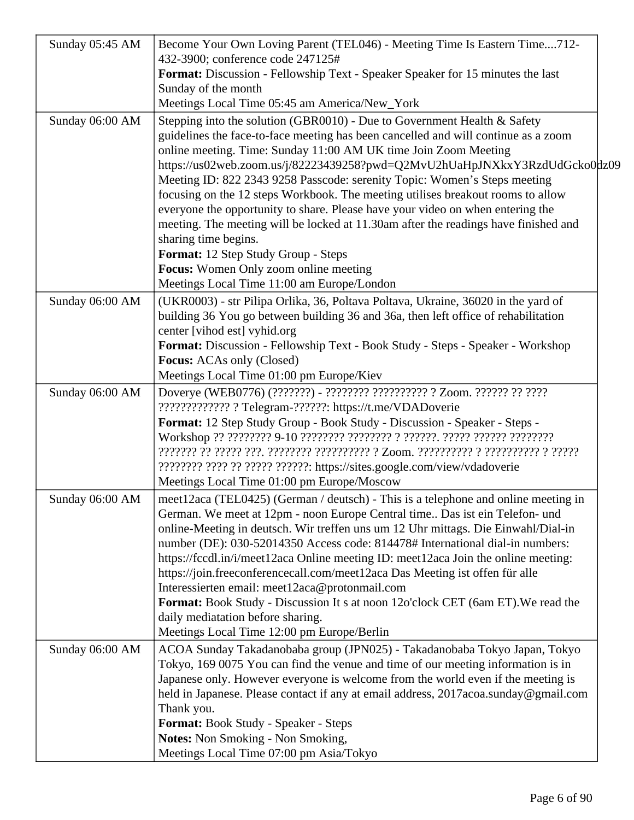| Sunday 05:45 AM | Become Your Own Loving Parent (TEL046) - Meeting Time Is Eastern Time712-                                                                             |
|-----------------|-------------------------------------------------------------------------------------------------------------------------------------------------------|
|                 | 432-3900; conference code 247125#                                                                                                                     |
|                 | Format: Discussion - Fellowship Text - Speaker Speaker for 15 minutes the last<br>Sunday of the month                                                 |
|                 | Meetings Local Time 05:45 am America/New_York                                                                                                         |
|                 |                                                                                                                                                       |
| Sunday 06:00 AM | Stepping into the solution (GBR0010) - Due to Government Health & Safety                                                                              |
|                 | guidelines the face-to-face meeting has been cancelled and will continue as a zoom<br>online meeting. Time: Sunday 11:00 AM UK time Join Zoom Meeting |
|                 | https://us02web.zoom.us/j/82223439258?pwd=Q2MvU2hUaHpJNXkxY3RzdUdGcko0dz09                                                                            |
|                 | Meeting ID: 822 2343 9258 Passcode: serenity Topic: Women's Steps meeting                                                                             |
|                 | focusing on the 12 steps Workbook. The meeting utilises breakout rooms to allow                                                                       |
|                 | everyone the opportunity to share. Please have your video on when entering the                                                                        |
|                 | meeting. The meeting will be locked at 11.30am after the readings have finished and                                                                   |
|                 | sharing time begins.                                                                                                                                  |
|                 | Format: 12 Step Study Group - Steps                                                                                                                   |
|                 | Focus: Women Only zoom online meeting                                                                                                                 |
|                 | Meetings Local Time 11:00 am Europe/London                                                                                                            |
| Sunday 06:00 AM | (UKR0003) - str Pilipa Orlika, 36, Poltava Poltava, Ukraine, 36020 in the yard of                                                                     |
|                 | building 36 You go between building 36 and 36a, then left office of rehabilitation                                                                    |
|                 | center [vihod est] vyhid.org                                                                                                                          |
|                 | Format: Discussion - Fellowship Text - Book Study - Steps - Speaker - Workshop                                                                        |
|                 | <b>Focus:</b> ACAs only (Closed)                                                                                                                      |
|                 | Meetings Local Time 01:00 pm Europe/Kiev                                                                                                              |
| Sunday 06:00 AM | Doverye (WEB0776) (???????) - ????????? ?????????? ? Zoom. ?????? ?? ????                                                                             |
|                 | ?????????????? ? Telegram-??????: https://t.me/VDADoverie                                                                                             |
|                 | Format: 12 Step Study Group - Book Study - Discussion - Speaker - Steps -                                                                             |
|                 |                                                                                                                                                       |
|                 |                                                                                                                                                       |
|                 | ???????? ???? ?? ????? ??????: https://sites.google.com/view/vdadoverie                                                                               |
|                 | Meetings Local Time 01:00 pm Europe/Moscow                                                                                                            |
| Sunday 06:00 AM | meet12aca (TEL0425) (German / deutsch) - This is a telephone and online meeting in                                                                    |
|                 | German. We meet at 12pm - noon Europe Central time Das ist ein Telefon- und                                                                           |
|                 | online-Meeting in deutsch. Wir treffen uns um 12 Uhr mittags. Die Einwahl/Dial-in                                                                     |
|                 | number (DE): 030-52014350 Access code: 814478# International dial-in numbers:                                                                         |
|                 | https://fccdl.in/i/meet12aca Online meeting ID: meet12aca Join the online meeting:                                                                    |
|                 | https://join.freeconferencecall.com/meet12aca Das Meeting ist offen für alle                                                                          |
|                 | Interessierten email: meet12aca@protonmail.com                                                                                                        |
|                 | Format: Book Study - Discussion It s at noon 12o'clock CET (6am ET). We read the<br>daily mediatation before sharing.                                 |
|                 | Meetings Local Time 12:00 pm Europe/Berlin                                                                                                            |
| Sunday 06:00 AM | ACOA Sunday Takadanobaba group (JPN025) - Takadanobaba Tokyo Japan, Tokyo                                                                             |
|                 | Tokyo, 169 0075 You can find the venue and time of our meeting information is in                                                                      |
|                 | Japanese only. However everyone is welcome from the world even if the meeting is                                                                      |
|                 | held in Japanese. Please contact if any at email address, 2017acoa.sunday@gmail.com                                                                   |
|                 | Thank you.                                                                                                                                            |
|                 | Format: Book Study - Speaker - Steps                                                                                                                  |
|                 | <b>Notes:</b> Non Smoking - Non Smoking,                                                                                                              |
|                 | Meetings Local Time 07:00 pm Asia/Tokyo                                                                                                               |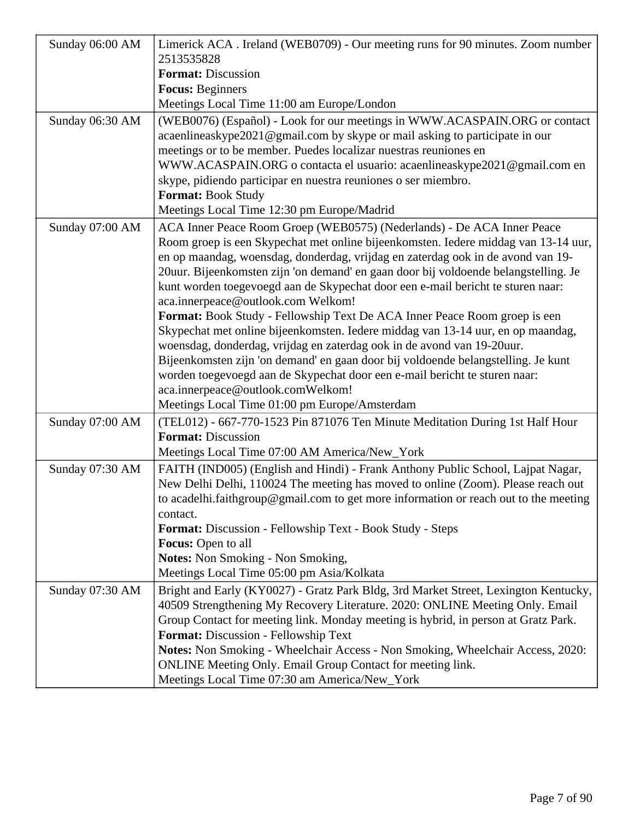| Sunday 06:00 AM | Limerick ACA. Ireland (WEB0709) - Our meeting runs for 90 minutes. Zoom number<br>2513535828                                                                        |
|-----------------|---------------------------------------------------------------------------------------------------------------------------------------------------------------------|
|                 | <b>Format:</b> Discussion                                                                                                                                           |
|                 | <b>Focus: Beginners</b>                                                                                                                                             |
|                 | Meetings Local Time 11:00 am Europe/London                                                                                                                          |
| Sunday 06:30 AM | (WEB0076) (Español) - Look for our meetings in WWW.ACASPAIN.ORG or contact<br>acaenlineaskype2021@gmail.com by skype or mail asking to participate in our           |
|                 | meetings or to be member. Puedes localizar nuestras reuniones en                                                                                                    |
|                 | WWW.ACASPAIN.ORG o contacta el usuario: acaenlineaskype2021@gmail.com en<br>skype, pidiendo participar en nuestra reuniones o ser miembro.                          |
|                 | <b>Format: Book Study</b>                                                                                                                                           |
|                 | Meetings Local Time 12:30 pm Europe/Madrid                                                                                                                          |
| Sunday 07:00 AM | ACA Inner Peace Room Groep (WEB0575) (Nederlands) - De ACA Inner Peace                                                                                              |
|                 | Room groep is een Skypechat met online bijeenkomsten. Iedere middag van 13-14 uur,                                                                                  |
|                 | en op maandag, woensdag, donderdag, vrijdag en zaterdag ook in de avond van 19-                                                                                     |
|                 | 20 uur. Bijeenkomsten zijn 'on demand' en gaan door bij voldoende belangstelling. Je                                                                                |
|                 | kunt worden toegevoegd aan de Skypechat door een e-mail bericht te sturen naar:                                                                                     |
|                 | aca.innerpeace@outlook.com Welkom!                                                                                                                                  |
|                 | Format: Book Study - Fellowship Text De ACA Inner Peace Room groep is een                                                                                           |
|                 | Skypechat met online bijeenkomsten. Iedere middag van 13-14 uur, en op maandag,                                                                                     |
|                 | woensdag, donderdag, vrijdag en zaterdag ook in de avond van 19-20 uur.                                                                                             |
|                 | Bijeenkomsten zijn 'on demand' en gaan door bij voldoende belangstelling. Je kunt<br>worden toegevoegd aan de Skypechat door een e-mail bericht te sturen naar:     |
|                 | aca.innerpeace@outlook.comWelkom!                                                                                                                                   |
|                 | Meetings Local Time 01:00 pm Europe/Amsterdam                                                                                                                       |
| Sunday 07:00 AM | (TEL012) - 667-770-1523 Pin 871076 Ten Minute Meditation During 1st Half Hour                                                                                       |
|                 | <b>Format: Discussion</b>                                                                                                                                           |
|                 | Meetings Local Time 07:00 AM America/New_York                                                                                                                       |
| Sunday 07:30 AM | FAITH (IND005) (English and Hindi) - Frank Anthony Public School, Lajpat Nagar,                                                                                     |
|                 | New Delhi Delhi, 110024 The meeting has moved to online (Zoom). Please reach out                                                                                    |
|                 | to acadelhi.faithgroup@gmail.com to get more information or reach out to the meeting                                                                                |
|                 | contact.                                                                                                                                                            |
|                 | <b>Format:</b> Discussion - Fellowship Text - Book Study - Steps                                                                                                    |
|                 | Focus: Open to all                                                                                                                                                  |
|                 | <b>Notes:</b> Non Smoking - Non Smoking,<br>Meetings Local Time 05:00 pm Asia/Kolkata                                                                               |
|                 |                                                                                                                                                                     |
| Sunday 07:30 AM | Bright and Early (KY0027) - Gratz Park Bldg, 3rd Market Street, Lexington Kentucky,<br>40509 Strengthening My Recovery Literature. 2020: ONLINE Meeting Only. Email |
|                 | Group Contact for meeting link. Monday meeting is hybrid, in person at Gratz Park.                                                                                  |
|                 | Format: Discussion - Fellowship Text                                                                                                                                |
|                 | Notes: Non Smoking - Wheelchair Access - Non Smoking, Wheelchair Access, 2020:                                                                                      |
|                 | ONLINE Meeting Only. Email Group Contact for meeting link.                                                                                                          |
|                 | Meetings Local Time 07:30 am America/New_York                                                                                                                       |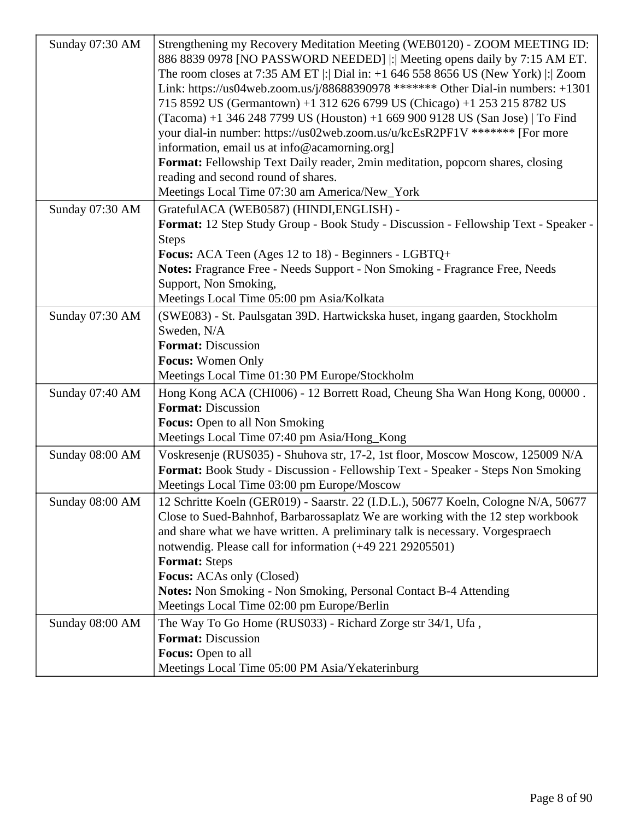| Sunday 07:30 AM | Strengthening my Recovery Meditation Meeting (WEB0120) - ZOOM MEETING ID:<br>886 8839 0978 [NO PASSWORD NEEDED]  : Meeting opens daily by 7:15 AM ET.<br>The room closes at 7:35 AM ET $ $ : Dial in: $+1$ 646 558 8656 US (New York) $ $ : Zoom<br>Link: https://us04web.zoom.us/j/88688390978 ******* Other Dial-in numbers: +1301<br>715 8592 US (Germantown) +1 312 626 6799 US (Chicago) +1 253 215 8782 US<br>(Tacoma) +1 346 248 7799 US (Houston) +1 669 900 9128 US (San Jose)   To Find<br>your dial-in number: https://us02web.zoom.us/u/kcEsR2PF1V ******* [For more<br>information, email us at info@acamorning.org]<br>Format: Fellowship Text Daily reader, 2min meditation, popcorn shares, closing<br>reading and second round of shares.<br>Meetings Local Time 07:30 am America/New_York |
|-----------------|-------------------------------------------------------------------------------------------------------------------------------------------------------------------------------------------------------------------------------------------------------------------------------------------------------------------------------------------------------------------------------------------------------------------------------------------------------------------------------------------------------------------------------------------------------------------------------------------------------------------------------------------------------------------------------------------------------------------------------------------------------------------------------------------------------------|
| Sunday 07:30 AM | GratefulACA (WEB0587) (HINDI, ENGLISH) -<br>Format: 12 Step Study Group - Book Study - Discussion - Fellowship Text - Speaker -<br><b>Steps</b><br>Focus: ACA Teen (Ages 12 to 18) - Beginners - LGBTQ+<br>Notes: Fragrance Free - Needs Support - Non Smoking - Fragrance Free, Needs<br>Support, Non Smoking,<br>Meetings Local Time 05:00 pm Asia/Kolkata                                                                                                                                                                                                                                                                                                                                                                                                                                                |
| Sunday 07:30 AM | (SWE083) - St. Paulsgatan 39D. Hartwickska huset, ingang gaarden, Stockholm<br>Sweden, N/A<br><b>Format: Discussion</b><br><b>Focus: Women Only</b><br>Meetings Local Time 01:30 PM Europe/Stockholm                                                                                                                                                                                                                                                                                                                                                                                                                                                                                                                                                                                                        |
| Sunday 07:40 AM | Hong Kong ACA (CHI006) - 12 Borrett Road, Cheung Sha Wan Hong Kong, 00000.<br><b>Format: Discussion</b><br><b>Focus:</b> Open to all Non Smoking<br>Meetings Local Time 07:40 pm Asia/Hong_Kong                                                                                                                                                                                                                                                                                                                                                                                                                                                                                                                                                                                                             |
| Sunday 08:00 AM | Voskresenje (RUS035) - Shuhova str, 17-2, 1st floor, Moscow Moscow, 125009 N/A<br>Format: Book Study - Discussion - Fellowship Text - Speaker - Steps Non Smoking<br>Meetings Local Time 03:00 pm Europe/Moscow                                                                                                                                                                                                                                                                                                                                                                                                                                                                                                                                                                                             |
| Sunday 08:00 AM | 12 Schritte Koeln (GER019) - Saarstr. 22 (I.D.L.), 50677 Koeln, Cologne N/A, 50677<br>Close to Sued-Bahnhof, Barbarossaplatz We are working with the 12 step workbook<br>and share what we have written. A preliminary talk is necessary. Vorgespraech<br>notwendig. Please call for information (+49 221 29205501)<br><b>Format: Steps</b><br>Focus: ACAs only (Closed)<br><b>Notes:</b> Non Smoking - Non Smoking, Personal Contact B-4 Attending<br>Meetings Local Time 02:00 pm Europe/Berlin                                                                                                                                                                                                                                                                                                           |
| Sunday 08:00 AM | The Way To Go Home (RUS033) - Richard Zorge str 34/1, Ufa,<br><b>Format: Discussion</b><br>Focus: Open to all<br>Meetings Local Time 05:00 PM Asia/Yekaterinburg                                                                                                                                                                                                                                                                                                                                                                                                                                                                                                                                                                                                                                            |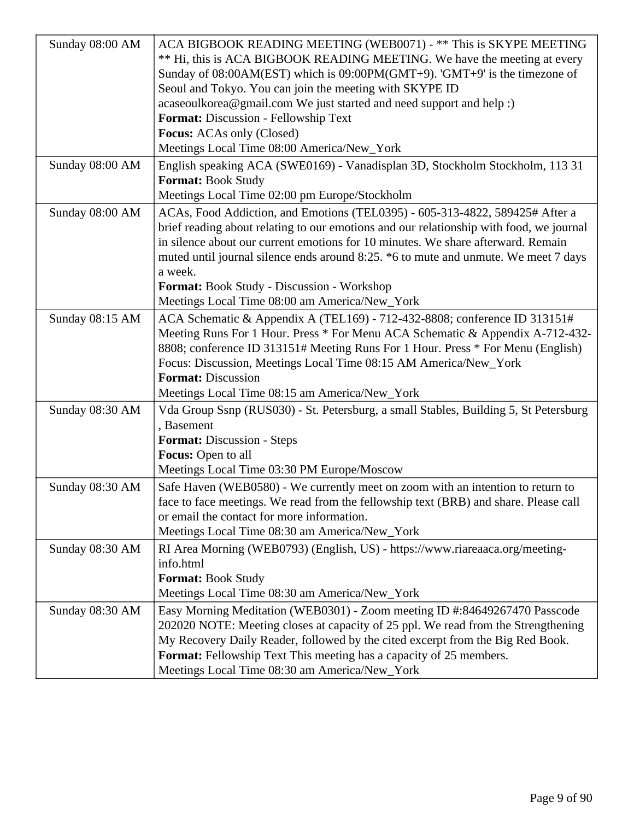| ACA BIGBOOK READING MEETING (WEB0071) - ** This is SKYPE MEETING<br>Sunday 08:00 AM<br>** Hi, this is ACA BIGBOOK READING MEETING. We have the meeting at every<br>Sunday of 08:00AM(EST) which is 09:00PM(GMT+9). 'GMT+9' is the timezone of<br>Seoul and Tokyo. You can join the meeting with SKYPE ID<br>acaseoulkorea@gmail.com We just started and need support and help :)<br>Format: Discussion - Fellowship Text<br><b>Focus:</b> ACAs only (Closed)<br>Meetings Local Time 08:00 America/New_York<br>Sunday 08:00 AM<br>English speaking ACA (SWE0169) - Vanadisplan 3D, Stockholm Stockholm, 113 31<br><b>Format: Book Study</b><br>Meetings Local Time 02:00 pm Europe/Stockholm<br>Sunday 08:00 AM<br>ACAs, Food Addiction, and Emotions (TEL0395) - 605-313-4822, 589425# After a<br>brief reading about relating to our emotions and our relationship with food, we journal<br>in silence about our current emotions for 10 minutes. We share afterward. Remain<br>muted until journal silence ends around 8:25. *6 to mute and unmute. We meet 7 days<br>a week.<br><b>Format:</b> Book Study - Discussion - Workshop<br>Meetings Local Time 08:00 am America/New_York<br>ACA Schematic & Appendix A (TEL169) - 712-432-8808; conference ID 313151#<br>Sunday 08:15 AM<br>Meeting Runs For 1 Hour. Press * For Menu ACA Schematic & Appendix A-712-432-<br>8808; conference ID 313151# Meeting Runs For 1 Hour. Press * For Menu (English)<br>Focus: Discussion, Meetings Local Time 08:15 AM America/New_York<br><b>Format: Discussion</b><br>Meetings Local Time 08:15 am America/New_York<br>Sunday 08:30 AM<br>Vda Group Ssnp (RUS030) - St. Petersburg, a small Stables, Building 5, St Petersburg<br>, Basement<br>Format: Discussion - Steps<br>Focus: Open to all<br>Meetings Local Time 03:30 PM Europe/Moscow<br>Sunday 08:30 AM<br>Safe Haven (WEB0580) - We currently meet on zoom with an intention to return to<br>face to face meetings. We read from the fellowship text (BRB) and share. Please call<br>or email the contact for more information.<br>Meetings Local Time 08:30 am America/New_York<br>RI Area Morning (WEB0793) (English, US) - https://www.riareaaca.org/meeting-<br>Sunday 08:30 AM<br>info.html<br><b>Format: Book Study</b><br>Meetings Local Time 08:30 am America/New_York<br>Easy Morning Meditation (WEB0301) - Zoom meeting ID #:84649267470 Passcode<br>Sunday 08:30 AM<br>202020 NOTE: Meeting closes at capacity of 25 ppl. We read from the Strengthening |                                                                                |
|-------------------------------------------------------------------------------------------------------------------------------------------------------------------------------------------------------------------------------------------------------------------------------------------------------------------------------------------------------------------------------------------------------------------------------------------------------------------------------------------------------------------------------------------------------------------------------------------------------------------------------------------------------------------------------------------------------------------------------------------------------------------------------------------------------------------------------------------------------------------------------------------------------------------------------------------------------------------------------------------------------------------------------------------------------------------------------------------------------------------------------------------------------------------------------------------------------------------------------------------------------------------------------------------------------------------------------------------------------------------------------------------------------------------------------------------------------------------------------------------------------------------------------------------------------------------------------------------------------------------------------------------------------------------------------------------------------------------------------------------------------------------------------------------------------------------------------------------------------------------------------------------------------------------------------------------------------------------------------------------------------------------------------------------------------------------------------------------------------------------------------------------------------------------------------------------------------------------------------------------------------------------------------------------------------------------------------------------------------------------------------------------------------------------------------------------------------------------------------------------------------------------------|--------------------------------------------------------------------------------|
|                                                                                                                                                                                                                                                                                                                                                                                                                                                                                                                                                                                                                                                                                                                                                                                                                                                                                                                                                                                                                                                                                                                                                                                                                                                                                                                                                                                                                                                                                                                                                                                                                                                                                                                                                                                                                                                                                                                                                                                                                                                                                                                                                                                                                                                                                                                                                                                                                                                                                                                         |                                                                                |
|                                                                                                                                                                                                                                                                                                                                                                                                                                                                                                                                                                                                                                                                                                                                                                                                                                                                                                                                                                                                                                                                                                                                                                                                                                                                                                                                                                                                                                                                                                                                                                                                                                                                                                                                                                                                                                                                                                                                                                                                                                                                                                                                                                                                                                                                                                                                                                                                                                                                                                                         |                                                                                |
|                                                                                                                                                                                                                                                                                                                                                                                                                                                                                                                                                                                                                                                                                                                                                                                                                                                                                                                                                                                                                                                                                                                                                                                                                                                                                                                                                                                                                                                                                                                                                                                                                                                                                                                                                                                                                                                                                                                                                                                                                                                                                                                                                                                                                                                                                                                                                                                                                                                                                                                         |                                                                                |
|                                                                                                                                                                                                                                                                                                                                                                                                                                                                                                                                                                                                                                                                                                                                                                                                                                                                                                                                                                                                                                                                                                                                                                                                                                                                                                                                                                                                                                                                                                                                                                                                                                                                                                                                                                                                                                                                                                                                                                                                                                                                                                                                                                                                                                                                                                                                                                                                                                                                                                                         |                                                                                |
|                                                                                                                                                                                                                                                                                                                                                                                                                                                                                                                                                                                                                                                                                                                                                                                                                                                                                                                                                                                                                                                                                                                                                                                                                                                                                                                                                                                                                                                                                                                                                                                                                                                                                                                                                                                                                                                                                                                                                                                                                                                                                                                                                                                                                                                                                                                                                                                                                                                                                                                         |                                                                                |
|                                                                                                                                                                                                                                                                                                                                                                                                                                                                                                                                                                                                                                                                                                                                                                                                                                                                                                                                                                                                                                                                                                                                                                                                                                                                                                                                                                                                                                                                                                                                                                                                                                                                                                                                                                                                                                                                                                                                                                                                                                                                                                                                                                                                                                                                                                                                                                                                                                                                                                                         |                                                                                |
|                                                                                                                                                                                                                                                                                                                                                                                                                                                                                                                                                                                                                                                                                                                                                                                                                                                                                                                                                                                                                                                                                                                                                                                                                                                                                                                                                                                                                                                                                                                                                                                                                                                                                                                                                                                                                                                                                                                                                                                                                                                                                                                                                                                                                                                                                                                                                                                                                                                                                                                         |                                                                                |
|                                                                                                                                                                                                                                                                                                                                                                                                                                                                                                                                                                                                                                                                                                                                                                                                                                                                                                                                                                                                                                                                                                                                                                                                                                                                                                                                                                                                                                                                                                                                                                                                                                                                                                                                                                                                                                                                                                                                                                                                                                                                                                                                                                                                                                                                                                                                                                                                                                                                                                                         |                                                                                |
|                                                                                                                                                                                                                                                                                                                                                                                                                                                                                                                                                                                                                                                                                                                                                                                                                                                                                                                                                                                                                                                                                                                                                                                                                                                                                                                                                                                                                                                                                                                                                                                                                                                                                                                                                                                                                                                                                                                                                                                                                                                                                                                                                                                                                                                                                                                                                                                                                                                                                                                         |                                                                                |
|                                                                                                                                                                                                                                                                                                                                                                                                                                                                                                                                                                                                                                                                                                                                                                                                                                                                                                                                                                                                                                                                                                                                                                                                                                                                                                                                                                                                                                                                                                                                                                                                                                                                                                                                                                                                                                                                                                                                                                                                                                                                                                                                                                                                                                                                                                                                                                                                                                                                                                                         |                                                                                |
|                                                                                                                                                                                                                                                                                                                                                                                                                                                                                                                                                                                                                                                                                                                                                                                                                                                                                                                                                                                                                                                                                                                                                                                                                                                                                                                                                                                                                                                                                                                                                                                                                                                                                                                                                                                                                                                                                                                                                                                                                                                                                                                                                                                                                                                                                                                                                                                                                                                                                                                         |                                                                                |
|                                                                                                                                                                                                                                                                                                                                                                                                                                                                                                                                                                                                                                                                                                                                                                                                                                                                                                                                                                                                                                                                                                                                                                                                                                                                                                                                                                                                                                                                                                                                                                                                                                                                                                                                                                                                                                                                                                                                                                                                                                                                                                                                                                                                                                                                                                                                                                                                                                                                                                                         |                                                                                |
|                                                                                                                                                                                                                                                                                                                                                                                                                                                                                                                                                                                                                                                                                                                                                                                                                                                                                                                                                                                                                                                                                                                                                                                                                                                                                                                                                                                                                                                                                                                                                                                                                                                                                                                                                                                                                                                                                                                                                                                                                                                                                                                                                                                                                                                                                                                                                                                                                                                                                                                         |                                                                                |
|                                                                                                                                                                                                                                                                                                                                                                                                                                                                                                                                                                                                                                                                                                                                                                                                                                                                                                                                                                                                                                                                                                                                                                                                                                                                                                                                                                                                                                                                                                                                                                                                                                                                                                                                                                                                                                                                                                                                                                                                                                                                                                                                                                                                                                                                                                                                                                                                                                                                                                                         |                                                                                |
|                                                                                                                                                                                                                                                                                                                                                                                                                                                                                                                                                                                                                                                                                                                                                                                                                                                                                                                                                                                                                                                                                                                                                                                                                                                                                                                                                                                                                                                                                                                                                                                                                                                                                                                                                                                                                                                                                                                                                                                                                                                                                                                                                                                                                                                                                                                                                                                                                                                                                                                         |                                                                                |
|                                                                                                                                                                                                                                                                                                                                                                                                                                                                                                                                                                                                                                                                                                                                                                                                                                                                                                                                                                                                                                                                                                                                                                                                                                                                                                                                                                                                                                                                                                                                                                                                                                                                                                                                                                                                                                                                                                                                                                                                                                                                                                                                                                                                                                                                                                                                                                                                                                                                                                                         |                                                                                |
|                                                                                                                                                                                                                                                                                                                                                                                                                                                                                                                                                                                                                                                                                                                                                                                                                                                                                                                                                                                                                                                                                                                                                                                                                                                                                                                                                                                                                                                                                                                                                                                                                                                                                                                                                                                                                                                                                                                                                                                                                                                                                                                                                                                                                                                                                                                                                                                                                                                                                                                         |                                                                                |
|                                                                                                                                                                                                                                                                                                                                                                                                                                                                                                                                                                                                                                                                                                                                                                                                                                                                                                                                                                                                                                                                                                                                                                                                                                                                                                                                                                                                                                                                                                                                                                                                                                                                                                                                                                                                                                                                                                                                                                                                                                                                                                                                                                                                                                                                                                                                                                                                                                                                                                                         |                                                                                |
|                                                                                                                                                                                                                                                                                                                                                                                                                                                                                                                                                                                                                                                                                                                                                                                                                                                                                                                                                                                                                                                                                                                                                                                                                                                                                                                                                                                                                                                                                                                                                                                                                                                                                                                                                                                                                                                                                                                                                                                                                                                                                                                                                                                                                                                                                                                                                                                                                                                                                                                         |                                                                                |
|                                                                                                                                                                                                                                                                                                                                                                                                                                                                                                                                                                                                                                                                                                                                                                                                                                                                                                                                                                                                                                                                                                                                                                                                                                                                                                                                                                                                                                                                                                                                                                                                                                                                                                                                                                                                                                                                                                                                                                                                                                                                                                                                                                                                                                                                                                                                                                                                                                                                                                                         |                                                                                |
|                                                                                                                                                                                                                                                                                                                                                                                                                                                                                                                                                                                                                                                                                                                                                                                                                                                                                                                                                                                                                                                                                                                                                                                                                                                                                                                                                                                                                                                                                                                                                                                                                                                                                                                                                                                                                                                                                                                                                                                                                                                                                                                                                                                                                                                                                                                                                                                                                                                                                                                         |                                                                                |
|                                                                                                                                                                                                                                                                                                                                                                                                                                                                                                                                                                                                                                                                                                                                                                                                                                                                                                                                                                                                                                                                                                                                                                                                                                                                                                                                                                                                                                                                                                                                                                                                                                                                                                                                                                                                                                                                                                                                                                                                                                                                                                                                                                                                                                                                                                                                                                                                                                                                                                                         |                                                                                |
|                                                                                                                                                                                                                                                                                                                                                                                                                                                                                                                                                                                                                                                                                                                                                                                                                                                                                                                                                                                                                                                                                                                                                                                                                                                                                                                                                                                                                                                                                                                                                                                                                                                                                                                                                                                                                                                                                                                                                                                                                                                                                                                                                                                                                                                                                                                                                                                                                                                                                                                         |                                                                                |
|                                                                                                                                                                                                                                                                                                                                                                                                                                                                                                                                                                                                                                                                                                                                                                                                                                                                                                                                                                                                                                                                                                                                                                                                                                                                                                                                                                                                                                                                                                                                                                                                                                                                                                                                                                                                                                                                                                                                                                                                                                                                                                                                                                                                                                                                                                                                                                                                                                                                                                                         |                                                                                |
|                                                                                                                                                                                                                                                                                                                                                                                                                                                                                                                                                                                                                                                                                                                                                                                                                                                                                                                                                                                                                                                                                                                                                                                                                                                                                                                                                                                                                                                                                                                                                                                                                                                                                                                                                                                                                                                                                                                                                                                                                                                                                                                                                                                                                                                                                                                                                                                                                                                                                                                         |                                                                                |
|                                                                                                                                                                                                                                                                                                                                                                                                                                                                                                                                                                                                                                                                                                                                                                                                                                                                                                                                                                                                                                                                                                                                                                                                                                                                                                                                                                                                                                                                                                                                                                                                                                                                                                                                                                                                                                                                                                                                                                                                                                                                                                                                                                                                                                                                                                                                                                                                                                                                                                                         |                                                                                |
|                                                                                                                                                                                                                                                                                                                                                                                                                                                                                                                                                                                                                                                                                                                                                                                                                                                                                                                                                                                                                                                                                                                                                                                                                                                                                                                                                                                                                                                                                                                                                                                                                                                                                                                                                                                                                                                                                                                                                                                                                                                                                                                                                                                                                                                                                                                                                                                                                                                                                                                         |                                                                                |
|                                                                                                                                                                                                                                                                                                                                                                                                                                                                                                                                                                                                                                                                                                                                                                                                                                                                                                                                                                                                                                                                                                                                                                                                                                                                                                                                                                                                                                                                                                                                                                                                                                                                                                                                                                                                                                                                                                                                                                                                                                                                                                                                                                                                                                                                                                                                                                                                                                                                                                                         |                                                                                |
|                                                                                                                                                                                                                                                                                                                                                                                                                                                                                                                                                                                                                                                                                                                                                                                                                                                                                                                                                                                                                                                                                                                                                                                                                                                                                                                                                                                                                                                                                                                                                                                                                                                                                                                                                                                                                                                                                                                                                                                                                                                                                                                                                                                                                                                                                                                                                                                                                                                                                                                         |                                                                                |
|                                                                                                                                                                                                                                                                                                                                                                                                                                                                                                                                                                                                                                                                                                                                                                                                                                                                                                                                                                                                                                                                                                                                                                                                                                                                                                                                                                                                                                                                                                                                                                                                                                                                                                                                                                                                                                                                                                                                                                                                                                                                                                                                                                                                                                                                                                                                                                                                                                                                                                                         |                                                                                |
|                                                                                                                                                                                                                                                                                                                                                                                                                                                                                                                                                                                                                                                                                                                                                                                                                                                                                                                                                                                                                                                                                                                                                                                                                                                                                                                                                                                                                                                                                                                                                                                                                                                                                                                                                                                                                                                                                                                                                                                                                                                                                                                                                                                                                                                                                                                                                                                                                                                                                                                         |                                                                                |
|                                                                                                                                                                                                                                                                                                                                                                                                                                                                                                                                                                                                                                                                                                                                                                                                                                                                                                                                                                                                                                                                                                                                                                                                                                                                                                                                                                                                                                                                                                                                                                                                                                                                                                                                                                                                                                                                                                                                                                                                                                                                                                                                                                                                                                                                                                                                                                                                                                                                                                                         |                                                                                |
|                                                                                                                                                                                                                                                                                                                                                                                                                                                                                                                                                                                                                                                                                                                                                                                                                                                                                                                                                                                                                                                                                                                                                                                                                                                                                                                                                                                                                                                                                                                                                                                                                                                                                                                                                                                                                                                                                                                                                                                                                                                                                                                                                                                                                                                                                                                                                                                                                                                                                                                         |                                                                                |
|                                                                                                                                                                                                                                                                                                                                                                                                                                                                                                                                                                                                                                                                                                                                                                                                                                                                                                                                                                                                                                                                                                                                                                                                                                                                                                                                                                                                                                                                                                                                                                                                                                                                                                                                                                                                                                                                                                                                                                                                                                                                                                                                                                                                                                                                                                                                                                                                                                                                                                                         |                                                                                |
|                                                                                                                                                                                                                                                                                                                                                                                                                                                                                                                                                                                                                                                                                                                                                                                                                                                                                                                                                                                                                                                                                                                                                                                                                                                                                                                                                                                                                                                                                                                                                                                                                                                                                                                                                                                                                                                                                                                                                                                                                                                                                                                                                                                                                                                                                                                                                                                                                                                                                                                         |                                                                                |
|                                                                                                                                                                                                                                                                                                                                                                                                                                                                                                                                                                                                                                                                                                                                                                                                                                                                                                                                                                                                                                                                                                                                                                                                                                                                                                                                                                                                                                                                                                                                                                                                                                                                                                                                                                                                                                                                                                                                                                                                                                                                                                                                                                                                                                                                                                                                                                                                                                                                                                                         |                                                                                |
|                                                                                                                                                                                                                                                                                                                                                                                                                                                                                                                                                                                                                                                                                                                                                                                                                                                                                                                                                                                                                                                                                                                                                                                                                                                                                                                                                                                                                                                                                                                                                                                                                                                                                                                                                                                                                                                                                                                                                                                                                                                                                                                                                                                                                                                                                                                                                                                                                                                                                                                         |                                                                                |
|                                                                                                                                                                                                                                                                                                                                                                                                                                                                                                                                                                                                                                                                                                                                                                                                                                                                                                                                                                                                                                                                                                                                                                                                                                                                                                                                                                                                                                                                                                                                                                                                                                                                                                                                                                                                                                                                                                                                                                                                                                                                                                                                                                                                                                                                                                                                                                                                                                                                                                                         |                                                                                |
|                                                                                                                                                                                                                                                                                                                                                                                                                                                                                                                                                                                                                                                                                                                                                                                                                                                                                                                                                                                                                                                                                                                                                                                                                                                                                                                                                                                                                                                                                                                                                                                                                                                                                                                                                                                                                                                                                                                                                                                                                                                                                                                                                                                                                                                                                                                                                                                                                                                                                                                         |                                                                                |
|                                                                                                                                                                                                                                                                                                                                                                                                                                                                                                                                                                                                                                                                                                                                                                                                                                                                                                                                                                                                                                                                                                                                                                                                                                                                                                                                                                                                                                                                                                                                                                                                                                                                                                                                                                                                                                                                                                                                                                                                                                                                                                                                                                                                                                                                                                                                                                                                                                                                                                                         |                                                                                |
|                                                                                                                                                                                                                                                                                                                                                                                                                                                                                                                                                                                                                                                                                                                                                                                                                                                                                                                                                                                                                                                                                                                                                                                                                                                                                                                                                                                                                                                                                                                                                                                                                                                                                                                                                                                                                                                                                                                                                                                                                                                                                                                                                                                                                                                                                                                                                                                                                                                                                                                         |                                                                                |
|                                                                                                                                                                                                                                                                                                                                                                                                                                                                                                                                                                                                                                                                                                                                                                                                                                                                                                                                                                                                                                                                                                                                                                                                                                                                                                                                                                                                                                                                                                                                                                                                                                                                                                                                                                                                                                                                                                                                                                                                                                                                                                                                                                                                                                                                                                                                                                                                                                                                                                                         |                                                                                |
|                                                                                                                                                                                                                                                                                                                                                                                                                                                                                                                                                                                                                                                                                                                                                                                                                                                                                                                                                                                                                                                                                                                                                                                                                                                                                                                                                                                                                                                                                                                                                                                                                                                                                                                                                                                                                                                                                                                                                                                                                                                                                                                                                                                                                                                                                                                                                                                                                                                                                                                         | My Recovery Daily Reader, followed by the cited excerpt from the Big Red Book. |
| <b>Format:</b> Fellowship Text This meeting has a capacity of 25 members.                                                                                                                                                                                                                                                                                                                                                                                                                                                                                                                                                                                                                                                                                                                                                                                                                                                                                                                                                                                                                                                                                                                                                                                                                                                                                                                                                                                                                                                                                                                                                                                                                                                                                                                                                                                                                                                                                                                                                                                                                                                                                                                                                                                                                                                                                                                                                                                                                                               |                                                                                |
| Meetings Local Time 08:30 am America/New_York                                                                                                                                                                                                                                                                                                                                                                                                                                                                                                                                                                                                                                                                                                                                                                                                                                                                                                                                                                                                                                                                                                                                                                                                                                                                                                                                                                                                                                                                                                                                                                                                                                                                                                                                                                                                                                                                                                                                                                                                                                                                                                                                                                                                                                                                                                                                                                                                                                                                           |                                                                                |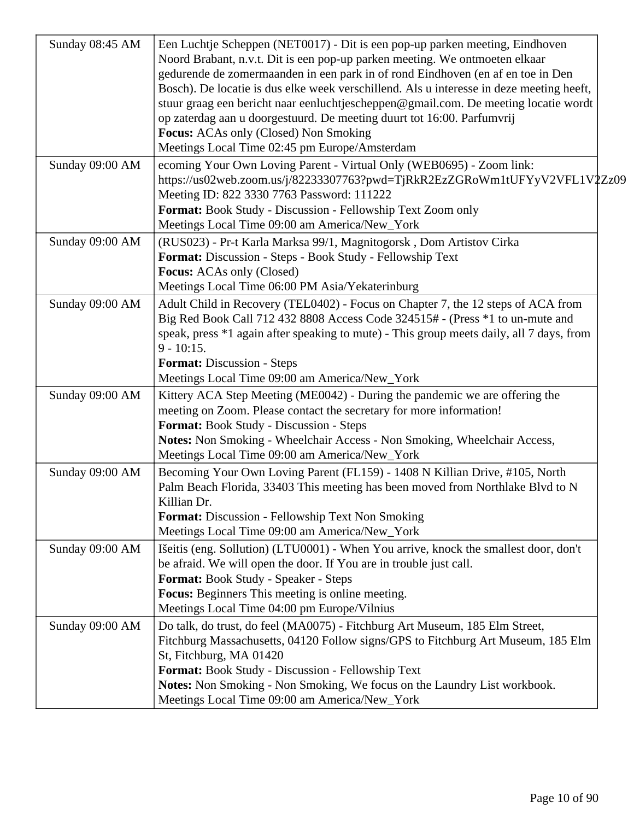| Sunday 08:45 AM | Een Luchtje Scheppen (NET0017) - Dit is een pop-up parken meeting, Eindhoven<br>Noord Brabant, n.v.t. Dit is een pop-up parken meeting. We ontmoeten elkaar<br>gedurende de zomermaanden in een park in of rond Eindhoven (en af en toe in Den<br>Bosch). De locatie is dus elke week verschillend. Als u interesse in deze meeting heeft,<br>stuur graag een bericht naar eenluchtjescheppen@gmail.com. De meeting locatie wordt<br>op zaterdag aan u doorgestuurd. De meeting duurt tot 16:00. Parfumvrij<br>Focus: ACAs only (Closed) Non Smoking |
|-----------------|------------------------------------------------------------------------------------------------------------------------------------------------------------------------------------------------------------------------------------------------------------------------------------------------------------------------------------------------------------------------------------------------------------------------------------------------------------------------------------------------------------------------------------------------------|
| Sunday 09:00 AM | Meetings Local Time 02:45 pm Europe/Amsterdam<br>ecoming Your Own Loving Parent - Virtual Only (WEB0695) - Zoom link:<br>https://us02web.zoom.us/j/82233307763?pwd=TjRkR2EzZGRoWm1tUFYyV2VFL1V2Zz09<br>Meeting ID: 822 3330 7763 Password: 111222<br>Format: Book Study - Discussion - Fellowship Text Zoom only<br>Meetings Local Time 09:00 am America/New_York                                                                                                                                                                                    |
| Sunday 09:00 AM | (RUS023) - Pr-t Karla Marksa 99/1, Magnitogorsk, Dom Artistov Cirka<br>Format: Discussion - Steps - Book Study - Fellowship Text<br><b>Focus:</b> ACAs only (Closed)<br>Meetings Local Time 06:00 PM Asia/Yekaterinburg                                                                                                                                                                                                                                                                                                                              |
| Sunday 09:00 AM | Adult Child in Recovery (TEL0402) - Focus on Chapter 7, the 12 steps of ACA from<br>Big Red Book Call 712 432 8808 Access Code 324515# - (Press *1 to un-mute and<br>speak, press *1 again after speaking to mute) - This group meets daily, all 7 days, from<br>$9 - 10:15.$<br><b>Format:</b> Discussion - Steps<br>Meetings Local Time 09:00 am America/New_York                                                                                                                                                                                  |
| Sunday 09:00 AM | Kittery ACA Step Meeting (ME0042) - During the pandemic we are offering the<br>meeting on Zoom. Please contact the secretary for more information!<br><b>Format:</b> Book Study - Discussion - Steps<br>Notes: Non Smoking - Wheelchair Access - Non Smoking, Wheelchair Access,<br>Meetings Local Time 09:00 am America/New_York                                                                                                                                                                                                                    |
| Sunday 09:00 AM | Becoming Your Own Loving Parent (FL159) - 1408 N Killian Drive, #105, North<br>Palm Beach Florida, 33403 This meeting has been moved from Northlake Blvd to N<br>Killian Dr.<br><b>Format:</b> Discussion - Fellowship Text Non Smoking<br>Meetings Local Time 09:00 am America/New_York                                                                                                                                                                                                                                                             |
| Sunday 09:00 AM | Išeitis (eng. Sollution) (LTU0001) - When You arrive, knock the smallest door, don't<br>be afraid. We will open the door. If You are in trouble just call.<br>Format: Book Study - Speaker - Steps<br><b>Focus:</b> Beginners This meeting is online meeting.<br>Meetings Local Time 04:00 pm Europe/Vilnius                                                                                                                                                                                                                                         |
| Sunday 09:00 AM | Do talk, do trust, do feel (MA0075) - Fitchburg Art Museum, 185 Elm Street,<br>Fitchburg Massachusetts, 04120 Follow signs/GPS to Fitchburg Art Museum, 185 Elm<br>St, Fitchburg, MA 01420<br>Format: Book Study - Discussion - Fellowship Text<br>Notes: Non Smoking - Non Smoking, We focus on the Laundry List workbook.<br>Meetings Local Time 09:00 am America/New_York                                                                                                                                                                         |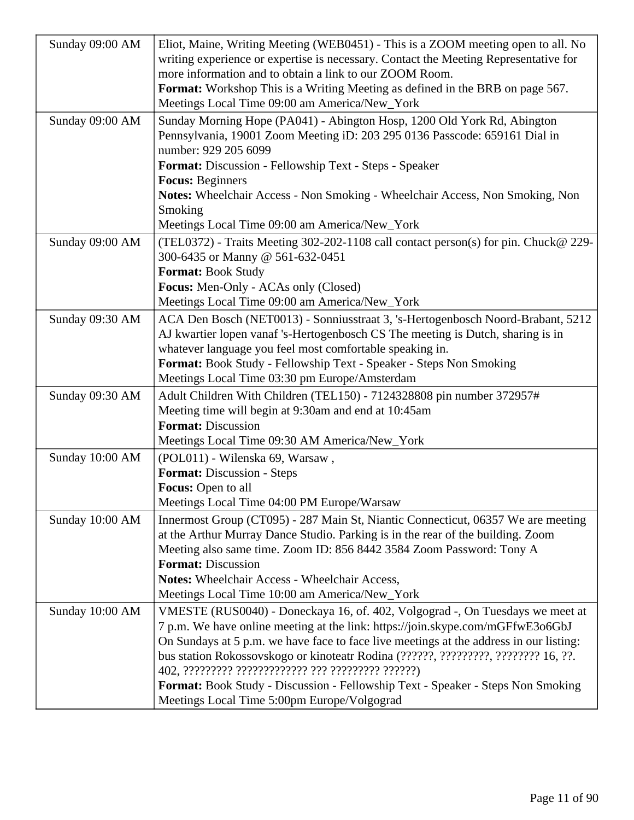| Sunday 09:00 AM | Eliot, Maine, Writing Meeting (WEB0451) - This is a ZOOM meeting open to all. No<br>writing experience or expertise is necessary. Contact the Meeting Representative for<br>more information and to obtain a link to our ZOOM Room. |
|-----------------|-------------------------------------------------------------------------------------------------------------------------------------------------------------------------------------------------------------------------------------|
|                 | <b>Format:</b> Workshop This is a Writing Meeting as defined in the BRB on page 567.<br>Meetings Local Time 09:00 am America/New_York                                                                                               |
| Sunday 09:00 AM | Sunday Morning Hope (PA041) - Abington Hosp, 1200 Old York Rd, Abington<br>Pennsylvania, 19001 Zoom Meeting iD: 203 295 0136 Passcode: 659161 Dial in<br>number: 929 205 6099                                                       |
|                 | Format: Discussion - Fellowship Text - Steps - Speaker                                                                                                                                                                              |
|                 | <b>Focus: Beginners</b>                                                                                                                                                                                                             |
|                 | Notes: Wheelchair Access - Non Smoking - Wheelchair Access, Non Smoking, Non                                                                                                                                                        |
|                 | Smoking                                                                                                                                                                                                                             |
|                 | Meetings Local Time 09:00 am America/New_York                                                                                                                                                                                       |
| Sunday 09:00 AM | (TEL0372) - Traits Meeting 302-202-1108 call contact person(s) for pin. Chuck@ 229-<br>300-6435 or Manny @ 561-632-0451                                                                                                             |
|                 | <b>Format: Book Study</b>                                                                                                                                                                                                           |
|                 | Focus: Men-Only - ACAs only (Closed)                                                                                                                                                                                                |
|                 | Meetings Local Time 09:00 am America/New_York                                                                                                                                                                                       |
| Sunday 09:30 AM | ACA Den Bosch (NET0013) - Sonniusstraat 3, 's-Hertogenbosch Noord-Brabant, 5212                                                                                                                                                     |
|                 | AJ kwartier lopen vanaf 's-Hertogenbosch CS The meeting is Dutch, sharing is in                                                                                                                                                     |
|                 | whatever language you feel most comfortable speaking in.                                                                                                                                                                            |
|                 | Format: Book Study - Fellowship Text - Speaker - Steps Non Smoking                                                                                                                                                                  |
|                 | Meetings Local Time 03:30 pm Europe/Amsterdam                                                                                                                                                                                       |
| Sunday 09:30 AM | Adult Children With Children (TEL150) - 7124328808 pin number 372957#                                                                                                                                                               |
|                 | Meeting time will begin at 9:30am and end at 10:45am                                                                                                                                                                                |
|                 | <b>Format: Discussion</b>                                                                                                                                                                                                           |
|                 | Meetings Local Time 09:30 AM America/New_York                                                                                                                                                                                       |
| Sunday 10:00 AM | (POL011) - Wilenska 69, Warsaw,                                                                                                                                                                                                     |
|                 | <b>Format:</b> Discussion - Steps                                                                                                                                                                                                   |
|                 | Focus: Open to all                                                                                                                                                                                                                  |
|                 | Meetings Local Time 04:00 PM Europe/Warsaw                                                                                                                                                                                          |
| Sunday 10:00 AM | Innermost Group (CT095) - 287 Main St, Niantic Connecticut, 06357 We are meeting                                                                                                                                                    |
|                 | at the Arthur Murray Dance Studio. Parking is in the rear of the building. Zoom                                                                                                                                                     |
|                 | Meeting also same time. Zoom ID: 856 8442 3584 Zoom Password: Tony A<br><b>Format: Discussion</b>                                                                                                                                   |
|                 | Notes: Wheelchair Access - Wheelchair Access,                                                                                                                                                                                       |
|                 | Meetings Local Time 10:00 am America/New_York                                                                                                                                                                                       |
| Sunday 10:00 AM | VMESTE (RUS0040) - Doneckaya 16, of. 402, Volgograd -, On Tuesdays we meet at                                                                                                                                                       |
|                 | 7 p.m. We have online meeting at the link: https://join.skype.com/mGFfwE3o6GbJ                                                                                                                                                      |
|                 | On Sundays at 5 p.m. we have face to face live meetings at the address in our listing:                                                                                                                                              |
|                 | bus station Rokossovskogo or kinoteatr Rodina (??????, ?????????, ????????? 16, ??.                                                                                                                                                 |
|                 |                                                                                                                                                                                                                                     |
|                 | Format: Book Study - Discussion - Fellowship Text - Speaker - Steps Non Smoking                                                                                                                                                     |
|                 | Meetings Local Time 5:00pm Europe/Volgograd                                                                                                                                                                                         |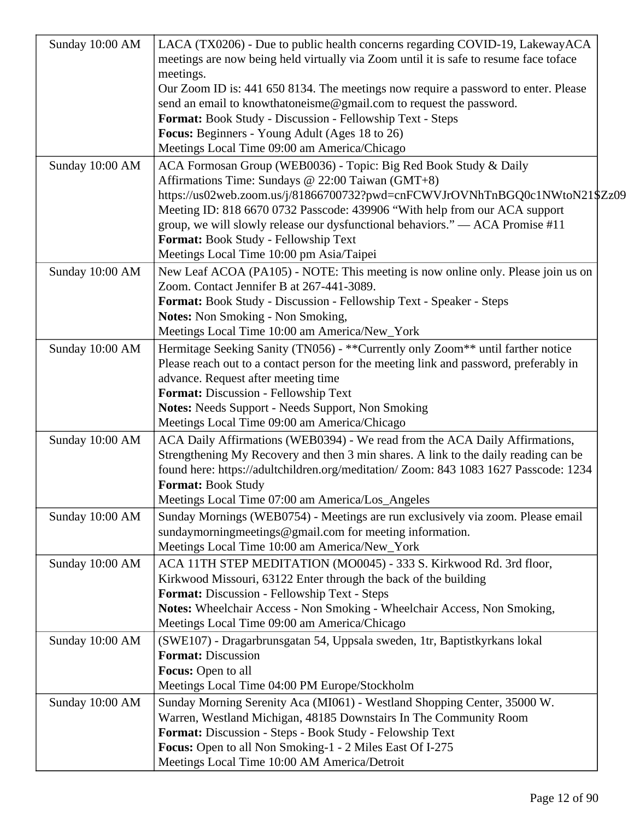| Sunday 10:00 AM | LACA (TX0206) - Due to public health concerns regarding COVID-19, LakewayACA<br>meetings are now being held virtually via Zoom until it is safe to resume face toface |
|-----------------|-----------------------------------------------------------------------------------------------------------------------------------------------------------------------|
|                 | meetings.                                                                                                                                                             |
|                 | Our Zoom ID is: 441 650 8134. The meetings now require a password to enter. Please<br>send an email to knowthatoneisme@gmail.com to request the password.             |
|                 | Format: Book Study - Discussion - Fellowship Text - Steps                                                                                                             |
|                 | Focus: Beginners - Young Adult (Ages 18 to 26)                                                                                                                        |
|                 | Meetings Local Time 09:00 am America/Chicago                                                                                                                          |
| Sunday 10:00 AM | ACA Formosan Group (WEB0036) - Topic: Big Red Book Study & Daily                                                                                                      |
|                 | Affirmations Time: Sundays @ 22:00 Taiwan (GMT+8)                                                                                                                     |
|                 | https://us02web.zoom.us/j/81866700732?pwd=cnFCWVJrOVNhTnBGQ0c1NWtoN21\$Zz09                                                                                           |
|                 | Meeting ID: 818 6670 0732 Passcode: 439906 "With help from our ACA support                                                                                            |
|                 | group, we will slowly release our dysfunctional behaviors." — ACA Promise #11                                                                                         |
|                 | Format: Book Study - Fellowship Text                                                                                                                                  |
|                 | Meetings Local Time 10:00 pm Asia/Taipei                                                                                                                              |
| Sunday 10:00 AM | New Leaf ACOA (PA105) - NOTE: This meeting is now online only. Please join us on                                                                                      |
|                 | Zoom. Contact Jennifer B at 267-441-3089.                                                                                                                             |
|                 | Format: Book Study - Discussion - Fellowship Text - Speaker - Steps                                                                                                   |
|                 | <b>Notes:</b> Non Smoking - Non Smoking,                                                                                                                              |
|                 | Meetings Local Time 10:00 am America/New_York                                                                                                                         |
| Sunday 10:00 AM | Hermitage Seeking Sanity (TN056) - ** Currently only Zoom** until farther notice                                                                                      |
|                 | Please reach out to a contact person for the meeting link and password, preferably in                                                                                 |
|                 | advance. Request after meeting time                                                                                                                                   |
|                 | Format: Discussion - Fellowship Text                                                                                                                                  |
|                 | <b>Notes:</b> Needs Support - Needs Support, Non Smoking<br>Meetings Local Time 09:00 am America/Chicago                                                              |
|                 |                                                                                                                                                                       |
| Sunday 10:00 AM | ACA Daily Affirmations (WEB0394) - We read from the ACA Daily Affirmations,<br>Strengthening My Recovery and then 3 min shares. A link to the daily reading can be    |
|                 | found here: https://adultchildren.org/meditation/ Zoom: 843 1083 1627 Passcode: 1234                                                                                  |
|                 | Format: Book Study                                                                                                                                                    |
|                 | Meetings Local Time 07:00 am America/Los_Angeles                                                                                                                      |
| Sunday 10:00 AM | Sunday Mornings (WEB0754) - Meetings are run exclusively via zoom. Please email                                                                                       |
|                 | sundaymorningmeetings@gmail.com for meeting information.                                                                                                              |
|                 | Meetings Local Time 10:00 am America/New_York                                                                                                                         |
| Sunday 10:00 AM | ACA 11TH STEP MEDITATION (MO0045) - 333 S. Kirkwood Rd. 3rd floor,                                                                                                    |
|                 | Kirkwood Missouri, 63122 Enter through the back of the building                                                                                                       |
|                 | Format: Discussion - Fellowship Text - Steps                                                                                                                          |
|                 | Notes: Wheelchair Access - Non Smoking - Wheelchair Access, Non Smoking,                                                                                              |
|                 | Meetings Local Time 09:00 am America/Chicago                                                                                                                          |
| Sunday 10:00 AM | (SWE107) - Dragarbrunsgatan 54, Uppsala sweden, 1tr, Baptistkyrkans lokal                                                                                             |
|                 | <b>Format: Discussion</b>                                                                                                                                             |
|                 | Focus: Open to all                                                                                                                                                    |
|                 | Meetings Local Time 04:00 PM Europe/Stockholm                                                                                                                         |
| Sunday 10:00 AM | Sunday Morning Serenity Aca (MI061) - Westland Shopping Center, 35000 W.                                                                                              |
|                 | Warren, Westland Michigan, 48185 Downstairs In The Community Room                                                                                                     |
|                 | Format: Discussion - Steps - Book Study - Felowship Text                                                                                                              |
|                 | Focus: Open to all Non Smoking-1 - 2 Miles East Of I-275                                                                                                              |
|                 | Meetings Local Time 10:00 AM America/Detroit                                                                                                                          |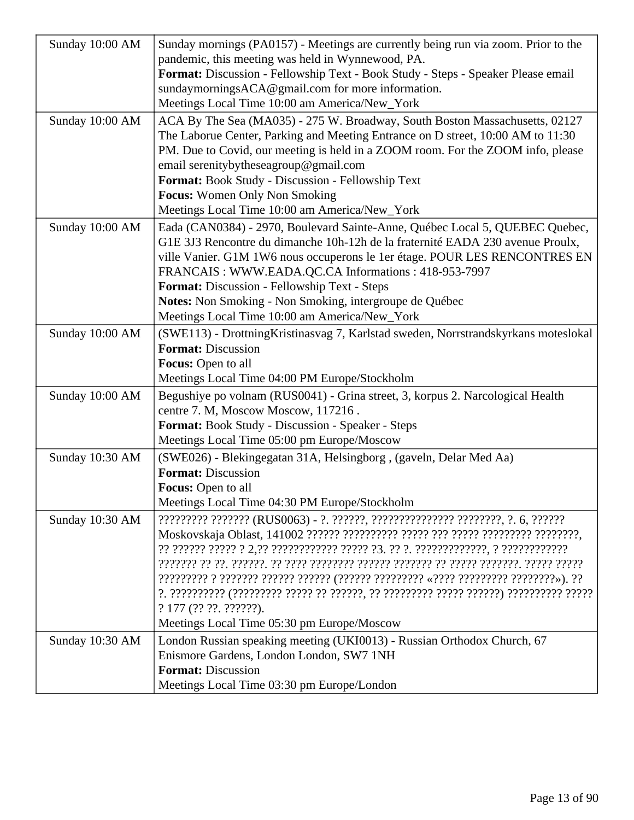| Sunday 10:00 AM | Sunday mornings (PA0157) - Meetings are currently being run via zoom. Prior to the                                                                                                                                                                                                                                                                                                      |
|-----------------|-----------------------------------------------------------------------------------------------------------------------------------------------------------------------------------------------------------------------------------------------------------------------------------------------------------------------------------------------------------------------------------------|
|                 | pandemic, this meeting was held in Wynnewood, PA.                                                                                                                                                                                                                                                                                                                                       |
|                 | Format: Discussion - Fellowship Text - Book Study - Steps - Speaker Please email                                                                                                                                                                                                                                                                                                        |
|                 | sundaymorningsACA@gmail.com for more information.                                                                                                                                                                                                                                                                                                                                       |
|                 | Meetings Local Time 10:00 am America/New_York                                                                                                                                                                                                                                                                                                                                           |
| Sunday 10:00 AM | ACA By The Sea (MA035) - 275 W. Broadway, South Boston Massachusetts, 02127<br>The Laborue Center, Parking and Meeting Entrance on D street, 10:00 AM to 11:30<br>PM. Due to Covid, our meeting is held in a ZOOM room. For the ZOOM info, please<br>email serenitybytheseagroup@gmail.com<br>Format: Book Study - Discussion - Fellowship Text<br><b>Focus:</b> Women Only Non Smoking |
|                 | Meetings Local Time 10:00 am America/New_York                                                                                                                                                                                                                                                                                                                                           |
| Sunday 10:00 AM | Eada (CAN0384) - 2970, Boulevard Sainte-Anne, Québec Local 5, QUEBEC Quebec,<br>G1E 3J3 Rencontre du dimanche 10h-12h de la fraternité EADA 230 avenue Proulx,<br>ville Vanier. G1M 1W6 nous occuperons le 1er étage. POUR LES RENCONTRES EN<br>FRANCAIS: WWW.EADA.QC.CA Informations: 418-953-7997<br>Format: Discussion - Fellowship Text - Steps                                     |
|                 | Notes: Non Smoking - Non Smoking, intergroupe de Québec                                                                                                                                                                                                                                                                                                                                 |
|                 | Meetings Local Time 10:00 am America/New_York                                                                                                                                                                                                                                                                                                                                           |
| Sunday 10:00 AM | (SWE113) - Drottning Kristinasvag 7, Karlstad sweden, Norrstrandskyrkans moteslokal                                                                                                                                                                                                                                                                                                     |
|                 | <b>Format: Discussion</b>                                                                                                                                                                                                                                                                                                                                                               |
|                 | <b>Focus:</b> Open to all                                                                                                                                                                                                                                                                                                                                                               |
|                 | Meetings Local Time 04:00 PM Europe/Stockholm                                                                                                                                                                                                                                                                                                                                           |
| Sunday 10:00 AM | Begushiye po volnam (RUS0041) - Grina street, 3, korpus 2. Narcological Health<br>centre 7. M, Moscow Moscow, 117216.                                                                                                                                                                                                                                                                   |
|                 | Format: Book Study - Discussion - Speaker - Steps                                                                                                                                                                                                                                                                                                                                       |
|                 | Meetings Local Time 05:00 pm Europe/Moscow                                                                                                                                                                                                                                                                                                                                              |
| Sunday 10:30 AM | (SWE026) - Blekingegatan 31A, Helsingborg, (gaveln, Delar Med Aa)                                                                                                                                                                                                                                                                                                                       |
|                 | <b>Format: Discussion</b>                                                                                                                                                                                                                                                                                                                                                               |
|                 | <b>Focus:</b> Open to all                                                                                                                                                                                                                                                                                                                                                               |
|                 | Meetings Local Time 04:30 PM Europe/Stockholm                                                                                                                                                                                                                                                                                                                                           |
| Sunday 10:30 AM | ????????? ??????? (RUS0063) - ?. ??????, ??????????????? ????????, ?. 6, ???????                                                                                                                                                                                                                                                                                                        |
|                 | ? 177 (?? ??. ??? ???<br>Meetings Local Time 05:30 pm Europe/Moscow                                                                                                                                                                                                                                                                                                                     |
| Sunday 10:30 AM | London Russian speaking meeting (UKI0013) - Russian Orthodox Church, 67                                                                                                                                                                                                                                                                                                                 |
|                 | Enismore Gardens, London London, SW7 1NH                                                                                                                                                                                                                                                                                                                                                |
|                 | <b>Format: Discussion</b>                                                                                                                                                                                                                                                                                                                                                               |
|                 | Meetings Local Time 03:30 pm Europe/London                                                                                                                                                                                                                                                                                                                                              |
|                 |                                                                                                                                                                                                                                                                                                                                                                                         |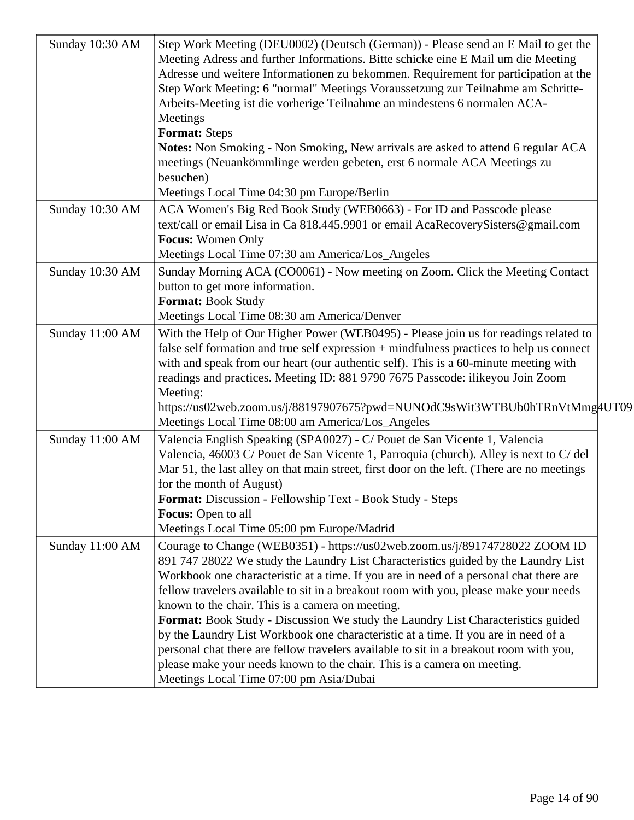| Sunday 10:30 AM | Step Work Meeting (DEU0002) (Deutsch (German)) - Please send an E Mail to get the<br>Meeting Adress and further Informations. Bitte schicke eine E Mail um die Meeting<br>Adresse und weitere Informationen zu bekommen. Requirement for participation at the<br>Step Work Meeting: 6 "normal" Meetings Voraussetzung zur Teilnahme am Schritte-<br>Arbeits-Meeting ist die vorherige Teilnahme an mindestens 6 normalen ACA-<br>Meetings<br><b>Format: Steps</b><br>Notes: Non Smoking - Non Smoking, New arrivals are asked to attend 6 regular ACA<br>meetings (Neuankömmlinge werden gebeten, erst 6 normale ACA Meetings zu<br>besuchen)<br>Meetings Local Time 04:30 pm Europe/Berlin                                                                                                        |  |
|-----------------|----------------------------------------------------------------------------------------------------------------------------------------------------------------------------------------------------------------------------------------------------------------------------------------------------------------------------------------------------------------------------------------------------------------------------------------------------------------------------------------------------------------------------------------------------------------------------------------------------------------------------------------------------------------------------------------------------------------------------------------------------------------------------------------------------|--|
| Sunday 10:30 AM | ACA Women's Big Red Book Study (WEB0663) - For ID and Passcode please<br>text/call or email Lisa in Ca 818.445.9901 or email AcaRecoverySisters@gmail.com<br><b>Focus:</b> Women Only<br>Meetings Local Time 07:30 am America/Los_Angeles                                                                                                                                                                                                                                                                                                                                                                                                                                                                                                                                                          |  |
| Sunday 10:30 AM | Sunday Morning ACA (CO0061) - Now meeting on Zoom. Click the Meeting Contact<br>button to get more information.<br>Format: Book Study<br>Meetings Local Time 08:30 am America/Denver                                                                                                                                                                                                                                                                                                                                                                                                                                                                                                                                                                                                               |  |
| Sunday 11:00 AM | With the Help of Our Higher Power (WEB0495) - Please join us for readings related to<br>false self formation and true self expression + mindfulness practices to help us connect<br>with and speak from our heart (our authentic self). This is a 60-minute meeting with<br>readings and practices. Meeting ID: 881 9790 7675 Passcode: ilikeyou Join Zoom<br>Meeting:<br>https://us02web.zoom.us/j/88197907675?pwd=NUNOdC9sWit3WTBUb0hTRnVtMmg4UT09<br>Meetings Local Time 08:00 am America/Los_Angeles                                                                                                                                                                                                                                                                                           |  |
| Sunday 11:00 AM | Valencia English Speaking (SPA0027) - C/ Pouet de San Vicente 1, Valencia<br>Valencia, 46003 C/ Pouet de San Vicente 1, Parroquia (church). Alley is next to C/ del<br>Mar 51, the last alley on that main street, first door on the left. (There are no meetings<br>for the month of August)<br>Format: Discussion - Fellowship Text - Book Study - Steps<br><b>Focus:</b> Open to all<br>Meetings Local Time 05:00 pm Europe/Madrid                                                                                                                                                                                                                                                                                                                                                              |  |
| Sunday 11:00 AM | Courage to Change (WEB0351) - https://us02web.zoom.us/j/89174728022 ZOOM ID<br>891 747 28022 We study the Laundry List Characteristics guided by the Laundry List<br>Workbook one characteristic at a time. If you are in need of a personal chat there are<br>fellow travelers available to sit in a breakout room with you, please make your needs<br>known to the chair. This is a camera on meeting.<br>Format: Book Study - Discussion We study the Laundry List Characteristics guided<br>by the Laundry List Workbook one characteristic at a time. If you are in need of a<br>personal chat there are fellow travelers available to sit in a breakout room with you,<br>please make your needs known to the chair. This is a camera on meeting.<br>Meetings Local Time 07:00 pm Asia/Dubai |  |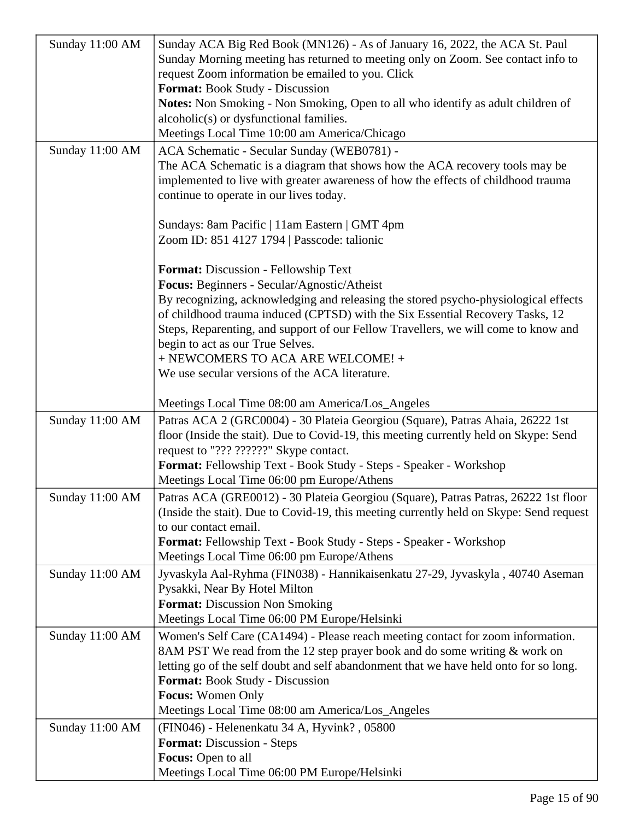| Sunday 11:00 AM | Sunday ACA Big Red Book (MN126) - As of January 16, 2022, the ACA St. Paul              |
|-----------------|-----------------------------------------------------------------------------------------|
|                 | Sunday Morning meeting has returned to meeting only on Zoom. See contact info to        |
|                 | request Zoom information be emailed to you. Click                                       |
|                 | Format: Book Study - Discussion                                                         |
|                 | Notes: Non Smoking - Non Smoking, Open to all who identify as adult children of         |
|                 | alcoholic(s) or dysfunctional families.                                                 |
|                 | Meetings Local Time 10:00 am America/Chicago                                            |
| Sunday 11:00 AM | ACA Schematic - Secular Sunday (WEB0781) -                                              |
|                 | The ACA Schematic is a diagram that shows how the ACA recovery tools may be             |
|                 | implemented to live with greater awareness of how the effects of childhood trauma       |
|                 | continue to operate in our lives today.                                                 |
|                 |                                                                                         |
|                 | Sundays: 8am Pacific   11am Eastern   GMT 4pm                                           |
|                 | Zoom ID: 851 4127 1794   Passcode: talionic                                             |
|                 |                                                                                         |
|                 | Format: Discussion - Fellowship Text                                                    |
|                 | Focus: Beginners - Secular/Agnostic/Atheist                                             |
|                 | By recognizing, acknowledging and releasing the stored psycho-physiological effects     |
|                 | of childhood trauma induced (CPTSD) with the Six Essential Recovery Tasks, 12           |
|                 | Steps, Reparenting, and support of our Fellow Travellers, we will come to know and      |
|                 | begin to act as our True Selves.                                                        |
|                 | + NEWCOMERS TO ACA ARE WELCOME! +                                                       |
|                 | We use secular versions of the ACA literature.                                          |
|                 |                                                                                         |
|                 | Meetings Local Time 08:00 am America/Los_Angeles                                        |
| Sunday 11:00 AM | Patras ACA 2 (GRC0004) - 30 Plateia Georgiou (Square), Patras Ahaia, 26222 1st          |
|                 | floor (Inside the stait). Due to Covid-19, this meeting currently held on Skype: Send   |
|                 | request to "??? ??????" Skype contact.                                                  |
|                 | Format: Fellowship Text - Book Study - Steps - Speaker - Workshop                       |
|                 | Meetings Local Time 06:00 pm Europe/Athens                                              |
| Sunday 11:00 AM | Patras ACA (GRE0012) - 30 Plateia Georgiou (Square), Patras Patras, 26222 1st floor     |
|                 | (Inside the stait). Due to Covid-19, this meeting currently held on Skype: Send request |
|                 | to our contact email.                                                                   |
|                 | <b>Format:</b> Fellowship Text - Book Study - Steps - Speaker - Workshop                |
|                 | Meetings Local Time 06:00 pm Europe/Athens                                              |
| Sunday 11:00 AM | Jyvaskyla Aal-Ryhma (FIN038) - Hannikaisenkatu 27-29, Jyvaskyla , 40740 Aseman          |
|                 | Pysakki, Near By Hotel Milton                                                           |
|                 | <b>Format:</b> Discussion Non Smoking                                                   |
|                 | Meetings Local Time 06:00 PM Europe/Helsinki                                            |
| Sunday 11:00 AM | Women's Self Care (CA1494) - Please reach meeting contact for zoom information.         |
|                 | 8AM PST We read from the 12 step prayer book and do some writing & work on              |
|                 | letting go of the self doubt and self abandonment that we have held onto for so long.   |
|                 | <b>Format:</b> Book Study - Discussion                                                  |
|                 | <b>Focus:</b> Women Only                                                                |
|                 | Meetings Local Time 08:00 am America/Los_Angeles                                        |
| Sunday 11:00 AM | (FIN046) - Helenenkatu 34 A, Hyvink?, 05800                                             |
|                 | <b>Format:</b> Discussion - Steps                                                       |
|                 | Focus: Open to all                                                                      |
|                 | Meetings Local Time 06:00 PM Europe/Helsinki                                            |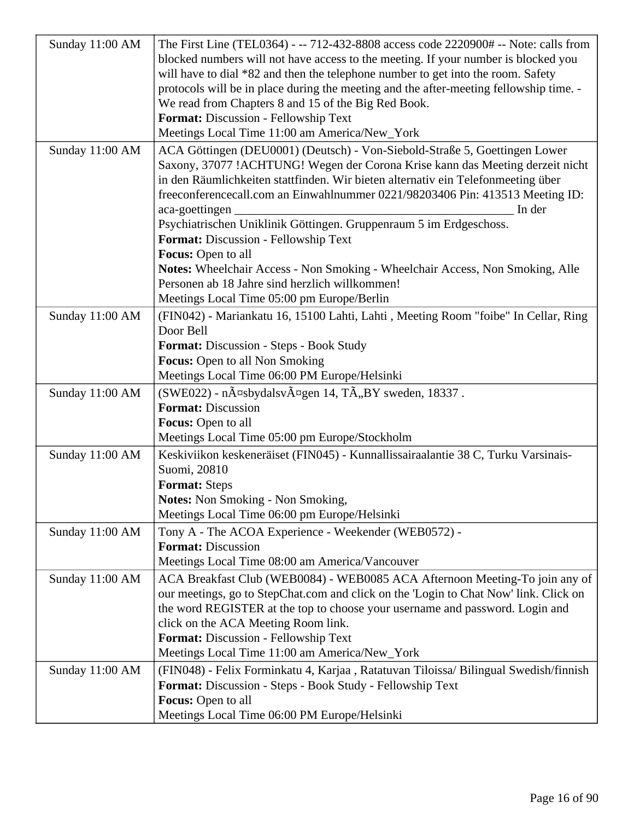| Sunday 11:00 AM | The First Line (TEL0364) - -- 712-432-8808 access code 2220900# -- Note: calls from               |
|-----------------|---------------------------------------------------------------------------------------------------|
|                 | blocked numbers will not have access to the meeting. If your number is blocked you                |
|                 | will have to dial *82 and then the telephone number to get into the room. Safety                  |
|                 | protocols will be in place during the meeting and the after-meeting fellowship time. -            |
|                 | We read from Chapters 8 and 15 of the Big Red Book.                                               |
|                 | Format: Discussion - Fellowship Text                                                              |
|                 | Meetings Local Time 11:00 am America/New_York                                                     |
| Sunday 11:00 AM | ACA Göttingen (DEU0001) (Deutsch) - Von-Siebold-Straße 5, Goettingen Lower                        |
|                 | Saxony, 37077 !ACHTUNG! Wegen der Corona Krise kann das Meeting derzeit nicht                     |
|                 | in den Räumlichkeiten stattfinden. Wir bieten alternativ ein Telefonmeeting über                  |
|                 | freeconferencecall.com an Einwahlnummer 0221/98203406 Pin: 413513 Meeting ID:                     |
|                 | aca-goettingen<br>In der                                                                          |
|                 | Psychiatrischen Uniklinik Göttingen. Gruppenraum 5 im Erdgeschoss.                                |
|                 | Format: Discussion - Fellowship Text                                                              |
|                 | Focus: Open to all                                                                                |
|                 | Notes: Wheelchair Access - Non Smoking - Wheelchair Access, Non Smoking, Alle                     |
|                 | Personen ab 18 Jahre sind herzlich willkommen!                                                    |
|                 | Meetings Local Time 05:00 pm Europe/Berlin                                                        |
| Sunday 11:00 AM | (FIN042) - Mariankatu 16, 15100 Lahti, Lahti, Meeting Room "foibe" In Cellar, Ring                |
|                 | Door Bell                                                                                         |
|                 | Format: Discussion - Steps - Book Study                                                           |
|                 | Focus: Open to all Non Smoking                                                                    |
|                 | Meetings Local Time 06:00 PM Europe/Helsinki                                                      |
| Sunday 11:00 AM | (SWE022) - näsbydalsvägen 14, TÃ,,BY sweden, 18337.                                               |
|                 | <b>Format: Discussion</b>                                                                         |
|                 | Focus: Open to all                                                                                |
|                 | Meetings Local Time 05:00 pm Europe/Stockholm                                                     |
|                 |                                                                                                   |
| Sunday 11:00 AM | Keskiviikon keskeneräiset (FIN045) - Kunnallissairaalantie 38 C, Turku Varsinais-<br>Suomi, 20810 |
|                 | <b>Format:</b> Steps                                                                              |
|                 | <b>Notes:</b> Non Smoking - Non Smoking,                                                          |
|                 | Meetings Local Time 06:00 pm Europe/Helsinki                                                      |
|                 |                                                                                                   |
| Sunday 11:00 AM | Tony A - The ACOA Experience - Weekender (WEB0572) -                                              |
|                 | <b>Format: Discussion</b>                                                                         |
|                 | Meetings Local Time 08:00 am America/Vancouver                                                    |
| Sunday 11:00 AM | ACA Breakfast Club (WEB0084) - WEB0085 ACA Afternoon Meeting-To join any of                       |
|                 | our meetings, go to StepChat.com and click on the 'Login to Chat Now' link. Click on              |
|                 | the word REGISTER at the top to choose your username and password. Login and                      |
|                 | click on the ACA Meeting Room link.                                                               |
|                 | Format: Discussion - Fellowship Text                                                              |
|                 | Meetings Local Time 11:00 am America/New_York                                                     |
| Sunday 11:00 AM | (FIN048) - Felix Forminkatu 4, Karjaa, Ratatuvan Tiloissa/Bilingual Swedish/finnish               |
|                 | Format: Discussion - Steps - Book Study - Fellowship Text                                         |
|                 | Focus: Open to all                                                                                |
|                 | Meetings Local Time 06:00 PM Europe/Helsinki                                                      |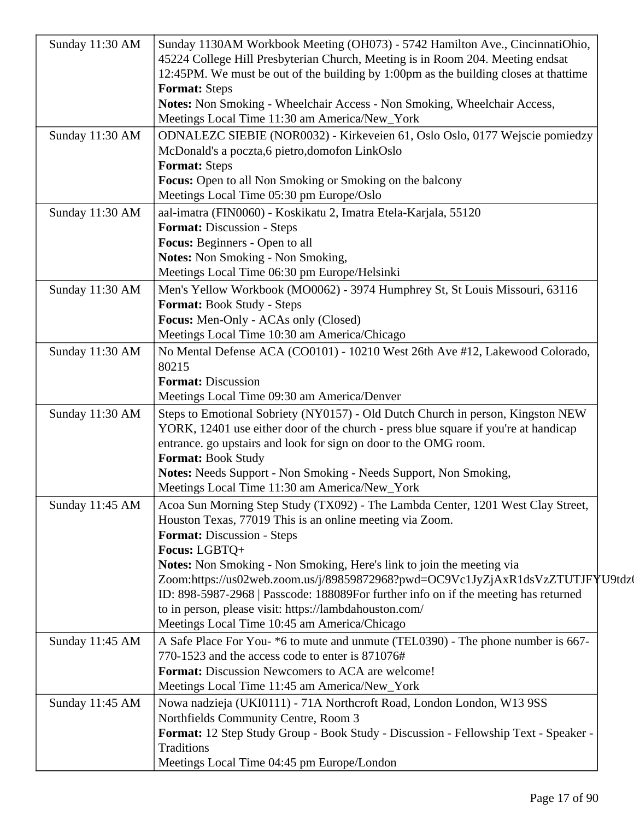| Sunday 11:30 AM | Sunday 1130AM Workbook Meeting (OH073) - 5742 Hamilton Ave., CincinnatiOhio,<br>45224 College Hill Presbyterian Church, Meeting is in Room 204. Meeting endsat |
|-----------------|----------------------------------------------------------------------------------------------------------------------------------------------------------------|
|                 | 12:45PM. We must be out of the building by 1:00pm as the building closes at that time                                                                          |
|                 | <b>Format: Steps</b><br>Notes: Non Smoking - Wheelchair Access - Non Smoking, Wheelchair Access,                                                               |
|                 | Meetings Local Time 11:30 am America/New_York                                                                                                                  |
| Sunday 11:30 AM | ODNALEZC SIEBIE (NOR0032) - Kirkeveien 61, Oslo Oslo, 0177 Wejscie pomiedzy                                                                                    |
|                 | McDonald's a poczta, 6 pietro, domofon LinkOslo                                                                                                                |
|                 | <b>Format: Steps</b>                                                                                                                                           |
|                 | <b>Focus:</b> Open to all Non Smoking or Smoking on the balcony                                                                                                |
|                 | Meetings Local Time 05:30 pm Europe/Oslo                                                                                                                       |
| Sunday 11:30 AM | aal-imatra (FIN0060) - Koskikatu 2, Imatra Etela-Karjala, 55120<br><b>Format:</b> Discussion - Steps                                                           |
|                 | Focus: Beginners - Open to all                                                                                                                                 |
|                 | Notes: Non Smoking - Non Smoking,                                                                                                                              |
|                 | Meetings Local Time 06:30 pm Europe/Helsinki                                                                                                                   |
| Sunday 11:30 AM | Men's Yellow Workbook (MO0062) - 3974 Humphrey St, St Louis Missouri, 63116                                                                                    |
|                 | <b>Format:</b> Book Study - Steps                                                                                                                              |
|                 | Focus: Men-Only - ACAs only (Closed)                                                                                                                           |
|                 | Meetings Local Time 10:30 am America/Chicago                                                                                                                   |
| Sunday 11:30 AM | No Mental Defense ACA (CO0101) - 10210 West 26th Ave #12, Lakewood Colorado,                                                                                   |
|                 | 80215<br><b>Format: Discussion</b>                                                                                                                             |
|                 | Meetings Local Time 09:30 am America/Denver                                                                                                                    |
| Sunday 11:30 AM | Steps to Emotional Sobriety (NY0157) - Old Dutch Church in person, Kingston NEW                                                                                |
|                 | YORK, 12401 use either door of the church - press blue square if you're at handicap                                                                            |
|                 | entrance. go upstairs and look for sign on door to the OMG room.                                                                                               |
|                 | <b>Format: Book Study</b>                                                                                                                                      |
|                 | Notes: Needs Support - Non Smoking - Needs Support, Non Smoking,                                                                                               |
|                 | Meetings Local Time 11:30 am America/New_York                                                                                                                  |
| Sunday 11:45 AM | Acoa Sun Morning Step Study (TX092) - The Lambda Center, 1201 West Clay Street,                                                                                |
|                 | Houston Texas, 77019 This is an online meeting via Zoom.<br>Format: Discussion - Steps                                                                         |
|                 | Focus: LGBTQ+                                                                                                                                                  |
|                 | Notes: Non Smoking - Non Smoking, Here's link to join the meeting via                                                                                          |
|                 | Zoom:https://us02web.zoom.us/j/89859872968?pwd=OC9Vc1JyZjAxR1dsVzZTUTJFYU9tdz                                                                                  |
|                 | ID: 898-5987-2968   Passcode: 188089For further info on if the meeting has returned                                                                            |
|                 | to in person, please visit: https://lambdahouston.com/                                                                                                         |
|                 | Meetings Local Time 10:45 am America/Chicago                                                                                                                   |
| Sunday 11:45 AM | A Safe Place For You- *6 to mute and unmute (TEL0390) - The phone number is 667-                                                                               |
|                 | 770-1523 and the access code to enter is 871076#<br>Format: Discussion Newcomers to ACA are welcome!                                                           |
|                 | Meetings Local Time 11:45 am America/New_York                                                                                                                  |
| Sunday 11:45 AM | Nowa nadzieja (UKI0111) - 71A Northcroft Road, London London, W13 9SS                                                                                          |
|                 | Northfields Community Centre, Room 3                                                                                                                           |
|                 | Format: 12 Step Study Group - Book Study - Discussion - Fellowship Text - Speaker -                                                                            |
|                 | Traditions                                                                                                                                                     |
|                 | Meetings Local Time 04:45 pm Europe/London                                                                                                                     |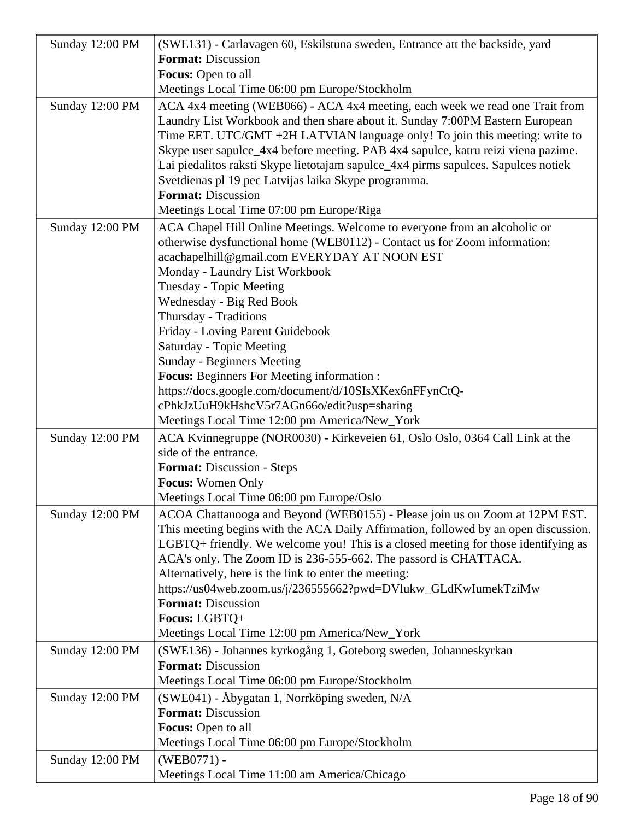| Sunday 12:00 PM | (SWE131) - Carlavagen 60, Eskilstuna sweden, Entrance att the backside, yard<br><b>Format: Discussion</b> |
|-----------------|-----------------------------------------------------------------------------------------------------------|
|                 |                                                                                                           |
|                 | Focus: Open to all                                                                                        |
|                 | Meetings Local Time 06:00 pm Europe/Stockholm                                                             |
| Sunday 12:00 PM | ACA 4x4 meeting (WEB066) - ACA 4x4 meeting, each week we read one Trait from                              |
|                 | Laundry List Workbook and then share about it. Sunday 7:00PM Eastern European                             |
|                 | Time EET. UTC/GMT +2H LATVIAN language only! To join this meeting: write to                               |
|                 | Skype user sapulce_4x4 before meeting. PAB 4x4 sapulce, katru reizi viena pazime.                         |
|                 | Lai piedalitos raksti Skype lietotajam sapulce_4x4 pirms sapulces. Sapulces notiek                        |
|                 | Svetdienas pl 19 pec Latvijas laika Skype programma.                                                      |
|                 | <b>Format: Discussion</b>                                                                                 |
|                 | Meetings Local Time 07:00 pm Europe/Riga                                                                  |
| Sunday 12:00 PM | ACA Chapel Hill Online Meetings. Welcome to everyone from an alcoholic or                                 |
|                 | otherwise dysfunctional home (WEB0112) - Contact us for Zoom information:                                 |
|                 | acachapelhill@gmail.com EVERYDAY AT NOON EST                                                              |
|                 | Monday - Laundry List Workbook                                                                            |
|                 | <b>Tuesday - Topic Meeting</b>                                                                            |
|                 | Wednesday - Big Red Book                                                                                  |
|                 | Thursday - Traditions                                                                                     |
|                 | Friday - Loving Parent Guidebook                                                                          |
|                 | Saturday - Topic Meeting                                                                                  |
|                 | Sunday - Beginners Meeting                                                                                |
|                 | <b>Focus:</b> Beginners For Meeting information :                                                         |
|                 | https://docs.google.com/document/d/10SIsXKex6nFFynCtQ-                                                    |
|                 | cPhkJzUuH9kHshcV5r7AGn66o/edit?usp=sharing                                                                |
|                 | Meetings Local Time 12:00 pm America/New_York                                                             |
| Sunday 12:00 PM | ACA Kvinnegruppe (NOR0030) - Kirkeveien 61, Oslo Oslo, 0364 Call Link at the                              |
|                 | side of the entrance.                                                                                     |
|                 | <b>Format:</b> Discussion - Steps                                                                         |
|                 | <b>Focus:</b> Women Only                                                                                  |
|                 | Meetings Local Time 06:00 pm Europe/Oslo                                                                  |
| Sunday 12:00 PM | ACOA Chattanooga and Beyond (WEB0155) - Please join us on Zoom at 12PM EST.                               |
|                 | This meeting begins with the ACA Daily Affirmation, followed by an open discussion.                       |
|                 | LGBTQ+ friendly. We welcome you! This is a closed meeting for those identifying as                        |
|                 | ACA's only. The Zoom ID is 236-555-662. The passord is CHATTACA.                                          |
|                 | Alternatively, here is the link to enter the meeting:                                                     |
|                 | https://us04web.zoom.us/j/236555662?pwd=DVlukw_GLdKwIumekTziMw                                            |
|                 | <b>Format: Discussion</b>                                                                                 |
|                 | Focus: LGBTQ+                                                                                             |
|                 | Meetings Local Time 12:00 pm America/New_York                                                             |
| Sunday 12:00 PM | (SWE136) - Johannes kyrkogång 1, Goteborg sweden, Johanneskyrkan                                          |
|                 | <b>Format: Discussion</b>                                                                                 |
|                 | Meetings Local Time 06:00 pm Europe/Stockholm                                                             |
| Sunday 12:00 PM | (SWE041) - Åbygatan 1, Norrköping sweden, N/A                                                             |
|                 | <b>Format: Discussion</b>                                                                                 |
|                 | Focus: Open to all                                                                                        |
|                 | Meetings Local Time 06:00 pm Europe/Stockholm                                                             |
| Sunday 12:00 PM | $(WEB0771) -$                                                                                             |
|                 | Meetings Local Time 11:00 am America/Chicago                                                              |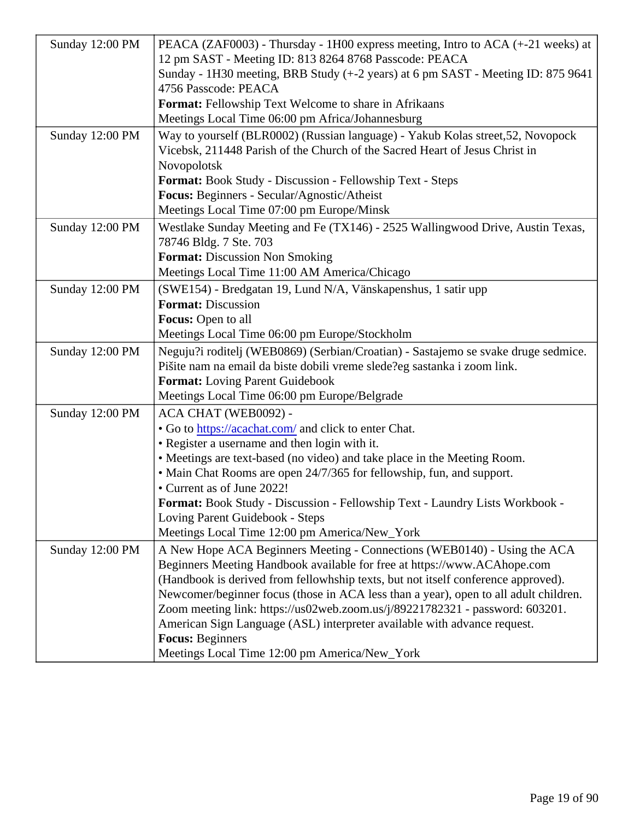|                 | Sunday 12:00 PM   PEACA (ZAF0003) - Thursday - 1H00 express meeting, Intro to ACA (+-21 weeks) at |
|-----------------|---------------------------------------------------------------------------------------------------|
|                 | 12 pm SAST - Meeting ID: 813 8264 8768 Passcode: PEACA                                            |
|                 | Sunday - 1H30 meeting, BRB Study (+-2 years) at 6 pm SAST - Meeting ID: 875 9641                  |
|                 | 4756 Passcode: PEACA                                                                              |
|                 | Format: Fellowship Text Welcome to share in Afrikaans                                             |
|                 | Meetings Local Time 06:00 pm Africa/Johannesburg                                                  |
| Sunday 12:00 PM | Way to yourself (BLR0002) (Russian language) - Yakub Kolas street, 52, Novopock                   |
|                 | Vicebsk, 211448 Parish of the Church of the Sacred Heart of Jesus Christ in                       |
|                 | Novopolotsk                                                                                       |
|                 | Format: Book Study - Discussion - Fellowship Text - Steps                                         |
|                 | Focus: Beginners - Secular/Agnostic/Atheist                                                       |
|                 | Meetings Local Time 07:00 pm Europe/Minsk                                                         |
| Sunday 12:00 PM | Westlake Sunday Meeting and Fe (TX146) - 2525 Wallingwood Drive, Austin Texas,                    |
|                 | 78746 Bldg. 7 Ste. 703                                                                            |
|                 | Format: Discussion Non Smoking                                                                    |
|                 | Meetings Local Time 11:00 AM America/Chicago                                                      |
| Sunday 12:00 PM | (SWE154) - Bredgatan 19, Lund N/A, Vänskapenshus, 1 satir upp                                     |
|                 | Format: Discussion                                                                                |
|                 | Focus: Open to all                                                                                |
|                 | Meetings Local Time 06:00 pm Europe/Stockholm                                                     |
| Sunday 12:00 PM | Neguju?i roditelj (WEB0869) (Serbian/Croatian) - Sastajemo se svake druge sedmice.                |
|                 | Pišite nam na email da biste dobili vreme slede?eg sastanka i zoom link.                          |
|                 | Format: Loving Parent Guidebook                                                                   |
|                 | Meetings Local Time 06:00 pm Europe/Belgrade                                                      |
| Sunday 12:00 PM | ACA CHAT (WEB0092) -                                                                              |
|                 | . Go tohttps://acachat.conand click to enter Chat.                                                |
|                 | • Register a username and then login with it.                                                     |
|                 | • Meetings are text-based (no video) and take place in the Meeting Room.                          |
|                 | • Main Chat Rooms are open 24/7/365 for fellowship, fun, and support.                             |
|                 | • Current as of June 2022!                                                                        |
|                 | Format: Book Study - Discussion - Fellowship Text - Laundry Lists Workbook -                      |
|                 | Loving Parent Guidebook - Steps                                                                   |
|                 | Meetings Local Time 12:00 pm America/New_York                                                     |
| Sunday 12:00 PM | A New Hope ACA Beginners Meeting - Connections (WEB0140) - Using the ACA                          |
|                 | Beginners Meeting Handbook available for free at https://www.ACAhope.com                          |
|                 | (Handbook is derived from fellowhship texts, but not itself conference approved)                  |
|                 | Newcomer/beginner focus (those in ACA less than a year), open to all adult children.              |
|                 | Zoom meeting link: https://us02web.zoom.us/j/89221782321 - password: 603201.                      |
|                 | American Sign Language (ASL) interpreter available with advance request.                          |
|                 | Focus: Beginners                                                                                  |
|                 | Meetings Local Time 12:00 pm America/New_York                                                     |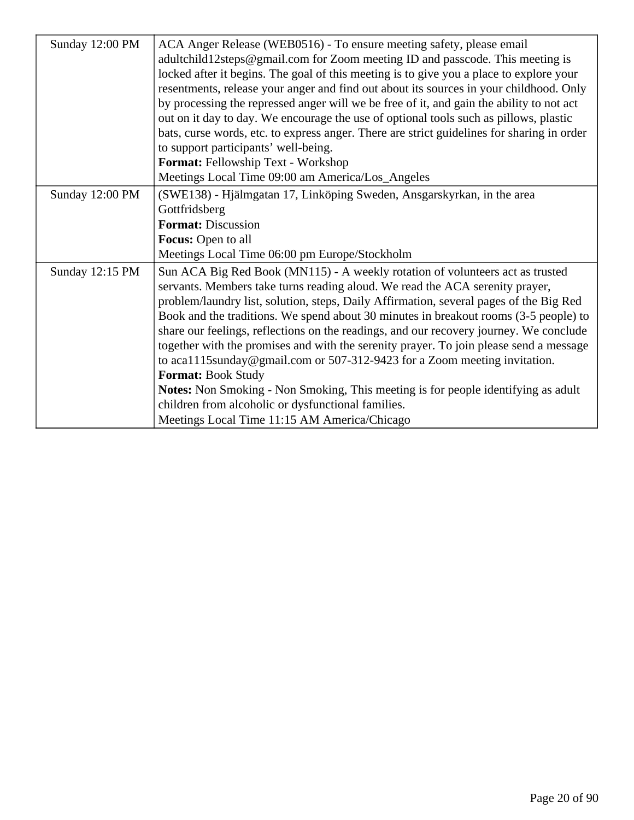| Sunday 12:00 PM | ACA Anger Release (WEB0516) - To ensure meeting safety, please email                       |
|-----------------|--------------------------------------------------------------------------------------------|
|                 | adultchild12steps@gmail.com for Zoom meeting ID and passcode. This meeting is              |
|                 | locked after it begins. The goal of this meeting is to give you a place to explore your    |
|                 | resentments, release your anger and find out about its sources in your childhood. Only     |
|                 | by processing the repressed anger will we be free of it, and gain the ability to not act   |
|                 | out on it day to day. We encourage the use of optional tools such as pillows, plastic      |
|                 | bats, curse words, etc. to express anger. There are strict guidelines for sharing in order |
|                 | to support participants' well-being.                                                       |
|                 | Format: Fellowship Text - Workshop                                                         |
|                 | Meetings Local Time 09:00 am America/Los_Angeles                                           |
| Sunday 12:00 PM | (SWE138) - Hjälmgatan 17, Linköping Sweden, Ansgarskyrkan, in the area                     |
|                 | Gottfridsberg                                                                              |
|                 | <b>Format: Discussion</b>                                                                  |
|                 | <b>Focus:</b> Open to all                                                                  |
|                 | Meetings Local Time 06:00 pm Europe/Stockholm                                              |
| Sunday 12:15 PM | Sun ACA Big Red Book (MN115) - A weekly rotation of volunteers act as trusted              |
|                 | servants. Members take turns reading aloud. We read the ACA serenity prayer,               |
|                 | problem/laundry list, solution, steps, Daily Affirmation, several pages of the Big Red     |
|                 | Book and the traditions. We spend about 30 minutes in breakout rooms (3-5 people) to       |
|                 | share our feelings, reflections on the readings, and our recovery journey. We conclude     |
|                 | together with the promises and with the serenity prayer. To join please send a message     |
|                 | to aca1115sunday@gmail.com or 507-312-9423 for a Zoom meeting invitation.                  |
|                 | Format: Book Study                                                                         |
|                 | Notes: Non Smoking - Non Smoking, This meeting is for people identifying as adult          |
|                 | children from alcoholic or dysfunctional families.                                         |
|                 | Meetings Local Time 11:15 AM America/Chicago                                               |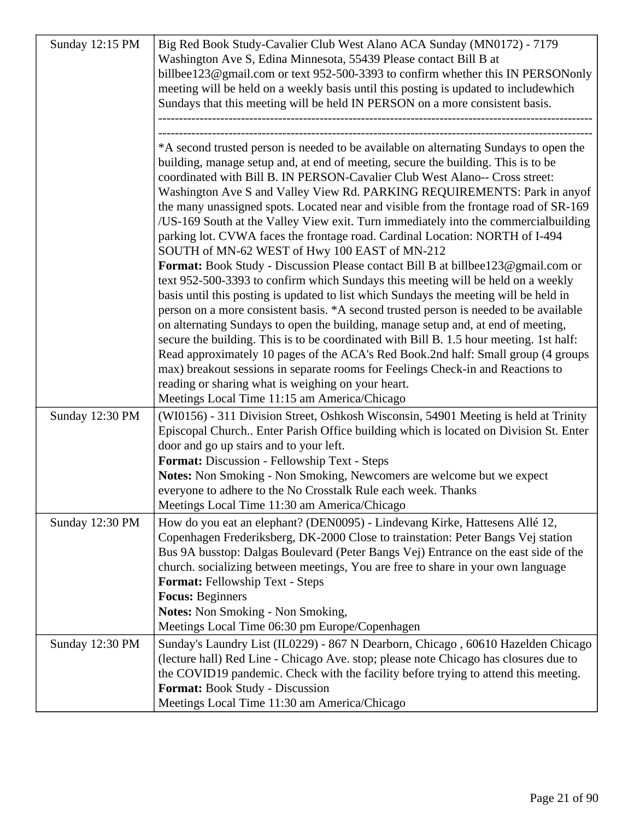| Sunday 12:15 PM | Big Red Book Study-Cavalier Club West Alano ACA Sunday (MN0172) - 7179                                                                                                  |
|-----------------|-------------------------------------------------------------------------------------------------------------------------------------------------------------------------|
|                 | Washington Ave S, Edina Minnesota, 55439 Please contact Bill B at                                                                                                       |
|                 | billbee123@gmail.com or text 952-500-3393 to confirm whether this IN PERSONonly                                                                                         |
|                 | meeting will be held on a weekly basis until this posting is updated to includewhich                                                                                    |
|                 | Sundays that this meeting will be held IN PERSON on a more consistent basis.                                                                                            |
|                 |                                                                                                                                                                         |
|                 |                                                                                                                                                                         |
|                 | *A second trusted person is needed to be available on alternating Sundays to open the                                                                                   |
|                 | building, manage setup and, at end of meeting, secure the building. This is to be                                                                                       |
|                 | coordinated with Bill B. IN PERSON-Cavalier Club West Alano-- Cross street:                                                                                             |
|                 | Washington Ave S and Valley View Rd. PARKING REQUIREMENTS: Park in any of                                                                                               |
|                 | the many unassigned spots. Located near and visible from the frontage road of SR-169                                                                                    |
|                 | /US-169 South at the Valley View exit. Turn immediately into the commercial building                                                                                    |
|                 | parking lot. CVWA faces the frontage road. Cardinal Location: NORTH of I-494                                                                                            |
|                 | SOUTH of MN-62 WEST of Hwy 100 EAST of MN-212                                                                                                                           |
|                 | Format: Book Study - Discussion Please contact Bill B at billbee123@gmail.com or                                                                                        |
|                 | text 952-500-3393 to confirm which Sundays this meeting will be held on a weekly                                                                                        |
|                 | basis until this posting is updated to list which Sundays the meeting will be held in                                                                                   |
|                 | person on a more consistent basis. *A second trusted person is needed to be available                                                                                   |
|                 | on alternating Sundays to open the building, manage setup and, at end of meeting,                                                                                       |
|                 | secure the building. This is to be coordinated with Bill B. 1.5 hour meeting. 1st half:                                                                                 |
|                 | Read approximately 10 pages of the ACA's Red Book.2nd half: Small group (4 groups                                                                                       |
|                 | max) breakout sessions in separate rooms for Feelings Check-in and Reactions to                                                                                         |
|                 | reading or sharing what is weighing on your heart.                                                                                                                      |
|                 | Meetings Local Time 11:15 am America/Chicago                                                                                                                            |
| Sunday 12:30 PM | (WI0156) - 311 Division Street, Oshkosh Wisconsin, 54901 Meeting is held at Trinity                                                                                     |
|                 | Episcopal Church Enter Parish Office building which is located on Division St. Enter                                                                                    |
|                 | door and go up stairs and to your left.                                                                                                                                 |
|                 | Format: Discussion - Fellowship Text - Steps                                                                                                                            |
|                 | Notes: Non Smoking - Non Smoking, Newcomers are welcome but we expect                                                                                                   |
|                 | everyone to adhere to the No Crosstalk Rule each week. Thanks<br>Meetings Local Time 11:30 am America/Chicago                                                           |
|                 |                                                                                                                                                                         |
| Sunday 12:30 PM | How do you eat an elephant? (DEN0095) - Lindevang Kirke, Hattesens Allé 12,                                                                                             |
|                 | Copenhagen Frederiksberg, DK-2000 Close to trainstation: Peter Bangs Vej station<br>Bus 9A busstop: Dalgas Boulevard (Peter Bangs Vej) Entrance on the east side of the |
|                 | church. socializing between meetings, You are free to share in your own language                                                                                        |
|                 | <b>Format: Fellowship Text - Steps</b>                                                                                                                                  |
|                 | <b>Focus: Beginners</b>                                                                                                                                                 |
|                 | <b>Notes:</b> Non Smoking - Non Smoking,                                                                                                                                |
|                 | Meetings Local Time 06:30 pm Europe/Copenhagen                                                                                                                          |
| Sunday 12:30 PM | Sunday's Laundry List (IL0229) - 867 N Dearborn, Chicago, 60610 Hazelden Chicago                                                                                        |
|                 | (lecture hall) Red Line - Chicago Ave. stop; please note Chicago has closures due to                                                                                    |
|                 | the COVID19 pandemic. Check with the facility before trying to attend this meeting.                                                                                     |
|                 | Format: Book Study - Discussion                                                                                                                                         |
|                 | Meetings Local Time 11:30 am America/Chicago                                                                                                                            |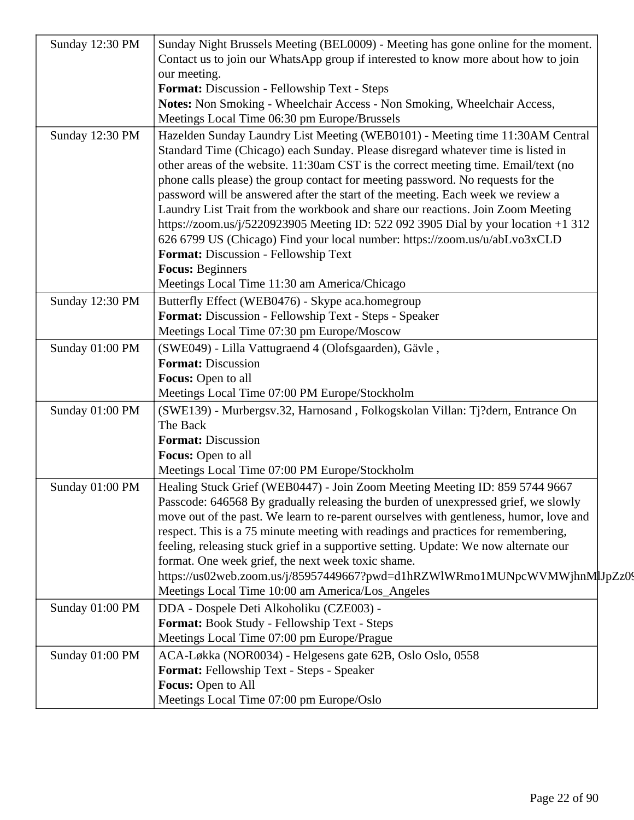| Hazelden Sunday Laundry List Meeting (WEB0101) - Meeting time 11:30AM Central<br>Standard Time (Chicago) each Sunday. Please disregard whatever time is listed in<br>other areas of the website. 11:30am CST is the correct meeting time. Email/text (no                                                                                                                                                                                                                                      |                                                                                                                                                                                                                                                                                                                                                                                                                                                                                                                                                                                                                                                                                                                                                                                                                                                                                                                                                                                                                                                                                                                                |
|-----------------------------------------------------------------------------------------------------------------------------------------------------------------------------------------------------------------------------------------------------------------------------------------------------------------------------------------------------------------------------------------------------------------------------------------------------------------------------------------------|--------------------------------------------------------------------------------------------------------------------------------------------------------------------------------------------------------------------------------------------------------------------------------------------------------------------------------------------------------------------------------------------------------------------------------------------------------------------------------------------------------------------------------------------------------------------------------------------------------------------------------------------------------------------------------------------------------------------------------------------------------------------------------------------------------------------------------------------------------------------------------------------------------------------------------------------------------------------------------------------------------------------------------------------------------------------------------------------------------------------------------|
| password will be answered after the start of the meeting. Each week we review a<br>Laundry List Trait from the workbook and share our reactions. Join Zoom Meeting<br>https://zoom.us/j/5220923905 Meeting ID: 522 092 3905 Dial by your location +1 312<br>626 6799 US (Chicago) Find your local number: https://zoom.us/u/abLvo3xCLD                                                                                                                                                        |                                                                                                                                                                                                                                                                                                                                                                                                                                                                                                                                                                                                                                                                                                                                                                                                                                                                                                                                                                                                                                                                                                                                |
|                                                                                                                                                                                                                                                                                                                                                                                                                                                                                               |                                                                                                                                                                                                                                                                                                                                                                                                                                                                                                                                                                                                                                                                                                                                                                                                                                                                                                                                                                                                                                                                                                                                |
|                                                                                                                                                                                                                                                                                                                                                                                                                                                                                               |                                                                                                                                                                                                                                                                                                                                                                                                                                                                                                                                                                                                                                                                                                                                                                                                                                                                                                                                                                                                                                                                                                                                |
|                                                                                                                                                                                                                                                                                                                                                                                                                                                                                               |                                                                                                                                                                                                                                                                                                                                                                                                                                                                                                                                                                                                                                                                                                                                                                                                                                                                                                                                                                                                                                                                                                                                |
| Butterfly Effect (WEB0476) - Skype aca.homegroup                                                                                                                                                                                                                                                                                                                                                                                                                                              |                                                                                                                                                                                                                                                                                                                                                                                                                                                                                                                                                                                                                                                                                                                                                                                                                                                                                                                                                                                                                                                                                                                                |
| Format: Discussion - Fellowship Text - Steps - Speaker                                                                                                                                                                                                                                                                                                                                                                                                                                        |                                                                                                                                                                                                                                                                                                                                                                                                                                                                                                                                                                                                                                                                                                                                                                                                                                                                                                                                                                                                                                                                                                                                |
|                                                                                                                                                                                                                                                                                                                                                                                                                                                                                               |                                                                                                                                                                                                                                                                                                                                                                                                                                                                                                                                                                                                                                                                                                                                                                                                                                                                                                                                                                                                                                                                                                                                |
| (SWE049) - Lilla Vattugraend 4 (Olofsgaarden), Gävle,                                                                                                                                                                                                                                                                                                                                                                                                                                         |                                                                                                                                                                                                                                                                                                                                                                                                                                                                                                                                                                                                                                                                                                                                                                                                                                                                                                                                                                                                                                                                                                                                |
| <b>Format: Discussion</b>                                                                                                                                                                                                                                                                                                                                                                                                                                                                     |                                                                                                                                                                                                                                                                                                                                                                                                                                                                                                                                                                                                                                                                                                                                                                                                                                                                                                                                                                                                                                                                                                                                |
| Focus: Open to all                                                                                                                                                                                                                                                                                                                                                                                                                                                                            |                                                                                                                                                                                                                                                                                                                                                                                                                                                                                                                                                                                                                                                                                                                                                                                                                                                                                                                                                                                                                                                                                                                                |
| Meetings Local Time 07:00 PM Europe/Stockholm                                                                                                                                                                                                                                                                                                                                                                                                                                                 |                                                                                                                                                                                                                                                                                                                                                                                                                                                                                                                                                                                                                                                                                                                                                                                                                                                                                                                                                                                                                                                                                                                                |
| (SWE139) - Murbergsv.32, Harnosand, Folkogskolan Villan: Tj?dern, Entrance On                                                                                                                                                                                                                                                                                                                                                                                                                 |                                                                                                                                                                                                                                                                                                                                                                                                                                                                                                                                                                                                                                                                                                                                                                                                                                                                                                                                                                                                                                                                                                                                |
|                                                                                                                                                                                                                                                                                                                                                                                                                                                                                               |                                                                                                                                                                                                                                                                                                                                                                                                                                                                                                                                                                                                                                                                                                                                                                                                                                                                                                                                                                                                                                                                                                                                |
|                                                                                                                                                                                                                                                                                                                                                                                                                                                                                               |                                                                                                                                                                                                                                                                                                                                                                                                                                                                                                                                                                                                                                                                                                                                                                                                                                                                                                                                                                                                                                                                                                                                |
|                                                                                                                                                                                                                                                                                                                                                                                                                                                                                               |                                                                                                                                                                                                                                                                                                                                                                                                                                                                                                                                                                                                                                                                                                                                                                                                                                                                                                                                                                                                                                                                                                                                |
|                                                                                                                                                                                                                                                                                                                                                                                                                                                                                               |                                                                                                                                                                                                                                                                                                                                                                                                                                                                                                                                                                                                                                                                                                                                                                                                                                                                                                                                                                                                                                                                                                                                |
| Passcode: 646568 By gradually releasing the burden of unexpressed grief, we slowly<br>move out of the past. We learn to re-parent ourselves with gentleness, humor, love and<br>respect. This is a 75 minute meeting with readings and practices for remembering,<br>feeling, releasing stuck grief in a supportive setting. Update: We now alternate our<br>format. One week grief, the next week toxic shame.<br>https://us02web.zoom.us/j/85957449667?pwd=d1hRZWlWRmo1MUNpcWVMWjhnMµJpZz09 |                                                                                                                                                                                                                                                                                                                                                                                                                                                                                                                                                                                                                                                                                                                                                                                                                                                                                                                                                                                                                                                                                                                                |
|                                                                                                                                                                                                                                                                                                                                                                                                                                                                                               |                                                                                                                                                                                                                                                                                                                                                                                                                                                                                                                                                                                                                                                                                                                                                                                                                                                                                                                                                                                                                                                                                                                                |
|                                                                                                                                                                                                                                                                                                                                                                                                                                                                                               |                                                                                                                                                                                                                                                                                                                                                                                                                                                                                                                                                                                                                                                                                                                                                                                                                                                                                                                                                                                                                                                                                                                                |
|                                                                                                                                                                                                                                                                                                                                                                                                                                                                                               |                                                                                                                                                                                                                                                                                                                                                                                                                                                                                                                                                                                                                                                                                                                                                                                                                                                                                                                                                                                                                                                                                                                                |
|                                                                                                                                                                                                                                                                                                                                                                                                                                                                                               |                                                                                                                                                                                                                                                                                                                                                                                                                                                                                                                                                                                                                                                                                                                                                                                                                                                                                                                                                                                                                                                                                                                                |
|                                                                                                                                                                                                                                                                                                                                                                                                                                                                                               |                                                                                                                                                                                                                                                                                                                                                                                                                                                                                                                                                                                                                                                                                                                                                                                                                                                                                                                                                                                                                                                                                                                                |
|                                                                                                                                                                                                                                                                                                                                                                                                                                                                                               |                                                                                                                                                                                                                                                                                                                                                                                                                                                                                                                                                                                                                                                                                                                                                                                                                                                                                                                                                                                                                                                                                                                                |
| Focus: Open to All                                                                                                                                                                                                                                                                                                                                                                                                                                                                            |                                                                                                                                                                                                                                                                                                                                                                                                                                                                                                                                                                                                                                                                                                                                                                                                                                                                                                                                                                                                                                                                                                                                |
|                                                                                                                                                                                                                                                                                                                                                                                                                                                                                               | Sunday Night Brussels Meeting (BEL0009) - Meeting has gone online for the moment.<br>Contact us to join our WhatsApp group if interested to know more about how to join<br>our meeting.<br>Format: Discussion - Fellowship Text - Steps<br>Notes: Non Smoking - Wheelchair Access - Non Smoking, Wheelchair Access,<br>Meetings Local Time 06:30 pm Europe/Brussels<br>phone calls please) the group contact for meeting password. No requests for the<br>Format: Discussion - Fellowship Text<br><b>Focus: Beginners</b><br>Meetings Local Time 11:30 am America/Chicago<br>Meetings Local Time 07:30 pm Europe/Moscow<br>The Back<br><b>Format: Discussion</b><br>Focus: Open to all<br>Meetings Local Time 07:00 PM Europe/Stockholm<br>Healing Stuck Grief (WEB0447) - Join Zoom Meeting Meeting ID: 859 5744 9667<br>Meetings Local Time 10:00 am America/Los_Angeles<br>DDA - Dospele Deti Alkoholiku (CZE003) -<br>Format: Book Study - Fellowship Text - Steps<br>Meetings Local Time 07:00 pm Europe/Prague<br>ACA-Løkka (NOR0034) - Helgesens gate 62B, Oslo Oslo, 0558<br>Format: Fellowship Text - Steps - Speaker |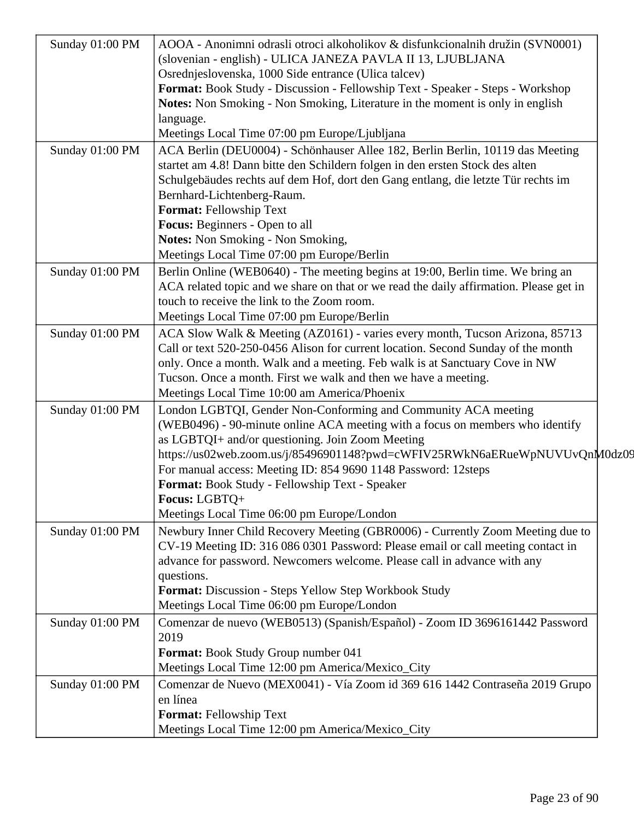| Sunday 01:00 PM | AOOA - Anonimni odrasli otroci alkoholikov & disfunkcionalnih družin (SVN0001)                                      |
|-----------------|---------------------------------------------------------------------------------------------------------------------|
|                 | (slovenian - english) - ULICA JANEZA PAVLA II 13, LJUBLJANA<br>Osrednjeslovenska, 1000 Side entrance (Ulica talcev) |
|                 | Format: Book Study - Discussion - Fellowship Text - Speaker - Steps - Workshop                                      |
|                 | Notes: Non Smoking - Non Smoking, Literature in the moment is only in english                                       |
|                 | language.                                                                                                           |
|                 | Meetings Local Time 07:00 pm Europe/Ljubljana                                                                       |
| Sunday 01:00 PM | ACA Berlin (DEU0004) - Schönhauser Allee 182, Berlin Berlin, 10119 das Meeting                                      |
|                 | startet am 4.8! Dann bitte den Schildern folgen in den ersten Stock des alten                                       |
|                 | Schulgebäudes rechts auf dem Hof, dort den Gang entlang, die letzte Tür rechts im                                   |
|                 | Bernhard-Lichtenberg-Raum.                                                                                          |
|                 | Format: Fellowship Text                                                                                             |
|                 | Focus: Beginners - Open to all                                                                                      |
|                 | Notes: Non Smoking - Non Smoking,                                                                                   |
|                 | Meetings Local Time 07:00 pm Europe/Berlin                                                                          |
| Sunday 01:00 PM | Berlin Online (WEB0640) - The meeting begins at 19:00, Berlin time. We bring an                                     |
|                 | ACA related topic and we share on that or we read the daily affirmation. Please get in                              |
|                 | touch to receive the link to the Zoom room.                                                                         |
|                 | Meetings Local Time 07:00 pm Europe/Berlin                                                                          |
| Sunday 01:00 PM | ACA Slow Walk & Meeting (AZ0161) - varies every month, Tucson Arizona, 85713                                        |
|                 | Call or text 520-250-0456 Alison for current location. Second Sunday of the month                                   |
|                 | only. Once a month. Walk and a meeting. Feb walk is at Sanctuary Cove in NW                                         |
|                 | Tucson. Once a month. First we walk and then we have a meeting.                                                     |
|                 | Meetings Local Time 10:00 am America/Phoenix                                                                        |
| Sunday 01:00 PM | London LGBTQI, Gender Non-Conforming and Community ACA meeting                                                      |
|                 | (WEB0496) - 90-minute online ACA meeting with a focus on members who identify                                       |
|                 | as LGBTQI+ and/or questioning. Join Zoom Meeting                                                                    |
|                 | https://us02web.zoom.us/j/85496901148?pwd=cWFIV25RWkN6aERueWpNUVUvQnM0dz09                                          |
|                 | For manual access: Meeting ID: 854 9690 1148 Password: 12steps                                                      |
|                 | Format: Book Study - Fellowship Text - Speaker                                                                      |
|                 | Focus: LGBTQ+                                                                                                       |
|                 | Meetings Local Time 06:00 pm Europe/London                                                                          |
| Sunday 01:00 PM | Newbury Inner Child Recovery Meeting (GBR0006) - Currently Zoom Meeting due to                                      |
|                 | CV-19 Meeting ID: 316 086 0301 Password: Please email or call meeting contact in                                    |
|                 | advance for password. Newcomers welcome. Please call in advance with any                                            |
|                 | questions.                                                                                                          |
|                 | <b>Format:</b> Discussion - Steps Yellow Step Workbook Study                                                        |
|                 | Meetings Local Time 06:00 pm Europe/London                                                                          |
| Sunday 01:00 PM | Comenzar de nuevo (WEB0513) (Spanish/Español) - Zoom ID 3696161442 Password                                         |
|                 | 2019                                                                                                                |
|                 | <b>Format:</b> Book Study Group number 041                                                                          |
|                 | Meetings Local Time 12:00 pm America/Mexico_City                                                                    |
| Sunday 01:00 PM | Comenzar de Nuevo (MEX0041) - Vía Zoom id 369 616 1442 Contraseña 2019 Grupo                                        |
|                 | en línea                                                                                                            |
|                 | Format: Fellowship Text                                                                                             |
|                 | Meetings Local Time 12:00 pm America/Mexico_City                                                                    |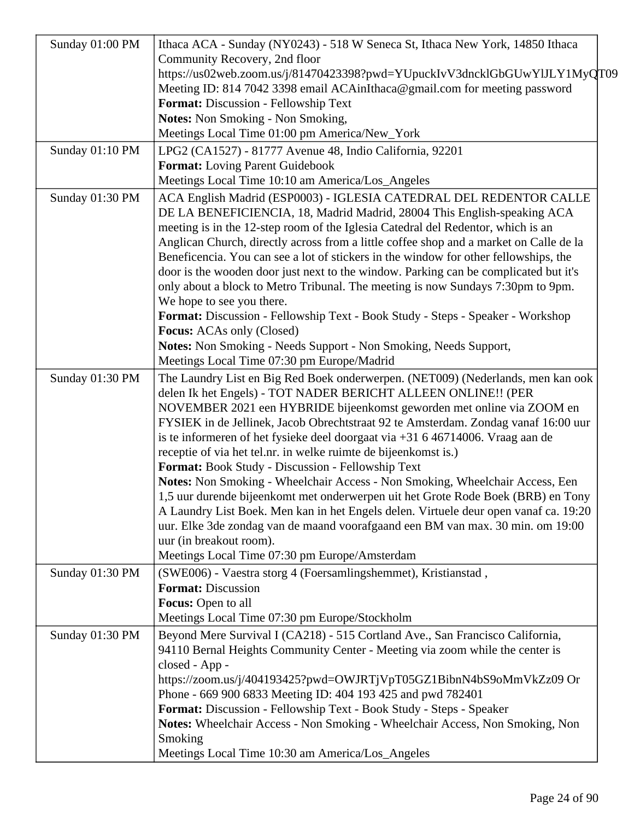| Sunday 01:00 PM |                                                                                        |
|-----------------|----------------------------------------------------------------------------------------|
|                 | Ithaca ACA - Sunday (NY0243) - 518 W Seneca St, Ithaca New York, 14850 Ithaca          |
|                 | Community Recovery, 2nd floor                                                          |
|                 | https://us02web.zoom.us/j/81470423398?pwd=YUpuckIvV3dncklGbGUwYlJLY1MyQT09             |
|                 | Meeting ID: 814 7042 3398 email ACAinIthaca@gmail.com for meeting password             |
|                 | Format: Discussion - Fellowship Text                                                   |
|                 | <b>Notes:</b> Non Smoking - Non Smoking,                                               |
|                 | Meetings Local Time 01:00 pm America/New_York                                          |
| Sunday 01:10 PM | LPG2 (CA1527) - 81777 Avenue 48, Indio California, 92201                               |
|                 | <b>Format:</b> Loving Parent Guidebook                                                 |
|                 | Meetings Local Time 10:10 am America/Los_Angeles                                       |
| Sunday 01:30 PM | ACA English Madrid (ESP0003) - IGLESIA CATEDRAL DEL REDENTOR CALLE                     |
|                 | DE LA BENEFICIENCIA, 18, Madrid Madrid, 28004 This English-speaking ACA                |
|                 | meeting is in the 12-step room of the Iglesia Catedral del Redentor, which is an       |
|                 | Anglican Church, directly across from a little coffee shop and a market on Calle de la |
|                 | Beneficencia. You can see a lot of stickers in the window for other fellowships, the   |
|                 | door is the wooden door just next to the window. Parking can be complicated but it's   |
|                 | only about a block to Metro Tribunal. The meeting is now Sundays 7:30pm to 9pm.        |
|                 | We hope to see you there.                                                              |
|                 | Format: Discussion - Fellowship Text - Book Study - Steps - Speaker - Workshop         |
|                 | <b>Focus:</b> ACAs only (Closed)                                                       |
|                 | Notes: Non Smoking - Needs Support - Non Smoking, Needs Support,                       |
|                 | Meetings Local Time 07:30 pm Europe/Madrid                                             |
|                 |                                                                                        |
| Sunday 01:30 PM | The Laundry List en Big Red Boek onderwerpen. (NET009) (Nederlands, men kan ook        |
|                 | delen Ik het Engels) - TOT NADER BERICHT ALLEEN ONLINE!! (PER                          |
|                 | NOVEMBER 2021 een HYBRIDE bijeenkomst geworden met online via ZOOM en                  |
|                 | FYSIEK in de Jellinek, Jacob Obrechtstraat 92 te Amsterdam. Zondag vanaf 16:00 uur     |
|                 | is te informeren of het fysieke deel doorgaat via $+31$ 6 46714006. Vraag aan de       |
|                 | receptie of via het tel.nr. in welke ruimte de bijeenkomst is.)                        |
|                 | Format: Book Study - Discussion - Fellowship Text                                      |
|                 | Notes: Non Smoking - Wheelchair Access - Non Smoking, Wheelchair Access, Een           |
|                 | 1,5 uur durende bijeenkomt met onderwerpen uit het Grote Rode Boek (BRB) en Tony       |
|                 | A Laundry List Boek. Men kan in het Engels delen. Virtuele deur open vanaf ca. 19:20   |
|                 | uur. Elke 3de zondag van de maand voorafgaand een BM van max. 30 min. om 19:00         |
|                 | uur (in breakout room).                                                                |
|                 | Meetings Local Time 07:30 pm Europe/Amsterdam                                          |
| Sunday 01:30 PM | (SWE006) - Vaestra storg 4 (Foersamlingshemmet), Kristianstad,                         |
|                 | <b>Format: Discussion</b>                                                              |
|                 | Focus: Open to all                                                                     |
|                 | Meetings Local Time 07:30 pm Europe/Stockholm                                          |
| Sunday 01:30 PM | Beyond Mere Survival I (CA218) - 515 Cortland Ave., San Francisco California,          |
|                 | 94110 Bernal Heights Community Center - Meeting via zoom while the center is           |
|                 | closed - App -                                                                         |
|                 | https://zoom.us/j/404193425?pwd=OWJRTjVpT05GZ1BibnN4bS9oMmVkZz09 Or                    |
|                 |                                                                                        |
|                 | Phone - 669 900 6833 Meeting ID: 404 193 425 and pwd 782401                            |
|                 | Format: Discussion - Fellowship Text - Book Study - Steps - Speaker                    |
|                 | Notes: Wheelchair Access - Non Smoking - Wheelchair Access, Non Smoking, Non           |
|                 | Smoking                                                                                |
|                 | Meetings Local Time 10:30 am America/Los_Angeles                                       |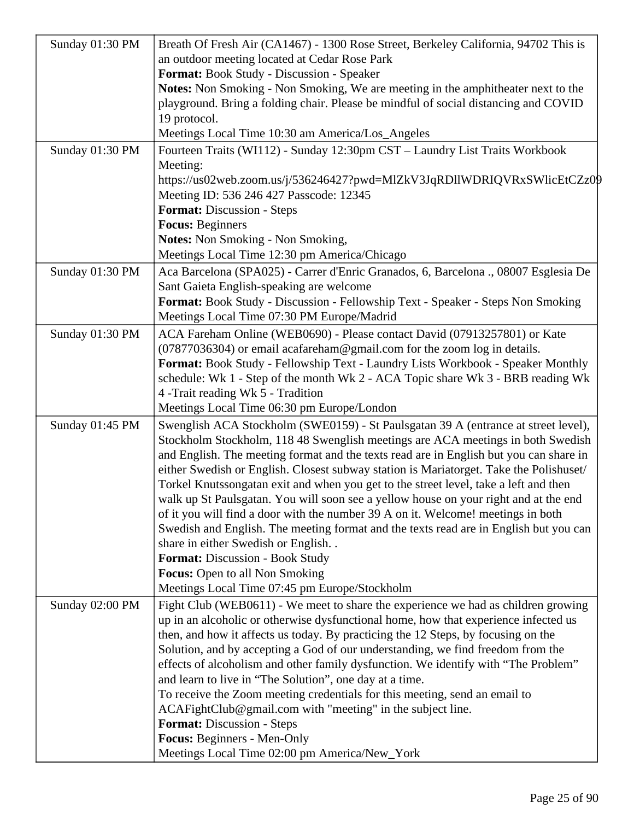| Sunday 01:30 PM | Breath Of Fresh Air (CA1467) - 1300 Rose Street, Berkeley California, 94702 This is                                         |
|-----------------|-----------------------------------------------------------------------------------------------------------------------------|
|                 | an outdoor meeting located at Cedar Rose Park                                                                               |
|                 | Format: Book Study - Discussion - Speaker                                                                                   |
|                 | Notes: Non Smoking - Non Smoking, We are meeting in the amphitheater next to the                                            |
|                 | playground. Bring a folding chair. Please be mindful of social distancing and COVID                                         |
|                 | 19 protocol.                                                                                                                |
|                 | Meetings Local Time 10:30 am America/Los_Angeles                                                                            |
| Sunday 01:30 PM | Fourteen Traits (WI112) - Sunday 12:30pm CST - Laundry List Traits Workbook                                                 |
|                 | Meeting:                                                                                                                    |
|                 | https://us02web.zoom.us/j/536246427?pwd=MlZkV3JqRDllWDRIQVRxSWlicEtCZz09                                                    |
|                 | Meeting ID: 536 246 427 Passcode: 12345                                                                                     |
|                 | Format: Discussion - Steps                                                                                                  |
|                 | <b>Focus: Beginners</b>                                                                                                     |
|                 | Notes: Non Smoking - Non Smoking,                                                                                           |
|                 | Meetings Local Time 12:30 pm America/Chicago                                                                                |
| Sunday 01:30 PM | Aca Barcelona (SPA025) - Carrer d'Enric Granados, 6, Barcelona ., 08007 Esglesia De                                         |
|                 | Sant Gaieta English-speaking are welcome                                                                                    |
|                 | Format: Book Study - Discussion - Fellowship Text - Speaker - Steps Non Smoking                                             |
|                 | Meetings Local Time 07:30 PM Europe/Madrid                                                                                  |
| Sunday 01:30 PM | ACA Fareham Online (WEB0690) - Please contact David (07913257801) or Kate                                                   |
|                 | (07877036304) or email acafareham@gmail.com for the zoom log in details.                                                    |
|                 | Format: Book Study - Fellowship Text - Laundry Lists Workbook - Speaker Monthly                                             |
|                 | schedule: Wk 1 - Step of the month Wk 2 - ACA Topic share Wk 3 - BRB reading Wk                                             |
|                 | 4 - Trait reading Wk 5 - Tradition                                                                                          |
|                 | Meetings Local Time 06:30 pm Europe/London                                                                                  |
| Sunday 01:45 PM | Swenglish ACA Stockholm (SWE0159) - St Paulsgatan 39 A (entrance at street level),                                          |
|                 | Stockholm Stockholm, 118 48 Swenglish meetings are ACA meetings in both Swedish                                             |
|                 | and English. The meeting format and the texts read are in English but you can share in                                      |
|                 | either Swedish or English. Closest subway station is Mariatorget. Take the Polishuset/                                      |
|                 | Torkel Knutssongatan exit and when you get to the street level, take a left and then                                        |
|                 | walk up St Paulsgatan. You will soon see a yellow house on your right and at the end                                        |
|                 | of it you will find a door with the number 39 A on it. Welcome! meetings in both                                            |
|                 | Swedish and English. The meeting format and the texts read are in English but you can<br>share in either Swedish or English |
|                 | <b>Format: Discussion - Book Study</b>                                                                                      |
|                 | <b>Focus:</b> Open to all Non Smoking                                                                                       |
|                 | Meetings Local Time 07:45 pm Europe/Stockholm                                                                               |
| Sunday 02:00 PM | Fight Club (WEB0611) - We meet to share the experience we had as children growing                                           |
|                 | up in an alcoholic or otherwise dysfunctional home, how that experience infected us                                         |
|                 | then, and how it affects us today. By practicing the 12 Steps, by focusing on the                                           |
|                 | Solution, and by accepting a God of our understanding, we find freedom from the                                             |
|                 | effects of alcoholism and other family dysfunction. We identify with "The Problem"                                          |
|                 | and learn to live in "The Solution", one day at a time.                                                                     |
|                 | To receive the Zoom meeting credentials for this meeting, send an email to                                                  |
|                 | ACAFightClub@gmail.com with "meeting" in the subject line.                                                                  |
|                 | Format: Discussion - Steps                                                                                                  |
|                 | Focus: Beginners - Men-Only                                                                                                 |
|                 | Meetings Local Time 02:00 pm America/New_York                                                                               |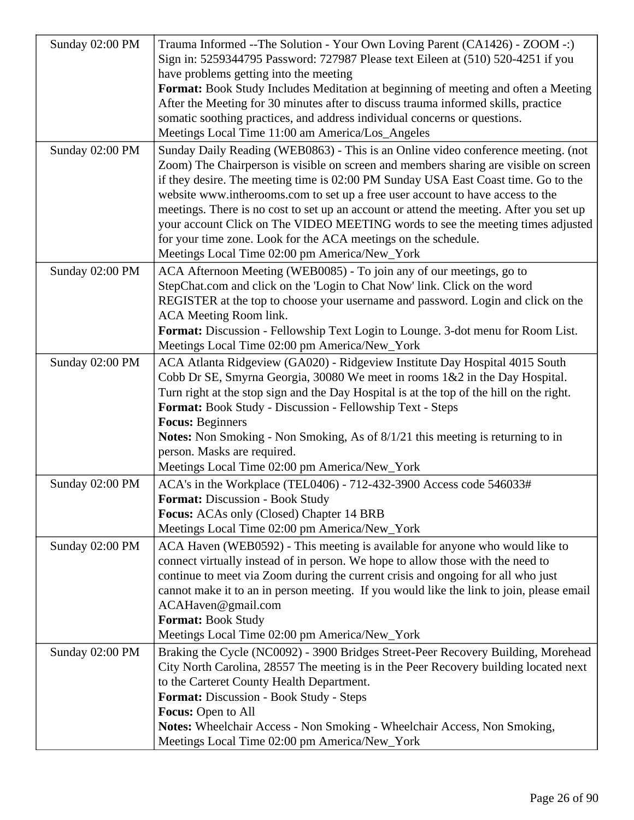| Sunday 02:00 PM | Trauma Informed -- The Solution - Your Own Loving Parent (CA1426) - ZOOM -: )            |
|-----------------|------------------------------------------------------------------------------------------|
|                 | Sign in: 5259344795 Password: 727987 Please text Eileen at (510) 520-4251 if you         |
|                 | have problems getting into the meeting                                                   |
|                 | Format: Book Study Includes Meditation at beginning of meeting and often a Meeting       |
|                 | After the Meeting for 30 minutes after to discuss trauma informed skills, practice       |
|                 | somatic soothing practices, and address individual concerns or questions.                |
|                 | Meetings Local Time 11:00 am America/Los_Angeles                                         |
| Sunday 02:00 PM | Sunday Daily Reading (WEB0863) - This is an Online video conference meeting. (not        |
|                 | Zoom) The Chairperson is visible on screen and members sharing are visible on screen     |
|                 | if they desire. The meeting time is 02:00 PM Sunday USA East Coast time. Go to the       |
|                 | website www.intherooms.com to set up a free user account to have access to the           |
|                 | meetings. There is no cost to set up an account or attend the meeting. After you set up  |
|                 | your account Click on The VIDEO MEETING words to see the meeting times adjusted          |
|                 | for your time zone. Look for the ACA meetings on the schedule.                           |
|                 | Meetings Local Time 02:00 pm America/New_York                                            |
| Sunday 02:00 PM | ACA Afternoon Meeting (WEB0085) - To join any of our meetings, go to                     |
|                 | StepChat.com and click on the 'Login to Chat Now' link. Click on the word                |
|                 | REGISTER at the top to choose your username and password. Login and click on the         |
|                 | ACA Meeting Room link.                                                                   |
|                 | Format: Discussion - Fellowship Text Login to Lounge. 3-dot menu for Room List.          |
|                 | Meetings Local Time 02:00 pm America/New_York                                            |
| Sunday 02:00 PM | ACA Atlanta Ridgeview (GA020) - Ridgeview Institute Day Hospital 4015 South              |
|                 | Cobb Dr SE, Smyrna Georgia, 30080 We meet in rooms 1&2 in the Day Hospital.              |
|                 | Turn right at the stop sign and the Day Hospital is at the top of the hill on the right. |
|                 | Format: Book Study - Discussion - Fellowship Text - Steps                                |
|                 | <b>Focus: Beginners</b>                                                                  |
|                 | <b>Notes:</b> Non Smoking - Non Smoking, As of 8/1/21 this meeting is returning to in    |
|                 | person. Masks are required.                                                              |
|                 | Meetings Local Time 02:00 pm America/New_York                                            |
| Sunday 02:00 PM | ACA's in the Workplace (TEL0406) - 712-432-3900 Access code 546033#                      |
|                 | <b>Format: Discussion - Book Study</b>                                                   |
|                 | Focus: ACAs only (Closed) Chapter 14 BRB                                                 |
|                 | Meetings Local Time 02:00 pm America/New_York                                            |
| Sunday 02:00 PM | ACA Haven (WEB0592) - This meeting is available for anyone who would like to             |
|                 | connect virtually instead of in person. We hope to allow those with the need to          |
|                 | continue to meet via Zoom during the current crisis and ongoing for all who just         |
|                 | cannot make it to an in person meeting. If you would like the link to join, please email |
|                 | ACAHaven@gmail.com                                                                       |
|                 | <b>Format: Book Study</b>                                                                |
|                 | Meetings Local Time 02:00 pm America/New_York                                            |
| Sunday 02:00 PM | Braking the Cycle (NC0092) - 3900 Bridges Street-Peer Recovery Building, Morehead        |
|                 | City North Carolina, 28557 The meeting is in the Peer Recovery building located next     |
|                 | to the Carteret County Health Department.                                                |
|                 | Format: Discussion - Book Study - Steps                                                  |
|                 | <b>Focus:</b> Open to All                                                                |
|                 | Notes: Wheelchair Access - Non Smoking - Wheelchair Access, Non Smoking,                 |
|                 | Meetings Local Time 02:00 pm America/New_York                                            |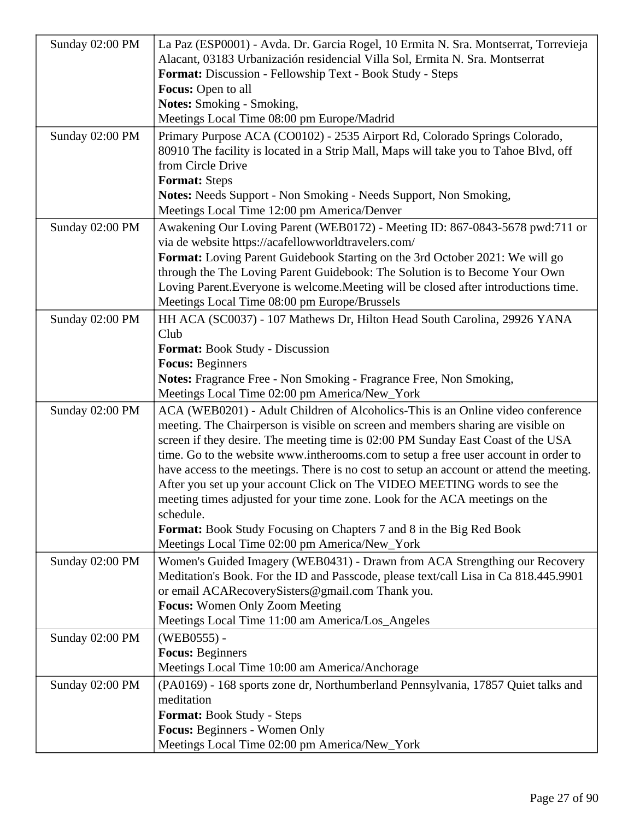| Sunday 02:00 PM | La Paz (ESP0001) - Avda. Dr. Garcia Rogel, 10 Ermita N. Sra. Montserrat, Torrevieja                                                      |
|-----------------|------------------------------------------------------------------------------------------------------------------------------------------|
|                 | Alacant, 03183 Urbanización residencial Villa Sol, Ermita N. Sra. Montserrat                                                             |
|                 | Format: Discussion - Fellowship Text - Book Study - Steps                                                                                |
|                 | Focus: Open to all                                                                                                                       |
|                 | <b>Notes:</b> Smoking - Smoking,                                                                                                         |
|                 | Meetings Local Time 08:00 pm Europe/Madrid                                                                                               |
| Sunday 02:00 PM | Primary Purpose ACA (CO0102) - 2535 Airport Rd, Colorado Springs Colorado,                                                               |
|                 | 80910 The facility is located in a Strip Mall, Maps will take you to Tahoe Blvd, off                                                     |
|                 | from Circle Drive                                                                                                                        |
|                 | <b>Format:</b> Steps                                                                                                                     |
|                 | <b>Notes:</b> Needs Support - Non Smoking - Needs Support, Non Smoking,                                                                  |
|                 | Meetings Local Time 12:00 pm America/Denver                                                                                              |
| Sunday 02:00 PM | Awakening Our Loving Parent (WEB0172) - Meeting ID: 867-0843-5678 pwd:711 or                                                             |
|                 | via de website https://acafellowworldtravelers.com/                                                                                      |
|                 | Format: Loving Parent Guidebook Starting on the 3rd October 2021: We will go                                                             |
|                 | through the The Loving Parent Guidebook: The Solution is to Become Your Own                                                              |
|                 | Loving Parent. Everyone is welcome. Meeting will be closed after introductions time.<br>Meetings Local Time 08:00 pm Europe/Brussels     |
|                 |                                                                                                                                          |
| Sunday 02:00 PM | HH ACA (SC0037) - 107 Mathews Dr, Hilton Head South Carolina, 29926 YANA<br>Club                                                         |
|                 | <b>Format:</b> Book Study - Discussion                                                                                                   |
|                 | <b>Focus:</b> Beginners                                                                                                                  |
|                 | Notes: Fragrance Free - Non Smoking - Fragrance Free, Non Smoking,                                                                       |
|                 | Meetings Local Time 02:00 pm America/New_York                                                                                            |
| Sunday 02:00 PM | ACA (WEB0201) - Adult Children of Alcoholics-This is an Online video conference                                                          |
|                 | meeting. The Chairperson is visible on screen and members sharing are visible on                                                         |
|                 | screen if they desire. The meeting time is 02:00 PM Sunday East Coast of the USA                                                         |
|                 | time. Go to the website www.intherooms.com to setup a free user account in order to                                                      |
|                 | have access to the meetings. There is no cost to setup an account or attend the meeting.                                                 |
|                 | After you set up your account Click on The VIDEO MEETING words to see the                                                                |
|                 | meeting times adjusted for your time zone. Look for the ACA meetings on the                                                              |
|                 | schedule.                                                                                                                                |
|                 | <b>Format:</b> Book Study Focusing on Chapters 7 and 8 in the Big Red Book                                                               |
|                 | Meetings Local Time 02:00 pm America/New_York                                                                                            |
| Sunday 02:00 PM | Women's Guided Imagery (WEB0431) - Drawn from ACA Strengthing our Recovery                                                               |
|                 | Meditation's Book. For the ID and Passcode, please text/call Lisa in Ca 818.445.9901<br>or email ACARecoverySisters@gmail.com Thank you. |
|                 | <b>Focus:</b> Women Only Zoom Meeting                                                                                                    |
|                 | Meetings Local Time 11:00 am America/Los_Angeles                                                                                         |
| Sunday 02:00 PM | (WEB0555) -                                                                                                                              |
|                 | <b>Focus:</b> Beginners                                                                                                                  |
|                 | Meetings Local Time 10:00 am America/Anchorage                                                                                           |
| Sunday 02:00 PM | (PA0169) - 168 sports zone dr, Northumberland Pennsylvania, 17857 Quiet talks and                                                        |
|                 | meditation                                                                                                                               |
|                 | Format: Book Study - Steps                                                                                                               |
|                 | Focus: Beginners - Women Only                                                                                                            |
|                 | Meetings Local Time 02:00 pm America/New_York                                                                                            |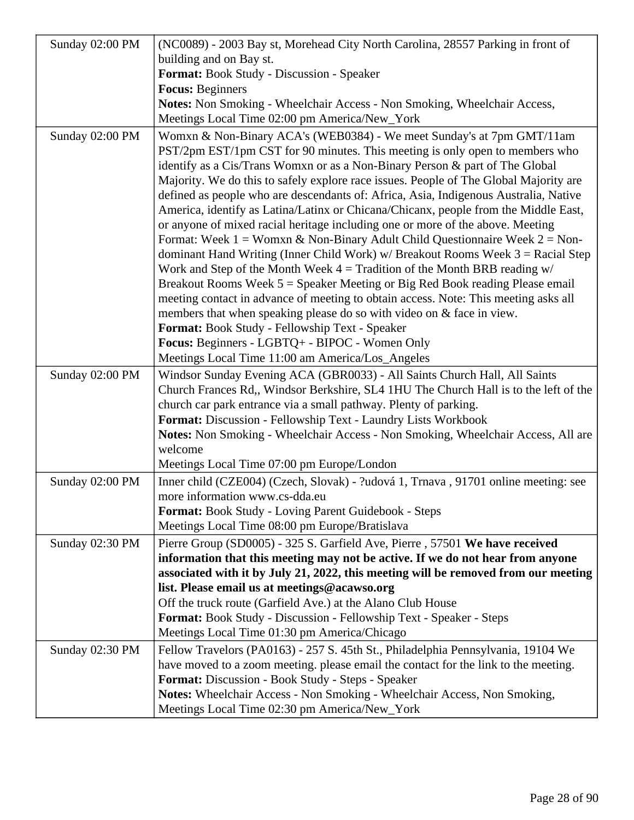| Sunday 02:00 PM | (NC0089) - 2003 Bay st, Morehead City North Carolina, 28557 Parking in front of                                                                                   |
|-----------------|-------------------------------------------------------------------------------------------------------------------------------------------------------------------|
|                 | building and on Bay st.                                                                                                                                           |
|                 | Format: Book Study - Discussion - Speaker                                                                                                                         |
|                 | <b>Focus: Beginners</b>                                                                                                                                           |
|                 | Notes: Non Smoking - Wheelchair Access - Non Smoking, Wheelchair Access,                                                                                          |
|                 | Meetings Local Time 02:00 pm America/New_York                                                                                                                     |
| Sunday 02:00 PM | Womxn & Non-Binary ACA's (WEB0384) - We meet Sunday's at 7pm GMT/11am                                                                                             |
|                 | PST/2pm EST/1pm CST for 90 minutes. This meeting is only open to members who                                                                                      |
|                 | identify as a Cis/Trans Womxn or as a Non-Binary Person & part of The Global                                                                                      |
|                 | Majority. We do this to safely explore race issues. People of The Global Majority are                                                                             |
|                 | defined as people who are descendants of: Africa, Asia, Indigenous Australia, Native                                                                              |
|                 | America, identify as Latina/Latinx or Chicana/Chicanx, people from the Middle East,                                                                               |
|                 | or anyone of mixed racial heritage including one or more of the above. Meeting                                                                                    |
|                 | Format: Week $1 =$ Womxn & Non-Binary Adult Child Questionnaire Week $2 =$ Non-                                                                                   |
|                 | dominant Hand Writing (Inner Child Work) $w/$ Breakout Rooms Week $3 =$ Racial Step                                                                               |
|                 | Work and Step of the Month Week $4 =$ Tradition of the Month BRB reading $w/$                                                                                     |
|                 | Breakout Rooms Week $5 =$ Speaker Meeting or Big Red Book reading Please email                                                                                    |
|                 | meeting contact in advance of meeting to obtain access. Note: This meeting asks all                                                                               |
|                 | members that when speaking please do so with video on & face in view.                                                                                             |
|                 | Format: Book Study - Fellowship Text - Speaker<br>Focus: Beginners - LGBTQ+ - BIPOC - Women Only                                                                  |
|                 | Meetings Local Time 11:00 am America/Los_Angeles                                                                                                                  |
|                 |                                                                                                                                                                   |
| Sunday 02:00 PM | Windsor Sunday Evening ACA (GBR0033) - All Saints Church Hall, All Saints<br>Church Frances Rd., Windsor Berkshire, SL4 1HU The Church Hall is to the left of the |
|                 | church car park entrance via a small pathway. Plenty of parking.                                                                                                  |
|                 | Format: Discussion - Fellowship Text - Laundry Lists Workbook                                                                                                     |
|                 | Notes: Non Smoking - Wheelchair Access - Non Smoking, Wheelchair Access, All are                                                                                  |
|                 | welcome                                                                                                                                                           |
|                 | Meetings Local Time 07:00 pm Europe/London                                                                                                                        |
| Sunday 02:00 PM | Inner child (CZE004) (Czech, Slovak) - ?udová 1, Trnava, 91701 online meeting: see                                                                                |
|                 | more information www.cs-dda.eu                                                                                                                                    |
|                 | Format: Book Study - Loving Parent Guidebook - Steps                                                                                                              |
|                 | Meetings Local Time 08:00 pm Europe/Bratislava                                                                                                                    |
| Sunday 02:30 PM | Pierre Group (SD0005) - 325 S. Garfield Ave, Pierre, 57501 We have received                                                                                       |
|                 | information that this meeting may not be active. If we do not hear from anyone                                                                                    |
|                 | associated with it by July 21, 2022, this meeting will be removed from our meeting                                                                                |
|                 | list. Please email us at meetings@acawso.org                                                                                                                      |
|                 | Off the truck route (Garfield Ave.) at the Alano Club House                                                                                                       |
|                 | <b>Format:</b> Book Study - Discussion - Fellowship Text - Speaker - Steps                                                                                        |
|                 | Meetings Local Time 01:30 pm America/Chicago                                                                                                                      |
| Sunday 02:30 PM | Fellow Travelors (PA0163) - 257 S. 45th St., Philadelphia Pennsylvania, 19104 We                                                                                  |
|                 | have moved to a zoom meeting. please email the contact for the link to the meeting.                                                                               |
|                 | Format: Discussion - Book Study - Steps - Speaker                                                                                                                 |
|                 | Notes: Wheelchair Access - Non Smoking - Wheelchair Access, Non Smoking,                                                                                          |
|                 | Meetings Local Time 02:30 pm America/New_York                                                                                                                     |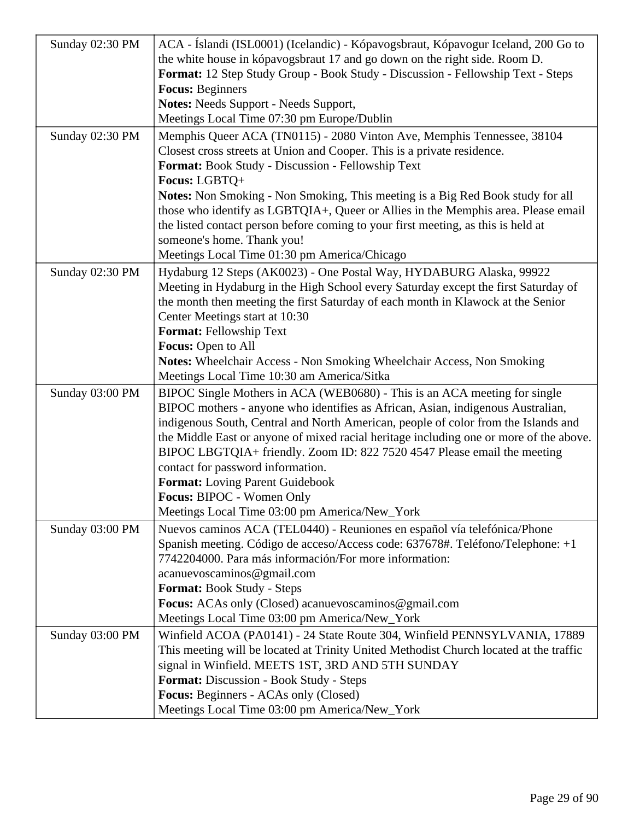| Sunday 02:30 PM | ACA - Íslandi (ISL0001) (Icelandic) - Kópavogsbraut, Kópavogur Iceland, 200 Go to                   |
|-----------------|-----------------------------------------------------------------------------------------------------|
|                 | the white house in kópavogsbraut 17 and go down on the right side. Room D.                          |
|                 | Format: 12 Step Study Group - Book Study - Discussion - Fellowship Text - Steps                     |
|                 | <b>Focus: Beginners</b>                                                                             |
|                 | Notes: Needs Support - Needs Support,                                                               |
|                 | Meetings Local Time 07:30 pm Europe/Dublin                                                          |
| Sunday 02:30 PM | Memphis Queer ACA (TN0115) - 2080 Vinton Ave, Memphis Tennessee, 38104                              |
|                 | Closest cross streets at Union and Cooper. This is a private residence.                             |
|                 | Format: Book Study - Discussion - Fellowship Text                                                   |
|                 | Focus: LGBTQ+                                                                                       |
|                 | Notes: Non Smoking - Non Smoking, This meeting is a Big Red Book study for all                      |
|                 | those who identify as LGBTQIA+, Queer or Allies in the Memphis area. Please email                   |
|                 | the listed contact person before coming to your first meeting, as this is held at                   |
|                 | someone's home. Thank you!                                                                          |
|                 | Meetings Local Time 01:30 pm America/Chicago                                                        |
| Sunday 02:30 PM | Hydaburg 12 Steps (AK0023) - One Postal Way, HYDABURG Alaska, 99922                                 |
|                 | Meeting in Hydaburg in the High School every Saturday except the first Saturday of                  |
|                 | the month then meeting the first Saturday of each month in Klawock at the Senior                    |
|                 | Center Meetings start at 10:30                                                                      |
|                 | Format: Fellowship Text                                                                             |
|                 | Focus: Open to All                                                                                  |
|                 | <b>Notes:</b> Wheelchair Access - Non Smoking Wheelchair Access, Non Smoking                        |
|                 | Meetings Local Time 10:30 am America/Sitka                                                          |
| Sunday 03:00 PM | BIPOC Single Mothers in ACA (WEB0680) - This is an ACA meeting for single                           |
|                 | BIPOC mothers - anyone who identifies as African, Asian, indigenous Australian,                     |
|                 | indigenous South, Central and North American, people of color from the Islands and                  |
|                 | the Middle East or anyone of mixed racial heritage including one or more of the above.              |
|                 | BIPOC LBGTQIA+ friendly. Zoom ID: 822 7520 4547 Please email the meeting                            |
|                 | contact for password information.                                                                   |
|                 | Format: Loving Parent Guidebook                                                                     |
|                 | Focus: BIPOC - Women Only                                                                           |
|                 | Meetings Local Time 03:00 pm America/New_York                                                       |
| Sunday 03:00 PM | Nuevos caminos ACA (TEL0440) - Reuniones en español vía telefónica/Phone                            |
|                 | Spanish meeting. Código de acceso/Access code: 637678#. Teléfono/Telephone: +1                      |
|                 | 7742204000. Para más información/For more information:                                              |
|                 | acanuevoscaminos@gmail.com                                                                          |
|                 | <b>Format:</b> Book Study - Steps                                                                   |
|                 | Focus: ACAs only (Closed) acanuevoscaminos@gmail.com                                                |
|                 | Meetings Local Time 03:00 pm America/New_York                                                       |
| Sunday 03:00 PM | Winfield ACOA (PA0141) - 24 State Route 304, Winfield PENNSYLVANIA, 17889                           |
|                 | This meeting will be located at Trinity United Methodist Church located at the traffic              |
|                 | signal in Winfield. MEETS 1ST, 3RD AND 5TH SUNDAY<br><b>Format:</b> Discussion - Book Study - Steps |
|                 | Focus: Beginners - ACAs only (Closed)                                                               |
|                 |                                                                                                     |
|                 | Meetings Local Time 03:00 pm America/New_York                                                       |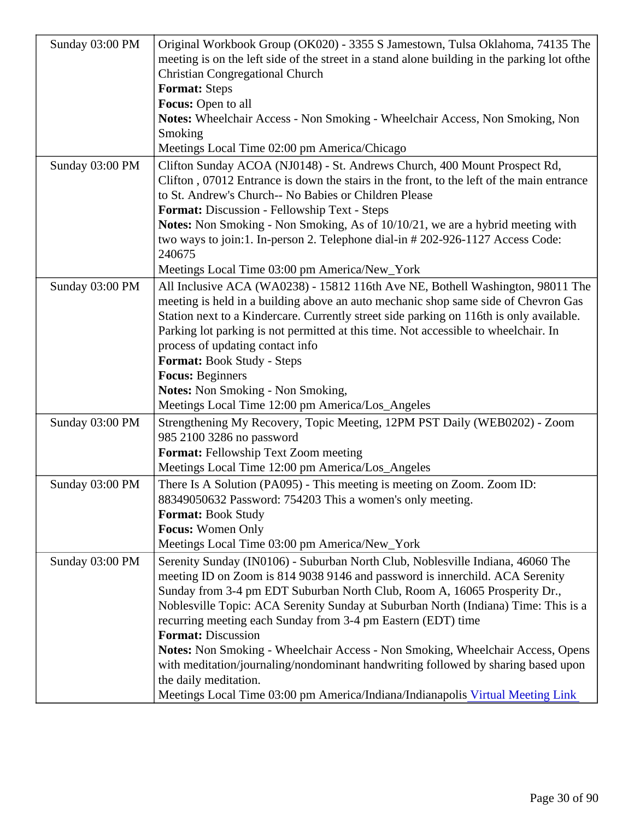| Sunday 03:00 PM | Original Workbook Group (OK020) - 3355 S Jamestown, Tulsa Oklahoma, 74135 The<br>meeting is on the left side of the street in a stand alone building in the parkintheot of<br><b>Christian Congregational Church</b><br>Format: Steps<br>Focus: Open to all<br>Notes: Wheelchair Access - Non Smoking - Wheelchair Access, Non Smoking, Non<br>Smoking<br>Meetings Local Time 02:00 pm America/Chicago                                                                            |
|-----------------|-----------------------------------------------------------------------------------------------------------------------------------------------------------------------------------------------------------------------------------------------------------------------------------------------------------------------------------------------------------------------------------------------------------------------------------------------------------------------------------|
| Sunday 03:00 PM | Clifton Sunday ACOA (NJ0148) - St. Andrews Church, 400 Mount Prospect Rd,<br>Clifton, 07012 Entrance is down the stairs in the front, to the left of the main entrance<br>to St. Andrew's Church-- No Babies or Children Please<br>Format: Discussion - Fellowship Text - Steps<br>Notes: Non Smoking - Non Smoking, As of 10/10/21, we are a hybrid meeting with<br>two ways to join:1. In-person 2. Telephone dial-in # 202-926-1127 Access Code<br>240675                      |
|                 | Meetings Local Time 03:00 pm America/New_York                                                                                                                                                                                                                                                                                                                                                                                                                                     |
| Sunday 03:00 PM | All Inclusive ACA (WA0238) - 15812 116th Ave NE, Bothell Washington, 98011 The<br>meeting is held in a building above an auto mechanic shop same side of Chevron Gas<br>Station next to a Kindercare. Currently street side parking on 116th is only available.<br>Parking lot parking is not permitted at this time. Not accessible to wheelchair. In<br>process of updating contact info<br>Format: Book Study - Steps<br>Focus: Beginners<br>Notes: Non Smoking - Non Smoking, |
|                 | Meetings Local Time 12:00 pm America/Los_Angeles                                                                                                                                                                                                                                                                                                                                                                                                                                  |
| Sunday 03:00 PM | Strengthening My Recovery, Topic Meeting, 12PM PST Daily (WEB0202) - Zoom<br>985 2100 3286 no password<br>Format: Fellowship Text Zoom meeting<br>Meetings Local Time 12:00 pm America/Los_Angeles                                                                                                                                                                                                                                                                                |
| Sunday 03:00 PM | There Is A Solution (PA095) - This meeting is meeting on Zoom. Zoom ID:<br>88349050632 Password: 754203 This a women's only meeting.<br>Format: Book Study<br>Focus: Women Only<br>Meetings Local Time 03:00 pm America/New_York                                                                                                                                                                                                                                                  |
| Sunday 03:00 PM | Serenity Sunday (IN0106) - Suburban North Club, Noblesville Indiana, 46060 The                                                                                                                                                                                                                                                                                                                                                                                                    |
|                 | meeting ID on Zoom is 814 9038 9146 and password is innerchild. ACA Serenity<br>Sunday from 3-4 pm EDT Suburban North Club, Room A, 16065 Prosperity Dr.,<br>Noblesville Topic: ACA Serenity Sunday at Suburban North (Indiana) Time: This is a<br>recurring meeting each Sunday from 3-4 pm Eastern (EDT) time<br>Format: Discussion                                                                                                                                             |
|                 | Notes: Non Smoking - Wheelchair Access - Non Smoking, Wheelchair Access, Opens<br>with meditation/journaling/nondominant handwriting followed by sharing based upon<br>the daily meditation.                                                                                                                                                                                                                                                                                      |
|                 | Meetings Local Time 03:00 pm America/Indiana/Indianapolisual Meeting Link                                                                                                                                                                                                                                                                                                                                                                                                         |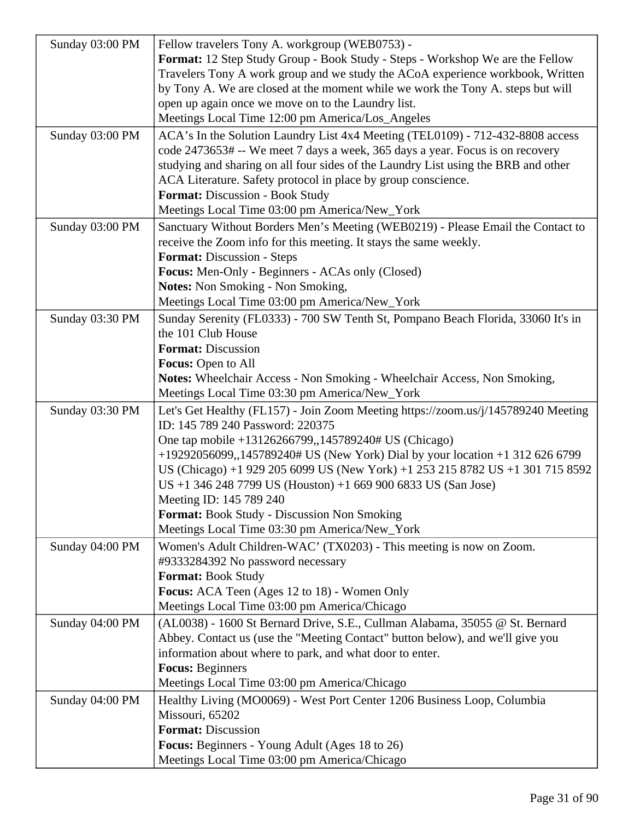| Sunday 03:00 PM | Fellow travelers Tony A. workgroup (WEB0753) -                                     |
|-----------------|------------------------------------------------------------------------------------|
|                 | Format: 12 Step Study Group - Book Study - Steps - Workshop We are the Fellow      |
|                 | Travelers Tony A work group and we study the ACoA experience workbook, Written     |
|                 | by Tony A. We are closed at the moment while we work the Tony A. steps but will    |
|                 | open up again once we move on to the Laundry list.                                 |
|                 |                                                                                    |
|                 | Meetings Local Time 12:00 pm America/Los_Angeles                                   |
| Sunday 03:00 PM | ACA's In the Solution Laundry List 4x4 Meeting (TEL0109) - 712-432-8808 access     |
|                 | code 2473653# -- We meet 7 days a week, 365 days a year. Focus is on recovery      |
|                 | studying and sharing on all four sides of the Laundry List using the BRB and other |
|                 | ACA Literature. Safety protocol in place by group conscience.                      |
|                 | Format: Discussion - Book Study                                                    |
|                 | Meetings Local Time 03:00 pm America/New_York                                      |
| Sunday 03:00 PM | Sanctuary Without Borders Men's Meeting (WEB0219) - Please Email the Contact to    |
|                 | receive the Zoom info for this meeting. It stays the same weekly.                  |
|                 | Format: Discussion - Steps                                                         |
|                 | Focus: Men-Only - Beginners - ACAs only (Closed)                                   |
|                 | <b>Notes:</b> Non Smoking - Non Smoking,                                           |
|                 | Meetings Local Time 03:00 pm America/New_York                                      |
| Sunday 03:30 PM | Sunday Serenity (FL0333) - 700 SW Tenth St, Pompano Beach Florida, 33060 It's in   |
|                 | the 101 Club House                                                                 |
|                 | <b>Format: Discussion</b>                                                          |
|                 | <b>Focus:</b> Open to All                                                          |
|                 | <b>Notes:</b> Wheelchair Access - Non Smoking - Wheelchair Access, Non Smoking,    |
|                 | Meetings Local Time 03:30 pm America/New_York                                      |
| Sunday 03:30 PM | Let's Get Healthy (FL157) - Join Zoom Meeting https://zoom.us/j/145789240 Meeting  |
|                 | ID: 145 789 240 Password: 220375                                                   |
|                 | One tap mobile +13126266799,,145789240# US (Chicago)                               |
|                 | +19292056099,,145789240# US (New York) Dial by your location +1 312 626 6799       |
|                 | US (Chicago) +1 929 205 6099 US (New York) +1 253 215 8782 US +1 301 715 8592      |
|                 | US +1 346 248 7799 US (Houston) +1 669 900 6833 US (San Jose)                      |
|                 | Meeting ID: 145 789 240                                                            |
|                 | <b>Format:</b> Book Study - Discussion Non Smoking                                 |
|                 | Meetings Local Time 03:30 pm America/New_York                                      |
| Sunday 04:00 PM | Women's Adult Children-WAC' (TX0203) - This meeting is now on Zoom.                |
|                 | #9333284392 No password necessary                                                  |
|                 | <b>Format: Book Study</b>                                                          |
|                 | Focus: ACA Teen (Ages 12 to 18) - Women Only                                       |
|                 |                                                                                    |
|                 | Meetings Local Time 03:00 pm America/Chicago                                       |
| Sunday 04:00 PM | (AL0038) - 1600 St Bernard Drive, S.E., Cullman Alabama, 35055 @ St. Bernard       |
|                 | Abbey. Contact us (use the "Meeting Contact" button below), and we'll give you     |
|                 | information about where to park, and what door to enter.                           |
|                 | <b>Focus: Beginners</b>                                                            |
|                 | Meetings Local Time 03:00 pm America/Chicago                                       |
| Sunday 04:00 PM | Healthy Living (MO0069) - West Port Center 1206 Business Loop, Columbia            |
|                 | Missouri, 65202                                                                    |
|                 | <b>Format: Discussion</b>                                                          |
|                 | Focus: Beginners - Young Adult (Ages 18 to 26)                                     |
|                 | Meetings Local Time 03:00 pm America/Chicago                                       |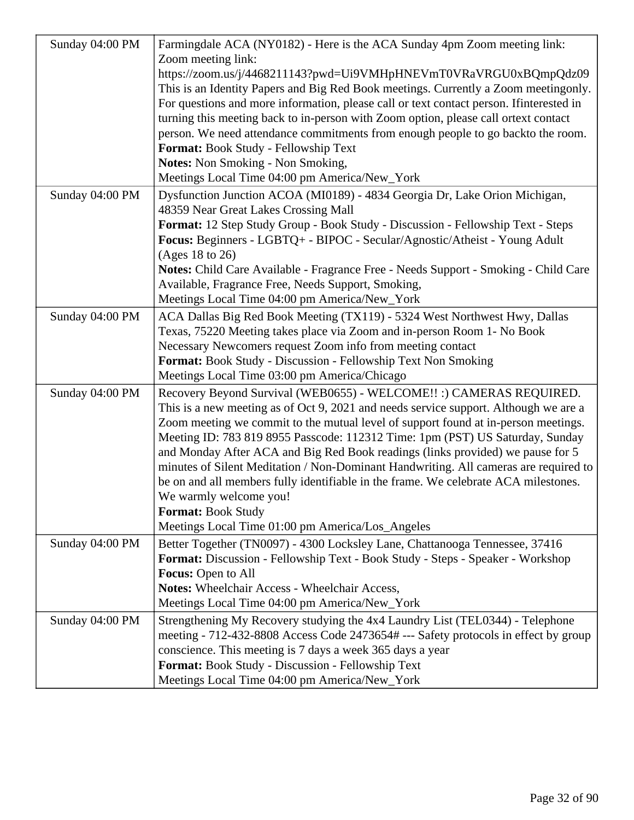| Sunday 04:00 PM | Farmingdale ACA (NY0182) - Here is the ACA Sunday 4pm Zoom meeting link:<br>Zoom meeting link:                                                                                                                                                                                                                                                                                                                                                                                                                                                                                                                                                                                                                 |
|-----------------|----------------------------------------------------------------------------------------------------------------------------------------------------------------------------------------------------------------------------------------------------------------------------------------------------------------------------------------------------------------------------------------------------------------------------------------------------------------------------------------------------------------------------------------------------------------------------------------------------------------------------------------------------------------------------------------------------------------|
|                 | https://zoom.us/j/4468211143?pwd=Ui9VMHpHNEVmT0VRaVRGU0xBQmpQdz09<br>This is an Identity Papers and Big Red Book meetings. Currently a Zoom meetingonly.<br>For questions and more information, please call or text contact person. Ifinterested in<br>turning this meeting back to in-person with Zoom option, please call ortext contact<br>person. We need attendance commitments from enough people to go backto the room.<br>Format: Book Study - Fellowship Text<br><b>Notes:</b> Non Smoking - Non Smoking,<br>Meetings Local Time 04:00 pm America/New_York                                                                                                                                            |
| Sunday 04:00 PM | Dysfunction Junction ACOA (MI0189) - 4834 Georgia Dr, Lake Orion Michigan,                                                                                                                                                                                                                                                                                                                                                                                                                                                                                                                                                                                                                                     |
|                 | 48359 Near Great Lakes Crossing Mall                                                                                                                                                                                                                                                                                                                                                                                                                                                                                                                                                                                                                                                                           |
|                 | Format: 12 Step Study Group - Book Study - Discussion - Fellowship Text - Steps<br>Focus: Beginners - LGBTQ+ - BIPOC - Secular/Agnostic/Atheist - Young Adult<br>(Ages 18 to 26)                                                                                                                                                                                                                                                                                                                                                                                                                                                                                                                               |
|                 | Notes: Child Care Available - Fragrance Free - Needs Support - Smoking - Child Care                                                                                                                                                                                                                                                                                                                                                                                                                                                                                                                                                                                                                            |
|                 | Available, Fragrance Free, Needs Support, Smoking,                                                                                                                                                                                                                                                                                                                                                                                                                                                                                                                                                                                                                                                             |
|                 | Meetings Local Time 04:00 pm America/New_York                                                                                                                                                                                                                                                                                                                                                                                                                                                                                                                                                                                                                                                                  |
| Sunday 04:00 PM | ACA Dallas Big Red Book Meeting (TX119) - 5324 West Northwest Hwy, Dallas                                                                                                                                                                                                                                                                                                                                                                                                                                                                                                                                                                                                                                      |
|                 | Texas, 75220 Meeting takes place via Zoom and in-person Room 1- No Book                                                                                                                                                                                                                                                                                                                                                                                                                                                                                                                                                                                                                                        |
|                 | Necessary Newcomers request Zoom info from meeting contact                                                                                                                                                                                                                                                                                                                                                                                                                                                                                                                                                                                                                                                     |
|                 | Format: Book Study - Discussion - Fellowship Text Non Smoking                                                                                                                                                                                                                                                                                                                                                                                                                                                                                                                                                                                                                                                  |
|                 | Meetings Local Time 03:00 pm America/Chicago                                                                                                                                                                                                                                                                                                                                                                                                                                                                                                                                                                                                                                                                   |
| Sunday 04:00 PM | Recovery Beyond Survival (WEB0655) - WELCOME!! :) CAMERAS REQUIRED.<br>This is a new meeting as of Oct 9, 2021 and needs service support. Although we are a<br>Zoom meeting we commit to the mutual level of support found at in-person meetings.<br>Meeting ID: 783 819 8955 Passcode: 112312 Time: 1pm (PST) US Saturday, Sunday<br>and Monday After ACA and Big Red Book readings (links provided) we pause for 5<br>minutes of Silent Meditation / Non-Dominant Handwriting. All cameras are required to<br>be on and all members fully identifiable in the frame. We celebrate ACA milestones.<br>We warmly welcome you!<br><b>Format: Book Study</b><br>Meetings Local Time 01:00 pm America/Los_Angeles |
| Sunday 04:00 PM | Better Together (TN0097) - 4300 Locksley Lane, Chattanooga Tennessee, 37416<br>Format: Discussion - Fellowship Text - Book Study - Steps - Speaker - Workshop<br>Focus: Open to All<br><b>Notes:</b> Wheelchair Access - Wheelchair Access,<br>Meetings Local Time 04:00 pm America/New_York                                                                                                                                                                                                                                                                                                                                                                                                                   |
| Sunday 04:00 PM | Strengthening My Recovery studying the 4x4 Laundry List (TEL0344) - Telephone<br>meeting - 712-432-8808 Access Code 2473654# --- Safety protocols in effect by group<br>conscience. This meeting is 7 days a week 365 days a year<br>Format: Book Study - Discussion - Fellowship Text<br>Meetings Local Time 04:00 pm America/New_York                                                                                                                                                                                                                                                                                                                                                                        |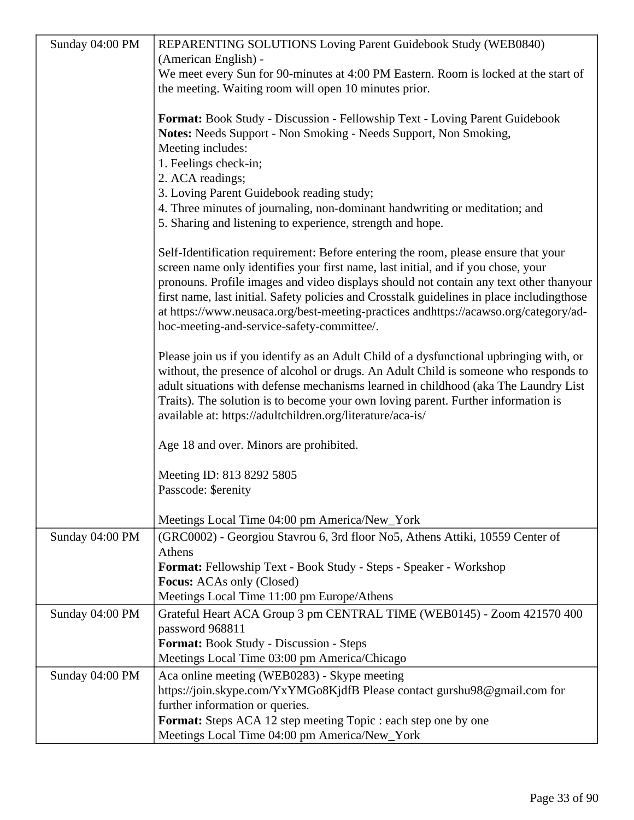| Sunday 04:00 PM | REPARENTING SOLUTIONS Loving Parent Guidebook Study (WEB0840)                              |
|-----------------|--------------------------------------------------------------------------------------------|
|                 | (American English) -                                                                       |
|                 | We meet every Sun for 90-minutes at 4:00 PM Eastern. Room is locked at the start of        |
|                 | the meeting. Waiting room will open 10 minutes prior.                                      |
|                 |                                                                                            |
|                 | <b>Format:</b> Book Study - Discussion - Fellowship Text - Loving Parent Guidebook         |
|                 | Notes: Needs Support - Non Smoking - Needs Support, Non Smoking,                           |
|                 | Meeting includes:                                                                          |
|                 | 1. Feelings check-in;                                                                      |
|                 | 2. ACA readings;                                                                           |
|                 | 3. Loving Parent Guidebook reading study;                                                  |
|                 | 4. Three minutes of journaling, non-dominant handwriting or meditation; and                |
|                 | 5. Sharing and listening to experience, strength and hope.                                 |
|                 | Self-Identification requirement: Before entering the room, please ensure that your         |
|                 | screen name only identifies your first name, last initial, and if you chose, your          |
|                 | pronouns. Profile images and video displays should not contain any text other thanyour     |
|                 | first name, last initial. Safety policies and Crosstalk guidelines in place includingthose |
|                 | at https://www.neusaca.org/best-meeting-practices andhttps://acawso.org/category/ad-       |
|                 | hoc-meeting-and-service-safety-committee/.                                                 |
|                 | Please join us if you identify as an Adult Child of a dysfunctional upbringing with, or    |
|                 | without, the presence of alcohol or drugs. An Adult Child is someone who responds to       |
|                 | adult situations with defense mechanisms learned in childhood (aka The Laundry List        |
|                 | Traits). The solution is to become your own loving parent. Further information is          |
|                 | available at: https://adultchildren.org/literature/aca-is/                                 |
|                 | Age 18 and over. Minors are prohibited.                                                    |
|                 | Meeting ID: 813 8292 5805                                                                  |
|                 | Passcode: \$erenity                                                                        |
|                 |                                                                                            |
|                 | Meetings Local Time 04:00 pm America/New_York                                              |
| Sunday 04:00 PM | (GRC0002) - Georgiou Stavrou 6, 3rd floor No5, Athens Attiki, 10559 Center of              |
|                 | Athens                                                                                     |
|                 | Format: Fellowship Text - Book Study - Steps - Speaker - Workshop                          |
|                 | <b>Focus:</b> ACAs only (Closed)                                                           |
|                 | Meetings Local Time 11:00 pm Europe/Athens                                                 |
| Sunday 04:00 PM | Grateful Heart ACA Group 3 pm CENTRAL TIME (WEB0145) - Zoom 421570 400                     |
|                 | password 968811                                                                            |
|                 | Format: Book Study - Discussion - Steps                                                    |
|                 | Meetings Local Time 03:00 pm America/Chicago                                               |
| Sunday 04:00 PM | Aca online meeting (WEB0283) - Skype meeting                                               |
|                 | https://join.skype.com/YxYMGo8KjdfB Please contact gurshu98@gmail.com for                  |
|                 | further information or queries.                                                            |
|                 | <b>Format:</b> Steps ACA 12 step meeting Topic : each step one by one                      |
|                 | Meetings Local Time 04:00 pm America/New_York                                              |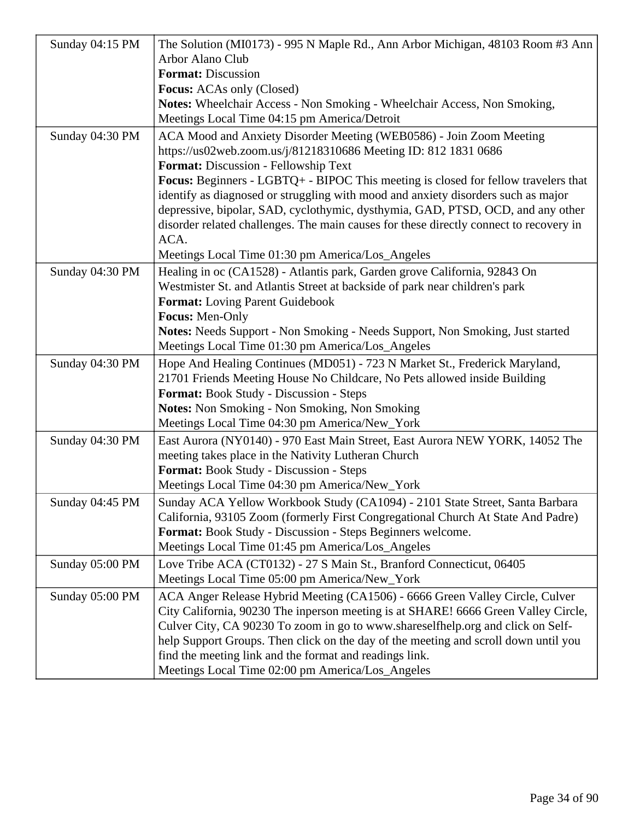| Sunday 04:15 PM | The Solution (MI0173) - 995 N Maple Rd., Ann Arbor Michigan, 48103 Room #3 Ann<br><b>Arbor Alano Club</b>                                               |
|-----------------|---------------------------------------------------------------------------------------------------------------------------------------------------------|
|                 | <b>Format: Discussion</b>                                                                                                                               |
|                 | <b>Focus:</b> ACAs only (Closed)<br>Notes: Wheelchair Access - Non Smoking - Wheelchair Access, Non Smoking,                                            |
|                 | Meetings Local Time 04:15 pm America/Detroit                                                                                                            |
| Sunday 04:30 PM | ACA Mood and Anxiety Disorder Meeting (WEB0586) - Join Zoom Meeting                                                                                     |
|                 | https://us02web.zoom.us/j/81218310686 Meeting ID: 812 1831 0686                                                                                         |
|                 | Format: Discussion - Fellowship Text                                                                                                                    |
|                 | Focus: Beginners - LGBTQ+ - BIPOC This meeting is closed for fellow travelers that                                                                      |
|                 | identify as diagnosed or struggling with mood and anxiety disorders such as major                                                                       |
|                 | depressive, bipolar, SAD, cyclothymic, dysthymia, GAD, PTSD, OCD, and any other                                                                         |
|                 | disorder related challenges. The main causes for these directly connect to recovery in                                                                  |
|                 | ACA.                                                                                                                                                    |
|                 | Meetings Local Time 01:30 pm America/Los_Angeles                                                                                                        |
| Sunday 04:30 PM | Healing in oc (CA1528) - Atlantis park, Garden grove California, 92843 On                                                                               |
|                 | Westmister St. and Atlantis Street at backside of park near children's park                                                                             |
|                 | <b>Format:</b> Loving Parent Guidebook                                                                                                                  |
|                 | Focus: Men-Only                                                                                                                                         |
|                 | Notes: Needs Support - Non Smoking - Needs Support, Non Smoking, Just started                                                                           |
|                 | Meetings Local Time 01:30 pm America/Los_Angeles                                                                                                        |
| Sunday 04:30 PM | Hope And Healing Continues (MD051) - 723 N Market St., Frederick Maryland,<br>21701 Friends Meeting House No Childcare, No Pets allowed inside Building |
|                 | Format: Book Study - Discussion - Steps                                                                                                                 |
|                 | Notes: Non Smoking - Non Smoking, Non Smoking                                                                                                           |
|                 | Meetings Local Time 04:30 pm America/New_York                                                                                                           |
| Sunday 04:30 PM | East Aurora (NY0140) - 970 East Main Street, East Aurora NEW YORK, 14052 The<br>meeting takes place in the Nativity Lutheran Church                     |
|                 | Format: Book Study - Discussion - Steps                                                                                                                 |
|                 | Meetings Local Time 04:30 pm America/New_York                                                                                                           |
| Sunday 04:45 PM | Sunday ACA Yellow Workbook Study (CA1094) - 2101 State Street, Santa Barbara                                                                            |
|                 | California, 93105 Zoom (formerly First Congregational Church At State And Padre)                                                                        |
|                 | Format: Book Study - Discussion - Steps Beginners welcome.                                                                                              |
|                 | Meetings Local Time 01:45 pm America/Los_Angeles                                                                                                        |
| Sunday 05:00 PM | Love Tribe ACA (CT0132) - 27 S Main St., Branford Connecticut, 06405                                                                                    |
|                 | Meetings Local Time 05:00 pm America/New_York                                                                                                           |
| Sunday 05:00 PM | ACA Anger Release Hybrid Meeting (CA1506) - 6666 Green Valley Circle, Culver                                                                            |
|                 | City California, 90230 The inperson meeting is at SHARE! 6666 Green Valley Circle,                                                                      |
|                 | Culver City, CA 90230 To zoom in go to www.shareselfhelp.org and click on Self-                                                                         |
|                 | help Support Groups. Then click on the day of the meeting and scroll down until you                                                                     |
|                 | find the meeting link and the format and readings link.                                                                                                 |
|                 | Meetings Local Time 02:00 pm America/Los_Angeles                                                                                                        |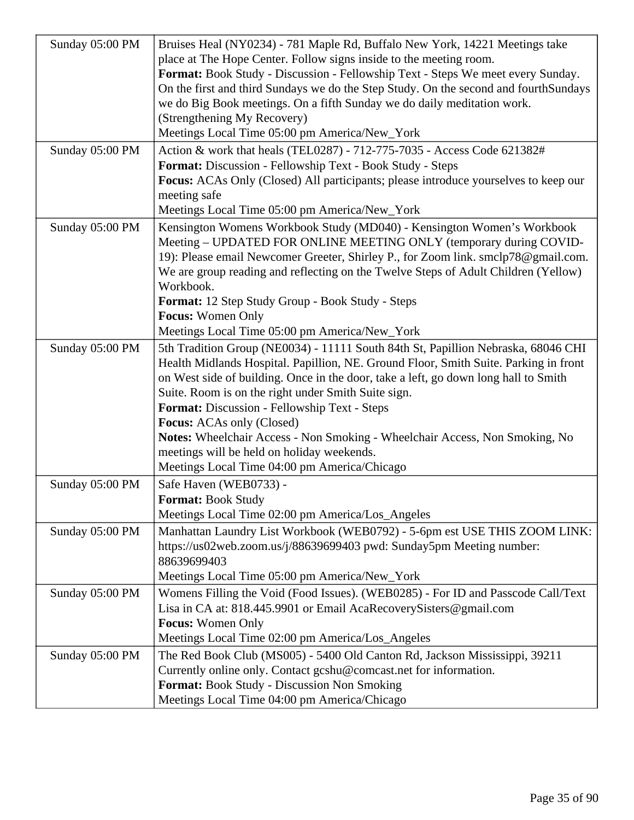| Sunday 05:00 PM | Bruises Heal (NY0234) - 781 Maple Rd, Buffalo New York, 14221 Meetings take<br>place at The Hope Center. Follow signs inside to the meeting room.<br>Format: Book Study - Discussion - Fellowship Text - Steps We meet every Sunday.<br>On the first and third Sundays we do the Step Study. On the second and fourthSundays<br>we do Big Book meetings. On a fifth Sunday we do daily meditation work.<br>(Strengthening My Recovery)                                                                                                                                                   |
|-----------------|------------------------------------------------------------------------------------------------------------------------------------------------------------------------------------------------------------------------------------------------------------------------------------------------------------------------------------------------------------------------------------------------------------------------------------------------------------------------------------------------------------------------------------------------------------------------------------------|
|                 | Meetings Local Time 05:00 pm America/New_York                                                                                                                                                                                                                                                                                                                                                                                                                                                                                                                                            |
| Sunday 05:00 PM | Action & work that heals (TEL0287) - 712-775-7035 - Access Code 621382#<br>Format: Discussion - Fellowship Text - Book Study - Steps<br><b>Focus:</b> ACAs Only (Closed) All participants; please introduce yourselves to keep our<br>meeting safe<br>Meetings Local Time 05:00 pm America/New_York                                                                                                                                                                                                                                                                                      |
| Sunday 05:00 PM | Kensington Womens Workbook Study (MD040) - Kensington Women's Workbook<br>Meeting - UPDATED FOR ONLINE MEETING ONLY (temporary during COVID-<br>19): Please email Newcomer Greeter, Shirley P., for Zoom link. smclp78@gmail.com.<br>We are group reading and reflecting on the Twelve Steps of Adult Children (Yellow)<br>Workbook.<br>Format: 12 Step Study Group - Book Study - Steps<br><b>Focus: Women Only</b><br>Meetings Local Time 05:00 pm America/New_York                                                                                                                    |
| Sunday 05:00 PM | 5th Tradition Group (NE0034) - 11111 South 84th St, Papillion Nebraska, 68046 CHI<br>Health Midlands Hospital. Papillion, NE. Ground Floor, Smith Suite. Parking in front<br>on West side of building. Once in the door, take a left, go down long hall to Smith<br>Suite. Room is on the right under Smith Suite sign.<br>Format: Discussion - Fellowship Text - Steps<br><b>Focus:</b> ACAs only (Closed)<br>Notes: Wheelchair Access - Non Smoking - Wheelchair Access, Non Smoking, No<br>meetings will be held on holiday weekends.<br>Meetings Local Time 04:00 pm America/Chicago |
| Sunday 05:00 PM | Safe Haven (WEB0733) -                                                                                                                                                                                                                                                                                                                                                                                                                                                                                                                                                                   |
|                 | <b>Format: Book Study</b><br>Meetings Local Time 02:00 pm America/Los_Angeles                                                                                                                                                                                                                                                                                                                                                                                                                                                                                                            |
| Sunday 05:00 PM | Manhattan Laundry List Workbook (WEB0792) - 5-6pm est USE THIS ZOOM LINK:<br>https://us02web.zoom.us/j/88639699403 pwd: Sunday5pm Meeting number:<br>88639699403<br>Meetings Local Time 05:00 pm America/New_York                                                                                                                                                                                                                                                                                                                                                                        |
| Sunday 05:00 PM | Womens Filling the Void (Food Issues). (WEB0285) - For ID and Passcode Call/Text<br>Lisa in CA at: 818.445.9901 or Email AcaRecoverySisters@gmail.com<br><b>Focus: Women Only</b><br>Meetings Local Time 02:00 pm America/Los_Angeles                                                                                                                                                                                                                                                                                                                                                    |
| Sunday 05:00 PM | The Red Book Club (MS005) - 5400 Old Canton Rd, Jackson Mississippi, 39211<br>Currently online only. Contact gcshu@comcast.net for information.<br>Format: Book Study - Discussion Non Smoking<br>Meetings Local Time 04:00 pm America/Chicago                                                                                                                                                                                                                                                                                                                                           |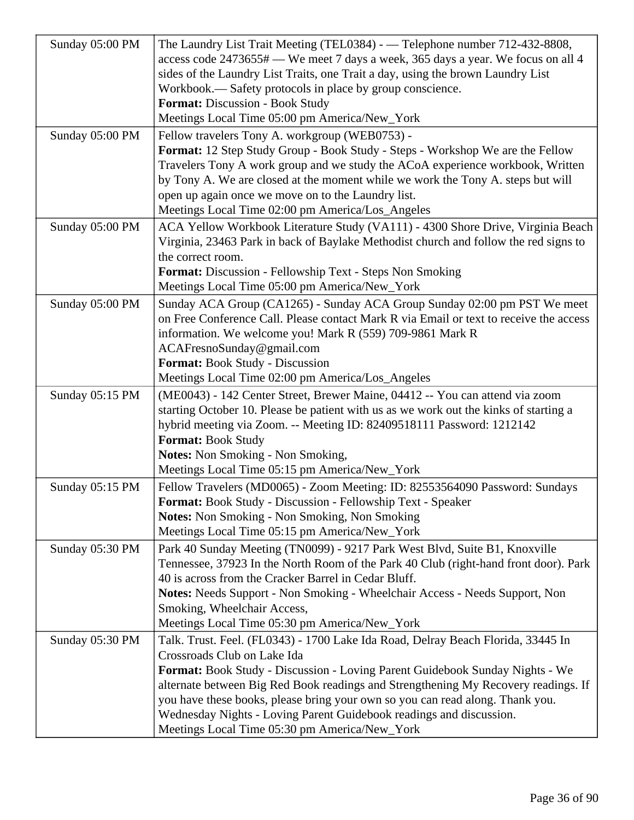| Sunday 05:00 PM | The Laundry List Trait Meeting (TEL0384) - - Telephone number 712-432-8808,<br>access code 2473655# — We meet 7 days a week, 365 days a year. We focus on all 4<br>sides of the Laundry List Traits, one Trait a day, using the brown Laundry List<br>Workbook.— Safety protocols in place by group conscience.<br>Format: Discussion - Book Study                                                                                                                                                    |
|-----------------|-------------------------------------------------------------------------------------------------------------------------------------------------------------------------------------------------------------------------------------------------------------------------------------------------------------------------------------------------------------------------------------------------------------------------------------------------------------------------------------------------------|
| Sunday 05:00 PM | Meetings Local Time 05:00 pm America/New_York<br>Fellow travelers Tony A. workgroup (WEB0753) -<br>Format: 12 Step Study Group - Book Study - Steps - Workshop We are the Fellow<br>Travelers Tony A work group and we study the ACoA experience workbook, Written<br>by Tony A. We are closed at the moment while we work the Tony A. steps but will<br>open up again once we move on to the Laundry list.<br>Meetings Local Time 02:00 pm America/Los_Angeles                                       |
| Sunday 05:00 PM | ACA Yellow Workbook Literature Study (VA111) - 4300 Shore Drive, Virginia Beach<br>Virginia, 23463 Park in back of Baylake Methodist church and follow the red signs to<br>the correct room.<br><b>Format:</b> Discussion - Fellowship Text - Steps Non Smoking<br>Meetings Local Time 05:00 pm America/New_York                                                                                                                                                                                      |
| Sunday 05:00 PM | Sunday ACA Group (CA1265) - Sunday ACA Group Sunday 02:00 pm PST We meet<br>on Free Conference Call. Please contact Mark R via Email or text to receive the access<br>information. We welcome you! Mark R (559) 709-9861 Mark R<br>ACAFresnoSunday@gmail.com<br>Format: Book Study - Discussion<br>Meetings Local Time 02:00 pm America/Los_Angeles                                                                                                                                                   |
| Sunday 05:15 PM | (ME0043) - 142 Center Street, Brewer Maine, 04412 -- You can attend via zoom<br>starting October 10. Please be patient with us as we work out the kinks of starting a<br>hybrid meeting via Zoom. -- Meeting ID: 82409518111 Password: 1212142<br><b>Format: Book Study</b><br>Notes: Non Smoking - Non Smoking,<br>Meetings Local Time 05:15 pm America/New_York                                                                                                                                     |
| Sunday 05:15 PM | Fellow Travelers (MD0065) - Zoom Meeting: ID: 82553564090 Password: Sundays<br><b>Format:</b> Book Study - Discussion - Fellowship Text - Speaker<br><b>Notes:</b> Non Smoking - Non Smoking, Non Smoking<br>Meetings Local Time 05:15 pm America/New_York                                                                                                                                                                                                                                            |
| Sunday 05:30 PM | Park 40 Sunday Meeting (TN0099) - 9217 Park West Blvd, Suite B1, Knoxville<br>Tennessee, 37923 In the North Room of the Park 40 Club (right-hand front door). Park<br>40 is across from the Cracker Barrel in Cedar Bluff.<br>Notes: Needs Support - Non Smoking - Wheelchair Access - Needs Support, Non<br>Smoking, Wheelchair Access,<br>Meetings Local Time 05:30 pm America/New_York                                                                                                             |
| Sunday 05:30 PM | Talk. Trust. Feel. (FL0343) - 1700 Lake Ida Road, Delray Beach Florida, 33445 In<br>Crossroads Club on Lake Ida<br><b>Format:</b> Book Study - Discussion - Loving Parent Guidebook Sunday Nights - We<br>alternate between Big Red Book readings and Strengthening My Recovery readings. If<br>you have these books, please bring your own so you can read along. Thank you.<br>Wednesday Nights - Loving Parent Guidebook readings and discussion.<br>Meetings Local Time 05:30 pm America/New_York |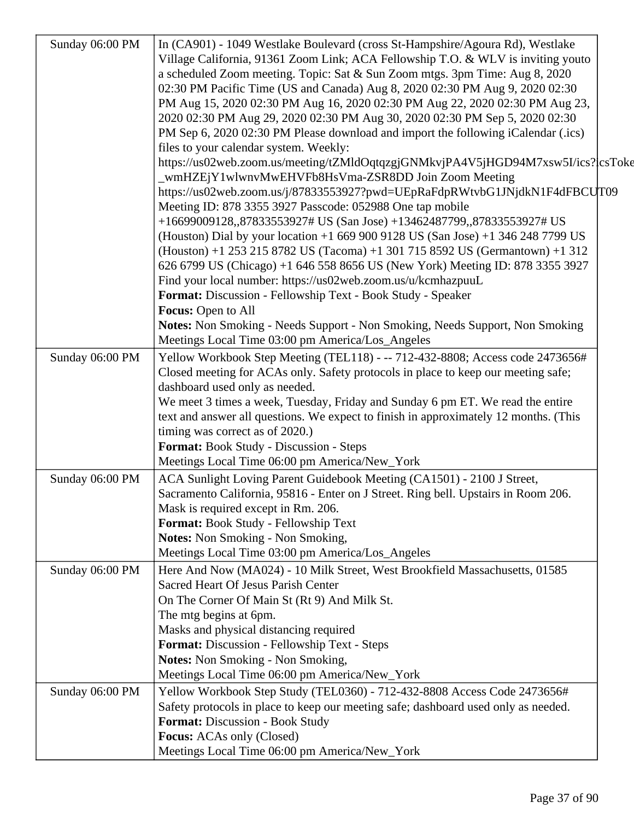| Sunday 06:00 PM | In (CA901) - 1049 Westlake Boulevard (cross St-Hampshire/Agoura Rd), Westlake        |  |
|-----------------|--------------------------------------------------------------------------------------|--|
|                 | Village California, 91361 Zoom Link; ACA Fellowship T.O. & WLV is inviting youto     |  |
|                 | a scheduled Zoom meeting. Topic: Sat & Sun Zoom mtgs. 3pm Time: Aug 8, 2020          |  |
|                 | 02:30 PM Pacific Time (US and Canada) Aug 8, 2020 02:30 PM Aug 9, 2020 02:30         |  |
|                 | PM Aug 15, 2020 02:30 PM Aug 16, 2020 02:30 PM Aug 22, 2020 02:30 PM Aug 23,         |  |
|                 | 2020 02:30 PM Aug 29, 2020 02:30 PM Aug 30, 2020 02:30 PM Sep 5, 2020 02:30          |  |
|                 | PM Sep 6, 2020 02:30 PM Please download and import the following iCalendar (.ics)    |  |
|                 | files to your calendar system. Weekly:                                               |  |
|                 | https://us02web.zoom.us/meeting/tZMldOqtqzgjGNMkvjPA4V5jHGD94M7xsw5I/ics?{csToke     |  |
|                 | wmHZEjY1wlwnvMwEHVFb8HsVma-ZSR8DD Join Zoom Meeting                                  |  |
|                 | https://us02web.zoom.us/j/87833553927?pwd=UEpRaFdpRWtvbG1JNjdkN1F4dFBCUT09           |  |
|                 | Meeting ID: 878 3355 3927 Passcode: 052988 One tap mobile                            |  |
|                 | +16699009128,,87833553927# US (San Jose) +13462487799,,87833553927# US               |  |
|                 | (Houston) Dial by your location +1 669 900 9128 US (San Jose) +1 346 248 7799 US     |  |
|                 | (Houston) +1 253 215 8782 US (Tacoma) +1 301 715 8592 US (Germantown) +1 312         |  |
|                 | 626 6799 US (Chicago) +1 646 558 8656 US (New York) Meeting ID: 878 3355 3927        |  |
|                 | Find your local number: https://us02web.zoom.us/u/kcmhazpuuL                         |  |
|                 | Format: Discussion - Fellowship Text - Book Study - Speaker                          |  |
|                 | Focus: Open to All                                                                   |  |
|                 | Notes: Non Smoking - Needs Support - Non Smoking, Needs Support, Non Smoking         |  |
|                 | Meetings Local Time 03:00 pm America/Los_Angeles                                     |  |
| Sunday 06:00 PM | Yellow Workbook Step Meeting (TEL118) - -- 712-432-8808; Access code 2473656#        |  |
|                 | Closed meeting for ACAs only. Safety protocols in place to keep our meeting safe;    |  |
|                 | dashboard used only as needed.                                                       |  |
|                 | We meet 3 times a week, Tuesday, Friday and Sunday 6 pm ET. We read the entire       |  |
|                 | text and answer all questions. We expect to finish in approximately 12 months. (This |  |
|                 | timing was correct as of 2020.)                                                      |  |
|                 | Format: Book Study - Discussion - Steps                                              |  |
|                 | Meetings Local Time 06:00 pm America/New_York                                        |  |
| Sunday 06:00 PM | ACA Sunlight Loving Parent Guidebook Meeting (CA1501) - 2100 J Street,               |  |
|                 | Sacramento California, 95816 - Enter on J Street. Ring bell. Upstairs in Room 206.   |  |
|                 | Mask is required except in Rm. 206.                                                  |  |
|                 | Format: Book Study - Fellowship Text                                                 |  |
|                 | <b>Notes:</b> Non Smoking - Non Smoking,                                             |  |
|                 | Meetings Local Time 03:00 pm America/Los_Angeles                                     |  |
| Sunday 06:00 PM | Here And Now (MA024) - 10 Milk Street, West Brookfield Massachusetts, 01585          |  |
|                 | Sacred Heart Of Jesus Parish Center                                                  |  |
|                 | On The Corner Of Main St (Rt 9) And Milk St.                                         |  |
|                 | The mtg begins at 6pm.                                                               |  |
|                 | Masks and physical distancing required                                               |  |
|                 | Format: Discussion - Fellowship Text - Steps                                         |  |
|                 | <b>Notes:</b> Non Smoking - Non Smoking,                                             |  |
|                 | Meetings Local Time 06:00 pm America/New_York                                        |  |
| Sunday 06:00 PM | Yellow Workbook Step Study (TEL0360) - 712-432-8808 Access Code 2473656#             |  |
|                 | Safety protocols in place to keep our meeting safe; dashboard used only as needed.   |  |
|                 | Format: Discussion - Book Study                                                      |  |
|                 | <b>Focus:</b> ACAs only (Closed)                                                     |  |
|                 |                                                                                      |  |
|                 | Meetings Local Time 06:00 pm America/New_York                                        |  |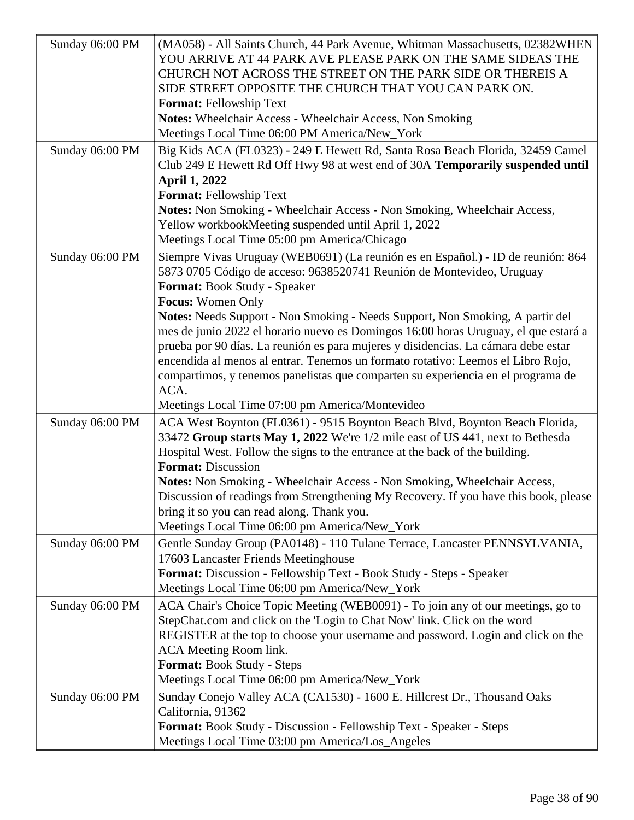| Sunday 06:00 PM | (MA058) - All Saints Church, 44 Park Avenue, Whitman Massachusetts, 02382WHEN<br>YOU ARRIVE AT 44 PARK AVE PLEASE PARK ON THE SAME SIDEAS THE<br>CHURCH NOT ACROSS THE STREET ON THE PARK SIDE OR THEREIS A<br>SIDE STREET OPPOSITE THE CHURCH THAT YOU CAN PARK ON.<br><b>Format: Fellowship Text</b><br>Notes: Wheelchair Access - Wheelchair Access, Non Smoking<br>Meetings Local Time 06:00 PM America/New_York                                                                                                                                                                                                                                                                                                   |
|-----------------|------------------------------------------------------------------------------------------------------------------------------------------------------------------------------------------------------------------------------------------------------------------------------------------------------------------------------------------------------------------------------------------------------------------------------------------------------------------------------------------------------------------------------------------------------------------------------------------------------------------------------------------------------------------------------------------------------------------------|
| Sunday 06:00 PM | Big Kids ACA (FL0323) - 249 E Hewett Rd, Santa Rosa Beach Florida, 32459 Camel<br>Club 249 E Hewett Rd Off Hwy 98 at west end of 30A Temporarily suspended until<br><b>April 1, 2022</b><br>Format: Fellowship Text<br>Notes: Non Smoking - Wheelchair Access - Non Smoking, Wheelchair Access,<br>Yellow workbookMeeting suspended until April 1, 2022<br>Meetings Local Time 05:00 pm America/Chicago                                                                                                                                                                                                                                                                                                                |
| Sunday 06:00 PM | Siempre Vivas Uruguay (WEB0691) (La reunión es en Español.) - ID de reunión: 864<br>5873 0705 Código de acceso: 9638520741 Reunión de Montevideo, Uruguay<br>Format: Book Study - Speaker<br><b>Focus:</b> Women Only<br>Notes: Needs Support - Non Smoking - Needs Support, Non Smoking, A partir del<br>mes de junio 2022 el horario nuevo es Domingos 16:00 horas Uruguay, el que estará a<br>prueba por 90 días. La reunión es para mujeres y disidencias. La cámara debe estar<br>encendida al menos al entrar. Tenemos un formato rotativo: Leemos el Libro Rojo,<br>compartimos, y tenemos panelistas que comparten su experiencia en el programa de<br>ACA.<br>Meetings Local Time 07:00 pm America/Montevideo |
| Sunday 06:00 PM | ACA West Boynton (FL0361) - 9515 Boynton Beach Blvd, Boynton Beach Florida,<br>33472 Group starts May 1, 2022 We're 1/2 mile east of US 441, next to Bethesda<br>Hospital West. Follow the signs to the entrance at the back of the building.<br><b>Format: Discussion</b><br>Notes: Non Smoking - Wheelchair Access - Non Smoking, Wheelchair Access,<br>Discussion of readings from Strengthening My Recovery. If you have this book, please<br>bring it so you can read along. Thank you.<br>Meetings Local Time 06:00 pm America/New_York                                                                                                                                                                          |
| Sunday 06:00 PM | Gentle Sunday Group (PA0148) - 110 Tulane Terrace, Lancaster PENNSYLVANIA,<br>17603 Lancaster Friends Meetinghouse<br>Format: Discussion - Fellowship Text - Book Study - Steps - Speaker<br>Meetings Local Time 06:00 pm America/New_York                                                                                                                                                                                                                                                                                                                                                                                                                                                                             |
| Sunday 06:00 PM | ACA Chair's Choice Topic Meeting (WEB0091) - To join any of our meetings, go to<br>StepChat.com and click on the 'Login to Chat Now' link. Click on the word<br>REGISTER at the top to choose your username and password. Login and click on the<br>ACA Meeting Room link.<br>Format: Book Study - Steps<br>Meetings Local Time 06:00 pm America/New_York                                                                                                                                                                                                                                                                                                                                                              |
| Sunday 06:00 PM | Sunday Conejo Valley ACA (CA1530) - 1600 E. Hillcrest Dr., Thousand Oaks<br>California, 91362<br>Format: Book Study - Discussion - Fellowship Text - Speaker - Steps<br>Meetings Local Time 03:00 pm America/Los_Angeles                                                                                                                                                                                                                                                                                                                                                                                                                                                                                               |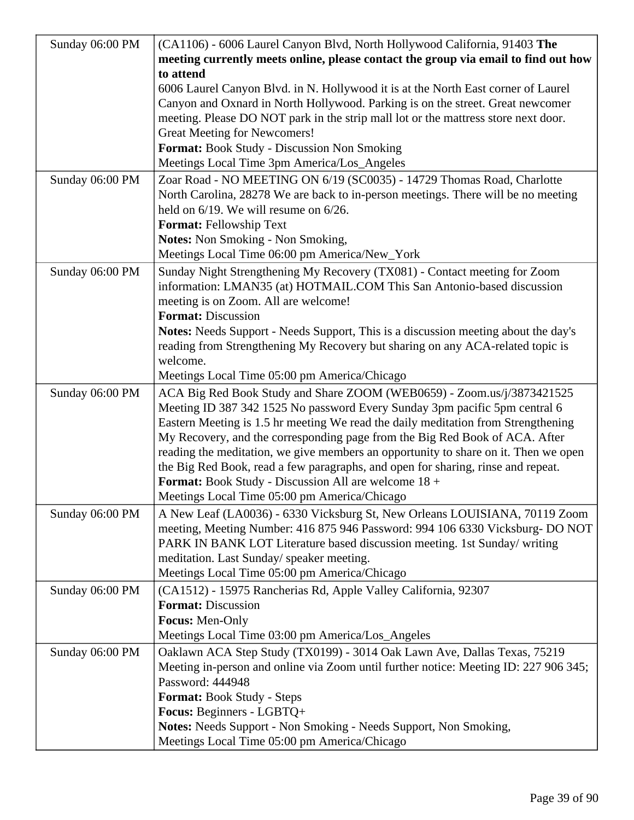| Sunday 06:00 PM | (CA1106) - 6006 Laurel Canyon Blvd, North Hollywood California, 91403 The                                                                            |
|-----------------|------------------------------------------------------------------------------------------------------------------------------------------------------|
|                 | meeting currently meets online, please contact the group via email to find out how                                                                   |
|                 | to attend                                                                                                                                            |
|                 | 6006 Laurel Canyon Blvd. in N. Hollywood it is at the North East corner of Laurel                                                                    |
|                 | Canyon and Oxnard in North Hollywood. Parking is on the street. Great newcomer                                                                       |
|                 | meeting. Please DO NOT park in the strip mall lot or the mattress store next door.                                                                   |
|                 | Great Meeting for Newcomers!                                                                                                                         |
|                 | Format: Book Study - Discussion Non Smoking                                                                                                          |
|                 | Meetings Local Time 3pm America/Los_Angeles                                                                                                          |
| Sunday 06:00 PM | Zoar Road - NO MEETING ON 6/19 (SC0035) - 14729 Thomas Road, Charlotte                                                                               |
|                 | North Carolina, 28278 We are back to in-person meetings. There will be no meeting                                                                    |
|                 | held on $6/19$ . We will resume on $6/26$ .                                                                                                          |
|                 | <b>Format: Fellowship Text</b>                                                                                                                       |
|                 | Notes: Non Smoking - Non Smoking,                                                                                                                    |
|                 | Meetings Local Time 06:00 pm America/New_York                                                                                                        |
|                 |                                                                                                                                                      |
| Sunday 06:00 PM | Sunday Night Strengthening My Recovery (TX081) - Contact meeting for Zoom<br>information: LMAN35 (at) HOTMAIL.COM This San Antonio-based discussion  |
|                 | meeting is on Zoom. All are welcome!                                                                                                                 |
|                 | <b>Format: Discussion</b>                                                                                                                            |
|                 | Notes: Needs Support - Needs Support, This is a discussion meeting about the day's                                                                   |
|                 | reading from Strengthening My Recovery but sharing on any ACA-related topic is                                                                       |
|                 | welcome.                                                                                                                                             |
|                 | Meetings Local Time 05:00 pm America/Chicago                                                                                                         |
|                 |                                                                                                                                                      |
| Sunday 06:00 PM | ACA Big Red Book Study and Share ZOOM (WEB0659) - Zoom.us/j/3873421525<br>Meeting ID 387 342 1525 No password Every Sunday 3pm pacific 5pm central 6 |
|                 | Eastern Meeting is 1.5 hr meeting We read the daily meditation from Strengthening                                                                    |
|                 | My Recovery, and the corresponding page from the Big Red Book of ACA. After                                                                          |
|                 | reading the meditation, we give members an opportunity to share on it. Then we open                                                                  |
|                 | the Big Red Book, read a few paragraphs, and open for sharing, rinse and repeat.                                                                     |
|                 | Format: Book Study - Discussion All are welcome 18 +                                                                                                 |
|                 | Meetings Local Time 05:00 pm America/Chicago                                                                                                         |
| Sunday 06:00 PM | A New Leaf (LA0036) - 6330 Vicksburg St, New Orleans LOUISIANA, 70119 Zoom                                                                           |
|                 | meeting, Meeting Number: 416 875 946 Password: 994 106 6330 Vicksburg- DO NOT                                                                        |
|                 | PARK IN BANK LOT Literature based discussion meeting. 1st Sunday/ writing                                                                            |
|                 | meditation. Last Sunday/ speaker meeting.                                                                                                            |
|                 | Meetings Local Time 05:00 pm America/Chicago                                                                                                         |
| Sunday 06:00 PM | (CA1512) - 15975 Rancherias Rd, Apple Valley California, 92307                                                                                       |
|                 | <b>Format:</b> Discussion                                                                                                                            |
|                 | Focus: Men-Only                                                                                                                                      |
|                 | Meetings Local Time 03:00 pm America/Los_Angeles                                                                                                     |
|                 |                                                                                                                                                      |
| Sunday 06:00 PM | Oaklawn ACA Step Study (TX0199) - 3014 Oak Lawn Ave, Dallas Texas, 75219                                                                             |
|                 | Meeting in-person and online via Zoom until further notice: Meeting ID: 227 906 345;<br>Password: 444948                                             |
|                 |                                                                                                                                                      |
|                 | Format: Book Study - Steps                                                                                                                           |
|                 | Focus: Beginners - LGBTQ+                                                                                                                            |
|                 | <b>Notes:</b> Needs Support - Non Smoking - Needs Support, Non Smoking,                                                                              |
|                 | Meetings Local Time 05:00 pm America/Chicago                                                                                                         |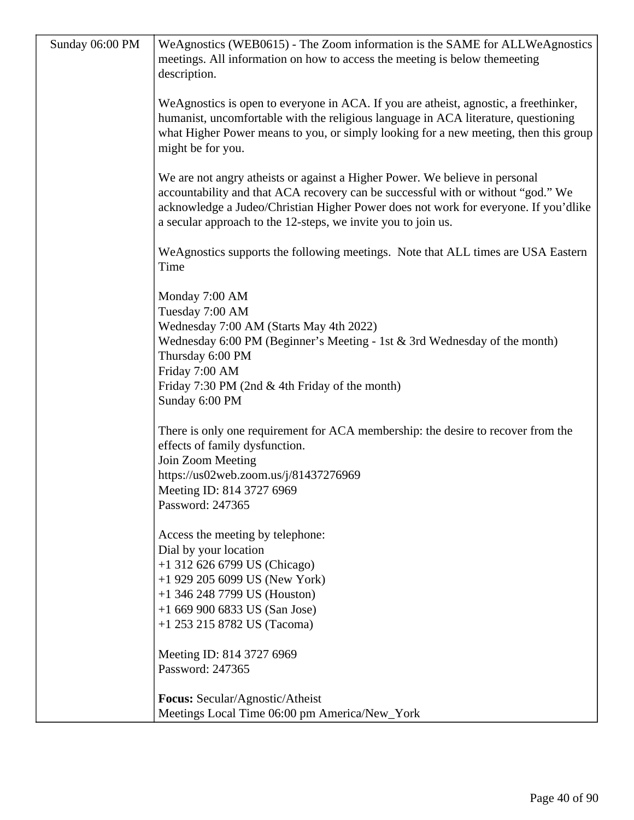| Sunday 06:00 PM | WeAgnostics (WEB0615) - The Zoom information is the SAME for ALLWeAgnostics<br>meetings. All information on how to access the meeting is below themeeting<br>description.                                                                                                                                               |
|-----------------|-------------------------------------------------------------------------------------------------------------------------------------------------------------------------------------------------------------------------------------------------------------------------------------------------------------------------|
|                 | WeAgnostics is open to everyone in ACA. If you are atheist, agnostic, a freethinker,<br>humanist, uncomfortable with the religious language in ACA literature, questioning<br>what Higher Power means to you, or simply looking for a new meeting, then this group<br>might be for you.                                 |
|                 | We are not angry atheists or against a Higher Power. We believe in personal<br>accountability and that ACA recovery can be successful with or without "god." We<br>acknowledge a Judeo/Christian Higher Power does not work for everyone. If you'dlike<br>a secular approach to the 12-steps, we invite you to join us. |
|                 | WeAgnostics supports the following meetings. Note that ALL times are USA Eastern<br>Time                                                                                                                                                                                                                                |
|                 | Monday 7:00 AM<br>Tuesday 7:00 AM<br>Wednesday 7:00 AM (Starts May 4th 2022)                                                                                                                                                                                                                                            |
|                 | Wednesday 6:00 PM (Beginner's Meeting - 1st & 3rd Wednesday of the month)<br>Thursday 6:00 PM<br>Friday 7:00 AM<br>Friday 7:30 PM (2nd & 4th Friday of the month)                                                                                                                                                       |
|                 | Sunday 6:00 PM                                                                                                                                                                                                                                                                                                          |
|                 | There is only one requirement for ACA membership: the desire to recover from the<br>effects of family dysfunction.<br>Join Zoom Meeting                                                                                                                                                                                 |
|                 | https://us02web.zoom.us/j/81437276969                                                                                                                                                                                                                                                                                   |
|                 | Meeting ID: 814 3727 6969<br>Password: 247365                                                                                                                                                                                                                                                                           |
|                 | Access the meeting by telephone:<br>Dial by your location                                                                                                                                                                                                                                                               |
|                 | $+1$ 312 626 6799 US (Chicago)<br>$+1$ 929 205 6099 US (New York)                                                                                                                                                                                                                                                       |
|                 | $+1$ 346 248 7799 US (Houston)                                                                                                                                                                                                                                                                                          |
|                 | $+16699006833$ US (San Jose)<br>$+1$ 253 215 8782 US (Tacoma)                                                                                                                                                                                                                                                           |
|                 | Meeting ID: 814 3727 6969                                                                                                                                                                                                                                                                                               |
|                 | Password: 247365                                                                                                                                                                                                                                                                                                        |
|                 | Focus: Secular/Agnostic/Atheist                                                                                                                                                                                                                                                                                         |
|                 | Meetings Local Time 06:00 pm America/New_York                                                                                                                                                                                                                                                                           |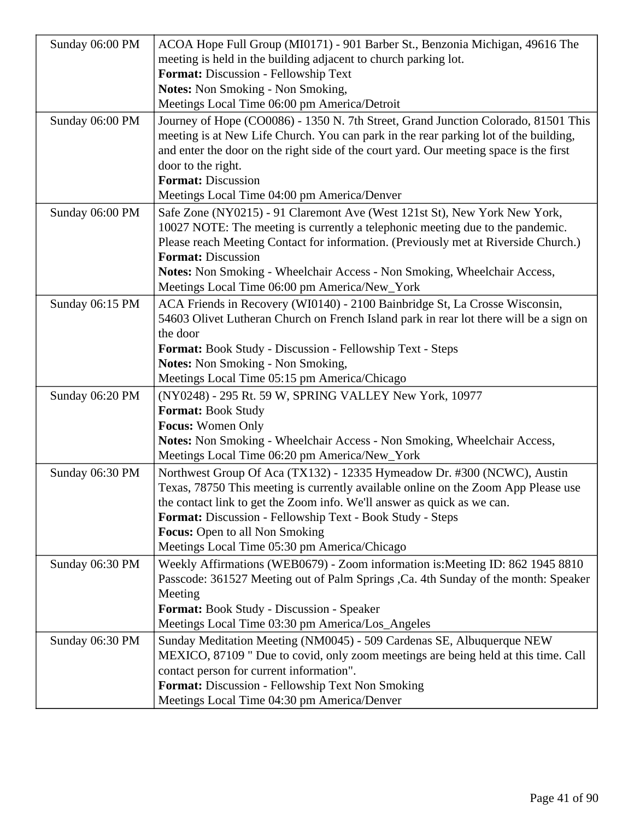| Sunday 06:00 PM | ACOA Hope Full Group (MI0171) - 901 Barber St., Benzonia Michigan, 49616 The                                                                                                                                                                                         |
|-----------------|----------------------------------------------------------------------------------------------------------------------------------------------------------------------------------------------------------------------------------------------------------------------|
|                 | meeting is held in the building adjacent to church parking lot.                                                                                                                                                                                                      |
|                 | Format: Discussion - Fellowship Text                                                                                                                                                                                                                                 |
|                 | <b>Notes:</b> Non Smoking - Non Smoking,                                                                                                                                                                                                                             |
|                 | Meetings Local Time 06:00 pm America/Detroit                                                                                                                                                                                                                         |
| Sunday 06:00 PM | Journey of Hope (CO0086) - 1350 N. 7th Street, Grand Junction Colorado, 81501 This<br>meeting is at New Life Church. You can park in the rear parking lot of the building,<br>and enter the door on the right side of the court yard. Our meeting space is the first |
|                 | door to the right.                                                                                                                                                                                                                                                   |
|                 | <b>Format: Discussion</b>                                                                                                                                                                                                                                            |
|                 | Meetings Local Time 04:00 pm America/Denver                                                                                                                                                                                                                          |
| Sunday 06:00 PM | Safe Zone (NY0215) - 91 Claremont Ave (West 121st St), New York New York,                                                                                                                                                                                            |
|                 | 10027 NOTE: The meeting is currently a telephonic meeting due to the pandemic.                                                                                                                                                                                       |
|                 | Please reach Meeting Contact for information. (Previously met at Riverside Church.)                                                                                                                                                                                  |
|                 | <b>Format: Discussion</b>                                                                                                                                                                                                                                            |
|                 | Notes: Non Smoking - Wheelchair Access - Non Smoking, Wheelchair Access,                                                                                                                                                                                             |
|                 | Meetings Local Time 06:00 pm America/New_York                                                                                                                                                                                                                        |
| Sunday 06:15 PM | ACA Friends in Recovery (WI0140) - 2100 Bainbridge St, La Crosse Wisconsin,                                                                                                                                                                                          |
|                 | 54603 Olivet Lutheran Church on French Island park in rear lot there will be a sign on                                                                                                                                                                               |
|                 | the door                                                                                                                                                                                                                                                             |
|                 | <b>Format:</b> Book Study - Discussion - Fellowship Text - Steps                                                                                                                                                                                                     |
|                 | <b>Notes:</b> Non Smoking - Non Smoking,                                                                                                                                                                                                                             |
|                 | Meetings Local Time 05:15 pm America/Chicago                                                                                                                                                                                                                         |
| Sunday 06:20 PM | (NY0248) - 295 Rt. 59 W, SPRING VALLEY New York, 10977                                                                                                                                                                                                               |
|                 | <b>Format: Book Study</b>                                                                                                                                                                                                                                            |
|                 | <b>Focus:</b> Women Only                                                                                                                                                                                                                                             |
|                 | Notes: Non Smoking - Wheelchair Access - Non Smoking, Wheelchair Access,                                                                                                                                                                                             |
|                 | Meetings Local Time 06:20 pm America/New_York                                                                                                                                                                                                                        |
| Sunday 06:30 PM | Northwest Group Of Aca (TX132) - 12335 Hymeadow Dr. #300 (NCWC), Austin                                                                                                                                                                                              |
|                 | Texas, 78750 This meeting is currently available online on the Zoom App Please use                                                                                                                                                                                   |
|                 | the contact link to get the Zoom info. We'll answer as quick as we can.                                                                                                                                                                                              |
|                 | Format: Discussion - Fellowship Text - Book Study - Steps                                                                                                                                                                                                            |
|                 | <b>Focus:</b> Open to all Non Smoking                                                                                                                                                                                                                                |
|                 | Meetings Local Time 05:30 pm America/Chicago                                                                                                                                                                                                                         |
| Sunday 06:30 PM | Weekly Affirmations (WEB0679) - Zoom information is: Meeting ID: 862 1945 8810                                                                                                                                                                                       |
|                 | Passcode: 361527 Meeting out of Palm Springs , Ca. 4th Sunday of the month: Speaker                                                                                                                                                                                  |
|                 | Meeting                                                                                                                                                                                                                                                              |
|                 | Format: Book Study - Discussion - Speaker                                                                                                                                                                                                                            |
|                 | Meetings Local Time 03:30 pm America/Los_Angeles                                                                                                                                                                                                                     |
| Sunday 06:30 PM | Sunday Meditation Meeting (NM0045) - 509 Cardenas SE, Albuquerque NEW                                                                                                                                                                                                |
|                 | MEXICO, 87109 " Due to covid, only zoom meetings are being held at this time. Call                                                                                                                                                                                   |
|                 | contact person for current information".                                                                                                                                                                                                                             |
|                 | Format: Discussion - Fellowship Text Non Smoking                                                                                                                                                                                                                     |
|                 | Meetings Local Time 04:30 pm America/Denver                                                                                                                                                                                                                          |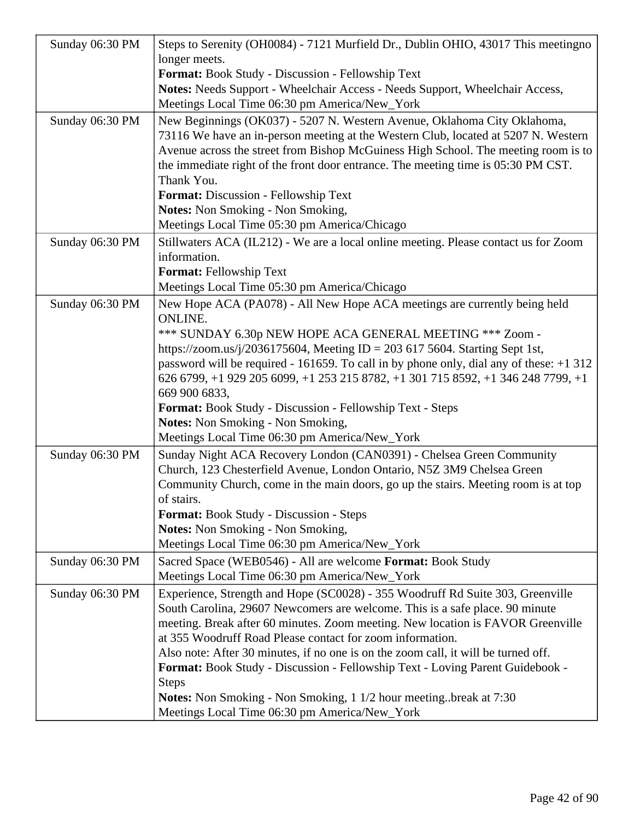| Sunday 06:30 PM | Steps to Serenity (OH0084) - 7121 Murfield Dr., Dublin OHIO, 43017 This meetingno<br>longer meets.                                                                                                                                                            |
|-----------------|---------------------------------------------------------------------------------------------------------------------------------------------------------------------------------------------------------------------------------------------------------------|
|                 | Format: Book Study - Discussion - Fellowship Text                                                                                                                                                                                                             |
|                 | Notes: Needs Support - Wheelchair Access - Needs Support, Wheelchair Access,                                                                                                                                                                                  |
|                 | Meetings Local Time 06:30 pm America/New_York                                                                                                                                                                                                                 |
| Sunday 06:30 PM | New Beginnings (OK037) - 5207 N. Western Avenue, Oklahoma City Oklahoma,                                                                                                                                                                                      |
|                 | 73116 We have an in-person meeting at the Western Club, located at 5207 N. Western<br>Avenue across the street from Bishop McGuiness High School. The meeting room is to<br>the immediate right of the front door entrance. The meeting time is 05:30 PM CST. |
|                 | Thank You.                                                                                                                                                                                                                                                    |
|                 | Format: Discussion - Fellowship Text                                                                                                                                                                                                                          |
|                 | <b>Notes:</b> Non Smoking - Non Smoking,                                                                                                                                                                                                                      |
|                 | Meetings Local Time 05:30 pm America/Chicago                                                                                                                                                                                                                  |
| Sunday 06:30 PM | Stillwaters ACA (IL212) - We are a local online meeting. Please contact us for Zoom<br>information.                                                                                                                                                           |
|                 | <b>Format: Fellowship Text</b>                                                                                                                                                                                                                                |
|                 | Meetings Local Time 05:30 pm America/Chicago                                                                                                                                                                                                                  |
| Sunday 06:30 PM | New Hope ACA (PA078) - All New Hope ACA meetings are currently being held<br>ONLINE.                                                                                                                                                                          |
|                 | *** SUNDAY 6.30p NEW HOPE ACA GENERAL MEETING *** Zoom -                                                                                                                                                                                                      |
|                 | https://zoom.us/j/2036175604, Meeting ID = 203 617 5604. Starting Sept 1st,                                                                                                                                                                                   |
|                 | password will be required - 161659. To call in by phone only, dial any of these: $+1312$                                                                                                                                                                      |
|                 | 626 6799, +1 929 205 6099, +1 253 215 8782, +1 301 715 8592, +1 346 248 7799, +1                                                                                                                                                                              |
|                 | 669 900 6833,                                                                                                                                                                                                                                                 |
|                 | Format: Book Study - Discussion - Fellowship Text - Steps                                                                                                                                                                                                     |
|                 | <b>Notes:</b> Non Smoking - Non Smoking,                                                                                                                                                                                                                      |
|                 | Meetings Local Time 06:30 pm America/New_York                                                                                                                                                                                                                 |
| Sunday 06:30 PM | Sunday Night ACA Recovery London (CAN0391) - Chelsea Green Community<br>Church, 123 Chesterfield Avenue, London Ontario, N5Z 3M9 Chelsea Green                                                                                                                |
|                 | Community Church, come in the main doors, go up the stairs. Meeting room is at top                                                                                                                                                                            |
|                 | of stairs.                                                                                                                                                                                                                                                    |
|                 | <b>Format:</b> Book Study - Discussion - Steps                                                                                                                                                                                                                |
|                 | <b>Notes:</b> Non Smoking - Non Smoking,                                                                                                                                                                                                                      |
|                 | Meetings Local Time 06:30 pm America/New_York                                                                                                                                                                                                                 |
| Sunday 06:30 PM | Sacred Space (WEB0546) - All are welcome Format: Book Study                                                                                                                                                                                                   |
|                 | Meetings Local Time 06:30 pm America/New_York                                                                                                                                                                                                                 |
| Sunday 06:30 PM | Experience, Strength and Hope (SC0028) - 355 Woodruff Rd Suite 303, Greenville<br>South Carolina, 29607 Newcomers are welcome. This is a safe place. 90 minute                                                                                                |
|                 | meeting. Break after 60 minutes. Zoom meeting. New location is FAVOR Greenville                                                                                                                                                                               |
|                 | at 355 Woodruff Road Please contact for zoom information.                                                                                                                                                                                                     |
|                 | Also note: After 30 minutes, if no one is on the zoom call, it will be turned off.                                                                                                                                                                            |
|                 | Format: Book Study - Discussion - Fellowship Text - Loving Parent Guidebook -                                                                                                                                                                                 |
|                 | <b>Steps</b>                                                                                                                                                                                                                                                  |
|                 | <b>Notes:</b> Non Smoking - Non Smoking, 1 1/2 hour meetingbreak at 7:30                                                                                                                                                                                      |
|                 | Meetings Local Time 06:30 pm America/New_York                                                                                                                                                                                                                 |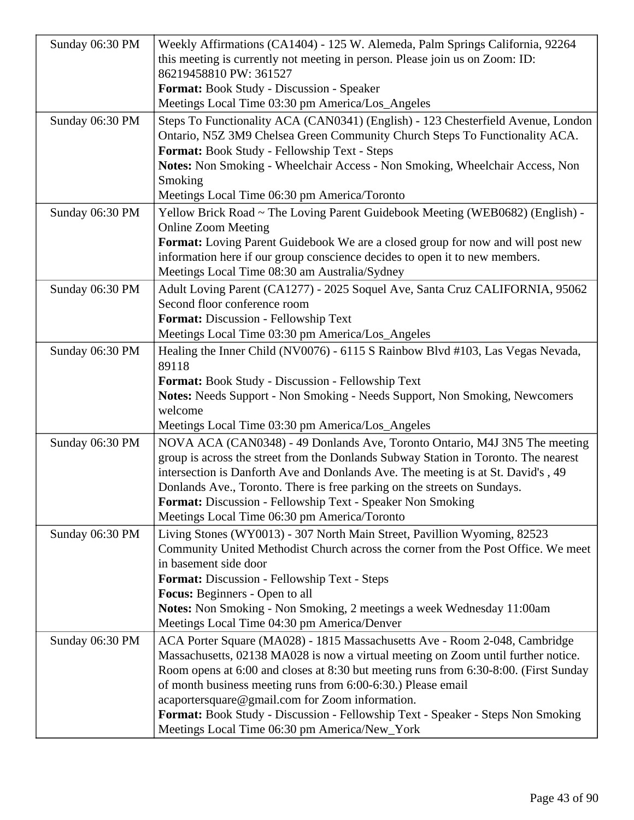| Sunday 06:30 PM                                       | Weekly Affirmations (CA1404) - 125 W. Alemeda, Palm Springs California, 92264<br>this meeting is currently not meeting in person. Please join us on Zoom: ID:                                                                                                                                                                                                                                                                                                                                                                                                                                                                                                                                                                                                                                                                                                                                                                                                                                                                                                                                                                                                                                                                                                                                                                                                                                                                                                                                                                                                                                                                                                                                |
|-------------------------------------------------------|----------------------------------------------------------------------------------------------------------------------------------------------------------------------------------------------------------------------------------------------------------------------------------------------------------------------------------------------------------------------------------------------------------------------------------------------------------------------------------------------------------------------------------------------------------------------------------------------------------------------------------------------------------------------------------------------------------------------------------------------------------------------------------------------------------------------------------------------------------------------------------------------------------------------------------------------------------------------------------------------------------------------------------------------------------------------------------------------------------------------------------------------------------------------------------------------------------------------------------------------------------------------------------------------------------------------------------------------------------------------------------------------------------------------------------------------------------------------------------------------------------------------------------------------------------------------------------------------------------------------------------------------------------------------------------------------|
|                                                       | 86219458810 PW: 361527                                                                                                                                                                                                                                                                                                                                                                                                                                                                                                                                                                                                                                                                                                                                                                                                                                                                                                                                                                                                                                                                                                                                                                                                                                                                                                                                                                                                                                                                                                                                                                                                                                                                       |
|                                                       | Format: Book Study - Discussion - Speaker                                                                                                                                                                                                                                                                                                                                                                                                                                                                                                                                                                                                                                                                                                                                                                                                                                                                                                                                                                                                                                                                                                                                                                                                                                                                                                                                                                                                                                                                                                                                                                                                                                                    |
|                                                       | Meetings Local Time 03:30 pm America/Los_Angeles                                                                                                                                                                                                                                                                                                                                                                                                                                                                                                                                                                                                                                                                                                                                                                                                                                                                                                                                                                                                                                                                                                                                                                                                                                                                                                                                                                                                                                                                                                                                                                                                                                             |
| Sunday 06:30 PM                                       | Steps To Functionality ACA (CAN0341) (English) - 123 Chesterfield Avenue, London<br>Ontario, N5Z 3M9 Chelsea Green Community Church Steps To Functionality ACA.<br>Format: Book Study - Fellowship Text - Steps                                                                                                                                                                                                                                                                                                                                                                                                                                                                                                                                                                                                                                                                                                                                                                                                                                                                                                                                                                                                                                                                                                                                                                                                                                                                                                                                                                                                                                                                              |
|                                                       | Notes: Non Smoking - Wheelchair Access - Non Smoking, Wheelchair Access, Non                                                                                                                                                                                                                                                                                                                                                                                                                                                                                                                                                                                                                                                                                                                                                                                                                                                                                                                                                                                                                                                                                                                                                                                                                                                                                                                                                                                                                                                                                                                                                                                                                 |
|                                                       | Smoking                                                                                                                                                                                                                                                                                                                                                                                                                                                                                                                                                                                                                                                                                                                                                                                                                                                                                                                                                                                                                                                                                                                                                                                                                                                                                                                                                                                                                                                                                                                                                                                                                                                                                      |
|                                                       | Meetings Local Time 06:30 pm America/Toronto                                                                                                                                                                                                                                                                                                                                                                                                                                                                                                                                                                                                                                                                                                                                                                                                                                                                                                                                                                                                                                                                                                                                                                                                                                                                                                                                                                                                                                                                                                                                                                                                                                                 |
| Sunday 06:30 PM                                       | Yellow Brick Road ~ The Loving Parent Guidebook Meeting (WEB0682) (English) -<br><b>Online Zoom Meeting</b>                                                                                                                                                                                                                                                                                                                                                                                                                                                                                                                                                                                                                                                                                                                                                                                                                                                                                                                                                                                                                                                                                                                                                                                                                                                                                                                                                                                                                                                                                                                                                                                  |
|                                                       | Format: Loving Parent Guidebook We are a closed group for now and will post new                                                                                                                                                                                                                                                                                                                                                                                                                                                                                                                                                                                                                                                                                                                                                                                                                                                                                                                                                                                                                                                                                                                                                                                                                                                                                                                                                                                                                                                                                                                                                                                                              |
|                                                       |                                                                                                                                                                                                                                                                                                                                                                                                                                                                                                                                                                                                                                                                                                                                                                                                                                                                                                                                                                                                                                                                                                                                                                                                                                                                                                                                                                                                                                                                                                                                                                                                                                                                                              |
|                                                       |                                                                                                                                                                                                                                                                                                                                                                                                                                                                                                                                                                                                                                                                                                                                                                                                                                                                                                                                                                                                                                                                                                                                                                                                                                                                                                                                                                                                                                                                                                                                                                                                                                                                                              |
| Sunday 06:30 PM                                       | Adult Loving Parent (CA1277) - 2025 Soquel Ave, Santa Cruz CALIFORNIA, 95062                                                                                                                                                                                                                                                                                                                                                                                                                                                                                                                                                                                                                                                                                                                                                                                                                                                                                                                                                                                                                                                                                                                                                                                                                                                                                                                                                                                                                                                                                                                                                                                                                 |
|                                                       |                                                                                                                                                                                                                                                                                                                                                                                                                                                                                                                                                                                                                                                                                                                                                                                                                                                                                                                                                                                                                                                                                                                                                                                                                                                                                                                                                                                                                                                                                                                                                                                                                                                                                              |
|                                                       |                                                                                                                                                                                                                                                                                                                                                                                                                                                                                                                                                                                                                                                                                                                                                                                                                                                                                                                                                                                                                                                                                                                                                                                                                                                                                                                                                                                                                                                                                                                                                                                                                                                                                              |
|                                                       |                                                                                                                                                                                                                                                                                                                                                                                                                                                                                                                                                                                                                                                                                                                                                                                                                                                                                                                                                                                                                                                                                                                                                                                                                                                                                                                                                                                                                                                                                                                                                                                                                                                                                              |
|                                                       |                                                                                                                                                                                                                                                                                                                                                                                                                                                                                                                                                                                                                                                                                                                                                                                                                                                                                                                                                                                                                                                                                                                                                                                                                                                                                                                                                                                                                                                                                                                                                                                                                                                                                              |
|                                                       |                                                                                                                                                                                                                                                                                                                                                                                                                                                                                                                                                                                                                                                                                                                                                                                                                                                                                                                                                                                                                                                                                                                                                                                                                                                                                                                                                                                                                                                                                                                                                                                                                                                                                              |
|                                                       |                                                                                                                                                                                                                                                                                                                                                                                                                                                                                                                                                                                                                                                                                                                                                                                                                                                                                                                                                                                                                                                                                                                                                                                                                                                                                                                                                                                                                                                                                                                                                                                                                                                                                              |
|                                                       |                                                                                                                                                                                                                                                                                                                                                                                                                                                                                                                                                                                                                                                                                                                                                                                                                                                                                                                                                                                                                                                                                                                                                                                                                                                                                                                                                                                                                                                                                                                                                                                                                                                                                              |
|                                                       |                                                                                                                                                                                                                                                                                                                                                                                                                                                                                                                                                                                                                                                                                                                                                                                                                                                                                                                                                                                                                                                                                                                                                                                                                                                                                                                                                                                                                                                                                                                                                                                                                                                                                              |
|                                                       |                                                                                                                                                                                                                                                                                                                                                                                                                                                                                                                                                                                                                                                                                                                                                                                                                                                                                                                                                                                                                                                                                                                                                                                                                                                                                                                                                                                                                                                                                                                                                                                                                                                                                              |
|                                                       |                                                                                                                                                                                                                                                                                                                                                                                                                                                                                                                                                                                                                                                                                                                                                                                                                                                                                                                                                                                                                                                                                                                                                                                                                                                                                                                                                                                                                                                                                                                                                                                                                                                                                              |
|                                                       |                                                                                                                                                                                                                                                                                                                                                                                                                                                                                                                                                                                                                                                                                                                                                                                                                                                                                                                                                                                                                                                                                                                                                                                                                                                                                                                                                                                                                                                                                                                                                                                                                                                                                              |
|                                                       |                                                                                                                                                                                                                                                                                                                                                                                                                                                                                                                                                                                                                                                                                                                                                                                                                                                                                                                                                                                                                                                                                                                                                                                                                                                                                                                                                                                                                                                                                                                                                                                                                                                                                              |
|                                                       |                                                                                                                                                                                                                                                                                                                                                                                                                                                                                                                                                                                                                                                                                                                                                                                                                                                                                                                                                                                                                                                                                                                                                                                                                                                                                                                                                                                                                                                                                                                                                                                                                                                                                              |
|                                                       | Meetings Local Time 06:30 pm America/Toronto                                                                                                                                                                                                                                                                                                                                                                                                                                                                                                                                                                                                                                                                                                                                                                                                                                                                                                                                                                                                                                                                                                                                                                                                                                                                                                                                                                                                                                                                                                                                                                                                                                                 |
| Sunday 06:30 PM                                       | Living Stones (WY0013) - 307 North Main Street, Pavillion Wyoming, 82523                                                                                                                                                                                                                                                                                                                                                                                                                                                                                                                                                                                                                                                                                                                                                                                                                                                                                                                                                                                                                                                                                                                                                                                                                                                                                                                                                                                                                                                                                                                                                                                                                     |
|                                                       | Community United Methodist Church across the corner from the Post Office. We meet                                                                                                                                                                                                                                                                                                                                                                                                                                                                                                                                                                                                                                                                                                                                                                                                                                                                                                                                                                                                                                                                                                                                                                                                                                                                                                                                                                                                                                                                                                                                                                                                            |
|                                                       | in basement side door                                                                                                                                                                                                                                                                                                                                                                                                                                                                                                                                                                                                                                                                                                                                                                                                                                                                                                                                                                                                                                                                                                                                                                                                                                                                                                                                                                                                                                                                                                                                                                                                                                                                        |
|                                                       |                                                                                                                                                                                                                                                                                                                                                                                                                                                                                                                                                                                                                                                                                                                                                                                                                                                                                                                                                                                                                                                                                                                                                                                                                                                                                                                                                                                                                                                                                                                                                                                                                                                                                              |
|                                                       |                                                                                                                                                                                                                                                                                                                                                                                                                                                                                                                                                                                                                                                                                                                                                                                                                                                                                                                                                                                                                                                                                                                                                                                                                                                                                                                                                                                                                                                                                                                                                                                                                                                                                              |
|                                                       |                                                                                                                                                                                                                                                                                                                                                                                                                                                                                                                                                                                                                                                                                                                                                                                                                                                                                                                                                                                                                                                                                                                                                                                                                                                                                                                                                                                                                                                                                                                                                                                                                                                                                              |
|                                                       |                                                                                                                                                                                                                                                                                                                                                                                                                                                                                                                                                                                                                                                                                                                                                                                                                                                                                                                                                                                                                                                                                                                                                                                                                                                                                                                                                                                                                                                                                                                                                                                                                                                                                              |
|                                                       |                                                                                                                                                                                                                                                                                                                                                                                                                                                                                                                                                                                                                                                                                                                                                                                                                                                                                                                                                                                                                                                                                                                                                                                                                                                                                                                                                                                                                                                                                                                                                                                                                                                                                              |
|                                                       |                                                                                                                                                                                                                                                                                                                                                                                                                                                                                                                                                                                                                                                                                                                                                                                                                                                                                                                                                                                                                                                                                                                                                                                                                                                                                                                                                                                                                                                                                                                                                                                                                                                                                              |
|                                                       |                                                                                                                                                                                                                                                                                                                                                                                                                                                                                                                                                                                                                                                                                                                                                                                                                                                                                                                                                                                                                                                                                                                                                                                                                                                                                                                                                                                                                                                                                                                                                                                                                                                                                              |
|                                                       |                                                                                                                                                                                                                                                                                                                                                                                                                                                                                                                                                                                                                                                                                                                                                                                                                                                                                                                                                                                                                                                                                                                                                                                                                                                                                                                                                                                                                                                                                                                                                                                                                                                                                              |
|                                                       |                                                                                                                                                                                                                                                                                                                                                                                                                                                                                                                                                                                                                                                                                                                                                                                                                                                                                                                                                                                                                                                                                                                                                                                                                                                                                                                                                                                                                                                                                                                                                                                                                                                                                              |
|                                                       |                                                                                                                                                                                                                                                                                                                                                                                                                                                                                                                                                                                                                                                                                                                                                                                                                                                                                                                                                                                                                                                                                                                                                                                                                                                                                                                                                                                                                                                                                                                                                                                                                                                                                              |
| Sunday 06:30 PM<br>Sunday 06:30 PM<br>Sunday 06:30 PM | information here if our group conscience decides to open it to new members.<br>Meetings Local Time 08:30 am Australia/Sydney<br>Second floor conference room<br>Format: Discussion - Fellowship Text<br>Meetings Local Time 03:30 pm America/Los_Angeles<br>Healing the Inner Child (NV0076) - 6115 S Rainbow Blvd #103, Las Vegas Nevada,<br>89118<br>Format: Book Study - Discussion - Fellowship Text<br>Notes: Needs Support - Non Smoking - Needs Support, Non Smoking, Newcomers<br>welcome<br>Meetings Local Time 03:30 pm America/Los_Angeles<br>NOVA ACA (CAN0348) - 49 Donlands Ave, Toronto Ontario, M4J 3N5 The meeting<br>group is across the street from the Donlands Subway Station in Toronto. The nearest<br>intersection is Danforth Ave and Donlands Ave. The meeting is at St. David's , 49<br>Donlands Ave., Toronto. There is free parking on the streets on Sundays.<br>Format: Discussion - Fellowship Text - Speaker Non Smoking<br>Format: Discussion - Fellowship Text - Steps<br><b>Focus:</b> Beginners - Open to all<br>Notes: Non Smoking - Non Smoking, 2 meetings a week Wednesday 11:00am<br>Meetings Local Time 04:30 pm America/Denver<br>ACA Porter Square (MA028) - 1815 Massachusetts Ave - Room 2-048, Cambridge<br>Massachusetts, 02138 MA028 is now a virtual meeting on Zoom until further notice.<br>Room opens at 6:00 and closes at 8:30 but meeting runs from 6:30-8:00. (First Sunday<br>of month business meeting runs from 6:00-6:30.) Please email<br>acaportersquare@gmail.com for Zoom information.<br>Format: Book Study - Discussion - Fellowship Text - Speaker - Steps Non Smoking<br>Meetings Local Time 06:30 pm America/New_York |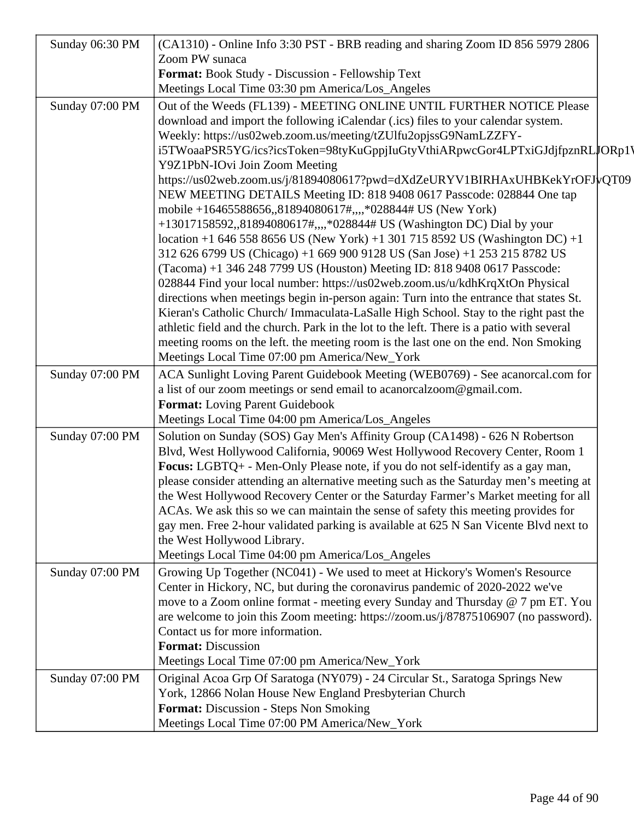| Sunday 06:30 PM | (CA1310) - Online Info 3:30 PST - BRB reading and sharing Zoom ID 856 5979 2806                                                                                                                                                                                                                                                                                                                                                                                                                                                                                                                                                                                                                                                                                                                                                                                                                                                                                                                                                                                       |
|-----------------|-----------------------------------------------------------------------------------------------------------------------------------------------------------------------------------------------------------------------------------------------------------------------------------------------------------------------------------------------------------------------------------------------------------------------------------------------------------------------------------------------------------------------------------------------------------------------------------------------------------------------------------------------------------------------------------------------------------------------------------------------------------------------------------------------------------------------------------------------------------------------------------------------------------------------------------------------------------------------------------------------------------------------------------------------------------------------|
|                 | Zoom PW sunaca                                                                                                                                                                                                                                                                                                                                                                                                                                                                                                                                                                                                                                                                                                                                                                                                                                                                                                                                                                                                                                                        |
|                 | Format: Book Study - Discussion - Fellowship Text                                                                                                                                                                                                                                                                                                                                                                                                                                                                                                                                                                                                                                                                                                                                                                                                                                                                                                                                                                                                                     |
|                 | Meetings Local Time 03:30 pm America/Los_Angeles                                                                                                                                                                                                                                                                                                                                                                                                                                                                                                                                                                                                                                                                                                                                                                                                                                                                                                                                                                                                                      |
| Sunday 07:00 PM | Out of the Weeds (FL139) - MEETING ONLINE UNTIL FURTHER NOTICE Please<br>download and import the following iCalendar (.ics) files to your calendar system.<br>Weekly: https://us02web.zoom.us/meeting/tZUlfu2opjssG9NamLZZFY-<br>i5TWoaaPSR5YG/ics?icsToken=98tyKuGppjIuGtyVthiARpwcGor4LPTxiGJdjfpznRLJORp1)<br>Y9Z1PbN-IOvi Join Zoom Meeting<br>https://us02web.zoom.us/j/81894080617?pwd=dXdZeURYV1BIRHAxUHBKekYrOFJvQT09<br>NEW MEETING DETAILS Meeting ID: 818 9408 0617 Passcode: 028844 One tap<br>mobile +16465588656,,81894080617#,,,,*028844# US (New York)<br>+13017158592,,81894080617#,,,,*028844# US (Washington DC) Dial by your<br>location +1 646 558 8656 US (New York) +1 301 715 8592 US (Washington DC) +1<br>312 626 6799 US (Chicago) +1 669 900 9128 US (San Jose) +1 253 215 8782 US<br>(Tacoma) +1 346 248 7799 US (Houston) Meeting ID: 818 9408 0617 Passcode:<br>028844 Find your local number: https://us02web.zoom.us/u/kdhKrqXtOn Physical<br>directions when meetings begin in-person again: Turn into the entrance that states St. |
|                 | Kieran's Catholic Church/Immaculata-LaSalle High School. Stay to the right past the<br>athletic field and the church. Park in the lot to the left. There is a patio with several<br>meeting rooms on the left. the meeting room is the last one on the end. Non Smoking<br>Meetings Local Time 07:00 pm America/New_York                                                                                                                                                                                                                                                                                                                                                                                                                                                                                                                                                                                                                                                                                                                                              |
| Sunday 07:00 PM | ACA Sunlight Loving Parent Guidebook Meeting (WEB0769) - See acanorcal.com for<br>a list of our zoom meetings or send email to acanorcalzoom@gmail.com.<br>Format: Loving Parent Guidebook<br>Meetings Local Time 04:00 pm America/Los_Angeles                                                                                                                                                                                                                                                                                                                                                                                                                                                                                                                                                                                                                                                                                                                                                                                                                        |
| Sunday 07:00 PM | Solution on Sunday (SOS) Gay Men's Affinity Group (CA1498) - 626 N Robertson<br>Blvd, West Hollywood California, 90069 West Hollywood Recovery Center, Room 1<br>Focus: LGBTQ+ - Men-Only Please note, if you do not self-identify as a gay man,<br>please consider attending an alternative meeting such as the Saturday men's meeting at<br>the West Hollywood Recovery Center or the Saturday Farmer's Market meeting for all<br>ACAs. We ask this so we can maintain the sense of safety this meeting provides for<br>gay men. Free 2-hour validated parking is available at 625 N San Vicente Blvd next to<br>the West Hollywood Library.<br>Meetings Local Time 04:00 pm America/Los_Angeles                                                                                                                                                                                                                                                                                                                                                                    |
| Sunday 07:00 PM | Growing Up Together (NC041) - We used to meet at Hickory's Women's Resource<br>Center in Hickory, NC, but during the coronavirus pandemic of 2020-2022 we've<br>move to a Zoom online format - meeting every Sunday and Thursday @ 7 pm ET. You<br>are welcome to join this Zoom meeting: https://zoom.us/j/87875106907 (no password).<br>Contact us for more information.<br><b>Format:</b> Discussion<br>Meetings Local Time 07:00 pm America/New_York                                                                                                                                                                                                                                                                                                                                                                                                                                                                                                                                                                                                              |
| Sunday 07:00 PM | Original Acoa Grp Of Saratoga (NY079) - 24 Circular St., Saratoga Springs New<br>York, 12866 Nolan House New England Presbyterian Church<br>Format: Discussion - Steps Non Smoking<br>Meetings Local Time 07:00 PM America/New_York                                                                                                                                                                                                                                                                                                                                                                                                                                                                                                                                                                                                                                                                                                                                                                                                                                   |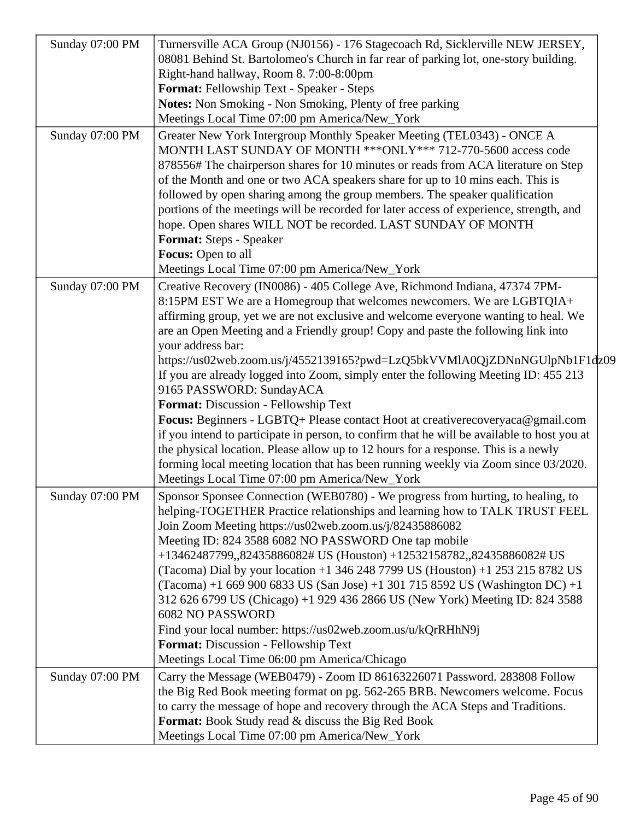| Sunday 07:00 PM | Turnersville ACA Group (NJ0156) - 176 Stagecoach Rd, Sicklerville NEW JERSEY,                                                                                                                                                                                                                                                                                                                                                                                                                                                                                                                                |
|-----------------|--------------------------------------------------------------------------------------------------------------------------------------------------------------------------------------------------------------------------------------------------------------------------------------------------------------------------------------------------------------------------------------------------------------------------------------------------------------------------------------------------------------------------------------------------------------------------------------------------------------|
|                 | 08081 Behind St. Bartolomeo's Church in far rear of parking lot, one-story building.                                                                                                                                                                                                                                                                                                                                                                                                                                                                                                                         |
|                 | Right-hand hallway, Room 8. 7:00-8:00pm                                                                                                                                                                                                                                                                                                                                                                                                                                                                                                                                                                      |
|                 | Format: Fellowship Text - Speaker - Steps                                                                                                                                                                                                                                                                                                                                                                                                                                                                                                                                                                    |
|                 | <b>Notes:</b> Non Smoking - Non Smoking, Plenty of free parking                                                                                                                                                                                                                                                                                                                                                                                                                                                                                                                                              |
|                 | Meetings Local Time 07:00 pm America/New_York                                                                                                                                                                                                                                                                                                                                                                                                                                                                                                                                                                |
| Sunday 07:00 PM | Greater New York Intergroup Monthly Speaker Meeting (TEL0343) - ONCE A<br>MONTH LAST SUNDAY OF MONTH *** ONLY*** 712-770-5600 access code<br>878556# The chairperson shares for 10 minutes or reads from ACA literature on Step<br>of the Month and one or two ACA speakers share for up to 10 mins each. This is<br>followed by open sharing among the group members. The speaker qualification<br>portions of the meetings will be recorded for later access of experience, strength, and<br>hope. Open shares WILL NOT be recorded. LAST SUNDAY OF MONTH<br>Format: Steps - Speaker<br>Focus: Open to all |
|                 | Meetings Local Time 07:00 pm America/New_York                                                                                                                                                                                                                                                                                                                                                                                                                                                                                                                                                                |
| Sunday 07:00 PM | Creative Recovery (IN0086) - 405 College Ave, Richmond Indiana, 47374 7PM-<br>8:15PM EST We are a Homegroup that welcomes newcomers. We are LGBTQIA+<br>affirming group, yet we are not exclusive and welcome everyone wanting to heal. We<br>are an Open Meeting and a Friendly group! Copy and paste the following link into<br>your address bar:<br>https://us02web.zoom.us/j/4552139165?pwd=LzQ5bkVVMIA0QjZDNnNGUlpNb1F1dz09                                                                                                                                                                             |
|                 | If you are already logged into Zoom, simply enter the following Meeting ID: 455 213<br>9165 PASSWORD: SundayACA                                                                                                                                                                                                                                                                                                                                                                                                                                                                                              |
|                 | Format: Discussion - Fellowship Text                                                                                                                                                                                                                                                                                                                                                                                                                                                                                                                                                                         |
|                 | Focus: Beginners - LGBTQ+ Please contact Hoot at creativerecoveryaca@gmail.com<br>if you intend to participate in person, to confirm that he will be available to host you at<br>the physical location. Please allow up to 12 hours for a response. This is a newly<br>forming local meeting location that has been running weekly via Zoom since 03/2020.<br>Meetings Local Time 07:00 pm America/New_York                                                                                                                                                                                                  |
| Sunday 07:00 PM | Sponsor Sponsee Connection (WEB0780) - We progress from hurting, to healing, to<br>helping-TOGETHER Practice relationships and learning how to TALK TRUST FEEL<br>Join Zoom Meeting https://us02web.zoom.us/j/82435886082                                                                                                                                                                                                                                                                                                                                                                                    |
|                 | Meeting ID: 824 3588 6082 NO PASSWORD One tap mobile<br>+13462487799,,82435886082# US (Houston) +12532158782,,82435886082# US<br>(Tacoma) Dial by your location +1 346 248 7799 US (Houston) +1 253 215 8782 US<br>$(Tacoma) + 16699006833 US (San Jose) + 13017158592 US (Washington DC) + 1$<br>312 626 6799 US (Chicago) +1 929 436 2866 US (New York) Meeting ID: 824 3588<br><b>6082 NO PASSWORD</b>                                                                                                                                                                                                    |
|                 | Find your local number: https://us02web.zoom.us/u/kQrRHhN9j                                                                                                                                                                                                                                                                                                                                                                                                                                                                                                                                                  |
|                 | Format: Discussion - Fellowship Text                                                                                                                                                                                                                                                                                                                                                                                                                                                                                                                                                                         |
|                 | Meetings Local Time 06:00 pm America/Chicago                                                                                                                                                                                                                                                                                                                                                                                                                                                                                                                                                                 |
| Sunday 07:00 PM | Carry the Message (WEB0479) - Zoom ID 86163226071 Password. 283808 Follow<br>the Big Red Book meeting format on pg. 562-265 BRB. Newcomers welcome. Focus<br>to carry the message of hope and recovery through the ACA Steps and Traditions.<br>Format: Book Study read & discuss the Big Red Book<br>Meetings Local Time 07:00 pm America/New_York                                                                                                                                                                                                                                                          |
|                 |                                                                                                                                                                                                                                                                                                                                                                                                                                                                                                                                                                                                              |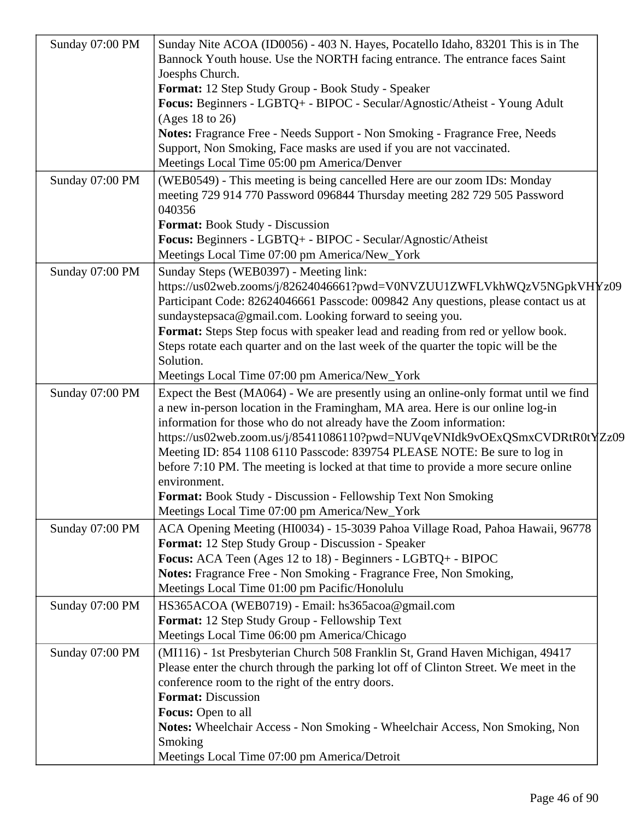| Sunday 07:00 PM | Sunday Nite ACOA (ID0056) - 403 N. Hayes, Pocatello Idaho, 83201 This is in The                                     |  |
|-----------------|---------------------------------------------------------------------------------------------------------------------|--|
|                 | Bannock Youth house. Use the NORTH facing entrance. The entrance faces Saint                                        |  |
|                 | Joesphs Church.                                                                                                     |  |
|                 | Format: 12 Step Study Group - Book Study - Speaker                                                                  |  |
|                 | Focus: Beginners - LGBTQ+ - BIPOC - Secular/Agnostic/Atheist - Young Adult<br>(Ages 18 to 26)                       |  |
|                 | Notes: Fragrance Free - Needs Support - Non Smoking - Fragrance Free, Needs                                         |  |
|                 | Support, Non Smoking, Face masks are used if you are not vaccinated.                                                |  |
|                 | Meetings Local Time 05:00 pm America/Denver                                                                         |  |
| Sunday 07:00 PM | (WEB0549) - This meeting is being cancelled Here are our zoom IDs: Monday                                           |  |
|                 | meeting 729 914 770 Password 096844 Thursday meeting 282 729 505 Password<br>040356                                 |  |
|                 | Format: Book Study - Discussion                                                                                     |  |
|                 | Focus: Beginners - LGBTQ+ - BIPOC - Secular/Agnostic/Atheist                                                        |  |
|                 | Meetings Local Time 07:00 pm America/New_York                                                                       |  |
| Sunday 07:00 PM | Sunday Steps (WEB0397) - Meeting link:                                                                              |  |
|                 | https://us02web.zooms/j/82624046661?pwd=V0NVZUU1ZWFLVkhWQzV5NGpkVHYz09                                              |  |
|                 | Participant Code: 82624046661 Passcode: 009842 Any questions, please contact us at                                  |  |
|                 | sundaystepsaca@gmail.com. Looking forward to seeing you.                                                            |  |
|                 | Format: Steps Step focus with speaker lead and reading from red or yellow book.                                     |  |
|                 | Steps rotate each quarter and on the last week of the quarter the topic will be the                                 |  |
|                 | Solution.                                                                                                           |  |
|                 | Meetings Local Time 07:00 pm America/New_York                                                                       |  |
| Sunday 07:00 PM | Expect the Best (MA064) - We are presently using an online-only format until we find                                |  |
|                 | a new in-person location in the Framingham, MA area. Here is our online log-in                                      |  |
|                 | information for those who do not already have the Zoom information:                                                 |  |
|                 | https://us02web.zoom.us/j/85411086110?pwd=NUVqeVNIdk9vOExQSmxCVDRtR0tYzz09                                          |  |
|                 | Meeting ID: 854 1108 6110 Passcode: 839754 PLEASE NOTE: Be sure to log in                                           |  |
|                 | before 7:10 PM. The meeting is locked at that time to provide a more secure online                                  |  |
|                 | environment.                                                                                                        |  |
|                 | Format: Book Study - Discussion - Fellowship Text Non Smoking                                                       |  |
|                 | Meetings Local Time 07:00 pm America/New_York                                                                       |  |
| Sunday 07:00 PM | ACA Opening Meeting (HI0034) - 15-3039 Pahoa Village Road, Pahoa Hawaii, 96778                                      |  |
|                 | Format: 12 Step Study Group - Discussion - Speaker                                                                  |  |
|                 | Focus: ACA Teen (Ages 12 to 18) - Beginners - LGBTQ+ - BIPOC                                                        |  |
|                 | Notes: Fragrance Free - Non Smoking - Fragrance Free, Non Smoking,<br>Meetings Local Time 01:00 pm Pacific/Honolulu |  |
| Sunday 07:00 PM | HS365ACOA (WEB0719) - Email: hs365acoa@gmail.com                                                                    |  |
|                 | Format: 12 Step Study Group - Fellowship Text                                                                       |  |
|                 | Meetings Local Time 06:00 pm America/Chicago                                                                        |  |
|                 |                                                                                                                     |  |
| Sunday 07:00 PM | (MI116) - 1st Presbyterian Church 508 Franklin St, Grand Haven Michigan, 49417                                      |  |
|                 | Please enter the church through the parking lot off of Clinton Street. We meet in the                               |  |
|                 | conference room to the right of the entry doors.<br><b>Format:</b> Discussion                                       |  |
|                 | Focus: Open to all                                                                                                  |  |
|                 | Notes: Wheelchair Access - Non Smoking - Wheelchair Access, Non Smoking, Non                                        |  |
|                 | Smoking                                                                                                             |  |
|                 | Meetings Local Time 07:00 pm America/Detroit                                                                        |  |
|                 |                                                                                                                     |  |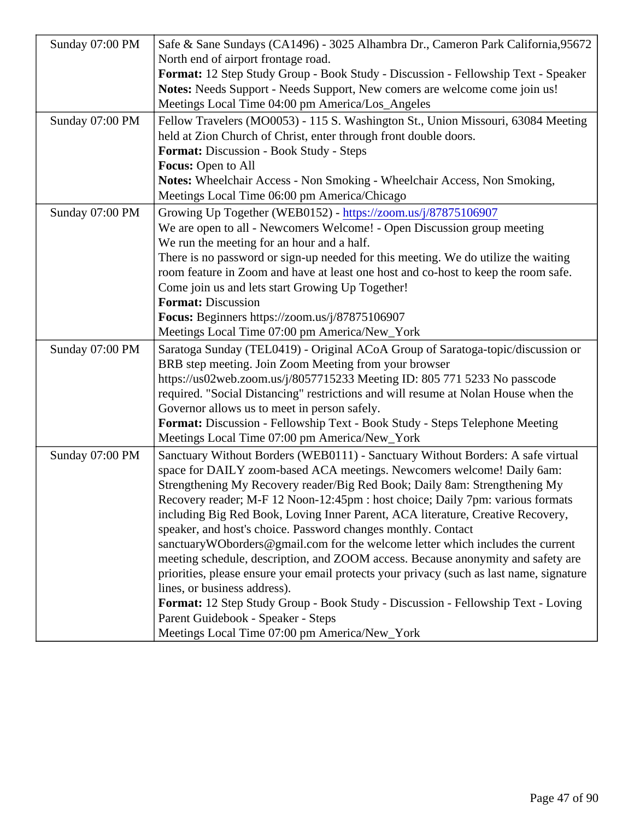|                 | Sunday 07:00 PM   Safe & Sane Sundays (CA1496) - 3025 Alhambra Dr., Cameron Park Cal966772,                                                          |  |
|-----------------|------------------------------------------------------------------------------------------------------------------------------------------------------|--|
|                 | North end of airport frontage road.                                                                                                                  |  |
|                 | Format: 12 Step Study Group - Book Study - Discussion - Fellowship Text - Speaker                                                                    |  |
|                 | Notes: Needs Support - Needs Support, New comers are welcome come join us!                                                                           |  |
|                 | Meetings Local Time 04:00 pm America/Los_Angeles                                                                                                     |  |
|                 | Sunday 07:00 PM   Fellow Travelers (MO0053) - 115 S. Washington St., Union Missouri, 63084 Meeting                                                   |  |
|                 | held at Zion Church of Christ, enter through front double doors.                                                                                     |  |
|                 | Format: Discussion - Book Study - Steps                                                                                                              |  |
|                 | Focus: Open to All                                                                                                                                   |  |
|                 | Notes: Wheelchair Access - Non Smoking - Wheelchair Access, Non Smoking,                                                                             |  |
|                 | Meetings Local Time 06:00 pm America/Chicago                                                                                                         |  |
| Sunday 07:00 PM | Growing Up Together (WEB0152)https://zoom.us/j/87875106907                                                                                           |  |
|                 | We are open to all - Newcomers Welcome! - Open Discussion group meeting                                                                              |  |
|                 | We run the meeting for an hour and a half.                                                                                                           |  |
|                 | There is no password or sign-up needed for this meeting. We do utilize the waiting                                                                   |  |
|                 | room feature in Zoom and have at least one host and co-host to keep the room \$afe.                                                                  |  |
|                 | Come join us and lets start Growing Up Together!                                                                                                     |  |
|                 | Format: Discussion                                                                                                                                   |  |
|                 | Focus: Beginners https://zoom.us/j/87875106907                                                                                                       |  |
|                 | Meetings Local Time 07:00 pm America/New_York                                                                                                        |  |
| Sunday 07:00 PM | Saratoga Sunday (TEL0419) - Original ACoA Group of Saratoga-topic/discussion or                                                                      |  |
|                 | BRB step meeting. Join Zoom Meeting from your browser                                                                                                |  |
|                 | https://us02web.zoom.us/j/8057715233 Meeting ID: 805 771 5233 No passcode                                                                            |  |
|                 | required. "Social Distancing" restrictions and will resume at Nolan House when the                                                                   |  |
|                 | Governor allows us to meet in person safely.                                                                                                         |  |
|                 | Format: Discussion - Fellowship Text - Book Study - Steps Telephone Meeting                                                                          |  |
|                 | Meetings Local Time 07:00 pm America/New_York                                                                                                        |  |
|                 | Sunday 07:00 PM   Sanctuary Without Borders (WEB0111) - Sanctuary Without Borders: A safe virtual                                                    |  |
|                 | space for DAILY zoom-based ACA meetings. Newcomers welcome! Daily 6am:<br>Strengthening My Recovery reader/Big Red Book; Daily 8am: Strengthening My |  |
|                 | Recovery reader; M-F 12 Noon-12:45pm : host choice; Daily 7pm: various formats                                                                       |  |
|                 | including Big Red Book, Loving Inner Parent, ACA literature, Creative Recovery.                                                                      |  |
|                 | speaker, and host's choice. Password changes monthly. Contact                                                                                        |  |
|                 | sanctuaryWOborders@gmail.com for the welcome letter which includes the current                                                                       |  |
|                 | meeting schedule, description, and ZOOM access. Because anonymity and safety are                                                                     |  |
|                 | priorities, please ensure your email protects your privacy (such as last name, signature                                                             |  |
|                 | lines, or business address).                                                                                                                         |  |
|                 | Format: 12 Step Study Group - Book Study - Discussion - Fellowship Text - Loving                                                                     |  |
|                 | Parent Guidebook - Speaker - Steps                                                                                                                   |  |
|                 | Meetings Local Time 07:00 pm America/New_York                                                                                                        |  |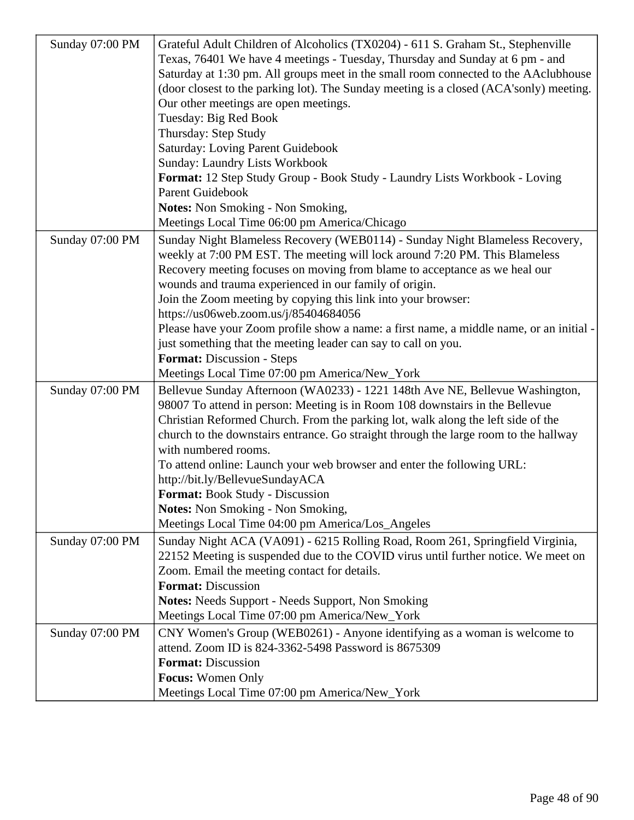| Sunday 07:00 PM | Grateful Adult Children of Alcoholics (TX0204) - 611 S. Graham St., Stephenville                                                                            |
|-----------------|-------------------------------------------------------------------------------------------------------------------------------------------------------------|
|                 | Texas, 76401 We have 4 meetings - Tuesday, Thursday and Sunday at 6 pm - and                                                                                |
|                 | Saturday at 1:30 pm. All groups meet in the small room connected to the AAclubhouse                                                                         |
|                 | (door closest to the parking lot). The Sunday meeting is a closed (ACA'sonly) meeting.                                                                      |
|                 | Our other meetings are open meetings.                                                                                                                       |
|                 | Tuesday: Big Red Book                                                                                                                                       |
|                 | Thursday: Step Study                                                                                                                                        |
|                 | <b>Saturday: Loving Parent Guidebook</b>                                                                                                                    |
|                 | <b>Sunday: Laundry Lists Workbook</b>                                                                                                                       |
|                 | Format: 12 Step Study Group - Book Study - Laundry Lists Workbook - Loving                                                                                  |
|                 | <b>Parent Guidebook</b>                                                                                                                                     |
|                 | <b>Notes:</b> Non Smoking - Non Smoking,                                                                                                                    |
|                 | Meetings Local Time 06:00 pm America/Chicago                                                                                                                |
|                 |                                                                                                                                                             |
| Sunday 07:00 PM | Sunday Night Blameless Recovery (WEB0114) - Sunday Night Blameless Recovery,<br>weekly at 7:00 PM EST. The meeting will lock around 7:20 PM. This Blameless |
|                 |                                                                                                                                                             |
|                 | Recovery meeting focuses on moving from blame to acceptance as we heal our<br>wounds and trauma experienced in our family of origin.                        |
|                 | Join the Zoom meeting by copying this link into your browser:                                                                                               |
|                 |                                                                                                                                                             |
|                 | https://us06web.zoom.us/j/85404684056                                                                                                                       |
|                 | Please have your Zoom profile show a name: a first name, a middle name, or an initial -<br>just something that the meeting leader can say to call on you.   |
|                 |                                                                                                                                                             |
|                 | Format: Discussion - Steps                                                                                                                                  |
|                 | Meetings Local Time 07:00 pm America/New_York                                                                                                               |
| Sunday 07:00 PM | Bellevue Sunday Afternoon (WA0233) - 1221 148th Ave NE, Bellevue Washington,                                                                                |
|                 | 98007 To attend in person: Meeting is in Room 108 downstairs in the Bellevue                                                                                |
|                 | Christian Reformed Church. From the parking lot, walk along the left side of the                                                                            |
|                 | church to the downstairs entrance. Go straight through the large room to the hallway                                                                        |
|                 | with numbered rooms.                                                                                                                                        |
|                 | To attend online: Launch your web browser and enter the following URL:                                                                                      |
|                 | http://bit.ly/BellevueSundayACA                                                                                                                             |
|                 | Format: Book Study - Discussion                                                                                                                             |
|                 | <b>Notes:</b> Non Smoking - Non Smoking,                                                                                                                    |
|                 | Meetings Local Time 04:00 pm America/Los_Angeles                                                                                                            |
| Sunday 07:00 PM | Sunday Night ACA (VA091) - 6215 Rolling Road, Room 261, Springfield Virginia,                                                                               |
|                 | 22152 Meeting is suspended due to the COVID virus until further notice. We meet on                                                                          |
|                 | Zoom. Email the meeting contact for details.                                                                                                                |
|                 | <b>Format: Discussion</b>                                                                                                                                   |
|                 | Notes: Needs Support - Needs Support, Non Smoking                                                                                                           |
|                 | Meetings Local Time 07:00 pm America/New_York                                                                                                               |
| Sunday 07:00 PM | CNY Women's Group (WEB0261) - Anyone identifying as a woman is welcome to                                                                                   |
|                 | attend. Zoom ID is 824-3362-5498 Password is 8675309                                                                                                        |
|                 | <b>Format: Discussion</b>                                                                                                                                   |
|                 | <b>Focus:</b> Women Only                                                                                                                                    |
|                 | Meetings Local Time 07:00 pm America/New_York                                                                                                               |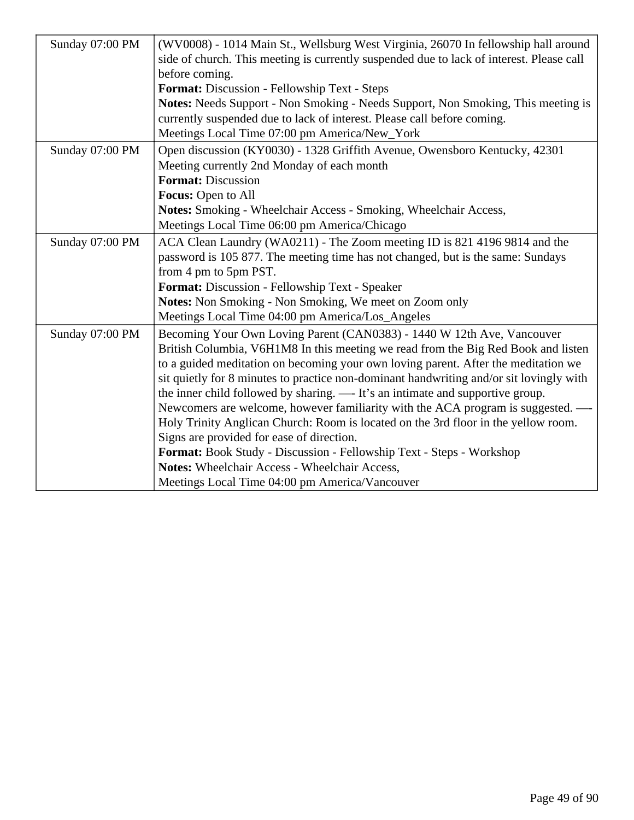| Sunday 07:00 PM | (WV0008) - 1014 Main St., Wellsburg West Virginia, 26070 In fellowship hall around       |
|-----------------|------------------------------------------------------------------------------------------|
|                 | side of church. This meeting is currently suspended due to lack of interest. Please call |
|                 | before coming.                                                                           |
|                 | Format: Discussion - Fellowship Text - Steps                                             |
|                 | Notes: Needs Support - Non Smoking - Needs Support, Non Smoking, This meeting is         |
|                 | currently suspended due to lack of interest. Please call before coming.                  |
|                 | Meetings Local Time 07:00 pm America/New_York                                            |
| Sunday 07:00 PM | Open discussion (KY0030) - 1328 Griffith Avenue, Owensboro Kentucky, 42301               |
|                 | Meeting currently 2nd Monday of each month                                               |
|                 | <b>Format: Discussion</b>                                                                |
|                 | Focus: Open to All                                                                       |
|                 | <b>Notes:</b> Smoking - Wheelchair Access - Smoking, Wheelchair Access,                  |
|                 | Meetings Local Time 06:00 pm America/Chicago                                             |
| Sunday 07:00 PM | ACA Clean Laundry (WA0211) - The Zoom meeting ID is 821 4196 9814 and the                |
|                 | password is 105 877. The meeting time has not changed, but is the same: Sundays          |
|                 | from 4 pm to 5pm PST.                                                                    |
|                 | Format: Discussion - Fellowship Text - Speaker                                           |
|                 | Notes: Non Smoking - Non Smoking, We meet on Zoom only                                   |
|                 | Meetings Local Time 04:00 pm America/Los_Angeles                                         |
| Sunday 07:00 PM | Becoming Your Own Loving Parent (CAN0383) - 1440 W 12th Ave, Vancouver                   |
|                 | British Columbia, V6H1M8 In this meeting we read from the Big Red Book and listen        |
|                 | to a guided meditation on becoming your own loving parent. After the meditation we       |
|                 | sit quietly for 8 minutes to practice non-dominant handwriting and/or sit lovingly with  |
|                 | the inner child followed by sharing. — It's an intimate and supportive group.            |
|                 | Newcomers are welcome, however familiarity with the ACA program is suggested. -          |
|                 | Holy Trinity Anglican Church: Room is located on the 3rd floor in the yellow room.       |
|                 | Signs are provided for ease of direction.                                                |
|                 | Format: Book Study - Discussion - Fellowship Text - Steps - Workshop                     |
|                 | Notes: Wheelchair Access - Wheelchair Access,                                            |
|                 | Meetings Local Time 04:00 pm America/Vancouver                                           |
|                 |                                                                                          |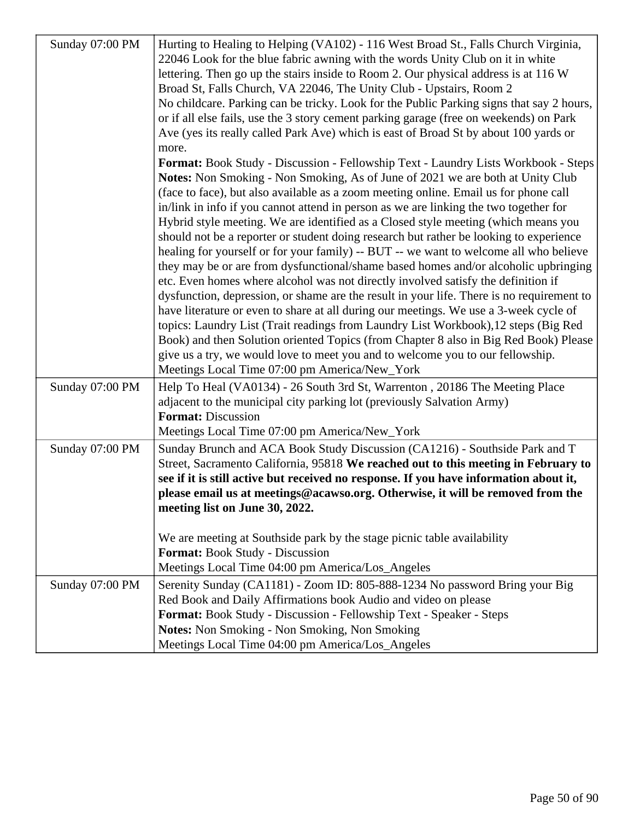| Sunday 07:00 PM | Hurting to Healing to Helping (VA102) - 116 West Broad St., Falls Church Virginia,<br>22046 Look for the blue fabric awning with the words Unity Club on it in white<br>lettering. Then go up the stairs inside to Room 2. Our physical address is at 116 W |
|-----------------|-------------------------------------------------------------------------------------------------------------------------------------------------------------------------------------------------------------------------------------------------------------|
|                 | Broad St, Falls Church, VA 22046, The Unity Club - Upstairs, Room 2                                                                                                                                                                                         |
|                 | No childcare. Parking can be tricky. Look for the Public Parking signs that say 2 hours,                                                                                                                                                                    |
|                 | or if all else fails, use the 3 story cement parking garage (free on weekends) on Park                                                                                                                                                                      |
|                 | Ave (yes its really called Park Ave) which is east of Broad St by about 100 yards or<br>more.                                                                                                                                                               |
|                 | Format: Book Study - Discussion - Fellowship Text - Laundry Lists Workbook - Steps                                                                                                                                                                          |
|                 | Notes: Non Smoking - Non Smoking, As of June of 2021 we are both at Unity Club                                                                                                                                                                              |
|                 | (face to face), but also available as a zoom meeting online. Email us for phone call                                                                                                                                                                        |
|                 | in/link in info if you cannot attend in person as we are linking the two together for                                                                                                                                                                       |
|                 | Hybrid style meeting. We are identified as a Closed style meeting (which means you                                                                                                                                                                          |
|                 | should not be a reporter or student doing research but rather be looking to experience                                                                                                                                                                      |
|                 | healing for yourself or for your family) -- BUT -- we want to welcome all who believe                                                                                                                                                                       |
|                 | they may be or are from dysfunctional/shame based homes and/or alcoholic upbringing                                                                                                                                                                         |
|                 | etc. Even homes where alcohol was not directly involved satisfy the definition if                                                                                                                                                                           |
|                 | dysfunction, depression, or shame are the result in your life. There is no requirement to<br>have literature or even to share at all during our meetings. We use a 3-week cycle of                                                                          |
|                 | topics: Laundry List (Trait readings from Laundry List Workbook), 12 steps (Big Red                                                                                                                                                                         |
|                 | Book) and then Solution oriented Topics (from Chapter 8 also in Big Red Book) Please                                                                                                                                                                        |
|                 | give us a try, we would love to meet you and to welcome you to our fellowship.                                                                                                                                                                              |
|                 | Meetings Local Time 07:00 pm America/New_York                                                                                                                                                                                                               |
| Sunday 07:00 PM | Help To Heal (VA0134) - 26 South 3rd St, Warrenton, 20186 The Meeting Place                                                                                                                                                                                 |
|                 | adjacent to the municipal city parking lot (previously Salvation Army)                                                                                                                                                                                      |
|                 | <b>Format: Discussion</b>                                                                                                                                                                                                                                   |
|                 | Meetings Local Time 07:00 pm America/New_York                                                                                                                                                                                                               |
| Sunday 07:00 PM | Sunday Brunch and ACA Book Study Discussion (CA1216) - Southside Park and T                                                                                                                                                                                 |
|                 | Street, Sacramento California, 95818 We reached out to this meeting in February to                                                                                                                                                                          |
|                 | see if it is still active but received no response. If you have information about it,                                                                                                                                                                       |
|                 | please email us at meetings@acawso.org. Otherwise, it will be removed from the                                                                                                                                                                              |
|                 | meeting list on June 30, 2022.                                                                                                                                                                                                                              |
|                 | We are meeting at Southside park by the stage picnic table availability                                                                                                                                                                                     |
|                 | Format: Book Study - Discussion                                                                                                                                                                                                                             |
|                 | Meetings Local Time 04:00 pm America/Los_Angeles                                                                                                                                                                                                            |
| Sunday 07:00 PM | Serenity Sunday (CA1181) - Zoom ID: 805-888-1234 No password Bring your Big                                                                                                                                                                                 |
|                 | Red Book and Daily Affirmations book Audio and video on please                                                                                                                                                                                              |
|                 | Format: Book Study - Discussion - Fellowship Text - Speaker - Steps                                                                                                                                                                                         |
|                 | Notes: Non Smoking - Non Smoking, Non Smoking                                                                                                                                                                                                               |
|                 | Meetings Local Time 04:00 pm America/Los_Angeles                                                                                                                                                                                                            |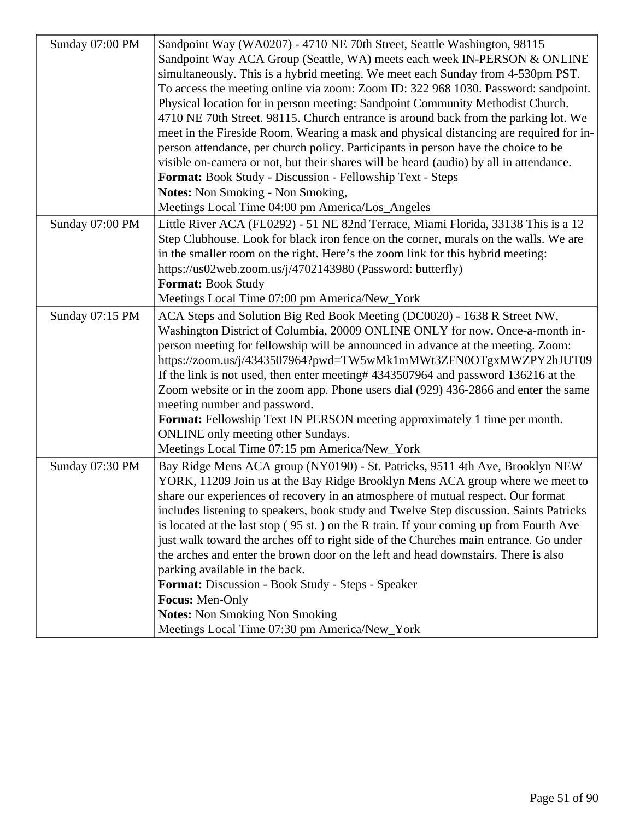| Sunday 07:00 PM | Sandpoint Way (WA0207) - 4710 NE 70th Street, Seattle Washington, 98115                                                                                                   |
|-----------------|---------------------------------------------------------------------------------------------------------------------------------------------------------------------------|
|                 | Sandpoint Way ACA Group (Seattle, WA) meets each week IN-PERSON & ONLINE                                                                                                  |
|                 | simultaneously. This is a hybrid meeting. We meet each Sunday from 4-530pm PST.                                                                                           |
|                 | To access the meeting online via zoom: Zoom ID: 322 968 1030. Password: sandpoint.                                                                                        |
|                 | Physical location for in person meeting: Sandpoint Community Methodist Church.                                                                                            |
|                 | 4710 NE 70th Street. 98115. Church entrance is around back from the parking lot. We                                                                                       |
|                 | meet in the Fireside Room. Wearing a mask and physical distancing are required for in-                                                                                    |
|                 | person attendance, per church policy. Participants in person have the choice to be                                                                                        |
|                 | visible on-camera or not, but their shares will be heard (audio) by all in attendance.                                                                                    |
|                 | Format: Book Study - Discussion - Fellowship Text - Steps                                                                                                                 |
|                 | <b>Notes:</b> Non Smoking - Non Smoking,                                                                                                                                  |
|                 | Meetings Local Time 04:00 pm America/Los_Angeles                                                                                                                          |
|                 |                                                                                                                                                                           |
| Sunday 07:00 PM | Little River ACA (FL0292) - 51 NE 82nd Terrace, Miami Florida, 33138 This is a 12<br>Step Clubhouse. Look for black iron fence on the corner, murals on the walls. We are |
|                 |                                                                                                                                                                           |
|                 | in the smaller room on the right. Here's the zoom link for this hybrid meeting:                                                                                           |
|                 | https://us02web.zoom.us/j/4702143980 (Password: butterfly)                                                                                                                |
|                 | <b>Format: Book Study</b>                                                                                                                                                 |
|                 | Meetings Local Time 07:00 pm America/New_York                                                                                                                             |
| Sunday 07:15 PM | ACA Steps and Solution Big Red Book Meeting (DC0020) - 1638 R Street NW,                                                                                                  |
|                 | Washington District of Columbia, 20009 ONLINE ONLY for now. Once-a-month in-                                                                                              |
|                 | person meeting for fellowship will be announced in advance at the meeting. Zoom:                                                                                          |
|                 | https://zoom.us/j/4343507964?pwd=TW5wMk1mMWt3ZFN0OTgxMWZPY2hJUT09                                                                                                         |
|                 | If the link is not used, then enter meeting# 4343507964 and password 136216 at the                                                                                        |
|                 | Zoom website or in the zoom app. Phone users dial (929) 436-2866 and enter the same                                                                                       |
|                 | meeting number and password.                                                                                                                                              |
|                 | <b>Format:</b> Fellowship Text IN PERSON meeting approximately 1 time per month.                                                                                          |
|                 | ONLINE only meeting other Sundays.                                                                                                                                        |
|                 | Meetings Local Time 07:15 pm America/New_York                                                                                                                             |
| Sunday 07:30 PM | Bay Ridge Mens ACA group (NY0190) - St. Patricks, 9511 4th Ave, Brooklyn NEW                                                                                              |
|                 | YORK, 11209 Join us at the Bay Ridge Brooklyn Mens ACA group where we meet to                                                                                             |
|                 | share our experiences of recovery in an atmosphere of mutual respect. Our format                                                                                          |
|                 | includes listening to speakers, book study and Twelve Step discussion. Saints Patricks                                                                                    |
|                 | is located at the last stop (95 st.) on the R train. If your coming up from Fourth Ave                                                                                    |
|                 | just walk toward the arches off to right side of the Churches main entrance. Go under                                                                                     |
|                 | the arches and enter the brown door on the left and head downstairs. There is also                                                                                        |
|                 | parking available in the back.                                                                                                                                            |
|                 | Format: Discussion - Book Study - Steps - Speaker                                                                                                                         |
|                 | Focus: Men-Only                                                                                                                                                           |
|                 | <b>Notes:</b> Non Smoking Non Smoking                                                                                                                                     |
|                 | Meetings Local Time 07:30 pm America/New_York                                                                                                                             |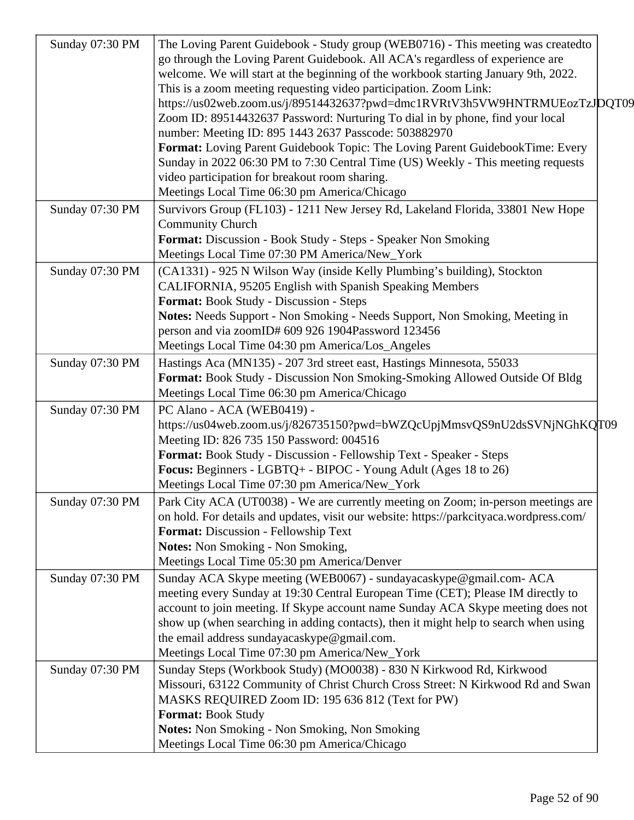| Sunday 07:30 PM | The Loving Parent Guidebook - Study group (WEB0716) - This meeting was createdto<br>go through the Loving Parent Guidebook. All ACA's regardless of experience are<br>welcome. We will start at the beginning of the workbook starting January 9th, 2022.<br>This is a zoom meeting requesting video participation. Zoom Link:<br>https://us02web.zoom.us/j/89514432637?pwd=dmc1RVRtV3h5VW9HNTRMUEozTzJDQT09<br>Zoom ID: 89514432637 Password: Nurturing To dial in by phone, find your local<br>number: Meeting ID: 895 1443 2637 Passcode: 503882970<br>Format: Loving Parent Guidebook Topic: The Loving Parent GuidebookTime: Every<br>Sunday in 2022 06:30 PM to 7:30 Central Time (US) Weekly - This meeting requests<br>video participation for breakout room sharing.<br>Meetings Local Time 06:30 pm America/Chicago |  |
|-----------------|-------------------------------------------------------------------------------------------------------------------------------------------------------------------------------------------------------------------------------------------------------------------------------------------------------------------------------------------------------------------------------------------------------------------------------------------------------------------------------------------------------------------------------------------------------------------------------------------------------------------------------------------------------------------------------------------------------------------------------------------------------------------------------------------------------------------------------|--|
| Sunday 07:30 PM | Survivors Group (FL103) - 1211 New Jersey Rd, Lakeland Florida, 33801 New Hope<br><b>Community Church</b><br>Format: Discussion - Book Study - Steps - Speaker Non Smoking<br>Meetings Local Time 07:30 PM America/New_York                                                                                                                                                                                                                                                                                                                                                                                                                                                                                                                                                                                                   |  |
| Sunday 07:30 PM | (CA1331) - 925 N Wilson Way (inside Kelly Plumbing's building), Stockton<br>CALIFORNIA, 95205 English with Spanish Speaking Members<br>Format: Book Study - Discussion - Steps<br>Notes: Needs Support - Non Smoking - Needs Support, Non Smoking, Meeting in<br>person and via zoomID# 609 926 1904Password 123456<br>Meetings Local Time 04:30 pm America/Los_Angeles                                                                                                                                                                                                                                                                                                                                                                                                                                                       |  |
| Sunday 07:30 PM | Hastings Aca (MN135) - 207 3rd street east, Hastings Minnesota, 55033<br>Format: Book Study - Discussion Non Smoking-Smoking Allowed Outside Of Bldg<br>Meetings Local Time 06:30 pm America/Chicago                                                                                                                                                                                                                                                                                                                                                                                                                                                                                                                                                                                                                          |  |
| Sunday 07:30 PM | PC Alano - ACA (WEB0419) -<br>https://us04web.zoom.us/j/826735150?pwd=bWZQcUpjMmsvQS9nU2dsSVNjNGhKQJT09<br>Meeting ID: 826 735 150 Password: 004516<br>Format: Book Study - Discussion - Fellowship Text - Speaker - Steps<br>Focus: Beginners - LGBTQ+ - BIPOC - Young Adult (Ages 18 to 26)<br>Meetings Local Time 07:30 pm America/New_York                                                                                                                                                                                                                                                                                                                                                                                                                                                                                |  |
| Sunday 07:30 PM | Park City ACA (UT0038) - We are currently meeting on Zoom; in-person meetings are<br>on hold. For details and updates, visit our website: https://parkcityaca.wordpress.com/<br>Format: Discussion - Fellowship Text<br><b>Notes:</b> Non Smoking - Non Smoking,<br>Meetings Local Time 05:30 pm America/Denver                                                                                                                                                                                                                                                                                                                                                                                                                                                                                                               |  |
| Sunday 07:30 PM | Sunday ACA Skype meeting (WEB0067) - sundayacaskype@gmail.com- ACA<br>meeting every Sunday at 19:30 Central European Time (CET); Please IM directly to<br>account to join meeting. If Skype account name Sunday ACA Skype meeting does not<br>show up (when searching in adding contacts), then it might help to search when using<br>the email address sundayacaskype@gmail.com.<br>Meetings Local Time 07:30 pm America/New_York                                                                                                                                                                                                                                                                                                                                                                                            |  |
| Sunday 07:30 PM | Sunday Steps (Workbook Study) (MO0038) - 830 N Kirkwood Rd, Kirkwood<br>Missouri, 63122 Community of Christ Church Cross Street: N Kirkwood Rd and Swan<br>MASKS REQUIRED Zoom ID: 195 636 812 (Text for PW)<br><b>Format: Book Study</b><br>Notes: Non Smoking - Non Smoking, Non Smoking<br>Meetings Local Time 06:30 pm America/Chicago                                                                                                                                                                                                                                                                                                                                                                                                                                                                                    |  |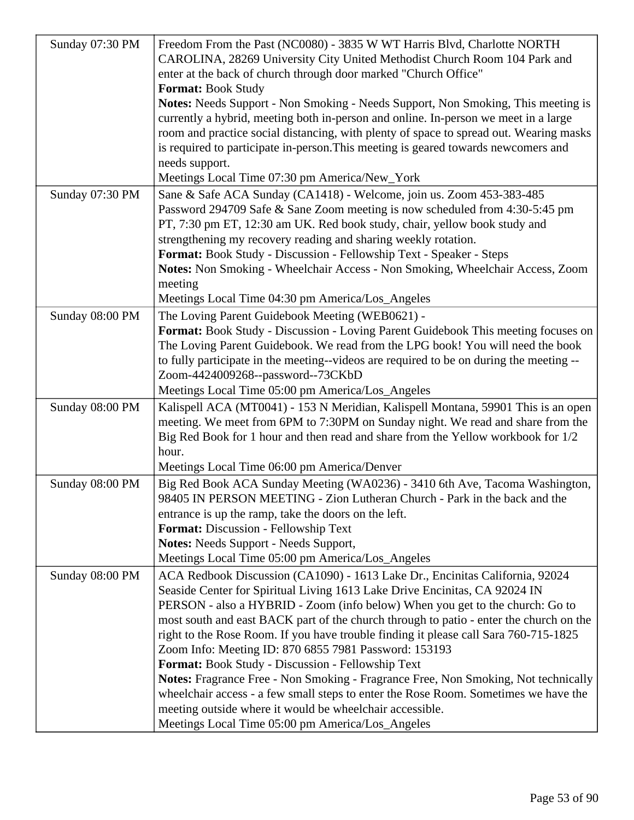| Sunday 07:30 PM | Freedom From the Past (NC0080) - 3835 W WT Harris Blvd, Charlotte NORTH                 |
|-----------------|-----------------------------------------------------------------------------------------|
|                 | CAROLINA, 28269 University City United Methodist Church Room 104 Park and               |
|                 | enter at the back of church through door marked "Church Office"                         |
|                 | <b>Format: Book Study</b>                                                               |
|                 | Notes: Needs Support - Non Smoking - Needs Support, Non Smoking, This meeting is        |
|                 | currently a hybrid, meeting both in-person and online. In-person we meet in a large     |
|                 | room and practice social distancing, with plenty of space to spread out. Wearing masks  |
|                 | is required to participate in-person. This meeting is geared towards newcomers and      |
|                 | needs support.                                                                          |
|                 | Meetings Local Time 07:30 pm America/New_York                                           |
| Sunday 07:30 PM | Sane & Safe ACA Sunday (CA1418) - Welcome, join us. Zoom 453-383-485                    |
|                 | Password 294709 Safe & Sane Zoom meeting is now scheduled from 4:30-5:45 pm             |
|                 | PT, 7:30 pm ET, 12:30 am UK. Red book study, chair, yellow book study and               |
|                 | strengthening my recovery reading and sharing weekly rotation.                          |
|                 | Format: Book Study - Discussion - Fellowship Text - Speaker - Steps                     |
|                 | Notes: Non Smoking - Wheelchair Access - Non Smoking, Wheelchair Access, Zoom           |
|                 | meeting                                                                                 |
|                 | Meetings Local Time 04:30 pm America/Los_Angeles                                        |
| Sunday 08:00 PM | The Loving Parent Guidebook Meeting (WEB0621) -                                         |
|                 | Format: Book Study - Discussion - Loving Parent Guidebook This meeting focuses on       |
|                 | The Loving Parent Guidebook. We read from the LPG book! You will need the book          |
|                 | to fully participate in the meeting--videos are required to be on during the meeting -- |
|                 | Zoom-4424009268--password--73CKbD                                                       |
|                 | Meetings Local Time 05:00 pm America/Los_Angeles                                        |
| Sunday 08:00 PM | Kalispell ACA (MT0041) - 153 N Meridian, Kalispell Montana, 59901 This is an open       |
|                 | meeting. We meet from 6PM to 7:30PM on Sunday night. We read and share from the         |
|                 | Big Red Book for 1 hour and then read and share from the Yellow workbook for 1/2        |
|                 | hour.                                                                                   |
|                 | Meetings Local Time 06:00 pm America/Denver                                             |
| Sunday 08:00 PM | Big Red Book ACA Sunday Meeting (WA0236) - 3410 6th Ave, Tacoma Washington,             |
|                 | 98405 IN PERSON MEETING - Zion Lutheran Church - Park in the back and the               |
|                 | entrance is up the ramp, take the doors on the left.                                    |
|                 | Format: Discussion - Fellowship Text                                                    |
|                 | <b>Notes:</b> Needs Support - Needs Support,                                            |
|                 | Meetings Local Time 05:00 pm America/Los_Angeles                                        |
| Sunday 08:00 PM | ACA Redbook Discussion (CA1090) - 1613 Lake Dr., Encinitas California, 92024            |
|                 | Seaside Center for Spiritual Living 1613 Lake Drive Encinitas, CA 92024 IN              |
|                 | PERSON - also a HYBRID - Zoom (info below) When you get to the church: Go to            |
|                 | most south and east BACK part of the church through to patio - enter the church on the  |
|                 | right to the Rose Room. If you have trouble finding it please call Sara 760-715-1825    |
|                 | Zoom Info: Meeting ID: 870 6855 7981 Password: 153193                                   |
|                 | Format: Book Study - Discussion - Fellowship Text                                       |
|                 | Notes: Fragrance Free - Non Smoking - Fragrance Free, Non Smoking, Not technically      |
|                 | wheelchair access - a few small steps to enter the Rose Room. Sometimes we have the     |
|                 | meeting outside where it would be wheelchair accessible.                                |
|                 | Meetings Local Time 05:00 pm America/Los_Angeles                                        |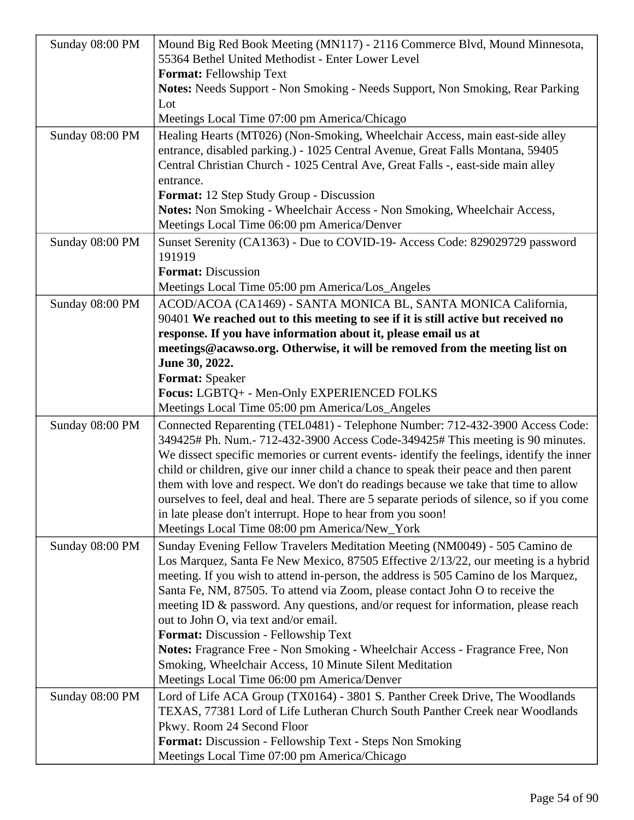| Sunday 08:00 PM | Mound Big Red Book Meeting (MN117) - 2116 Commerce Blvd, Mound Minnesota,<br>55364 Bethel United Methodist - Enter Lower Level                                    |
|-----------------|-------------------------------------------------------------------------------------------------------------------------------------------------------------------|
|                 | <b>Format: Fellowship Text</b>                                                                                                                                    |
|                 | Notes: Needs Support - Non Smoking - Needs Support, Non Smoking, Rear Parking                                                                                     |
|                 | Lot                                                                                                                                                               |
|                 | Meetings Local Time 07:00 pm America/Chicago                                                                                                                      |
| Sunday 08:00 PM | Healing Hearts (MT026) (Non-Smoking, Wheelchair Access, main east-side alley<br>entrance, disabled parking.) - 1025 Central Avenue, Great Falls Montana, 59405    |
|                 | Central Christian Church - 1025 Central Ave, Great Falls -, east-side main alley<br>entrance.                                                                     |
|                 | <b>Format:</b> 12 Step Study Group - Discussion                                                                                                                   |
|                 | Notes: Non Smoking - Wheelchair Access - Non Smoking, Wheelchair Access,                                                                                          |
|                 | Meetings Local Time 06:00 pm America/Denver                                                                                                                       |
| Sunday 08:00 PM | Sunset Serenity (CA1363) - Due to COVID-19- Access Code: 829029729 password<br>191919                                                                             |
|                 | <b>Format: Discussion</b>                                                                                                                                         |
|                 | Meetings Local Time 05:00 pm America/Los_Angeles                                                                                                                  |
| Sunday 08:00 PM | ACOD/ACOA (CA1469) - SANTA MONICA BL, SANTA MONICA California,                                                                                                    |
|                 | 90401 We reached out to this meeting to see if it is still active but received no                                                                                 |
|                 | response. If you have information about it, please email us at                                                                                                    |
|                 | meetings@acawso.org. Otherwise, it will be removed from the meeting list on                                                                                       |
|                 | June 30, 2022.                                                                                                                                                    |
|                 | <b>Format:</b> Speaker                                                                                                                                            |
|                 | Focus: LGBTQ+ - Men-Only EXPERIENCED FOLKS                                                                                                                        |
|                 | Meetings Local Time 05:00 pm America/Los_Angeles                                                                                                                  |
| Sunday 08:00 PM | Connected Reparenting (TEL0481) - Telephone Number: 712-432-3900 Access Code:                                                                                     |
|                 | 349425# Ph. Num.- 712-432-3900 Access Code-349425# This meeting is 90 minutes.                                                                                    |
|                 | We dissect specific memories or current events- identify the feelings, identify the inner                                                                         |
|                 | child or children, give our inner child a chance to speak their peace and then parent                                                                             |
|                 | them with love and respect. We don't do readings because we take that time to allow                                                                               |
|                 | ourselves to feel, deal and heal. There are 5 separate periods of silence, so if you come                                                                         |
|                 | in late please don't interrupt. Hope to hear from you soon!<br>Meetings Local Time 08:00 pm America/New_York                                                      |
|                 |                                                                                                                                                                   |
| Sunday 08:00 PM | Sunday Evening Fellow Travelers Meditation Meeting (NM0049) - 505 Camino de<br>Los Marquez, Santa Fe New Mexico, 87505 Effective 2/13/22, our meeting is a hybrid |
|                 | meeting. If you wish to attend in-person, the address is 505 Camino de los Marquez,                                                                               |
|                 | Santa Fe, NM, 87505. To attend via Zoom, please contact John O to receive the                                                                                     |
|                 | meeting ID $\&$ password. Any questions, and/or request for information, please reach                                                                             |
|                 | out to John O, via text and/or email.                                                                                                                             |
|                 | Format: Discussion - Fellowship Text                                                                                                                              |
|                 | Notes: Fragrance Free - Non Smoking - Wheelchair Access - Fragrance Free, Non                                                                                     |
|                 | Smoking, Wheelchair Access, 10 Minute Silent Meditation                                                                                                           |
|                 | Meetings Local Time 06:00 pm America/Denver                                                                                                                       |
| Sunday 08:00 PM | Lord of Life ACA Group (TX0164) - 3801 S. Panther Creek Drive, The Woodlands                                                                                      |
|                 | TEXAS, 77381 Lord of Life Lutheran Church South Panther Creek near Woodlands                                                                                      |
|                 | Pkwy. Room 24 Second Floor                                                                                                                                        |
|                 | Format: Discussion - Fellowship Text - Steps Non Smoking                                                                                                          |
|                 | Meetings Local Time 07:00 pm America/Chicago                                                                                                                      |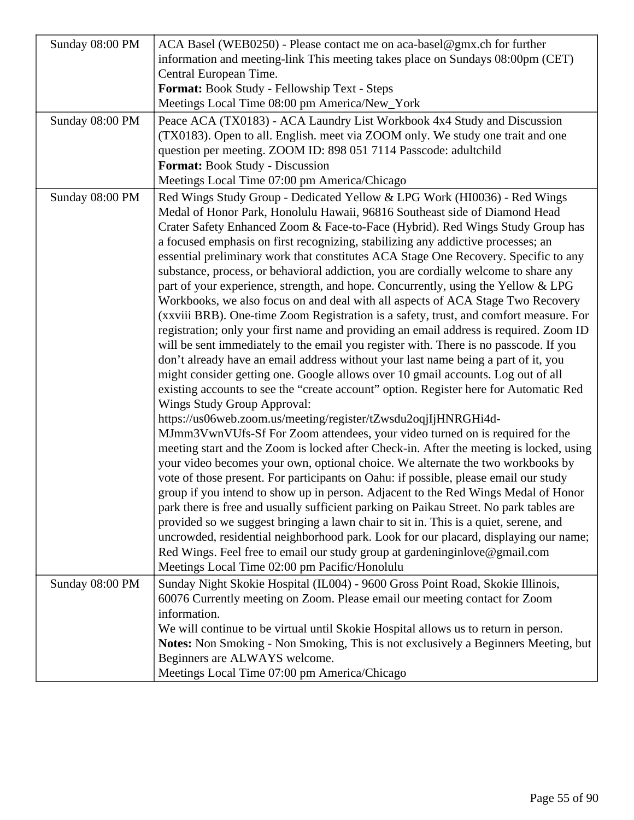| Sunday 08:00 PM | ACA Basel (WEB0250) - Please contact me on aca-basel@gmx.ch for further                 |
|-----------------|-----------------------------------------------------------------------------------------|
|                 | information and meeting-link This meeting takes place on Sundays 08:00pm (CET)          |
|                 | Central European Time.                                                                  |
|                 | Format: Book Study - Fellowship Text - Steps                                            |
|                 | Meetings Local Time 08:00 pm America/New_York                                           |
| Sunday 08:00 PM | Peace ACA (TX0183) - ACA Laundry List Workbook 4x4 Study and Discussion                 |
|                 | (TX0183). Open to all. English. meet via ZOOM only. We study one trait and one          |
|                 | question per meeting. ZOOM ID: 898 051 7114 Passcode: adultchild                        |
|                 | <b>Format:</b> Book Study - Discussion                                                  |
|                 | Meetings Local Time 07:00 pm America/Chicago                                            |
| Sunday 08:00 PM | Red Wings Study Group - Dedicated Yellow & LPG Work (HI0036) - Red Wings                |
|                 | Medal of Honor Park, Honolulu Hawaii, 96816 Southeast side of Diamond Head              |
|                 | Crater Safety Enhanced Zoom & Face-to-Face (Hybrid). Red Wings Study Group has          |
|                 | a focused emphasis on first recognizing, stabilizing any addictive processes; an        |
|                 | essential preliminary work that constitutes ACA Stage One Recovery. Specific to any     |
|                 | substance, process, or behavioral addiction, you are cordially welcome to share any     |
|                 | part of your experience, strength, and hope. Concurrently, using the Yellow & LPG       |
|                 | Workbooks, we also focus on and deal with all aspects of ACA Stage Two Recovery         |
|                 | (xxviii BRB). One-time Zoom Registration is a safety, trust, and comfort measure. For   |
|                 | registration; only your first name and providing an email address is required. Zoom ID  |
|                 | will be sent immediately to the email you register with. There is no passcode. If you   |
|                 | don't already have an email address without your last name being a part of it, you      |
|                 | might consider getting one. Google allows over 10 gmail accounts. Log out of all        |
|                 | existing accounts to see the "create account" option. Register here for Automatic Red   |
|                 | <b>Wings Study Group Approval:</b>                                                      |
|                 | https://us06web.zoom.us/meeting/register/tZwsdu2oqjIjHNRGHi4d-                          |
|                 | MJmm3VwnVUfs-Sf For Zoom attendees, your video turned on is required for the            |
|                 | meeting start and the Zoom is locked after Check-in. After the meeting is locked, using |
|                 | your video becomes your own, optional choice. We alternate the two workbooks by         |
|                 | vote of those present. For participants on Oahu: if possible, please email our study    |
|                 | group if you intend to show up in person. Adjacent to the Red Wings Medal of Honor      |
|                 | park there is free and usually sufficient parking on Paikau Street. No park tables are  |
|                 | provided so we suggest bringing a lawn chair to sit in. This is a quiet, serene, and    |
|                 | uncrowded, residential neighborhood park. Look for our placard, displaying our name;    |
|                 | Red Wings. Feel free to email our study group at gardeninginlove@gmail.com              |
|                 | Meetings Local Time 02:00 pm Pacific/Honolulu                                           |
| Sunday 08:00 PM | Sunday Night Skokie Hospital (IL004) - 9600 Gross Point Road, Skokie Illinois,          |
|                 | 60076 Currently meeting on Zoom. Please email our meeting contact for Zoom              |
|                 | information.                                                                            |
|                 | We will continue to be virtual until Skokie Hospital allows us to return in person.     |
|                 | Notes: Non Smoking - Non Smoking, This is not exclusively a Beginners Meeting, but      |
|                 | Beginners are ALWAYS welcome.                                                           |
|                 | Meetings Local Time 07:00 pm America/Chicago                                            |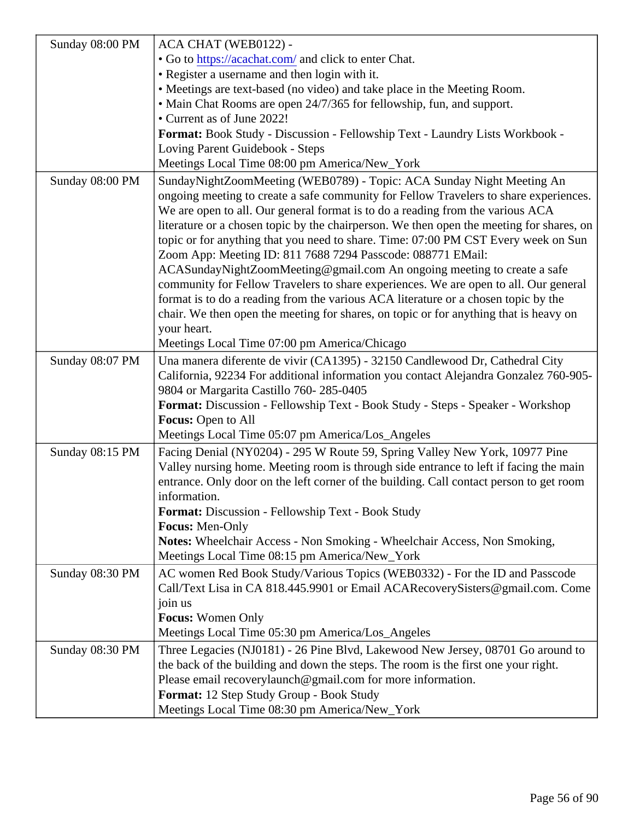|                 | Sunday 08:00 PM   ACA CHAT (WEB0122) -                                                                                                                                                                                                                                                                                                                                      |
|-----------------|-----------------------------------------------------------------------------------------------------------------------------------------------------------------------------------------------------------------------------------------------------------------------------------------------------------------------------------------------------------------------------|
|                 | . Go tohttps://acachat.comand click to enter Chat.                                                                                                                                                                                                                                                                                                                          |
|                 | • Register a username and then login with it.                                                                                                                                                                                                                                                                                                                               |
|                 | • Meetings are text-based (no video) and take place in the Meeting Room.                                                                                                                                                                                                                                                                                                    |
|                 | • Main Chat Rooms are open 24/7/365 for fellowship, fun, and support.                                                                                                                                                                                                                                                                                                       |
|                 | • Current as of June 2022!                                                                                                                                                                                                                                                                                                                                                  |
|                 | Format: Book Study - Discussion - Fellowship Text - Laundry Lists Workbook -                                                                                                                                                                                                                                                                                                |
|                 | Loving Parent Guidebook - Steps                                                                                                                                                                                                                                                                                                                                             |
|                 | Meetings Local Time 08:00 pm America/New_York                                                                                                                                                                                                                                                                                                                               |
| Sunday 08:00 PM | SundayNightZoomMeeting (WEB0789) - Topic: ACA Sunday Night Meeting An<br>ongoing meeting to create a safe community for Fellow Travelers to share experiences<br>We are open to all. Our general format is to do a reading from the various ACA                                                                                                                             |
|                 | literature or a chosen topic by the chairperson. We then open the meeting for shares, d<br>topic or for anything that you need to share. Time: 07:00 PM CST Every week on Sun<br>Zoom App: Meeting ID: 811 7688 7294 Passcode: 088771 EMail:                                                                                                                                |
|                 | ACASundayNightZoomMeeting@gmail.com An ongoing meeting to create a safe<br>community for Fellow Travelers to share experiences. We are open to all. Our general<br>format is to do a reading from the various ACA literature or a chosen topic by the                                                                                                                       |
|                 | chair. We then open the meeting for shares, on topic or for anything that is heavy on<br>your heart.                                                                                                                                                                                                                                                                        |
|                 | Meetings Local Time 07:00 pm America/Chicago                                                                                                                                                                                                                                                                                                                                |
| Sunday 08:07 PM | Una manera diferente de vivir (CA1395) - 32150 Candlewood Dr, Cathedral City<br>California, 92234 For additional information you contact Alejandra Gonzalez 760-905-<br>9804 or Margarita Castillo 760-285-0405<br>Format: Discussion - Fellowship Text - Book Study - Steps - Speaker - Workshop<br>Focus: Open to All<br>Meetings Local Time 05:07 pm America/Los_Angeles |
|                 |                                                                                                                                                                                                                                                                                                                                                                             |
|                 | Sunday 08:15 PM   Facing Denial (NY0204) - 295 W Route 59, Spring Valley New York, 10977 Pine<br>Valley nursing home. Meeting room is through side entrance to left if facing the main<br>entrance. Only door on the left corner of the building. Call contact person to get room<br>information.<br>Format: Discussion - Fellowship Text - Book Study<br>Focus: Men-Only   |
|                 | Notes: Wheelchair Access - Non Smoking - Wheelchair Access, Non Smoking,                                                                                                                                                                                                                                                                                                    |
|                 | Meetings Local Time 08:15 pm America/New_York                                                                                                                                                                                                                                                                                                                               |
| Sunday 08:30 PM | AC women Red Book Study/Various Topics (WEB0332) - For the ID and Passcode<br>Call/Text Lisa in CA 818.445.9901 or Email ACARecoverySisters@gmail.com. Come<br>join us                                                                                                                                                                                                      |
|                 | Focus: Women Only                                                                                                                                                                                                                                                                                                                                                           |
|                 | Meetings Local Time 05:30 pm America/Los_Angeles                                                                                                                                                                                                                                                                                                                            |
|                 |                                                                                                                                                                                                                                                                                                                                                                             |
| Sunday 08:30 PM | Three Legacies (NJ0181) - 26 Pine Blvd, Lakewood New Jersey, 08701 Go around to<br>the back of the building and down the steps. The room is the first one your right.<br>Please email recoverylaunch@gmail.com for more information.<br>Format: 12 Step Study Group - Book Study                                                                                            |
|                 | Meetings Local Time 08:30 pm America/New_York                                                                                                                                                                                                                                                                                                                               |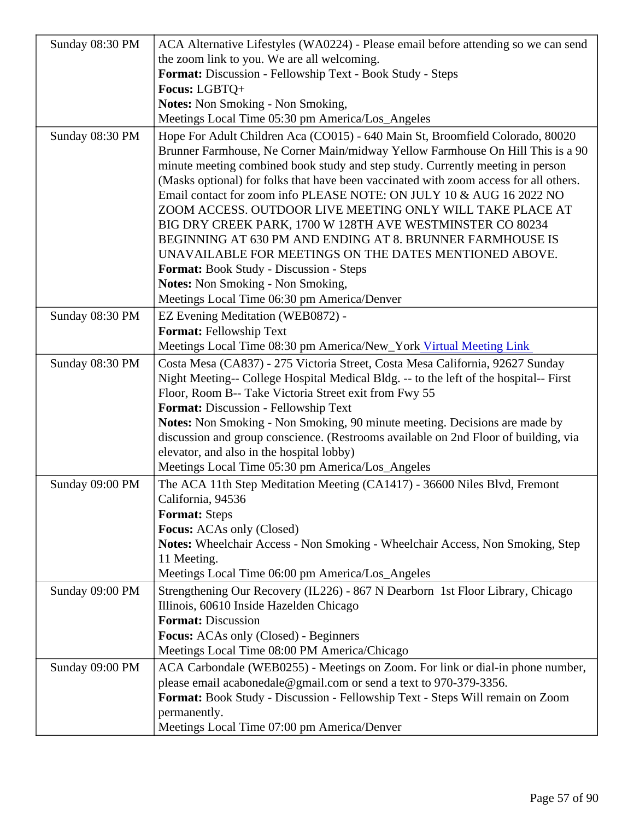|                 | Sunday 08:30 PM   ACA Alternative Lifestyles (WA0224) - Please email before attending so we can send                                                                                                                                                                                                                                                                                                                                                                                                                                                                                                                                                                                                                                                                                               |  |
|-----------------|----------------------------------------------------------------------------------------------------------------------------------------------------------------------------------------------------------------------------------------------------------------------------------------------------------------------------------------------------------------------------------------------------------------------------------------------------------------------------------------------------------------------------------------------------------------------------------------------------------------------------------------------------------------------------------------------------------------------------------------------------------------------------------------------------|--|
|                 | the zoom link to you. We are all welcoming.                                                                                                                                                                                                                                                                                                                                                                                                                                                                                                                                                                                                                                                                                                                                                        |  |
|                 | Format: Discussion - Fellowship Text - Book Study - Steps                                                                                                                                                                                                                                                                                                                                                                                                                                                                                                                                                                                                                                                                                                                                          |  |
|                 | Focus: LGBTQ+                                                                                                                                                                                                                                                                                                                                                                                                                                                                                                                                                                                                                                                                                                                                                                                      |  |
|                 | Notes: Non Smoking - Non Smoking,                                                                                                                                                                                                                                                                                                                                                                                                                                                                                                                                                                                                                                                                                                                                                                  |  |
|                 | Meetings Local Time 05:30 pm America/Los_Angeles                                                                                                                                                                                                                                                                                                                                                                                                                                                                                                                                                                                                                                                                                                                                                   |  |
| Sunday 08:30 PM | Hope For Adult Children Aca (CO015) - 640 Main St, Broomfield Colorado, 80020<br>Brunner Farmhouse, Ne Corner Main/midway Yellow Farmhouse On Hill This is a 90<br>minute meeting combined book study and step study. Currently meeting in person<br>(Masks optional) for folks that have been vaccinated with zoom access for all others.<br>Email contact for zoom info PLEASE NOTE: ON JULY 10 & AUG 16 2022 NO<br>ZOOM ACCESS. OUTDOOR LIVE MEETING ONLY WILL TAKE PLACE AT<br>BIG DRY CREEK PARK, 1700 W 128TH AVE WESTMINSTER CO 80234<br>BEGINNING AT 630 PM AND ENDING AT 8. BRUNNER FARMHOUSE IS<br>UNAVAILABLE FOR MEETINGS ON THE DATES MENTIONED ABOVE.<br>Format: Book Study - Discussion - Steps<br>Notes: Non Smoking - Non Smoking,<br>Meetings Local Time 06:30 pm America/Denver |  |
| Sunday 08:30 PM | EZ Evening Meditation (WEB0872) -                                                                                                                                                                                                                                                                                                                                                                                                                                                                                                                                                                                                                                                                                                                                                                  |  |
|                 | Format: Fellowship Text                                                                                                                                                                                                                                                                                                                                                                                                                                                                                                                                                                                                                                                                                                                                                                            |  |
|                 | Meetings Local Time 08:30 pm America/New_Yorktual Meeting Link                                                                                                                                                                                                                                                                                                                                                                                                                                                                                                                                                                                                                                                                                                                                     |  |
| Sunday 08:30 PM | Costa Mesa (CA837) - 275 Victoria Street, Costa Mesa California, 92627 Sunday                                                                                                                                                                                                                                                                                                                                                                                                                                                                                                                                                                                                                                                                                                                      |  |
|                 | Night Meeting-- College Hospital Medical Bldg. -- to the left of the hospital-- First<br>Floor, Room B-- Take Victoria Street exit from Fwy 55<br>Format: Discussion - Fellowship Text<br>Notes: Non Smoking - Non Smoking, 90 minute meeting. Decisions are made by<br>discussion and group conscience. (Restrooms available on 2nd Floor of building, via<br>elevator, and also in the hospital lobby)<br>Meetings Local Time 05:30 pm America/Los_Angeles                                                                                                                                                                                                                                                                                                                                       |  |
| Sunday 09:00 PM | The ACA 11th Step Meditation Meeting (CA1417) - 36600 Niles Blvd, Fremont<br>California, 94536<br>Format: Steps<br>Focus: ACAs only (Closed)                                                                                                                                                                                                                                                                                                                                                                                                                                                                                                                                                                                                                                                       |  |
|                 | Notes: Wheelchair Access - Non Smoking - Wheelchair Access, Non Smoking, Step<br>11 Meeting.<br>Meetings Local Time 06:00 pm America/Los_Angeles                                                                                                                                                                                                                                                                                                                                                                                                                                                                                                                                                                                                                                                   |  |
| Sunday 09:00 PM | Strengthening Our Recovery (IL226) - 867 N Dearborn 1st Floor Library, Chicago<br>Illinois, 60610 Inside Hazelden Chicago<br>Format: Discussion<br>Focus: ACAs only (Closed) - Beginners<br>Meetings Local Time 08:00 PM America/Chicago                                                                                                                                                                                                                                                                                                                                                                                                                                                                                                                                                           |  |
| Sunday 09:00 PM | ACA Carbondale (WEB0255) - Meetings on Zoom. For link or dial-in phone number,<br>please email acabonedale@gmail.com or send a text to 970-379-3356.<br>Format: Book Study - Discussion - Fellowship Text - Steps Will remain on Zoom<br>permanently.<br>Meetings Local Time 07:00 pm America/Denver                                                                                                                                                                                                                                                                                                                                                                                                                                                                                               |  |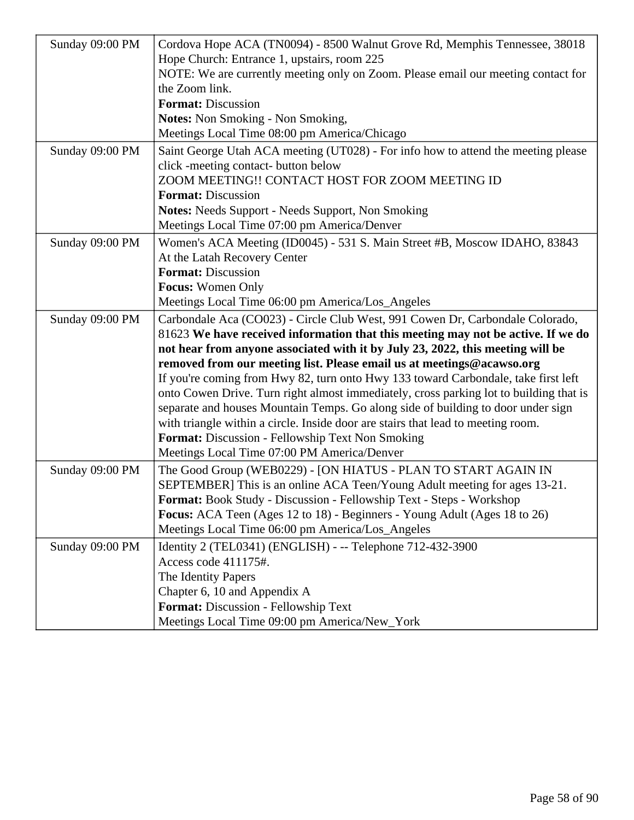| Sunday 09:00 PM | Cordova Hope ACA (TN0094) - 8500 Walnut Grove Rd, Memphis Tennessee, 38018             |
|-----------------|----------------------------------------------------------------------------------------|
|                 | Hope Church: Entrance 1, upstairs, room 225                                            |
|                 | NOTE: We are currently meeting only on Zoom. Please email our meeting contact for      |
|                 | the Zoom link.                                                                         |
|                 | <b>Format: Discussion</b>                                                              |
|                 | <b>Notes:</b> Non Smoking - Non Smoking,                                               |
|                 | Meetings Local Time 08:00 pm America/Chicago                                           |
| Sunday 09:00 PM | Saint George Utah ACA meeting (UT028) - For info how to attend the meeting please      |
|                 | click -meeting contact- button below                                                   |
|                 | ZOOM MEETING!! CONTACT HOST FOR ZOOM MEETING ID                                        |
|                 | <b>Format: Discussion</b>                                                              |
|                 | <b>Notes:</b> Needs Support - Needs Support, Non Smoking                               |
|                 | Meetings Local Time 07:00 pm America/Denver                                            |
| Sunday 09:00 PM | Women's ACA Meeting (ID0045) - 531 S. Main Street #B, Moscow IDAHO, 83843              |
|                 | At the Latah Recovery Center                                                           |
|                 | <b>Format: Discussion</b>                                                              |
|                 | <b>Focus: Women Only</b>                                                               |
|                 | Meetings Local Time 06:00 pm America/Los_Angeles                                       |
| Sunday 09:00 PM | Carbondale Aca (CO023) - Circle Club West, 991 Cowen Dr, Carbondale Colorado,          |
|                 | 81623 We have received information that this meeting may not be active. If we do       |
|                 | not hear from anyone associated with it by July 23, 2022, this meeting will be         |
|                 | removed from our meeting list. Please email us at meetings@acawso.org                  |
|                 | If you're coming from Hwy 82, turn onto Hwy 133 toward Carbondale, take first left     |
|                 | onto Cowen Drive. Turn right almost immediately, cross parking lot to building that is |
|                 | separate and houses Mountain Temps. Go along side of building to door under sign       |
|                 | with triangle within a circle. Inside door are stairs that lead to meeting room.       |
|                 | <b>Format:</b> Discussion - Fellowship Text Non Smoking                                |
|                 | Meetings Local Time 07:00 PM America/Denver                                            |
| Sunday 09:00 PM | The Good Group (WEB0229) - [ON HIATUS - PLAN TO START AGAIN IN                         |
|                 | SEPTEMBER] This is an online ACA Teen/Young Adult meeting for ages 13-21.              |
|                 | Format: Book Study - Discussion - Fellowship Text - Steps - Workshop                   |
|                 | Focus: ACA Teen (Ages 12 to 18) - Beginners - Young Adult (Ages 18 to 26)              |
|                 | Meetings Local Time 06:00 pm America/Los_Angeles                                       |
| Sunday 09:00 PM | Identity 2 (TEL0341) (ENGLISH) - -- Telephone 712-432-3900                             |
|                 | Access code 411175#.                                                                   |
|                 | The Identity Papers                                                                    |
|                 | Chapter 6, 10 and Appendix A                                                           |
|                 | Format: Discussion - Fellowship Text                                                   |
|                 | Meetings Local Time 09:00 pm America/New_York                                          |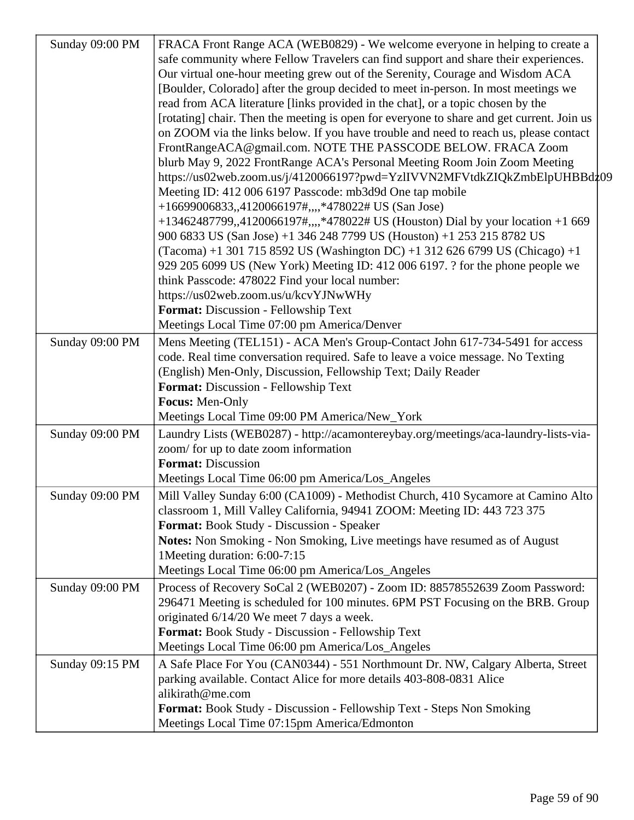| Sunday 09:00 PM | FRACA Front Range ACA (WEB0829) - We welcome everyone in helping to create a              |
|-----------------|-------------------------------------------------------------------------------------------|
|                 | safe community where Fellow Travelers can find support and share their experiences.       |
|                 | Our virtual one-hour meeting grew out of the Serenity, Courage and Wisdom ACA             |
|                 | [Boulder, Colorado] after the group decided to meet in-person. In most meetings we        |
|                 | read from ACA literature [links provided in the chat], or a topic chosen by the           |
|                 | [rotating] chair. Then the meeting is open for everyone to share and get current. Join us |
|                 | on ZOOM via the links below. If you have trouble and need to reach us, please contact     |
|                 | FrontRangeACA@gmail.com. NOTE THE PASSCODE BELOW. FRACA Zoom                              |
|                 | blurb May 9, 2022 FrontRange ACA's Personal Meeting Room Join Zoom Meeting                |
|                 | https://us02web.zoom.us/j/4120066197?pwd=YzlIVVN2MFVtdkZIQkZmbElpUHBBdz09                 |
|                 | Meeting ID: 412 006 6197 Passcode: mb3d9d One tap mobile                                  |
|                 | +16699006833,,4120066197#,,,,*478022# US (San Jose)                                       |
|                 | +13462487799,,4120066197#,,,,*478022# US (Houston) Dial by your location +1 669           |
|                 | 900 6833 US (San Jose) +1 346 248 7799 US (Houston) +1 253 215 8782 US                    |
|                 | (Tacoma) +1 301 715 8592 US (Washington DC) +1 312 626 6799 US (Chicago) +1               |
|                 | 929 205 6099 US (New York) Meeting ID: 412 006 6197. ? for the phone people we            |
|                 | think Passcode: 478022 Find your local number:                                            |
|                 | https://us02web.zoom.us/u/kcvYJNwWHy                                                      |
|                 | Format: Discussion - Fellowship Text                                                      |
|                 | Meetings Local Time 07:00 pm America/Denver                                               |
| Sunday 09:00 PM | Mens Meeting (TEL151) - ACA Men's Group-Contact John 617-734-5491 for access              |
|                 | code. Real time conversation required. Safe to leave a voice message. No Texting          |
|                 | (English) Men-Only, Discussion, Fellowship Text; Daily Reader                             |
|                 | Format: Discussion - Fellowship Text                                                      |
|                 | Focus: Men-Only                                                                           |
|                 | Meetings Local Time 09:00 PM America/New_York                                             |
| Sunday 09:00 PM | Laundry Lists (WEB0287) - http://acamontereybay.org/meetings/aca-laundry-lists-via-       |
|                 | zoom/ for up to date zoom information                                                     |
|                 | <b>Format: Discussion</b>                                                                 |
|                 | Meetings Local Time 06:00 pm America/Los_Angeles                                          |
| Sunday 09:00 PM | Mill Valley Sunday 6:00 (CA1009) - Methodist Church, 410 Sycamore at Camino Alto          |
|                 | classroom 1, Mill Valley California, 94941 ZOOM: Meeting ID: 443 723 375                  |
|                 | Format: Book Study - Discussion - Speaker                                                 |
|                 | Notes: Non Smoking - Non Smoking, Live meetings have resumed as of August                 |
|                 | 1Meeting duration: 6:00-7:15                                                              |
|                 | Meetings Local Time 06:00 pm America/Los_Angeles                                          |
| Sunday 09:00 PM | Process of Recovery SoCal 2 (WEB0207) - Zoom ID: 88578552639 Zoom Password:               |
|                 | 296471 Meeting is scheduled for 100 minutes. 6PM PST Focusing on the BRB. Group           |
|                 | originated 6/14/20 We meet 7 days a week.                                                 |
|                 | Format: Book Study - Discussion - Fellowship Text                                         |
|                 | Meetings Local Time 06:00 pm America/Los_Angeles                                          |
| Sunday 09:15 PM | A Safe Place For You (CAN0344) - 551 Northmount Dr. NW, Calgary Alberta, Street           |
|                 | parking available. Contact Alice for more details 403-808-0831 Alice                      |
|                 | alikirath@me.com                                                                          |
|                 | Format: Book Study - Discussion - Fellowship Text - Steps Non Smoking                     |
|                 | Meetings Local Time 07:15pm America/Edmonton                                              |
|                 |                                                                                           |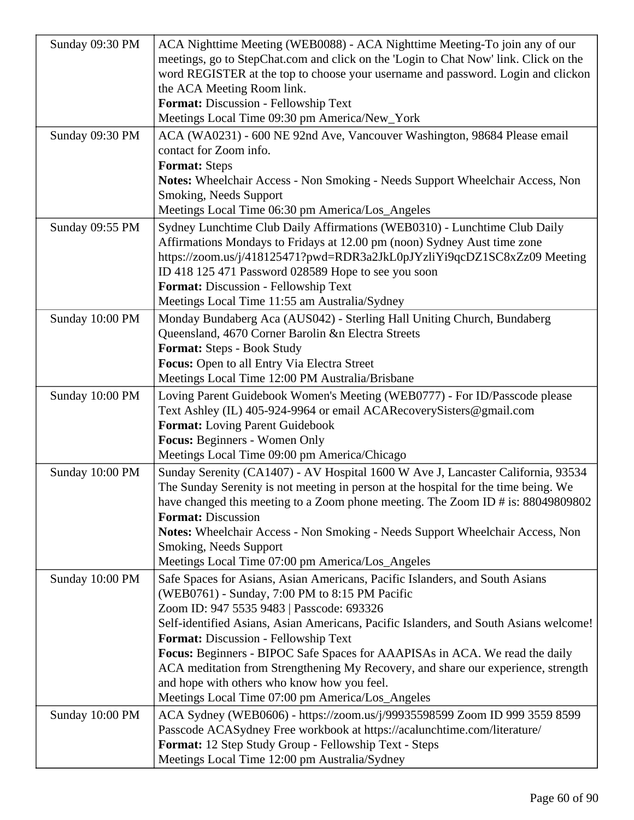| Sunday 09:30 PM | ACA Nighttime Meeting (WEB0088) - ACA Nighttime Meeting-To join any of our                                                                             |
|-----------------|--------------------------------------------------------------------------------------------------------------------------------------------------------|
|                 | meetings, go to StepChat.com and click on the 'Login to Chat Now' link. Click on the                                                                   |
|                 | word REGISTER at the top to choose your username and password. Login and clickon                                                                       |
|                 | the ACA Meeting Room link.                                                                                                                             |
|                 | Format: Discussion - Fellowship Text                                                                                                                   |
|                 | Meetings Local Time 09:30 pm America/New_York                                                                                                          |
| Sunday 09:30 PM | ACA (WA0231) - 600 NE 92nd Ave, Vancouver Washington, 98684 Please email                                                                               |
|                 | contact for Zoom info.                                                                                                                                 |
|                 | <b>Format:</b> Steps                                                                                                                                   |
|                 | Notes: Wheelchair Access - Non Smoking - Needs Support Wheelchair Access, Non                                                                          |
|                 | Smoking, Needs Support                                                                                                                                 |
|                 | Meetings Local Time 06:30 pm America/Los_Angeles                                                                                                       |
| Sunday 09:55 PM | Sydney Lunchtime Club Daily Affirmations (WEB0310) - Lunchtime Club Daily                                                                              |
|                 | Affirmations Mondays to Fridays at 12.00 pm (noon) Sydney Aust time zone                                                                               |
|                 | https://zoom.us/j/418125471?pwd=RDR3a2JkL0pJYzliYi9qcDZ1SC8xZz09 Meeting                                                                               |
|                 | ID 418 125 471 Password 028589 Hope to see you soon                                                                                                    |
|                 | Format: Discussion - Fellowship Text                                                                                                                   |
|                 | Meetings Local Time 11:55 am Australia/Sydney                                                                                                          |
| Sunday 10:00 PM | Monday Bundaberg Aca (AUS042) - Sterling Hall Uniting Church, Bundaberg                                                                                |
|                 | Queensland, 4670 Corner Barolin &n Electra Streets                                                                                                     |
|                 | Format: Steps - Book Study                                                                                                                             |
|                 | Focus: Open to all Entry Via Electra Street                                                                                                            |
|                 | Meetings Local Time 12:00 PM Australia/Brisbane                                                                                                        |
| Sunday 10:00 PM | Loving Parent Guidebook Women's Meeting (WEB0777) - For ID/Passcode please                                                                             |
|                 | Text Ashley (IL) 405-924-9964 or email ACARecoverySisters@gmail.com                                                                                    |
|                 | <b>Format:</b> Loving Parent Guidebook                                                                                                                 |
|                 | Focus: Beginners - Women Only                                                                                                                          |
|                 | Meetings Local Time 09:00 pm America/Chicago                                                                                                           |
| Sunday 10:00 PM | Sunday Serenity (CA1407) - AV Hospital 1600 W Ave J, Lancaster California, 93534                                                                       |
|                 | The Sunday Serenity is not meeting in person at the hospital for the time being. We                                                                    |
|                 | have changed this meeting to a Zoom phone meeting. The Zoom ID # is: 88049809802                                                                       |
|                 | <b>Format: Discussion</b>                                                                                                                              |
|                 | Notes: Wheelchair Access - Non Smoking - Needs Support Wheelchair Access, Non                                                                          |
|                 | Smoking, Needs Support                                                                                                                                 |
|                 | Meetings Local Time 07:00 pm America/Los_Angeles                                                                                                       |
| Sunday 10:00 PM | Safe Spaces for Asians, Asian Americans, Pacific Islanders, and South Asians                                                                           |
|                 | (WEB0761) - Sunday, 7:00 PM to 8:15 PM Pacific                                                                                                         |
|                 | Zoom ID: 947 5535 9483   Passcode: 693326                                                                                                              |
|                 | Self-identified Asians, Asian Americans, Pacific Islanders, and South Asians welcome!                                                                  |
|                 | Format: Discussion - Fellowship Text                                                                                                                   |
|                 | Focus: Beginners - BIPOC Safe Spaces for AAAPISAs in ACA. We read the daily                                                                            |
|                 | ACA meditation from Strengthening My Recovery, and share our experience, strength                                                                      |
|                 | and hope with others who know how you feel.<br>Meetings Local Time 07:00 pm America/Los_Angeles                                                        |
|                 |                                                                                                                                                        |
| Sunday 10:00 PM | ACA Sydney (WEB0606) - https://zoom.us/j/99935598599 Zoom ID 999 3559 8599<br>Passcode ACASydney Free workbook at https://acalunchtime.com/literature/ |
|                 | Format: 12 Step Study Group - Fellowship Text - Steps                                                                                                  |
|                 | Meetings Local Time 12:00 pm Australia/Sydney                                                                                                          |
|                 |                                                                                                                                                        |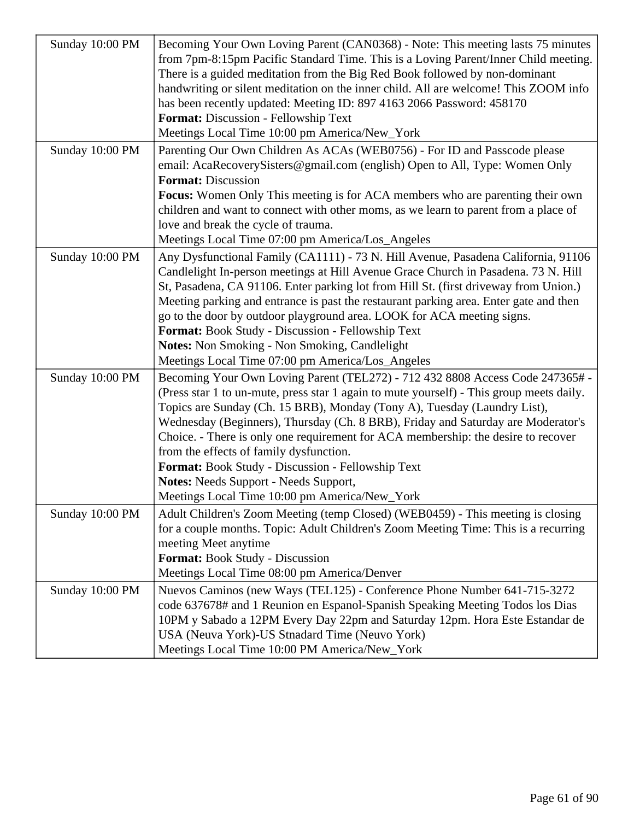| Sunday 10:00 PM | Becoming Your Own Loving Parent (CAN0368) - Note: This meeting lasts 75 minutes<br>from 7pm-8:15pm Pacific Standard Time. This is a Loving Parent/Inner Child meeting.<br>There is a guided meditation from the Big Red Book followed by non-dominant<br>handwriting or silent meditation on the inner child. All are welcome! This ZOOM info<br>has been recently updated: Meeting ID: 897 4163 2066 Password: 458170<br>Format: Discussion - Fellowship Text<br>Meetings Local Time 10:00 pm America/New_York                                                                                                          |
|-----------------|--------------------------------------------------------------------------------------------------------------------------------------------------------------------------------------------------------------------------------------------------------------------------------------------------------------------------------------------------------------------------------------------------------------------------------------------------------------------------------------------------------------------------------------------------------------------------------------------------------------------------|
| Sunday 10:00 PM | Parenting Our Own Children As ACAs (WEB0756) - For ID and Passcode please<br>email: AcaRecoverySisters@gmail.com (english) Open to All, Type: Women Only<br><b>Format: Discussion</b><br>Focus: Women Only This meeting is for ACA members who are parenting their own<br>children and want to connect with other moms, as we learn to parent from a place of<br>love and break the cycle of trauma.<br>Meetings Local Time 07:00 pm America/Los_Angeles                                                                                                                                                                 |
| Sunday 10:00 PM | Any Dysfunctional Family (CA1111) - 73 N. Hill Avenue, Pasadena California, 91106<br>Candlelight In-person meetings at Hill Avenue Grace Church in Pasadena. 73 N. Hill<br>St, Pasadena, CA 91106. Enter parking lot from Hill St. (first driveway from Union.)<br>Meeting parking and entrance is past the restaurant parking area. Enter gate and then<br>go to the door by outdoor playground area. LOOK for ACA meeting signs.<br>Format: Book Study - Discussion - Fellowship Text<br><b>Notes:</b> Non Smoking - Non Smoking, Candlelight<br>Meetings Local Time 07:00 pm America/Los_Angeles                      |
| Sunday 10:00 PM | Becoming Your Own Loving Parent (TEL272) - 712 432 8808 Access Code 247365# -<br>(Press star 1 to un-mute, press star 1 again to mute yourself) - This group meets daily.<br>Topics are Sunday (Ch. 15 BRB), Monday (Tony A), Tuesday (Laundry List),<br>Wednesday (Beginners), Thursday (Ch. 8 BRB), Friday and Saturday are Moderator's<br>Choice. - There is only one requirement for ACA membership: the desire to recover<br>from the effects of family dysfunction.<br>Format: Book Study - Discussion - Fellowship Text<br>Notes: Needs Support - Needs Support,<br>Meetings Local Time 10:00 pm America/New_York |
| Sunday 10:00 PM | Adult Children's Zoom Meeting (temp Closed) (WEB0459) - This meeting is closing<br>for a couple months. Topic: Adult Children's Zoom Meeting Time: This is a recurring<br>meeting Meet anytime<br>Format: Book Study - Discussion<br>Meetings Local Time 08:00 pm America/Denver                                                                                                                                                                                                                                                                                                                                         |
| Sunday 10:00 PM | Nuevos Caminos (new Ways (TEL125) - Conference Phone Number 641-715-3272<br>code 637678# and 1 Reunion en Espanol-Spanish Speaking Meeting Todos los Dias<br>10PM y Sabado a 12PM Every Day 22pm and Saturday 12pm. Hora Este Estandar de<br>USA (Neuva York)-US Stnadard Time (Neuvo York)<br>Meetings Local Time 10:00 PM America/New_York                                                                                                                                                                                                                                                                             |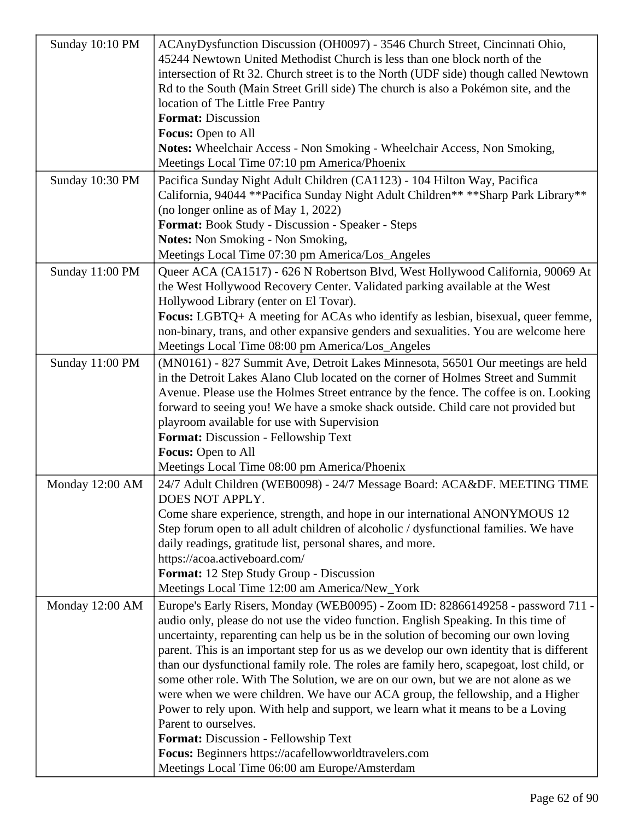| Sunday 10:10 PM | ACAnyDysfunction Discussion (OH0097) - 3546 Church Street, Cincinnati Ohio,<br>45244 Newtown United Methodist Church is less than one block north of the<br>intersection of Rt 32. Church street is to the North (UDF side) though called Newtown<br>Rd to the South (Main Street Grill side) The church is also a Pokémon site, and the<br>location of The Little Free Pantry<br><b>Format: Discussion</b><br>Focus: Open to All<br>Notes: Wheelchair Access - Non Smoking - Wheelchair Access, Non Smoking,<br>Meetings Local Time 07:10 pm America/Phoenix                                                                                                                                                                                                                                                                                                                              |
|-----------------|--------------------------------------------------------------------------------------------------------------------------------------------------------------------------------------------------------------------------------------------------------------------------------------------------------------------------------------------------------------------------------------------------------------------------------------------------------------------------------------------------------------------------------------------------------------------------------------------------------------------------------------------------------------------------------------------------------------------------------------------------------------------------------------------------------------------------------------------------------------------------------------------|
| Sunday 10:30 PM | Pacifica Sunday Night Adult Children (CA1123) - 104 Hilton Way, Pacifica<br>California, 94044 ** Pacifica Sunday Night Adult Children** ** Sharp Park Library**<br>(no longer online as of May 1, 2022)<br><b>Format:</b> Book Study - Discussion - Speaker - Steps<br><b>Notes:</b> Non Smoking - Non Smoking,<br>Meetings Local Time 07:30 pm America/Los_Angeles                                                                                                                                                                                                                                                                                                                                                                                                                                                                                                                        |
| Sunday 11:00 PM | Queer ACA (CA1517) - 626 N Robertson Blvd, West Hollywood California, 90069 At<br>the West Hollywood Recovery Center. Validated parking available at the West<br>Hollywood Library (enter on El Tovar).<br><b>Focus:</b> LGBTQ+ A meeting for ACAs who identify as lesbian, bisexual, queer femme,<br>non-binary, trans, and other expansive genders and sexualities. You are welcome here<br>Meetings Local Time 08:00 pm America/Los_Angeles                                                                                                                                                                                                                                                                                                                                                                                                                                             |
| Sunday 11:00 PM | (MN0161) - 827 Summit Ave, Detroit Lakes Minnesota, 56501 Our meetings are held<br>in the Detroit Lakes Alano Club located on the corner of Holmes Street and Summit<br>Avenue. Please use the Holmes Street entrance by the fence. The coffee is on. Looking<br>forward to seeing you! We have a smoke shack outside. Child care not provided but<br>playroom available for use with Supervision<br>Format: Discussion - Fellowship Text<br>Focus: Open to All<br>Meetings Local Time 08:00 pm America/Phoenix                                                                                                                                                                                                                                                                                                                                                                            |
| Monday 12:00 AM | 24/7 Adult Children (WEB0098) - 24/7 Message Board: ACA&DF. MEETING TIME<br>DOES NOT APPLY.<br>Come share experience, strength, and hope in our international ANONYMOUS 12<br>Step forum open to all adult children of alcoholic / dysfunctional families. We have<br>daily readings, gratitude list, personal shares, and more.<br>https://acoa.activeboard.com/<br>Format: 12 Step Study Group - Discussion<br>Meetings Local Time 12:00 am America/New_York                                                                                                                                                                                                                                                                                                                                                                                                                             |
| Monday 12:00 AM | Europe's Early Risers, Monday (WEB0095) - Zoom ID: 82866149258 - password 711 -<br>audio only, please do not use the video function. English Speaking. In this time of<br>uncertainty, reparenting can help us be in the solution of becoming our own loving<br>parent. This is an important step for us as we develop our own identity that is different<br>than our dysfunctional family role. The roles are family hero, scapegoat, lost child, or<br>some other role. With The Solution, we are on our own, but we are not alone as we<br>were when we were children. We have our ACA group, the fellowship, and a Higher<br>Power to rely upon. With help and support, we learn what it means to be a Loving<br>Parent to ourselves.<br>Format: Discussion - Fellowship Text<br>Focus: Beginners https://acafellowworldtravelers.com<br>Meetings Local Time 06:00 am Europe/Amsterdam |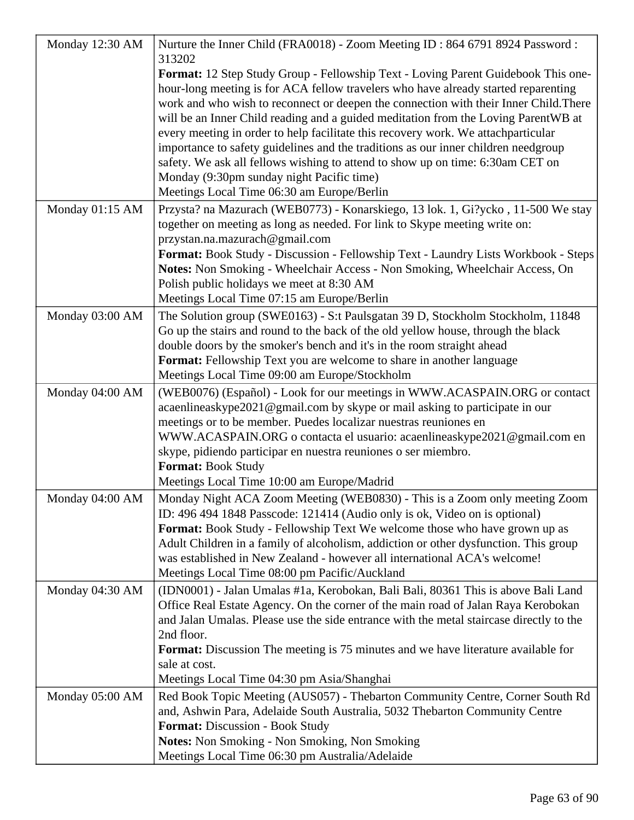| Monday 12:30 AM | Nurture the Inner Child (FRA0018) - Zoom Meeting ID: 864 6791 8924 Password:                                                               |
|-----------------|--------------------------------------------------------------------------------------------------------------------------------------------|
|                 | 313202<br>Format: 12 Step Study Group - Fellowship Text - Loving Parent Guidebook This one-                                                |
|                 | hour-long meeting is for ACA fellow travelers who have already started reparenting                                                         |
|                 | work and who wish to reconnect or deepen the connection with their Inner Child. There                                                      |
|                 | will be an Inner Child reading and a guided meditation from the Loving ParentWB at                                                         |
|                 | every meeting in order to help facilitate this recovery work. We attachparticular                                                          |
|                 | importance to safety guidelines and the traditions as our inner children needgroup                                                         |
|                 | safety. We ask all fellows wishing to attend to show up on time: 6:30am CET on                                                             |
|                 | Monday (9:30pm sunday night Pacific time)                                                                                                  |
|                 | Meetings Local Time 06:30 am Europe/Berlin                                                                                                 |
| Monday 01:15 AM | Przysta? na Mazurach (WEB0773) - Konarskiego, 13 lok. 1, Gi?ycko, 11-500 We stay                                                           |
|                 | together on meeting as long as needed. For link to Skype meeting write on:                                                                 |
|                 | przystan.na.mazurach@gmail.com<br>Format: Book Study - Discussion - Fellowship Text - Laundry Lists Workbook - Steps                       |
|                 | Notes: Non Smoking - Wheelchair Access - Non Smoking, Wheelchair Access, On                                                                |
|                 | Polish public holidays we meet at 8:30 AM                                                                                                  |
|                 | Meetings Local Time 07:15 am Europe/Berlin                                                                                                 |
| Monday 03:00 AM | The Solution group (SWE0163) - S:t Paulsgatan 39 D, Stockholm Stockholm, 11848                                                             |
|                 | Go up the stairs and round to the back of the old yellow house, through the black                                                          |
|                 | double doors by the smoker's bench and it's in the room straight ahead                                                                     |
|                 | Format: Fellowship Text you are welcome to share in another language                                                                       |
|                 | Meetings Local Time 09:00 am Europe/Stockholm                                                                                              |
| Monday 04:00 AM | (WEB0076) (Español) - Look for our meetings in WWW.ACASPAIN.ORG or contact                                                                 |
|                 | acaenlineaskype2021@gmail.com by skype or mail asking to participate in our                                                                |
|                 | meetings or to be member. Puedes localizar nuestras reuniones en                                                                           |
|                 | WWW.ACASPAIN.ORG o contacta el usuario: acaenlineaskype2021@gmail.com en<br>skype, pidiendo participar en nuestra reuniones o ser miembro. |
|                 | Format: Book Study                                                                                                                         |
|                 | Meetings Local Time 10:00 am Europe/Madrid                                                                                                 |
| Monday 04:00 AM | Monday Night ACA Zoom Meeting (WEB0830) - This is a Zoom only meeting Zoom                                                                 |
|                 | ID: 496 494 1848 Passcode: 121414 (Audio only is ok, Video on is optional)                                                                 |
|                 | <b>Format:</b> Book Study - Fellowship Text We welcome those who have grown up as                                                          |
|                 | Adult Children in a family of alcoholism, addiction or other dysfunction. This group                                                       |
|                 | was established in New Zealand - however all international ACA's welcome!                                                                  |
|                 | Meetings Local Time 08:00 pm Pacific/Auckland                                                                                              |
| Monday 04:30 AM | (IDN0001) - Jalan Umalas #1a, Kerobokan, Bali Bali, 80361 This is above Bali Land                                                          |
|                 | Office Real Estate Agency. On the corner of the main road of Jalan Raya Kerobokan                                                          |
|                 | and Jalan Umalas. Please use the side entrance with the metal staircase directly to the                                                    |
|                 | 2nd floor.<br><b>Format:</b> Discussion The meeting is 75 minutes and we have literature available for                                     |
|                 | sale at cost.                                                                                                                              |
|                 | Meetings Local Time 04:30 pm Asia/Shanghai                                                                                                 |
| Monday 05:00 AM | Red Book Topic Meeting (AUS057) - Thebarton Community Centre, Corner South Rd                                                              |
|                 | and, Ashwin Para, Adelaide South Australia, 5032 Thebarton Community Centre                                                                |
|                 | <b>Format: Discussion - Book Study</b>                                                                                                     |
|                 | Notes: Non Smoking - Non Smoking, Non Smoking                                                                                              |
|                 | Meetings Local Time 06:30 pm Australia/Adelaide                                                                                            |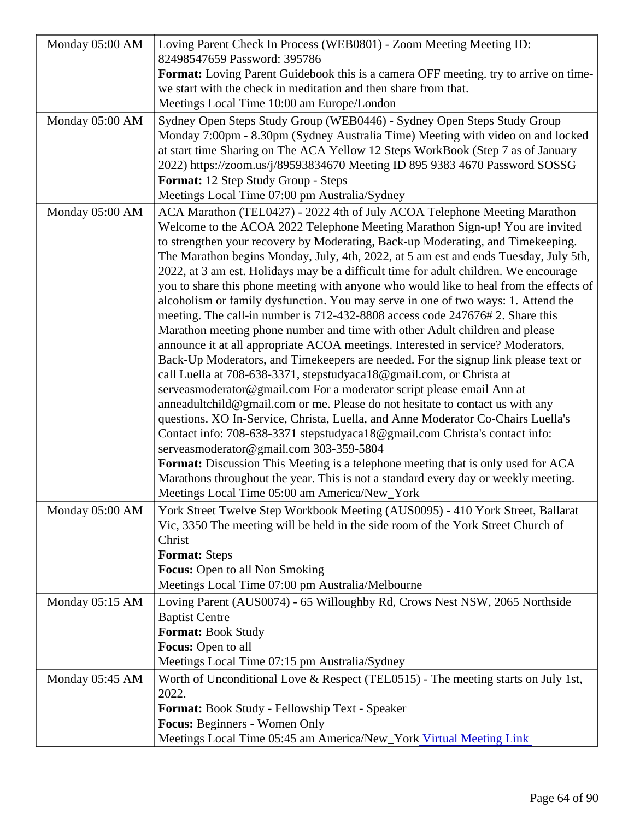| Monday 05:00 AM | Loving Parent Check In Process (WEB0801) - Zoom Meeting Meeting ID:<br>82498547659 Password: 395786<br>Format: Loving Parent Guidebook this is a camera OFF meeting. try to arrive on time                                                                                                                                                                                                                                                                                                                                                                                                                                                                                                                                                                                                                                                                                                                                                                                                                                                                                                                                                                                                                                                                                                                                                                                                                                                                                                                                                                                                                                      |  |
|-----------------|---------------------------------------------------------------------------------------------------------------------------------------------------------------------------------------------------------------------------------------------------------------------------------------------------------------------------------------------------------------------------------------------------------------------------------------------------------------------------------------------------------------------------------------------------------------------------------------------------------------------------------------------------------------------------------------------------------------------------------------------------------------------------------------------------------------------------------------------------------------------------------------------------------------------------------------------------------------------------------------------------------------------------------------------------------------------------------------------------------------------------------------------------------------------------------------------------------------------------------------------------------------------------------------------------------------------------------------------------------------------------------------------------------------------------------------------------------------------------------------------------------------------------------------------------------------------------------------------------------------------------------|--|
|                 | we start with the check in meditation and then share from that.<br>Meetings Local Time 10:00 am Europe/London                                                                                                                                                                                                                                                                                                                                                                                                                                                                                                                                                                                                                                                                                                                                                                                                                                                                                                                                                                                                                                                                                                                                                                                                                                                                                                                                                                                                                                                                                                                   |  |
| Monday 05:00 AM | Sydney Open Steps Study Group (WEB0446) - Sydney Open Steps Study Group<br>Monday 7:00pm - 8.30pm (Sydney Australia Time) Meeting with video on and locked<br>at start time Sharing on The ACA Yellow 12 Steps WorkBook (Step 7 as of January<br>2022) https://zoom.us/j/89593834670 Meeting ID 895 9383 4670 Password SO\$SG<br>Format: 12 Step Study Group - Steps<br>Meetings Local Time 07:00 pm Australia/Sydney                                                                                                                                                                                                                                                                                                                                                                                                                                                                                                                                                                                                                                                                                                                                                                                                                                                                                                                                                                                                                                                                                                                                                                                                           |  |
| Monday 05:00 AM | ACA Marathon (TEL0427) - 2022 4th of July ACOA Telephone Meeting Marathon<br>Welcome to the ACOA 2022 Telephone Meeting Marathon Sign-up! You are invited<br>to strengthen your recovery by Moderating, Back-up Moderating, and Timekeeping.<br>The Marathon begins Monday, July, 4th, 2022, at 5 am est and ends Tuesday, July 5th<br>2022, at 3 am est. Holidays may be a difficult time for adult children. We encourage<br>you to share this phone meeting with anyone who would like to heal from the effects of<br>alcoholism or family dysfunction. You may serve in one of two ways: 1. Attend the<br>meeting. The call-in number is 712-432-8808 access code 247676# 2. Share this<br>Marathon meeting phone number and time with other Adult children and please<br>announce it at all appropriate ACOA meetings. Interested in service? Moderators,<br>Back-Up Moderators, and Timekeepers are needed. For the signup link please text or<br>call Luella at 708-638-3371, stepstudyaca18@gmail.com, or Christa at<br>serveasmoderator@gmail.com For a moderator script please email Ann at<br>anneadultchild@gmail.com or me. Please do not hesitate to contact us with any<br>questions. XO In-Service, Christa, Luella, and Anne Moderator Co-Chairs Luella's<br>Contact info: 708-638-3371 stepstudyaca18@gmail.com Christa's contact info:<br>serveasmoderator@gmail.com 303-359-5804<br>Format: Discussion This Meeting is a telephone meeting that is only used for ACA<br>Marathons throughout the year. This is not a standard every day or weekly meeting.<br>Meetings Local Time 05:00 am America/New_York |  |
| Monday 05:00 AM | York Street Twelve Step Workbook Meeting (AUS0095) - 410 York Street, Ballarat<br>Vic, 3350 The meeting will be held in the side room of the York Street Church of<br><b>Christ</b><br>Format: Steps<br>Focus: Open to all Non Smoking<br>Meetings Local Time 07:00 pm Australia/Melbourne                                                                                                                                                                                                                                                                                                                                                                                                                                                                                                                                                                                                                                                                                                                                                                                                                                                                                                                                                                                                                                                                                                                                                                                                                                                                                                                                      |  |
| Monday 05:15 AM | Loving Parent (AUS0074) - 65 Willoughby Rd, Crows Nest NSW, 2065 Northside<br><b>Baptist Centre</b><br>Format: Book Study<br>Focus: Open to all<br>Meetings Local Time 07:15 pm Australia/Sydney                                                                                                                                                                                                                                                                                                                                                                                                                                                                                                                                                                                                                                                                                                                                                                                                                                                                                                                                                                                                                                                                                                                                                                                                                                                                                                                                                                                                                                |  |
| Monday 05:45 AM | Worth of Unconditional Love & Respect (TEL0515) - The meeting starts on July 1st,<br>2022.<br>Format: Book Study - Fellowship Text - Speaker<br>Focus: Beginners - Women Only<br>Meetings Local Time 05:45 am America/New_Yorktual Meeting Link                                                                                                                                                                                                                                                                                                                                                                                                                                                                                                                                                                                                                                                                                                                                                                                                                                                                                                                                                                                                                                                                                                                                                                                                                                                                                                                                                                                 |  |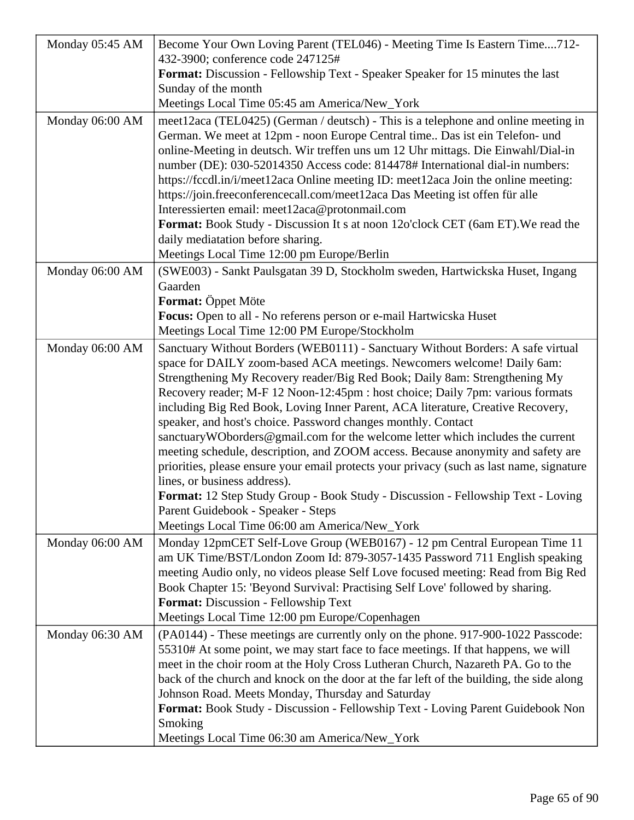| Monday 05:45 AM | Become Your Own Loving Parent (TEL046) - Meeting Time Is Eastern Time712-                       |
|-----------------|-------------------------------------------------------------------------------------------------|
|                 | 432-3900; conference code 247125#                                                               |
|                 | Format: Discussion - Fellowship Text - Speaker Speaker for 15 minutes the last                  |
|                 | Sunday of the month                                                                             |
|                 | Meetings Local Time 05:45 am America/New_York                                                   |
| Monday 06:00 AM | meet12aca (TEL0425) (German / deutsch) - This is a telephone and online meeting in              |
|                 | German. We meet at 12pm - noon Europe Central time Das ist ein Telefon- und                     |
|                 | online-Meeting in deutsch. Wir treffen uns um 12 Uhr mittags. Die Einwahl/Dial-in               |
|                 | number (DE): 030-52014350 Access code: 814478# International dial-in numbers:                   |
|                 | https://fccdl.in/i/meet12aca Online meeting ID: meet12aca Join the online meeting:              |
|                 | https://join.freeconferencecall.com/meet12aca Das Meeting ist offen für alle                    |
|                 | Interessierten email: meet12aca@protonmail.com                                                  |
|                 | <b>Format:</b> Book Study - Discussion It s at noon 12o'clock CET (6am ET). We read the         |
|                 | daily mediatation before sharing.                                                               |
|                 | Meetings Local Time 12:00 pm Europe/Berlin                                                      |
| Monday 06:00 AM | (SWE003) - Sankt Paulsgatan 39 D, Stockholm sweden, Hartwickska Huset, Ingang                   |
|                 | Gaarden                                                                                         |
|                 | <b>Format:</b> Oppet Möte<br>Focus: Open to all - No referens person or e-mail Hartwicska Huset |
|                 | Meetings Local Time 12:00 PM Europe/Stockholm                                                   |
| Monday 06:00 AM | Sanctuary Without Borders (WEB0111) - Sanctuary Without Borders: A safe virtual                 |
|                 | space for DAILY zoom-based ACA meetings. Newcomers welcome! Daily 6am:                          |
|                 | Strengthening My Recovery reader/Big Red Book; Daily 8am: Strengthening My                      |
|                 | Recovery reader; M-F 12 Noon-12:45pm : host choice; Daily 7pm: various formats                  |
|                 | including Big Red Book, Loving Inner Parent, ACA literature, Creative Recovery,                 |
|                 | speaker, and host's choice. Password changes monthly. Contact                                   |
|                 | sanctuaryWOborders@gmail.com for the welcome letter which includes the current                  |
|                 | meeting schedule, description, and ZOOM access. Because anonymity and safety are                |
|                 | priorities, please ensure your email protects your privacy (such as last name, signature        |
|                 | lines, or business address).                                                                    |
|                 | <b>Format:</b> 12 Step Study Group - Book Study - Discussion - Fellowship Text - Loving         |
|                 | Parent Guidebook - Speaker - Steps                                                              |
|                 | Meetings Local Time 06:00 am America/New_York                                                   |
| Monday 06:00 AM | Monday 12pmCET Self-Love Group (WEB0167) - 12 pm Central European Time 11                       |
|                 | am UK Time/BST/London Zoom Id: 879-3057-1435 Password 711 English speaking                      |
|                 | meeting Audio only, no videos please Self Love focused meeting: Read from Big Red               |
|                 | Book Chapter 15: 'Beyond Survival: Practising Self Love' followed by sharing.                   |
|                 | Format: Discussion - Fellowship Text                                                            |
|                 | Meetings Local Time 12:00 pm Europe/Copenhagen                                                  |
| Monday 06:30 AM | (PA0144) - These meetings are currently only on the phone. 917-900-1022 Passcode:               |
|                 | 55310# At some point, we may start face to face meetings. If that happens, we will              |
|                 | meet in the choir room at the Holy Cross Lutheran Church, Nazareth PA. Go to the                |
|                 | back of the church and knock on the door at the far left of the building, the side along        |
|                 | Johnson Road. Meets Monday, Thursday and Saturday                                               |
|                 | Format: Book Study - Discussion - Fellowship Text - Loving Parent Guidebook Non<br>Smoking      |
|                 | Meetings Local Time 06:30 am America/New_York                                                   |
|                 |                                                                                                 |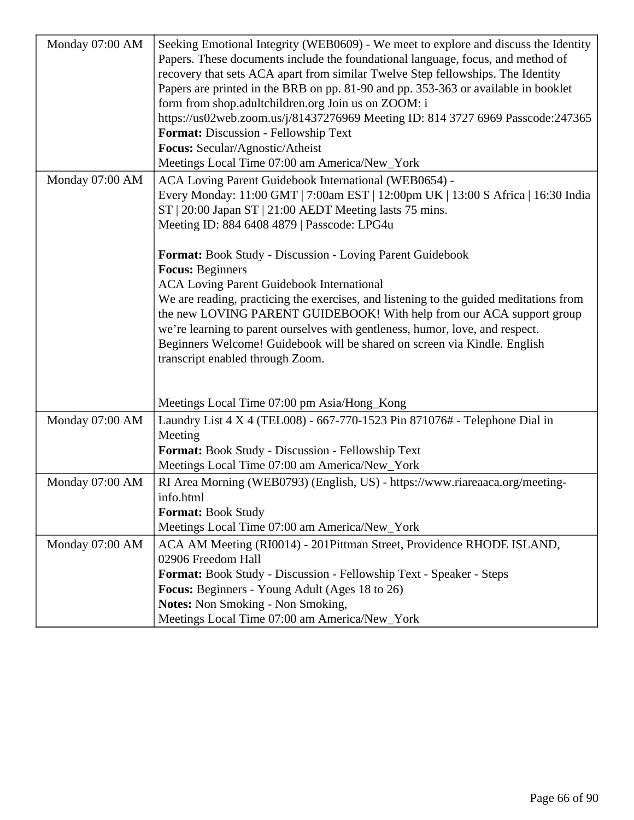| Monday 07:00 AM | Seeking Emotional Integrity (WEB0609) - We meet to explore and discuss the Identity<br>Papers. These documents include the foundational language, focus, and method of<br>recovery that sets ACA apart from similar Twelve Step fellowships. The Identity<br>Papers are printed in the BRB on pp. 81-90 and pp. 353-363 or available in booklet<br>form from shop.adultchildren.org Join us on ZOOM: i<br>https://us02web.zoom.us/j/81437276969 Meeting ID: 814 3727 6969 Passcode:247365<br>Format: Discussion - Fellowship Text<br>Focus: Secular/Agnostic/Atheist<br>Meetings Local Time 07:00 am America/New_York                                                                                                                                                       |
|-----------------|-----------------------------------------------------------------------------------------------------------------------------------------------------------------------------------------------------------------------------------------------------------------------------------------------------------------------------------------------------------------------------------------------------------------------------------------------------------------------------------------------------------------------------------------------------------------------------------------------------------------------------------------------------------------------------------------------------------------------------------------------------------------------------|
| Monday 07:00 AM | ACA Loving Parent Guidebook International (WEB0654) -<br>Every Monday: 11:00 GMT   7:00am EST   12:00pm UK   13:00 S Africa   16:30 India<br>ST   20:00 Japan ST   21:00 AEDT Meeting lasts 75 mins.<br>Meeting ID: 884 6408 4879   Passcode: LPG4u<br><b>Format:</b> Book Study - Discussion - Loving Parent Guidebook<br><b>Focus: Beginners</b><br><b>ACA Loving Parent Guidebook International</b><br>We are reading, practicing the exercises, and listening to the guided meditations from<br>the new LOVING PARENT GUIDEBOOK! With help from our ACA support group<br>we're learning to parent ourselves with gentleness, humor, love, and respect.<br>Beginners Welcome! Guidebook will be shared on screen via Kindle. English<br>transcript enabled through Zoom. |
| Monday 07:00 AM | Meetings Local Time 07:00 pm Asia/Hong_Kong<br>Laundry List 4 X 4 (TEL008) - 667-770-1523 Pin 871076# - Telephone Dial in                                                                                                                                                                                                                                                                                                                                                                                                                                                                                                                                                                                                                                                   |
|                 | Meeting<br>Format: Book Study - Discussion - Fellowship Text<br>Meetings Local Time 07:00 am America/New_York                                                                                                                                                                                                                                                                                                                                                                                                                                                                                                                                                                                                                                                               |
| Monday 07:00 AM | RI Area Morning (WEB0793) (English, US) - https://www.riareaaca.org/meeting-<br>info.html<br><b>Format: Book Study</b><br>Meetings Local Time 07:00 am America/New_York                                                                                                                                                                                                                                                                                                                                                                                                                                                                                                                                                                                                     |
| Monday 07:00 AM | ACA AM Meeting (RI0014) - 201Pittman Street, Providence RHODE ISLAND,<br>02906 Freedom Hall<br>Format: Book Study - Discussion - Fellowship Text - Speaker - Steps<br><b>Focus:</b> Beginners - Young Adult (Ages 18 to 26)<br><b>Notes:</b> Non Smoking - Non Smoking,<br>Meetings Local Time 07:00 am America/New_York                                                                                                                                                                                                                                                                                                                                                                                                                                                    |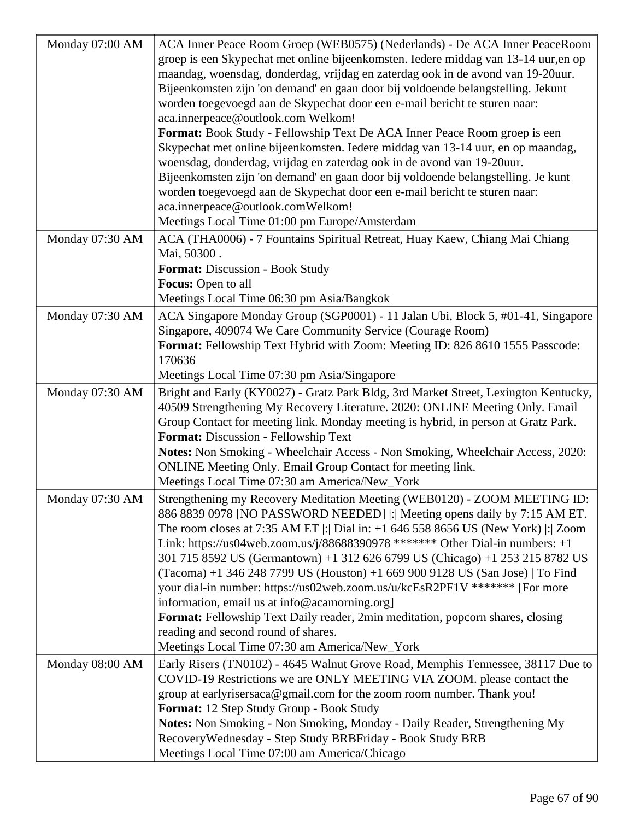| Monday 07:00 AM | ACA Inner Peace Room Groep (WEB0575) (Nederlands) - De ACA Inner PeaceRoom              |
|-----------------|-----------------------------------------------------------------------------------------|
|                 | groep is een Skypechat met online bijeenkomsten. Iedere middag van 13-14 uur, en op     |
|                 | maandag, woensdag, donderdag, vrijdag en zaterdag ook in de avond van 19-20 uur.        |
|                 | Bijeenkomsten zijn 'on demand' en gaan door bij voldoende belangstelling. Jekunt        |
|                 | worden toegevoegd aan de Skypechat door een e-mail bericht te sturen naar:              |
|                 | aca.innerpeace@outlook.com Welkom!                                                      |
|                 | Format: Book Study - Fellowship Text De ACA Inner Peace Room groep is een               |
|                 | Skypechat met online bijeenkomsten. Iedere middag van 13-14 uur, en op maandag,         |
|                 | woensdag, donderdag, vrijdag en zaterdag ook in de avond van 19-20 uur.                 |
|                 | Bijeenkomsten zijn 'on demand' en gaan door bij voldoende belangstelling. Je kunt       |
|                 | worden toegevoegd aan de Skypechat door een e-mail bericht te sturen naar:              |
|                 | aca.innerpeace@outlook.comWelkom!                                                       |
|                 | Meetings Local Time 01:00 pm Europe/Amsterdam                                           |
| Monday 07:30 AM | ACA (THA0006) - 7 Fountains Spiritual Retreat, Huay Kaew, Chiang Mai Chiang             |
|                 | Mai, 50300.                                                                             |
|                 | Format: Discussion - Book Study                                                         |
|                 | Focus: Open to all                                                                      |
|                 | Meetings Local Time 06:30 pm Asia/Bangkok                                               |
| Monday 07:30 AM | ACA Singapore Monday Group (SGP0001) - 11 Jalan Ubi, Block 5, #01-41, Singapore         |
|                 | Singapore, 409074 We Care Community Service (Courage Room)                              |
|                 | Format: Fellowship Text Hybrid with Zoom: Meeting ID: 826 8610 1555 Passcode:           |
|                 | 170636                                                                                  |
|                 | Meetings Local Time 07:30 pm Asia/Singapore                                             |
| Monday 07:30 AM | Bright and Early (KY0027) - Gratz Park Bldg, 3rd Market Street, Lexington Kentucky,     |
|                 | 40509 Strengthening My Recovery Literature. 2020: ONLINE Meeting Only. Email            |
|                 | Group Contact for meeting link. Monday meeting is hybrid, in person at Gratz Park.      |
|                 | Format: Discussion - Fellowship Text                                                    |
|                 | Notes: Non Smoking - Wheelchair Access - Non Smoking, Wheelchair Access, 2020:          |
|                 | ONLINE Meeting Only. Email Group Contact for meeting link.                              |
|                 | Meetings Local Time 07:30 am America/New_York                                           |
| Monday 07:30 AM | Strengthening my Recovery Meditation Meeting (WEB0120) - ZOOM MEETING ID:               |
|                 | 886 8839 0978 [NO PASSWORD NEEDED] : Meeting opens daily by 7:15 AM ET.                 |
|                 | The room closes at 7:35 AM ET $ $ : Dial in: $+1$ 646 558 8656 US (New York) $ $ : Zoom |
|                 | Link: https://us04web.zoom.us/j/88688390978 ******* Other Dial-in numbers: $+1$         |
|                 | 301 715 8592 US (Germantown) +1 312 626 6799 US (Chicago) +1 253 215 8782 US            |
|                 | (Tacoma) +1 346 248 7799 US (Houston) +1 669 900 9128 US (San Jose)   To Find           |
|                 | your dial-in number: https://us02web.zoom.us/u/kcEsR2PF1V ******* [For more             |
|                 | information, email us at info@acamorning.org]                                           |
|                 | Format: Fellowship Text Daily reader, 2min meditation, popcorn shares, closing          |
|                 | reading and second round of shares.                                                     |
|                 | Meetings Local Time 07:30 am America/New_York                                           |
| Monday 08:00 AM | Early Risers (TN0102) - 4645 Walnut Grove Road, Memphis Tennessee, 38117 Due to         |
|                 | COVID-19 Restrictions we are ONLY MEETING VIA ZOOM. please contact the                  |
|                 | group at earlyrisersaca@gmail.com for the zoom room number. Thank you!                  |
|                 | Format: 12 Step Study Group - Book Study                                                |
|                 | Notes: Non Smoking - Non Smoking, Monday - Daily Reader, Strengthening My               |
|                 | RecoveryWednesday - Step Study BRBFriday - Book Study BRB                               |
|                 | Meetings Local Time 07:00 am America/Chicago                                            |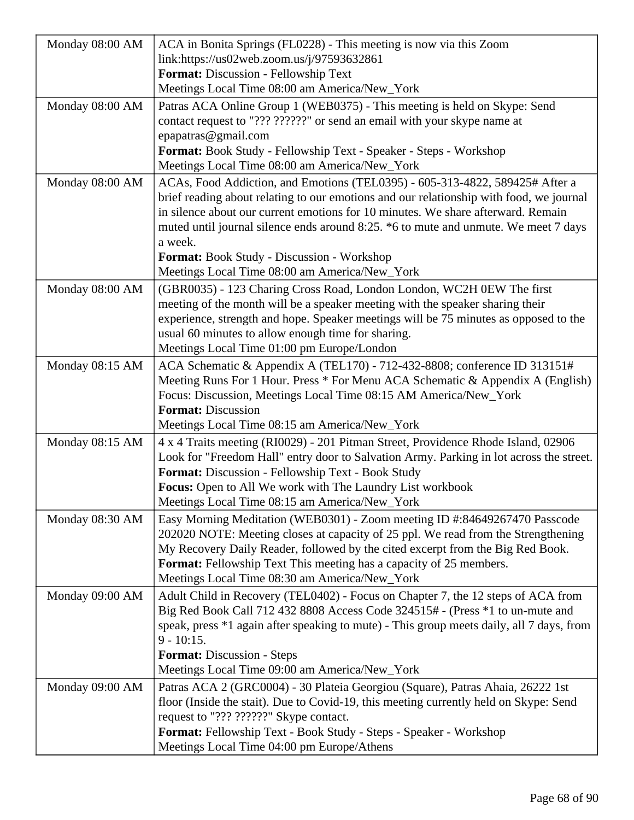| Monday 08:00 AM | ACA in Bonita Springs (FL0228) - This meeting is now via this Zoom                                                                                 |
|-----------------|----------------------------------------------------------------------------------------------------------------------------------------------------|
|                 | link:https://us02web.zoom.us/j/97593632861                                                                                                         |
|                 | Format: Discussion - Fellowship Text                                                                                                               |
|                 | Meetings Local Time 08:00 am America/New_York                                                                                                      |
| Monday 08:00 AM | Patras ACA Online Group 1 (WEB0375) - This meeting is held on Skype: Send                                                                          |
|                 | contact request to "??? ??????" or send an email with your skype name at                                                                           |
|                 | epapatras@gmail.com                                                                                                                                |
|                 | Format: Book Study - Fellowship Text - Speaker - Steps - Workshop                                                                                  |
|                 | Meetings Local Time 08:00 am America/New_York                                                                                                      |
| Monday 08:00 AM | ACAs, Food Addiction, and Emotions (TEL0395) - 605-313-4822, 589425# After a                                                                       |
|                 | brief reading about relating to our emotions and our relationship with food, we journal                                                            |
|                 | in silence about our current emotions for 10 minutes. We share afterward. Remain                                                                   |
|                 | muted until journal silence ends around 8:25. *6 to mute and unmute. We meet 7 days                                                                |
|                 | a week.                                                                                                                                            |
|                 | Format: Book Study - Discussion - Workshop                                                                                                         |
|                 | Meetings Local Time 08:00 am America/New_York                                                                                                      |
| Monday 08:00 AM | (GBR0035) - 123 Charing Cross Road, London London, WC2H 0EW The first                                                                              |
|                 | meeting of the month will be a speaker meeting with the speaker sharing their                                                                      |
|                 | experience, strength and hope. Speaker meetings will be 75 minutes as opposed to the                                                               |
|                 | usual 60 minutes to allow enough time for sharing.                                                                                                 |
|                 | Meetings Local Time 01:00 pm Europe/London                                                                                                         |
| Monday 08:15 AM | ACA Schematic & Appendix A (TEL170) - 712-432-8808; conference ID 313151#                                                                          |
|                 | Meeting Runs For 1 Hour. Press * For Menu ACA Schematic & Appendix A (English)<br>Focus: Discussion, Meetings Local Time 08:15 AM America/New_York |
|                 | <b>Format: Discussion</b>                                                                                                                          |
|                 | Meetings Local Time 08:15 am America/New_York                                                                                                      |
| Monday 08:15 AM | 4 x 4 Traits meeting (RI0029) - 201 Pitman Street, Providence Rhode Island, 02906                                                                  |
|                 | Look for "Freedom Hall" entry door to Salvation Army. Parking in lot across the street.                                                            |
|                 | Format: Discussion - Fellowship Text - Book Study                                                                                                  |
|                 | Focus: Open to All We work with The Laundry List workbook                                                                                          |
|                 | Meetings Local Time 08:15 am America/New_York                                                                                                      |
| Monday 08:30 AM | Easy Morning Meditation (WEB0301) - Zoom meeting ID #:84649267470 Passcode                                                                         |
|                 | 202020 NOTE: Meeting closes at capacity of 25 ppl. We read from the Strengthening                                                                  |
|                 | My Recovery Daily Reader, followed by the cited excerpt from the Big Red Book.                                                                     |
|                 | <b>Format:</b> Fellowship Text This meeting has a capacity of 25 members.                                                                          |
|                 | Meetings Local Time 08:30 am America/New_York                                                                                                      |
| Monday 09:00 AM | Adult Child in Recovery (TEL0402) - Focus on Chapter 7, the 12 steps of ACA from                                                                   |
|                 | Big Red Book Call 712 432 8808 Access Code 324515# - (Press *1 to un-mute and                                                                      |
|                 | speak, press *1 again after speaking to mute) - This group meets daily, all 7 days, from                                                           |
|                 | $9 - 10:15.$                                                                                                                                       |
|                 | <b>Format:</b> Discussion - Steps                                                                                                                  |
|                 | Meetings Local Time 09:00 am America/New_York                                                                                                      |
| Monday 09:00 AM | Patras ACA 2 (GRC0004) - 30 Plateia Georgiou (Square), Patras Ahaia, 26222 1st                                                                     |
|                 | floor (Inside the stait). Due to Covid-19, this meeting currently held on Skype: Send                                                              |
|                 | request to "??? ??????" Skype contact.                                                                                                             |
|                 | Format: Fellowship Text - Book Study - Steps - Speaker - Workshop                                                                                  |
|                 | Meetings Local Time 04:00 pm Europe/Athens                                                                                                         |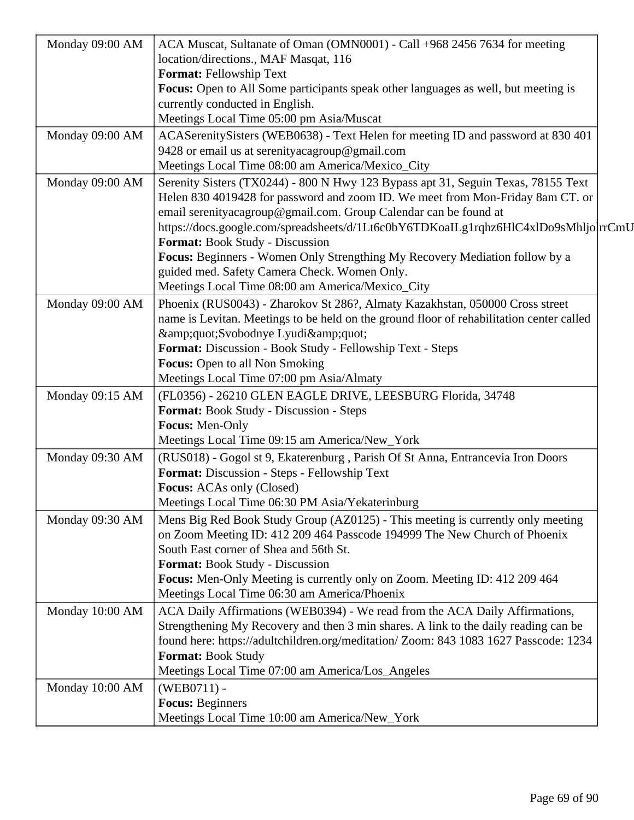| Monday 09:00 AM | ACA Muscat, Sultanate of Oman (OMN0001) - Call +968 2456 7634 for meeting                 |
|-----------------|-------------------------------------------------------------------------------------------|
|                 | location/directions., MAF Masqat, 116                                                     |
|                 | Format: Fellowship Text                                                                   |
|                 | <b>Focus:</b> Open to All Some participants speak other languages as well, but meeting is |
|                 | currently conducted in English.                                                           |
|                 | Meetings Local Time 05:00 pm Asia/Muscat                                                  |
| Monday 09:00 AM | ACASerenitySisters (WEB0638) - Text Helen for meeting ID and password at 830 401          |
|                 | 9428 or email us at serenity acagroup@gmail.com                                           |
|                 | Meetings Local Time 08:00 am America/Mexico_City                                          |
| Monday 09:00 AM | Serenity Sisters (TX0244) - 800 N Hwy 123 Bypass apt 31, Seguin Texas, 78155 Text         |
|                 | Helen 830 4019428 for password and zoom ID. We meet from Mon-Friday 8am CT. or            |
|                 | email serenityacagroup@gmail.com. Group Calendar can be found at                          |
|                 | https://docs.google.com/spreadsheets/d/1Lt6c0bY6TDKoaILg1rqhz6HlC4xlDo9sMhljolrrCmU       |
|                 | <b>Format:</b> Book Study - Discussion                                                    |
|                 | Focus: Beginners - Women Only Strengthing My Recovery Mediation follow by a               |
|                 | guided med. Safety Camera Check. Women Only.                                              |
|                 | Meetings Local Time 08:00 am America/Mexico_City                                          |
| Monday 09:00 AM | Phoenix (RUS0043) - Zharokov St 286?, Almaty Kazakhstan, 050000 Cross street              |
|                 | name is Levitan. Meetings to be held on the ground floor of rehabilitation center called  |
|                 | "Svobodnye Lyudi"                                                                         |
|                 | Format: Discussion - Book Study - Fellowship Text - Steps                                 |
|                 | <b>Focus:</b> Open to all Non Smoking                                                     |
|                 | Meetings Local Time 07:00 pm Asia/Almaty                                                  |
| Monday 09:15 AM | (FL0356) - 26210 GLEN EAGLE DRIVE, LEESBURG Florida, 34748                                |
|                 | Format: Book Study - Discussion - Steps                                                   |
|                 | Focus: Men-Only                                                                           |
|                 | Meetings Local Time 09:15 am America/New_York                                             |
| Monday 09:30 AM | (RUS018) - Gogol st 9, Ekaterenburg, Parish Of St Anna, Entrancevia Iron Doors            |
|                 | Format: Discussion - Steps - Fellowship Text                                              |
|                 | <b>Focus:</b> ACAs only (Closed)                                                          |
|                 | Meetings Local Time 06:30 PM Asia/Yekaterinburg                                           |
| Monday 09:30 AM | Mens Big Red Book Study Group (AZ0125) - This meeting is currently only meeting           |
|                 | on Zoom Meeting ID: 412 209 464 Passcode 194999 The New Church of Phoenix                 |
|                 | South East corner of Shea and 56th St.                                                    |
|                 | <b>Format:</b> Book Study - Discussion                                                    |
|                 | Focus: Men-Only Meeting is currently only on Zoom. Meeting ID: 412 209 464                |
|                 | Meetings Local Time 06:30 am America/Phoenix                                              |
| Monday 10:00 AM | ACA Daily Affirmations (WEB0394) - We read from the ACA Daily Affirmations,               |
|                 | Strengthening My Recovery and then 3 min shares. A link to the daily reading can be       |
|                 | found here: https://adultchildren.org/meditation/ Zoom: 843 1083 1627 Passcode: 1234      |
|                 | Format: Book Study                                                                        |
|                 | Meetings Local Time 07:00 am America/Los_Angeles                                          |
| Monday 10:00 AM | $(WEB0711) -$                                                                             |
|                 | <b>Focus: Beginners</b>                                                                   |
|                 | Meetings Local Time 10:00 am America/New_York                                             |
|                 |                                                                                           |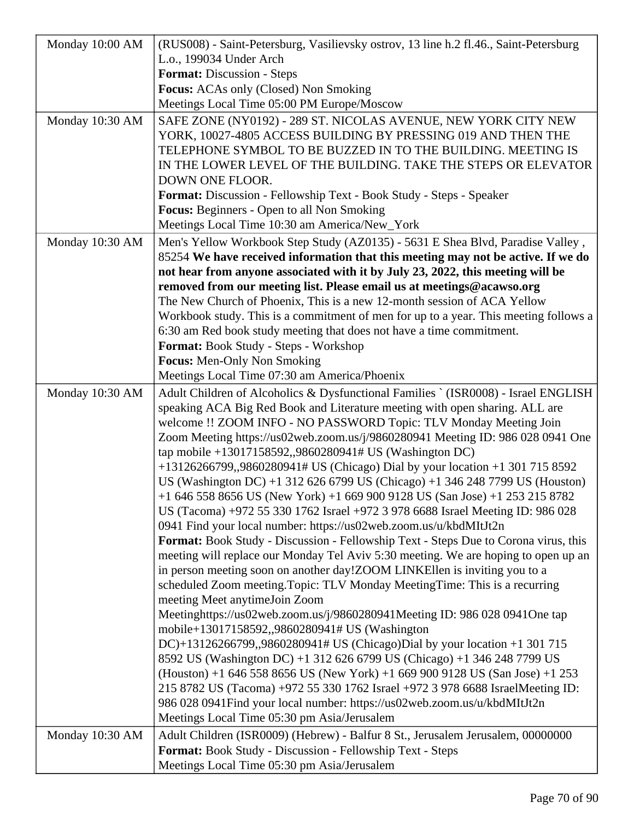| Monday 10:00 AM | (RUS008) - Saint-Petersburg, Vasilievsky ostrov, 13 line h.2 fl.46., Saint-Petersburg                                                               |
|-----------------|-----------------------------------------------------------------------------------------------------------------------------------------------------|
|                 | L.o., 199034 Under Arch                                                                                                                             |
|                 | Format: Discussion - Steps                                                                                                                          |
|                 | <b>Focus:</b> ACAs only (Closed) Non Smoking                                                                                                        |
|                 | Meetings Local Time 05:00 PM Europe/Moscow                                                                                                          |
| Monday 10:30 AM | SAFE ZONE (NY0192) - 289 ST. NICOLAS AVENUE, NEW YORK CITY NEW                                                                                      |
|                 | YORK, 10027-4805 ACCESS BUILDING BY PRESSING 019 AND THEN THE                                                                                       |
|                 | TELEPHONE SYMBOL TO BE BUZZED IN TO THE BUILDING. MEETING IS                                                                                        |
|                 | IN THE LOWER LEVEL OF THE BUILDING. TAKE THE STEPS OR ELEVATOR                                                                                      |
|                 | DOWN ONE FLOOR.                                                                                                                                     |
|                 | Format: Discussion - Fellowship Text - Book Study - Steps - Speaker                                                                                 |
|                 | Focus: Beginners - Open to all Non Smoking                                                                                                          |
|                 | Meetings Local Time 10:30 am America/New_York                                                                                                       |
| Monday 10:30 AM | Men's Yellow Workbook Step Study (AZ0135) - 5631 E Shea Blvd, Paradise Valley,                                                                      |
|                 | 85254 We have received information that this meeting may not be active. If we do                                                                    |
|                 | not hear from anyone associated with it by July 23, 2022, this meeting will be                                                                      |
|                 | removed from our meeting list. Please email us at meetings@acawso.org                                                                               |
|                 | The New Church of Phoenix, This is a new 12-month session of ACA Yellow                                                                             |
|                 | Workbook study. This is a commitment of men for up to a year. This meeting follows a                                                                |
|                 | 6:30 am Red book study meeting that does not have a time commitment.                                                                                |
|                 | Format: Book Study - Steps - Workshop                                                                                                               |
|                 | <b>Focus:</b> Men-Only Non Smoking                                                                                                                  |
|                 | Meetings Local Time 07:30 am America/Phoenix                                                                                                        |
| Monday 10:30 AM | Adult Children of Alcoholics & Dysfunctional Families `(ISR0008) - Israel ENGLISH                                                                   |
|                 | speaking ACA Big Red Book and Literature meeting with open sharing. ALL are                                                                         |
|                 | welcome !! ZOOM INFO - NO PASSWORD Topic: TLV Monday Meeting Join                                                                                   |
|                 | Zoom Meeting https://us02web.zoom.us/j/9860280941 Meeting ID: 986 028 0941 One                                                                      |
|                 | tap mobile +13017158592,,9860280941# US (Washington DC)                                                                                             |
|                 | +13126266799,,9860280941# US (Chicago) Dial by your location +1 301 715 8592                                                                        |
|                 | US (Washington DC) +1 312 626 6799 US (Chicago) +1 346 248 7799 US (Houston)                                                                        |
|                 | +1 646 558 8656 US (New York) +1 669 900 9128 US (San Jose) +1 253 215 8782                                                                         |
|                 | US (Tacoma) +972 55 330 1762 Israel +972 3 978 6688 Israel Meeting ID: 986 028<br>0941 Find your local number: https://us02web.zoom.us/u/kbdMItJt2n |
|                 | Format: Book Study - Discussion - Fellowship Text - Steps Due to Corona virus, this                                                                 |
|                 | meeting will replace our Monday Tel Aviv 5:30 meeting. We are hoping to open up an                                                                  |
|                 | in person meeting soon on another day!ZOOM LINKEllen is inviting you to a                                                                           |
|                 | scheduled Zoom meeting. Topic: TLV Monday Meeting Time: This is a recurring                                                                         |
|                 | meeting Meet anytimeJoin Zoom                                                                                                                       |
|                 | Meetinghttps://us02web.zoom.us/j/9860280941Meeting ID: 986 028 0941One tap                                                                          |
|                 | mobile+13017158592,,9860280941# US (Washington                                                                                                      |
|                 | DC $+13126266799,9860280941$ # US (Chicago)Dial by your location $+1301715$                                                                         |
|                 | 8592 US (Washington DC) +1 312 626 6799 US (Chicago) +1 346 248 7799 US                                                                             |
|                 | $(Houston) + 1 646 558 8656 US (New York) + 1 669 900 9128 US (San Jose) + 1 253$                                                                   |
|                 | 215 8782 US (Tacoma) +972 55 330 1762 Israel +972 3 978 6688 IsraelMeeting ID:                                                                      |
|                 | 986 028 0941Find your local number: https://us02web.zoom.us/u/kbdMItJt2n                                                                            |
|                 | Meetings Local Time 05:30 pm Asia/Jerusalem                                                                                                         |
| Monday 10:30 AM | Adult Children (ISR0009) (Hebrew) - Balfur 8 St., Jerusalem Jerusalem, 00000000                                                                     |
|                 | Format: Book Study - Discussion - Fellowship Text - Steps                                                                                           |
|                 | Meetings Local Time 05:30 pm Asia/Jerusalem                                                                                                         |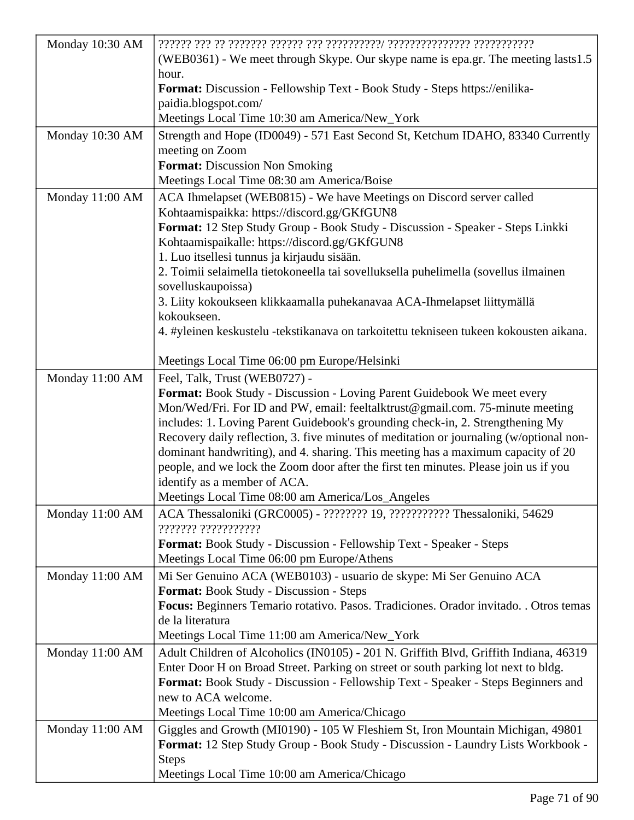| Monday 10:30 AM |                                                                                                                                                                           |
|-----------------|---------------------------------------------------------------------------------------------------------------------------------------------------------------------------|
|                 | (WEB0361) - We meet through Skype. Our skype name is epa.gr. The meeting lasts1.5                                                                                         |
|                 | hour.                                                                                                                                                                     |
|                 | Format: Discussion - Fellowship Text - Book Study - Steps https://enilika-                                                                                                |
|                 | paidia.blogspot.com/                                                                                                                                                      |
|                 | Meetings Local Time 10:30 am America/New_York                                                                                                                             |
| Monday 10:30 AM | Strength and Hope (ID0049) - 571 East Second St, Ketchum IDAHO, 83340 Currently                                                                                           |
|                 | meeting on Zoom                                                                                                                                                           |
|                 | Format: Discussion Non Smoking                                                                                                                                            |
|                 | Meetings Local Time 08:30 am America/Boise                                                                                                                                |
| Monday 11:00 AM | ACA Ihmelapset (WEB0815) - We have Meetings on Discord server called                                                                                                      |
|                 | Kohtaamispaikka: https://discord.gg/GKfGUN8                                                                                                                               |
|                 | Format: 12 Step Study Group - Book Study - Discussion - Speaker - Steps Linkki                                                                                            |
|                 | Kohtaamispaikalle: https://discord.gg/GKfGUN8                                                                                                                             |
|                 | 1. Luo itsellesi tunnus ja kirjaudu sisään.                                                                                                                               |
|                 | 2. Toimii selaimella tietokoneella tai sovelluksella puhelimella (sovellus ilmainen                                                                                       |
|                 | sovelluskaupoissa)                                                                                                                                                        |
|                 | 3. Liity kokoukseen klikkaamalla puhekanavaa ACA-Ihmelapset liittymällä                                                                                                   |
|                 | kokoukseen.                                                                                                                                                               |
|                 | 4. #yleinen keskustelu -tekstikanava on tarkoitettu tekniseen tukeen kokousten aikana.                                                                                    |
|                 |                                                                                                                                                                           |
|                 | Meetings Local Time 06:00 pm Europe/Helsinki                                                                                                                              |
| Monday 11:00 AM | Feel, Talk, Trust (WEB0727) -                                                                                                                                             |
|                 | Format: Book Study - Discussion - Loving Parent Guidebook We meet every                                                                                                   |
|                 | Mon/Wed/Fri. For ID and PW, email: feeltalktrust@gmail.com. 75-minute meeting                                                                                             |
|                 | includes: 1. Loving Parent Guidebook's grounding check-in, 2. Strengthening My<br>Recovery daily reflection, 3. five minutes of meditation or journaling (w/optional non- |
|                 | dominant handwriting), and 4. sharing. This meeting has a maximum capacity of 20                                                                                          |
|                 | people, and we lock the Zoom door after the first ten minutes. Please join us if you                                                                                      |
|                 | identify as a member of ACA.                                                                                                                                              |
|                 | Meetings Local Time 08:00 am America/Los_Angeles                                                                                                                          |
| Monday 11:00 AM | ACA Thessaloniki (GRC0005) - ????????? 19, ??????????? Thessaloniki, 54629                                                                                                |
|                 |                                                                                                                                                                           |
|                 | Format: Book Study - Discussion - Fellowship Text - Speaker - Steps                                                                                                       |
|                 | Meetings Local Time 06:00 pm Europe/Athens                                                                                                                                |
| Monday 11:00 AM | Mi Ser Genuino ACA (WEB0103) - usuario de skype: Mi Ser Genuino ACA                                                                                                       |
|                 | <b>Format:</b> Book Study - Discussion - Steps                                                                                                                            |
|                 | Focus: Beginners Temario rotativo. Pasos. Tradiciones. Orador invitado. . Otros temas                                                                                     |
|                 | de la literatura                                                                                                                                                          |
|                 | Meetings Local Time 11:00 am America/New_York                                                                                                                             |
| Monday 11:00 AM | Adult Children of Alcoholics (IN0105) - 201 N. Griffith Blvd, Griffith Indiana, 46319                                                                                     |
|                 | Enter Door H on Broad Street. Parking on street or south parking lot next to bldg.                                                                                        |
|                 | Format: Book Study - Discussion - Fellowship Text - Speaker - Steps Beginners and                                                                                         |
|                 | new to ACA welcome.                                                                                                                                                       |
|                 | Meetings Local Time 10:00 am America/Chicago                                                                                                                              |
| Monday 11:00 AM | Giggles and Growth (MI0190) - 105 W Fleshiem St, Iron Mountain Michigan, 49801                                                                                            |
|                 | Format: 12 Step Study Group - Book Study - Discussion - Laundry Lists Workbook -                                                                                          |
|                 | <b>Steps</b>                                                                                                                                                              |
|                 | Meetings Local Time 10:00 am America/Chicago                                                                                                                              |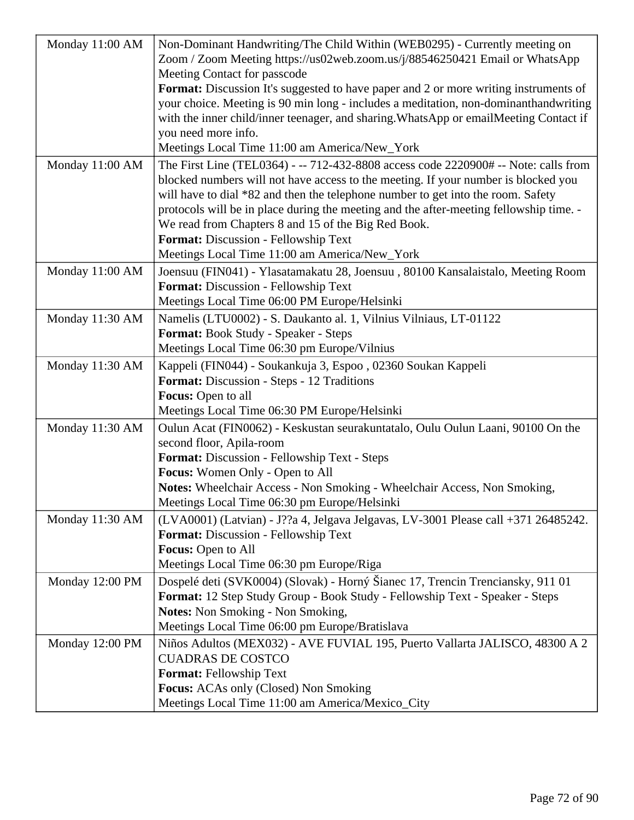| Monday 11:00 AM | Non-Dominant Handwriting/The Child Within (WEB0295) - Currently meeting on<br>Zoom / Zoom Meeting https://us02web.zoom.us/j/88546250421 Email or WhatsApp |
|-----------------|-----------------------------------------------------------------------------------------------------------------------------------------------------------|
|                 | Meeting Contact for passcode                                                                                                                              |
|                 | Format: Discussion It's suggested to have paper and 2 or more writing instruments of                                                                      |
|                 | your choice. Meeting is 90 min long - includes a meditation, non-dominanthandwriting                                                                      |
|                 | with the inner child/inner teenager, and sharing. WhatsApp or emailMeeting Contact if                                                                     |
|                 | you need more info.                                                                                                                                       |
|                 | Meetings Local Time 11:00 am America/New_York                                                                                                             |
| Monday 11:00 AM | The First Line (TEL0364) - -- 712-432-8808 access code 2220900# -- Note: calls from                                                                       |
|                 | blocked numbers will not have access to the meeting. If your number is blocked you                                                                        |
|                 | will have to dial *82 and then the telephone number to get into the room. Safety                                                                          |
|                 | protocols will be in place during the meeting and the after-meeting fellowship time. -                                                                    |
|                 | We read from Chapters 8 and 15 of the Big Red Book.                                                                                                       |
|                 | Format: Discussion - Fellowship Text                                                                                                                      |
|                 | Meetings Local Time 11:00 am America/New_York                                                                                                             |
| Monday 11:00 AM | Joensuu (FIN041) - Ylasatamakatu 28, Joensuu, 80100 Kansalaistalo, Meeting Room                                                                           |
|                 | Format: Discussion - Fellowship Text                                                                                                                      |
|                 | Meetings Local Time 06:00 PM Europe/Helsinki                                                                                                              |
| Monday 11:30 AM | Namelis (LTU0002) - S. Daukanto al. 1, Vilnius Vilniaus, LT-01122                                                                                         |
|                 | Format: Book Study - Speaker - Steps                                                                                                                      |
|                 | Meetings Local Time 06:30 pm Europe/Vilnius                                                                                                               |
| Monday 11:30 AM | Kappeli (FIN044) - Soukankuja 3, Espoo, 02360 Soukan Kappeli                                                                                              |
|                 | <b>Format:</b> Discussion - Steps - 12 Traditions                                                                                                         |
|                 | Focus: Open to all                                                                                                                                        |
|                 | Meetings Local Time 06:30 PM Europe/Helsinki                                                                                                              |
| Monday 11:30 AM | Oulun Acat (FIN0062) - Keskustan seurakuntatalo, Oulu Oulun Laani, 90100 On the                                                                           |
|                 | second floor, Apila-room                                                                                                                                  |
|                 | Format: Discussion - Fellowship Text - Steps                                                                                                              |
|                 | Focus: Women Only - Open to All                                                                                                                           |
|                 | Notes: Wheelchair Access - Non Smoking - Wheelchair Access, Non Smoking,                                                                                  |
|                 | Meetings Local Time 06:30 pm Europe/Helsinki                                                                                                              |
| Monday 11:30 AM | (LVA0001) (Latvian) - J??a 4, Jelgava Jelgavas, LV-3001 Please call +371 26485242.                                                                        |
|                 | Format: Discussion - Fellowship Text                                                                                                                      |
|                 | Focus: Open to All                                                                                                                                        |
|                 | Meetings Local Time 06:30 pm Europe/Riga                                                                                                                  |
| Monday 12:00 PM | Dospelé deti (SVK0004) (Slovak) - Horný Šianec 17, Trencin Trenciansky, 911 01                                                                            |
|                 | Format: 12 Step Study Group - Book Study - Fellowship Text - Speaker - Steps                                                                              |
|                 | <b>Notes:</b> Non Smoking - Non Smoking,                                                                                                                  |
|                 | Meetings Local Time 06:00 pm Europe/Bratislava                                                                                                            |
| Monday 12:00 PM | Niños Adultos (MEX032) - AVE FUVIAL 195, Puerto Vallarta JALISCO, 48300 A 2                                                                               |
|                 | <b>CUADRAS DE COSTCO</b>                                                                                                                                  |
|                 | Format: Fellowship Text                                                                                                                                   |
|                 | Focus: ACAs only (Closed) Non Smoking                                                                                                                     |
|                 | Meetings Local Time 11:00 am America/Mexico_City                                                                                                          |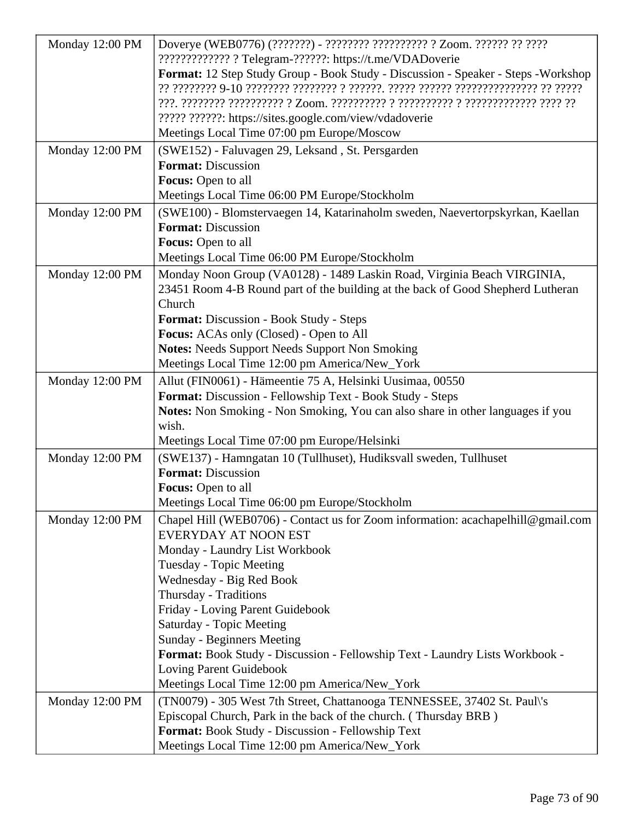| Monday 12:00 PM | Doverye (WEB0776) (???????) - ????????? ?????????? ? Zoom. ?????? ?? ?????                     |
|-----------------|------------------------------------------------------------------------------------------------|
|                 | ????????????? ? Telegram-??????: https://t.me/VDADoverie                                       |
|                 | Format: 12 Step Study Group - Book Study - Discussion - Speaker - Steps - Workshop             |
|                 |                                                                                                |
|                 |                                                                                                |
|                 | ????? ??????: https://sites.google.com/view/vdadoverie                                         |
|                 | Meetings Local Time 07:00 pm Europe/Moscow                                                     |
| Monday 12:00 PM | (SWE152) - Faluvagen 29, Leksand, St. Persgarden                                               |
|                 | <b>Format: Discussion</b>                                                                      |
|                 | Focus: Open to all                                                                             |
|                 | Meetings Local Time 06:00 PM Europe/Stockholm                                                  |
| Monday 12:00 PM | (SWE100) - Blomstervaegen 14, Katarinaholm sweden, Naevertorpskyrkan, Kaellan                  |
|                 | <b>Format: Discussion</b>                                                                      |
|                 | Focus: Open to all                                                                             |
|                 | Meetings Local Time 06:00 PM Europe/Stockholm                                                  |
| Monday 12:00 PM | Monday Noon Group (VA0128) - 1489 Laskin Road, Virginia Beach VIRGINIA,                        |
|                 | 23451 Room 4-B Round part of the building at the back of Good Shepherd Lutheran                |
|                 | Church                                                                                         |
|                 | Format: Discussion - Book Study - Steps                                                        |
|                 | <b>Focus:</b> ACAs only (Closed) - Open to All                                                 |
|                 | <b>Notes:</b> Needs Support Needs Support Non Smoking                                          |
|                 | Meetings Local Time 12:00 pm America/New_York                                                  |
| Monday 12:00 PM | Allut (FIN0061) - Hämeentie 75 A, Helsinki Uusimaa, 00550                                      |
|                 | Format: Discussion - Fellowship Text - Book Study - Steps                                      |
|                 | Notes: Non Smoking - Non Smoking, You can also share in other languages if you<br>wish.        |
|                 | Meetings Local Time 07:00 pm Europe/Helsinki                                                   |
|                 |                                                                                                |
| Monday 12:00 PM | (SWE137) - Hamngatan 10 (Tullhuset), Hudiksvall sweden, Tullhuset<br><b>Format: Discussion</b> |
|                 | <b>Focus:</b> Open to all                                                                      |
|                 | Meetings Local Time 06:00 pm Europe/Stockholm                                                  |
| Monday 12:00 PM | Chapel Hill (WEB0706) - Contact us for Zoom information: acachapelhill@gmail.com               |
|                 | EVERYDAY AT NOON EST                                                                           |
|                 | Monday - Laundry List Workbook                                                                 |
|                 | <b>Tuesday - Topic Meeting</b>                                                                 |
|                 | Wednesday - Big Red Book                                                                       |
|                 | Thursday - Traditions                                                                          |
|                 | Friday - Loving Parent Guidebook                                                               |
|                 | Saturday - Topic Meeting                                                                       |
|                 | <b>Sunday - Beginners Meeting</b>                                                              |
|                 | Format: Book Study - Discussion - Fellowship Text - Laundry Lists Workbook -                   |
|                 | Loving Parent Guidebook                                                                        |
|                 | Meetings Local Time 12:00 pm America/New_York                                                  |
| Monday 12:00 PM | (TN0079) - 305 West 7th Street, Chattanooga TENNESSEE, 37402 St. Paul\'s                       |
|                 | Episcopal Church, Park in the back of the church. (Thursday BRB)                               |
|                 | Format: Book Study - Discussion - Fellowship Text                                              |
|                 | Meetings Local Time 12:00 pm America/New_York                                                  |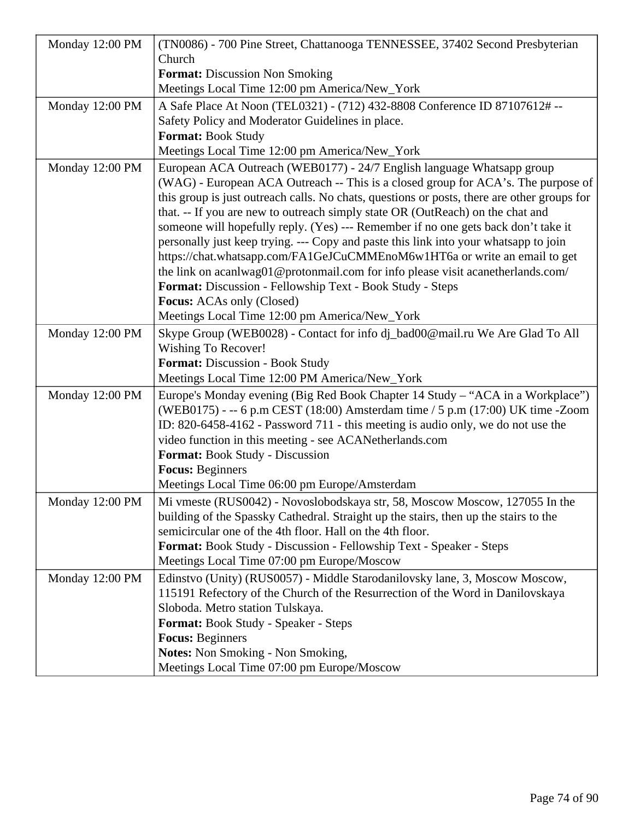| Monday 12:00 PM | (TN0086) - 700 Pine Street, Chattanooga TENNESSEE, 37402 Second Presbyterian                |  |
|-----------------|---------------------------------------------------------------------------------------------|--|
|                 | Church                                                                                      |  |
|                 | <b>Format:</b> Discussion Non Smoking                                                       |  |
|                 | Meetings Local Time 12:00 pm America/New_York                                               |  |
| Monday 12:00 PM | A Safe Place At Noon (TEL0321) - (712) 432-8808 Conference ID 87107612# --                  |  |
|                 | Safety Policy and Moderator Guidelines in place.                                            |  |
|                 | <b>Format: Book Study</b>                                                                   |  |
|                 | Meetings Local Time 12:00 pm America/New_York                                               |  |
| Monday 12:00 PM | European ACA Outreach (WEB0177) - 24/7 English language Whatsapp group                      |  |
|                 | (WAG) - European ACA Outreach -- This is a closed group for ACA's. The purpose of           |  |
|                 | this group is just outreach calls. No chats, questions or posts, there are other groups for |  |
|                 | that. -- If you are new to outreach simply state OR (OutReach) on the chat and              |  |
|                 | someone will hopefully reply. (Yes) --- Remember if no one gets back don't take it          |  |
|                 | personally just keep trying. --- Copy and paste this link into your whatsapp to join        |  |
|                 | https://chat.whatsapp.com/FA1GeJCuCMMEnoM6w1HT6a or write an email to get                   |  |
|                 | the link on acanlwag01@protonmail.com for info please visit acanetherlands.com/             |  |
|                 | Format: Discussion - Fellowship Text - Book Study - Steps                                   |  |
|                 | <b>Focus:</b> ACAs only (Closed)                                                            |  |
|                 | Meetings Local Time 12:00 pm America/New_York                                               |  |
| Monday 12:00 PM | Skype Group (WEB0028) - Contact for info dj_bad00@mail.ru We Are Glad To All                |  |
|                 | <b>Wishing To Recover!</b>                                                                  |  |
|                 | <b>Format: Discussion - Book Study</b>                                                      |  |
|                 | Meetings Local Time 12:00 PM America/New_York                                               |  |
| Monday 12:00 PM | Europe's Monday evening (Big Red Book Chapter 14 Study - "ACA in a Workplace")              |  |
|                 | (WEB0175) - -- 6 p.m CEST (18:00) Amsterdam time / 5 p.m (17:00) UK time -Zoom              |  |
|                 | ID: 820-6458-4162 - Password 711 - this meeting is audio only, we do not use the            |  |
|                 | video function in this meeting - see ACANetherlands.com                                     |  |
|                 | Format: Book Study - Discussion                                                             |  |
|                 | <b>Focus: Beginners</b>                                                                     |  |
|                 | Meetings Local Time 06:00 pm Europe/Amsterdam                                               |  |
| Monday 12:00 PM | Mi vmeste (RUS0042) - Novoslobodskaya str, 58, Moscow Moscow, 127055 In the                 |  |
|                 | building of the Spassky Cathedral. Straight up the stairs, then up the stairs to the        |  |
|                 | semicircular one of the 4th floor. Hall on the 4th floor.                                   |  |
|                 | Format: Book Study - Discussion - Fellowship Text - Speaker - Steps                         |  |
|                 | Meetings Local Time 07:00 pm Europe/Moscow                                                  |  |
| Monday 12:00 PM | Edinstvo (Unity) (RUS0057) - Middle Starodanilovsky lane, 3, Moscow Moscow,                 |  |
|                 | 115191 Refectory of the Church of the Resurrection of the Word in Danilovskaya              |  |
|                 | Sloboda. Metro station Tulskaya.                                                            |  |
|                 | Format: Book Study - Speaker - Steps                                                        |  |
|                 | <b>Focus: Beginners</b>                                                                     |  |
|                 | <b>Notes:</b> Non Smoking - Non Smoking,                                                    |  |
|                 | Meetings Local Time 07:00 pm Europe/Moscow                                                  |  |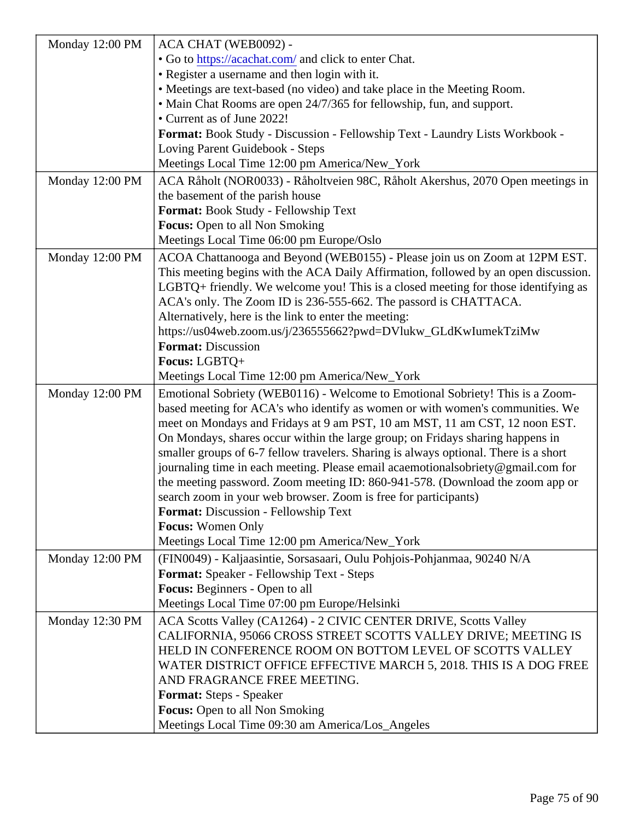|                 | Monday 12:00 PM   ACA CHAT (WEB0092) -                                                           |
|-----------------|--------------------------------------------------------------------------------------------------|
|                 | . Go tohttps://acachat.comand click to enter Chat.                                               |
|                 | • Register a username and then login with it.                                                    |
|                 | • Meetings are text-based (no video) and take place in the Meeting Room.                         |
|                 | • Main Chat Rooms are open 24/7/365 for fellowship, fun, and support.                            |
|                 | • Current as of June 2022!                                                                       |
|                 | Format: Book Study - Discussion - Fellowship Text - Laundry Lists Workbook -                     |
|                 | Loving Parent Guidebook - Steps                                                                  |
|                 | Meetings Local Time 12:00 pm America/New_York                                                    |
|                 | Monday 12:00 PM   ACA Råholt (NOR0033) - Råholtveien 98C, Råholt Akershus, 2070 Open meetings in |
|                 | the basement of the parish house                                                                 |
|                 | Format: Book Study - Fellowship Text                                                             |
|                 | Focus: Open to all Non Smoking                                                                   |
|                 | Meetings Local Time 06:00 pm Europe/Oslo                                                         |
|                 | Monday 12:00 PM   ACOA Chattanooga and Beyond (WEB0155) - Please join us on Zoom at 12PM EST.    |
|                 | This meeting begins with the ACA Daily Affirmation, followed by an open discusstion.             |
|                 | LGBTQ+ friendly. We welcome you! This is a closed meeting for those identifying as               |
|                 | ACA's only. The Zoom ID is 236-555-662. The passord is CHATTACA.                                 |
|                 | Alternatively, here is the link to enter the meeting:                                            |
|                 | https://us04web.zoom.us/j/236555662?pwd=DVlukw_GLdKwlumekTziMw                                   |
|                 | Format: Discussion                                                                               |
|                 | Focus: LGBTQ+                                                                                    |
|                 | Meetings Local Time 12:00 pm America/New_York                                                    |
| Monday 12:00 PM | Emotional Sobriety (WEB0116) - Welcome to Emotional Sobriety! This is a Zoorh-                   |
|                 | based meeting for ACA's who identify as women or with women's communities. We                    |
|                 | meet on Mondays and Fridays at 9 am PST, 10 am MST, 11 am CST, 12 noon $\text{\#ST}$ .           |
|                 | On Mondays, shares occur within the large group; on Fridays sharing happens in                   |
|                 | smaller groups of 6-7 fellow travelers. Sharing is always optional. There is a short             |
|                 | journaling time in each meeting. Please email acaemotionalsobriety@gmail.com for                 |
|                 | the meeting password. Zoom meeting ID: 860-941-578. (Download the zoom app or                    |
|                 | search zoom in your web browser. Zoom is free for participants)                                  |
|                 | Format: Discussion - Fellowship Text                                                             |
|                 | Focus: Women Only                                                                                |
|                 | Meetings Local Time 12:00 pm America/New_York                                                    |
| Monday 12:00 PM | (FIN0049) - Kaljaasintie, Sorsasaari, Oulu Pohjois-Pohjanmaa, 90240 N/A                          |
|                 | Format: Speaker - Fellowship Text - Steps                                                        |
|                 | Focus: Beginners - Open to all                                                                   |
|                 | Meetings Local Time 07:00 pm Europe/Helsinki                                                     |
|                 | ACA Scotts Valley (CA1264) - 2 CIVIC CENTER DRIVE, Scotts Valley                                 |
| Monday 12:30 PM | CALIFORNIA, 95066 CROSS STREET SCOTTS VALLEY DRIVE; MEETING IS                                   |
|                 | HELD IN CONFERENCE ROOM ON BOTTOM LEVEL OF SCOTTS VALLEY                                         |
|                 | WATER DISTRICT OFFICE EFFECTIVE MARCH 5, 2018. THIS IS A DOG FREE                                |
|                 | AND FRAGRANCE FREE MEETING.                                                                      |
|                 |                                                                                                  |
|                 | Format: Steps - Speaker                                                                          |
|                 | Focus: Open to all Non Smoking                                                                   |
|                 | Meetings Local Time 09:30 am America/Los_Angeles                                                 |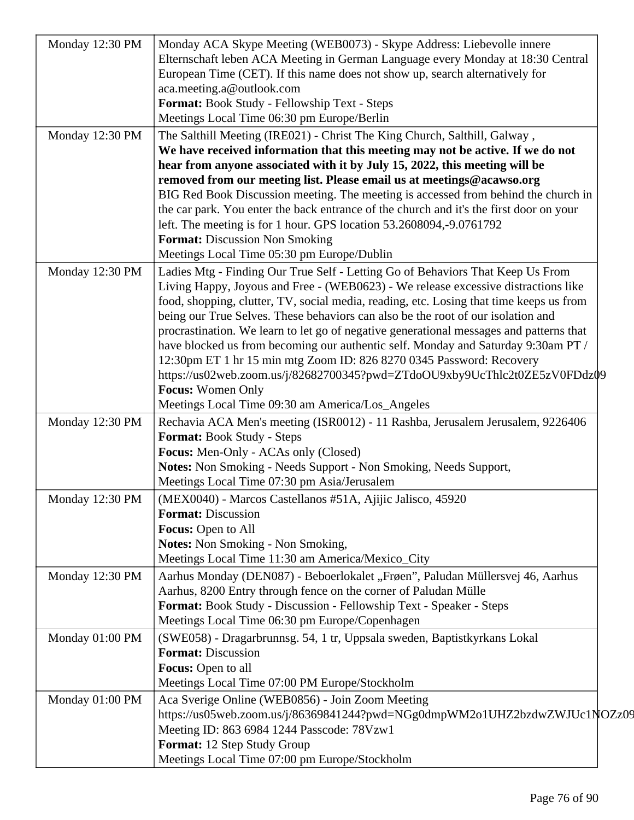| Monday 12:30 PM | Monday ACA Skype Meeting (WEB0073) - Skype Address: Liebevolle innere                                                                                                         |
|-----------------|-------------------------------------------------------------------------------------------------------------------------------------------------------------------------------|
|                 | Elternschaft leben ACA Meeting in German Language every Monday at 18:30 Central                                                                                               |
|                 | European Time (CET). If this name does not show up, search alternatively for                                                                                                  |
|                 | aca.meeting.a@outlook.com                                                                                                                                                     |
|                 | Format: Book Study - Fellowship Text - Steps                                                                                                                                  |
|                 | Meetings Local Time 06:30 pm Europe/Berlin                                                                                                                                    |
| Monday 12:30 PM | The Salthill Meeting (IRE021) - Christ The King Church, Salthill, Galway,                                                                                                     |
|                 | We have received information that this meeting may not be active. If we do not                                                                                                |
|                 | hear from anyone associated with it by July 15, 2022, this meeting will be                                                                                                    |
|                 | removed from our meeting list. Please email us at meetings@acawso.org                                                                                                         |
|                 | BIG Red Book Discussion meeting. The meeting is accessed from behind the church in<br>the car park. You enter the back entrance of the church and it's the first door on your |
|                 | left. The meeting is for 1 hour. GPS location 53.2608094,-9.0761792                                                                                                           |
|                 | <b>Format:</b> Discussion Non Smoking                                                                                                                                         |
|                 | Meetings Local Time 05:30 pm Europe/Dublin                                                                                                                                    |
|                 |                                                                                                                                                                               |
| Monday 12:30 PM | Ladies Mtg - Finding Our True Self - Letting Go of Behaviors That Keep Us From<br>Living Happy, Joyous and Free - (WEB0623) - We release excessive distractions like          |
|                 | food, shopping, clutter, TV, social media, reading, etc. Losing that time keeps us from                                                                                       |
|                 | being our True Selves. These behaviors can also be the root of our isolation and                                                                                              |
|                 | procrastination. We learn to let go of negative generational messages and patterns that                                                                                       |
|                 | have blocked us from becoming our authentic self. Monday and Saturday 9:30am PT /                                                                                             |
|                 | 12:30pm ET 1 hr 15 min mtg Zoom ID: 826 8270 0345 Password: Recovery                                                                                                          |
|                 | https://us02web.zoom.us/j/82682700345?pwd=ZTdoOU9xby9UcThlc2t0ZE5zV0FDdz $\phi$ 9                                                                                             |
|                 | <b>Focus:</b> Women Only                                                                                                                                                      |
|                 | Meetings Local Time 09:30 am America/Los_Angeles                                                                                                                              |
| Monday 12:30 PM | Rechavia ACA Men's meeting (ISR0012) - 11 Rashba, Jerusalem Jerusalem, 9226406                                                                                                |
|                 | Format: Book Study - Steps                                                                                                                                                    |
|                 | Focus: Men-Only - ACAs only (Closed)                                                                                                                                          |
|                 | Notes: Non Smoking - Needs Support - Non Smoking, Needs Support,                                                                                                              |
|                 | Meetings Local Time 07:30 pm Asia/Jerusalem                                                                                                                                   |
| Monday 12:30 PM | (MEX0040) - Marcos Castellanos #51A, Ajijic Jalisco, 45920                                                                                                                    |
|                 | <b>Format:</b> Discussion                                                                                                                                                     |
|                 | Focus: Open to All                                                                                                                                                            |
|                 | <b>Notes:</b> Non Smoking - Non Smoking,                                                                                                                                      |
|                 | Meetings Local Time 11:30 am America/Mexico_City                                                                                                                              |
|                 | Aarhus Monday (DEN087) - Beboerlokalet "Frøen", Paludan Müllersvej 46, Aarhus                                                                                                 |
| Monday 12:30 PM | Aarhus, 8200 Entry through fence on the corner of Paludan Mülle                                                                                                               |
|                 | Format: Book Study - Discussion - Fellowship Text - Speaker - Steps                                                                                                           |
|                 | Meetings Local Time 06:30 pm Europe/Copenhagen                                                                                                                                |
|                 |                                                                                                                                                                               |
| Monday 01:00 PM | (SWE058) - Dragarbrunnsg. 54, 1 tr, Uppsala sweden, Baptistkyrkans Lokal                                                                                                      |
|                 | <b>Format: Discussion</b>                                                                                                                                                     |
|                 | Focus: Open to all                                                                                                                                                            |
|                 | Meetings Local Time 07:00 PM Europe/Stockholm                                                                                                                                 |
| Monday 01:00 PM | Aca Sverige Online (WEB0856) - Join Zoom Meeting                                                                                                                              |
|                 | https://us05web.zoom.us/j/86369841244?pwd=NGg0dmpWM2o1UHZ2bzdwZWJUc1NOZz09                                                                                                    |
|                 | Meeting ID: 863 6984 1244 Passcode: 78Vzw1                                                                                                                                    |
|                 | Format: 12 Step Study Group                                                                                                                                                   |
|                 | Meetings Local Time 07:00 pm Europe/Stockholm                                                                                                                                 |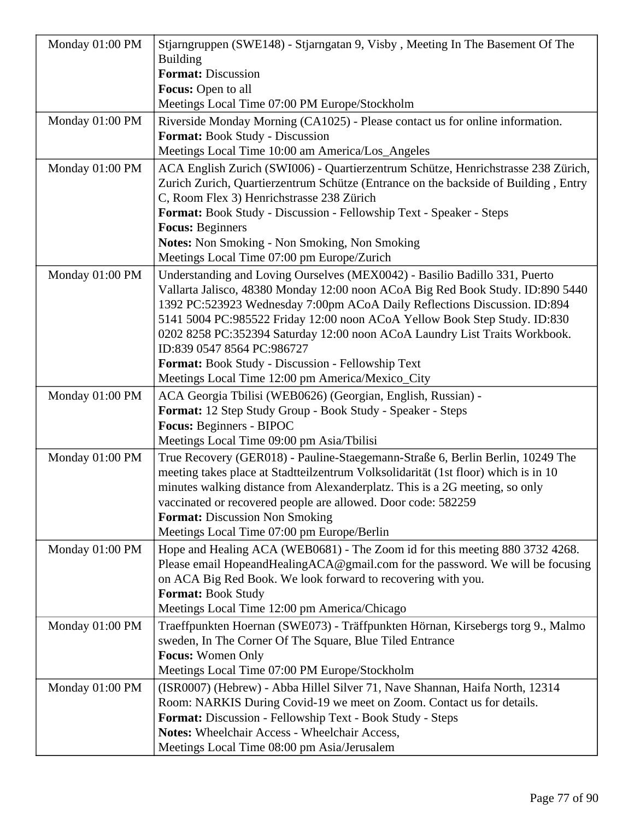| Monday 01:00 PM | Stjarngruppen (SWE148) - Stjarngatan 9, Visby, Meeting In The Basement Of The<br><b>Building</b><br><b>Format: Discussion</b><br><b>Focus:</b> Open to all<br>Meetings Local Time 07:00 PM Europe/Stockholm                                                                                                                                                                                                                                                                                                                                 |
|-----------------|---------------------------------------------------------------------------------------------------------------------------------------------------------------------------------------------------------------------------------------------------------------------------------------------------------------------------------------------------------------------------------------------------------------------------------------------------------------------------------------------------------------------------------------------|
| Monday 01:00 PM | Riverside Monday Morning (CA1025) - Please contact us for online information.<br>Format: Book Study - Discussion<br>Meetings Local Time 10:00 am America/Los_Angeles                                                                                                                                                                                                                                                                                                                                                                        |
| Monday 01:00 PM | ACA English Zurich (SWI006) - Quartierzentrum Schütze, Henrichstrasse 238 Zürich,<br>Zurich Zurich, Quartierzentrum Schütze (Entrance on the backside of Building, Entry<br>C, Room Flex 3) Henrichstrasse 238 Zürich<br>Format: Book Study - Discussion - Fellowship Text - Speaker - Steps<br><b>Focus: Beginners</b><br><b>Notes:</b> Non Smoking - Non Smoking, Non Smoking<br>Meetings Local Time 07:00 pm Europe/Zurich                                                                                                               |
| Monday 01:00 PM | Understanding and Loving Ourselves (MEX0042) - Basilio Badillo 331, Puerto<br>Vallarta Jalisco, 48380 Monday 12:00 noon ACoA Big Red Book Study. ID:890 5440<br>1392 PC:523923 Wednesday 7:00pm ACoA Daily Reflections Discussion. ID:894<br>5141 5004 PC:985522 Friday 12:00 noon ACoA Yellow Book Step Study. ID:830<br>0202 8258 PC:352394 Saturday 12:00 noon ACoA Laundry List Traits Workbook.<br>ID:839 0547 8564 PC:986727<br>Format: Book Study - Discussion - Fellowship Text<br>Meetings Local Time 12:00 pm America/Mexico_City |
| Monday 01:00 PM | ACA Georgia Tbilisi (WEB0626) (Georgian, English, Russian) -<br>Format: 12 Step Study Group - Book Study - Speaker - Steps<br>Focus: Beginners - BIPOC<br>Meetings Local Time 09:00 pm Asia/Tbilisi                                                                                                                                                                                                                                                                                                                                         |
| Monday 01:00 PM | True Recovery (GER018) - Pauline-Staegemann-Straße 6, Berlin Berlin, 10249 The<br>meeting takes place at Stadtteilzentrum Volksolidarität (1st floor) which is in 10<br>minutes walking distance from Alexanderplatz. This is a 2G meeting, so only<br>vaccinated or recovered people are allowed. Door code: 582259<br><b>Format:</b> Discussion Non Smoking<br>Meetings Local Time 07:00 pm Europe/Berlin                                                                                                                                 |
| Monday 01:00 PM | Hope and Healing ACA (WEB0681) - The Zoom id for this meeting 880 3732 4268.<br>Please email HopeandHealingACA@gmail.com for the password. We will be focusing<br>on ACA Big Red Book. We look forward to recovering with you.<br><b>Format: Book Study</b><br>Meetings Local Time 12:00 pm America/Chicago                                                                                                                                                                                                                                 |
| Monday 01:00 PM | Traeffpunkten Hoernan (SWE073) - Träffpunkten Hörnan, Kirsebergs torg 9., Malmo<br>sweden, In The Corner Of The Square, Blue Tiled Entrance<br><b>Focus:</b> Women Only<br>Meetings Local Time 07:00 PM Europe/Stockholm                                                                                                                                                                                                                                                                                                                    |
| Monday 01:00 PM | (ISR0007) (Hebrew) - Abba Hillel Silver 71, Nave Shannan, Haifa North, 12314<br>Room: NARKIS During Covid-19 we meet on Zoom. Contact us for details.<br>Format: Discussion - Fellowship Text - Book Study - Steps<br>Notes: Wheelchair Access - Wheelchair Access,<br>Meetings Local Time 08:00 pm Asia/Jerusalem                                                                                                                                                                                                                          |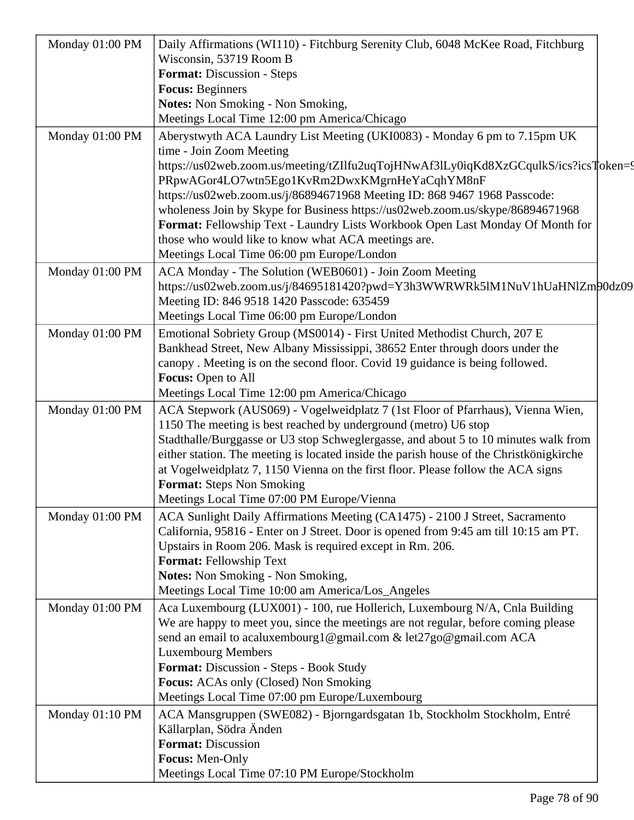| Monday 01:00 PM | Daily Affirmations (WI110) - Fitchburg Serenity Club, 6048 McKee Road, Fitchburg                                                                                 |  |
|-----------------|------------------------------------------------------------------------------------------------------------------------------------------------------------------|--|
|                 | Wisconsin, 53719 Room B                                                                                                                                          |  |
|                 | <b>Format: Discussion - Steps</b>                                                                                                                                |  |
|                 | <b>Focus: Beginners</b>                                                                                                                                          |  |
|                 | <b>Notes:</b> Non Smoking - Non Smoking,                                                                                                                         |  |
|                 | Meetings Local Time 12:00 pm America/Chicago                                                                                                                     |  |
| Monday 01:00 PM | Aberystwyth ACA Laundry List Meeting (UKI0083) - Monday 6 pm to 7.15pm UK                                                                                        |  |
|                 | time - Join Zoom Meeting                                                                                                                                         |  |
|                 | https://us02web.zoom.us/meeting/tZIlfu2uqTojHNwAf3lLy0iqKd8XzGCqulkS/ics?icsToken=9                                                                              |  |
|                 | PRpwAGor4LO7wtn5Ego1KvRm2DwxKMgrnHeYaCqhYM8nF                                                                                                                    |  |
|                 | https://us02web.zoom.us/j/86894671968 Meeting ID: 868 9467 1968 Passcode:                                                                                        |  |
|                 | wholeness Join by Skype for Business https://us02web.zoom.us/skype/86894671968<br>Format: Fellowship Text - Laundry Lists Workbook Open Last Monday Of Month for |  |
|                 | those who would like to know what ACA meetings are.                                                                                                              |  |
|                 | Meetings Local Time 06:00 pm Europe/London                                                                                                                       |  |
| Monday 01:00 PM | ACA Monday - The Solution (WEB0601) - Join Zoom Meeting                                                                                                          |  |
|                 | https://us02web.zoom.us/j/84695181420?pwd=Y3h3WWRWRk5lM1NuV1hUaHNlZm $90$ dz09                                                                                   |  |
|                 | Meeting ID: 846 9518 1420 Passcode: 635459                                                                                                                       |  |
|                 | Meetings Local Time 06:00 pm Europe/London                                                                                                                       |  |
| Monday 01:00 PM | Emotional Sobriety Group (MS0014) - First United Methodist Church, 207 E                                                                                         |  |
|                 | Bankhead Street, New Albany Mississippi, 38652 Enter through doors under the                                                                                     |  |
|                 | canopy. Meeting is on the second floor. Covid 19 guidance is being followed.                                                                                     |  |
|                 | Focus: Open to All                                                                                                                                               |  |
|                 | Meetings Local Time 12:00 pm America/Chicago                                                                                                                     |  |
| Monday 01:00 PM | ACA Stepwork (AUS069) - Vogelweidplatz 7 (1st Floor of Pfarrhaus), Vienna Wien,                                                                                  |  |
|                 | 1150 The meeting is best reached by underground (metro) U6 stop                                                                                                  |  |
|                 | Stadthalle/Burggasse or U3 stop Schweglergasse, and about 5 to 10 minutes walk from                                                                              |  |
|                 | either station. The meeting is located inside the parish house of the Christkönigkirche                                                                          |  |
|                 | at Vogelweidplatz 7, 1150 Vienna on the first floor. Please follow the ACA signs                                                                                 |  |
|                 | <b>Format:</b> Steps Non Smoking                                                                                                                                 |  |
|                 | Meetings Local Time 07:00 PM Europe/Vienna                                                                                                                       |  |
| Monday 01:00 PM | ACA Sunlight Daily Affirmations Meeting (CA1475) - 2100 J Street, Sacramento                                                                                     |  |
|                 | California, 95816 - Enter on J Street. Door is opened from 9:45 am till 10:15 am PT.                                                                             |  |
|                 | Upstairs in Room 206. Mask is required except in Rm. 206.                                                                                                        |  |
|                 | Format: Fellowship Text                                                                                                                                          |  |
|                 | <b>Notes:</b> Non Smoking - Non Smoking,                                                                                                                         |  |
|                 | Meetings Local Time 10:00 am America/Los_Angeles                                                                                                                 |  |
| Monday 01:00 PM | Aca Luxembourg (LUX001) - 100, rue Hollerich, Luxembourg N/A, Cnla Building                                                                                      |  |
|                 | We are happy to meet you, since the meetings are not regular, before coming please                                                                               |  |
|                 | send an email to acaluxembourg1@gmail.com & let27go@gmail.com ACA                                                                                                |  |
|                 | <b>Luxembourg Members</b><br>Format: Discussion - Steps - Book Study                                                                                             |  |
|                 | <b>Focus:</b> ACAs only (Closed) Non Smoking                                                                                                                     |  |
|                 | Meetings Local Time 07:00 pm Europe/Luxembourg                                                                                                                   |  |
| Monday 01:10 PM | ACA Mansgruppen (SWE082) - Bjorngardsgatan 1b, Stockholm Stockholm, Entré                                                                                        |  |
|                 | Källarplan, Södra Änden                                                                                                                                          |  |
|                 | <b>Format: Discussion</b>                                                                                                                                        |  |
|                 | Focus: Men-Only                                                                                                                                                  |  |
|                 | Meetings Local Time 07:10 PM Europe/Stockholm                                                                                                                    |  |
|                 |                                                                                                                                                                  |  |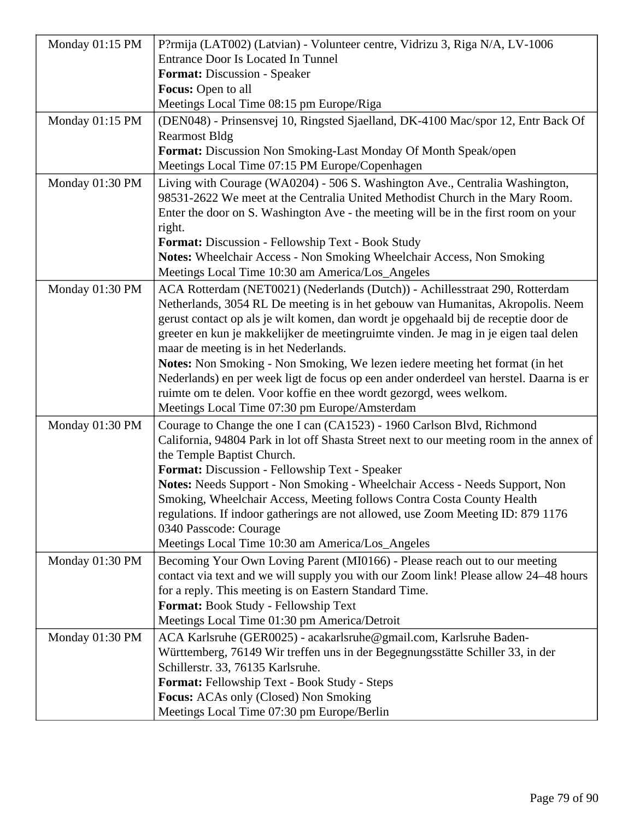| Monday 01:15 PM | P?rmija (LAT002) (Latvian) - Volunteer centre, Vidrizu 3, Riga N/A, LV-1006                                         |
|-----------------|---------------------------------------------------------------------------------------------------------------------|
|                 | <b>Entrance Door Is Located In Tunnel</b>                                                                           |
|                 | Format: Discussion - Speaker                                                                                        |
|                 | Focus: Open to all                                                                                                  |
|                 | Meetings Local Time 08:15 pm Europe/Riga                                                                            |
| Monday 01:15 PM | (DEN048) - Prinsensvej 10, Ringsted Sjaelland, DK-4100 Mac/spor 12, Entr Back Of                                    |
|                 | <b>Rearmost Bldg</b>                                                                                                |
|                 | Format: Discussion Non Smoking-Last Monday Of Month Speak/open                                                      |
|                 | Meetings Local Time 07:15 PM Europe/Copenhagen                                                                      |
| Monday 01:30 PM | Living with Courage (WA0204) - 506 S. Washington Ave., Centralia Washington,                                        |
|                 | 98531-2622 We meet at the Centralia United Methodist Church in the Mary Room.                                       |
|                 | Enter the door on S. Washington Ave - the meeting will be in the first room on your                                 |
|                 | right.                                                                                                              |
|                 | <b>Format:</b> Discussion - Fellowship Text - Book Study                                                            |
|                 | Notes: Wheelchair Access - Non Smoking Wheelchair Access, Non Smoking                                               |
|                 | Meetings Local Time 10:30 am America/Los_Angeles                                                                    |
| Monday 01:30 PM | ACA Rotterdam (NET0021) (Nederlands (Dutch)) - Achillesstraat 290, Rotterdam                                        |
|                 | Netherlands, 3054 RL De meeting is in het gebouw van Humanitas, Akropolis. Neem                                     |
|                 | gerust contact op als je wilt komen, dan wordt je opgehaald bij de receptie door de                                 |
|                 | greeter en kun je makkelijker de meetingruimte vinden. Je mag in je eigen taal delen                                |
|                 | maar de meeting is in het Nederlands.                                                                               |
|                 | Notes: Non Smoking - Non Smoking, We lezen iedere meeting het format (in het                                        |
|                 | Nederlands) en per week ligt de focus op een ander onderdeel van herstel. Daarna is er                              |
|                 | ruimte om te delen. Voor koffie en thee wordt gezorgd, wees welkom.                                                 |
|                 | Meetings Local Time 07:30 pm Europe/Amsterdam                                                                       |
| Monday 01:30 PM | Courage to Change the one I can (CA1523) - 1960 Carlson Blvd, Richmond                                              |
|                 | California, 94804 Park in lot off Shasta Street next to our meeting room in the annex of                            |
|                 | the Temple Baptist Church.                                                                                          |
|                 | Format: Discussion - Fellowship Text - Speaker                                                                      |
|                 | Notes: Needs Support - Non Smoking - Wheelchair Access - Needs Support, Non                                         |
|                 | Smoking, Wheelchair Access, Meeting follows Contra Costa County Health                                              |
|                 | regulations. If indoor gatherings are not allowed, use Zoom Meeting ID: 879 1176                                    |
|                 | 0340 Passcode: Courage                                                                                              |
|                 | Meetings Local Time 10:30 am America/Los_Angeles                                                                    |
| Monday 01:30 PM | Becoming Your Own Loving Parent (MI0166) - Please reach out to our meeting                                          |
|                 | contact via text and we will supply you with our Zoom link! Please allow 24–48 hours                                |
|                 | for a reply. This meeting is on Eastern Standard Time.<br>Format: Book Study - Fellowship Text                      |
|                 | Meetings Local Time 01:30 pm America/Detroit                                                                        |
|                 |                                                                                                                     |
| Monday 01:30 PM | ACA Karlsruhe (GER0025) - acakarlsruhe@gmail.com, Karlsruhe Baden-                                                  |
|                 | Württemberg, 76149 Wir treffen uns in der Begegnungsstätte Schiller 33, in der<br>Schillerstr. 33, 76135 Karlsruhe. |
|                 | Format: Fellowship Text - Book Study - Steps                                                                        |
|                 | <b>Focus:</b> ACAs only (Closed) Non Smoking                                                                        |
|                 | Meetings Local Time 07:30 pm Europe/Berlin                                                                          |
|                 |                                                                                                                     |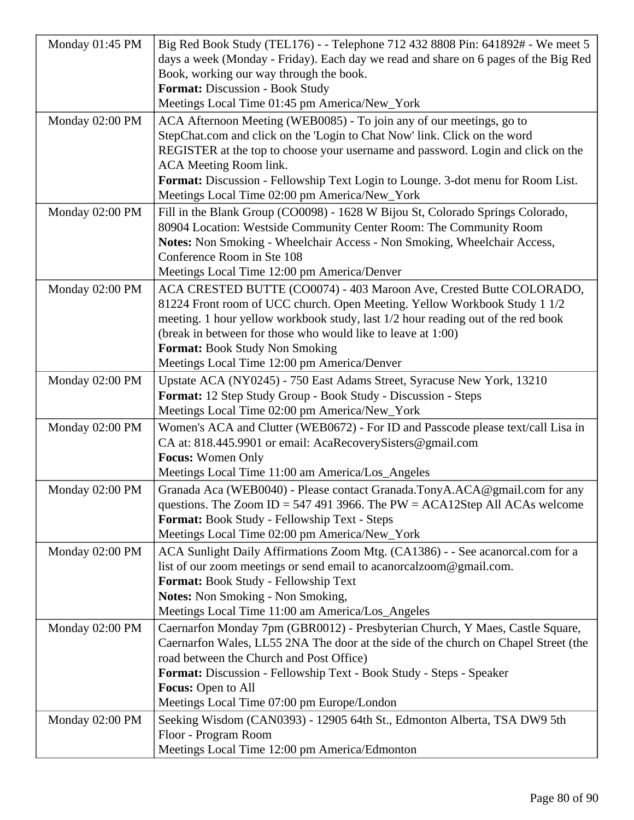| Monday 01:45 PM | Big Red Book Study (TEL176) - - Telephone 712 432 8808 Pin: 641892# - We meet 5     |  |
|-----------------|-------------------------------------------------------------------------------------|--|
|                 | days a week (Monday - Friday). Each day we read and share on 6 pages of the Big Red |  |
|                 | Book, working our way through the book.                                             |  |
|                 | Format: Discussion - Book Study                                                     |  |
|                 | Meetings Local Time 01:45 pm America/New_York                                       |  |
| Monday 02:00 PM | ACA Afternoon Meeting (WEB0085) - To join any of our meetings, go to                |  |
|                 | StepChat.com and click on the 'Login to Chat Now' link. Click on the word           |  |
|                 | REGISTER at the top to choose your username and password. Login and click on the    |  |
|                 | ACA Meeting Room link.                                                              |  |
|                 | Format: Discussion - Fellowship Text Login to Lounge. 3-dot menu for Room List.     |  |
|                 | Meetings Local Time 02:00 pm America/New_York                                       |  |
| Monday 02:00 PM | Fill in the Blank Group (CO0098) - 1628 W Bijou St, Colorado Springs Colorado,      |  |
|                 | 80904 Location: Westside Community Center Room: The Community Room                  |  |
|                 | Notes: Non Smoking - Wheelchair Access - Non Smoking, Wheelchair Access,            |  |
|                 | Conference Room in Ste 108                                                          |  |
|                 | Meetings Local Time 12:00 pm America/Denver                                         |  |
| Monday 02:00 PM | ACA CRESTED BUTTE (CO0074) - 403 Maroon Ave, Crested Butte COLORADO,                |  |
|                 | 81224 Front room of UCC church. Open Meeting. Yellow Workbook Study 1 1/2           |  |
|                 | meeting. 1 hour yellow workbook study, last 1/2 hour reading out of the red book    |  |
|                 | (break in between for those who would like to leave at 1:00)                        |  |
|                 | <b>Format: Book Study Non Smoking</b>                                               |  |
|                 | Meetings Local Time 12:00 pm America/Denver                                         |  |
| Monday 02:00 PM | Upstate ACA (NY0245) - 750 East Adams Street, Syracuse New York, 13210              |  |
|                 | Format: 12 Step Study Group - Book Study - Discussion - Steps                       |  |
|                 | Meetings Local Time 02:00 pm America/New_York                                       |  |
| Monday 02:00 PM | Women's ACA and Clutter (WEB0672) - For ID and Passcode please text/call Lisa in    |  |
|                 | CA at: 818.445.9901 or email: AcaRecoverySisters@gmail.com                          |  |
|                 | <b>Focus:</b> Women Only                                                            |  |
|                 | Meetings Local Time 11:00 am America/Los_Angeles                                    |  |
| Monday 02:00 PM | Granada Aca (WEB0040) - Please contact Granada.TonyA.ACA@gmail.com for any          |  |
|                 | questions. The Zoom ID = 547 491 3966. The PW = ACA12Step All ACAs welcome          |  |
|                 | Format: Book Study - Fellowship Text - Steps                                        |  |
|                 | Meetings Local Time 02:00 pm America/New_York                                       |  |
| Monday 02:00 PM | ACA Sunlight Daily Affirmations Zoom Mtg. (CA1386) - - See acanorcal.com for a      |  |
|                 | list of our zoom meetings or send email to acanorcalzoom@gmail.com.                 |  |
|                 | Format: Book Study - Fellowship Text                                                |  |
|                 | <b>Notes:</b> Non Smoking - Non Smoking,                                            |  |
|                 | Meetings Local Time 11:00 am America/Los_Angeles                                    |  |
| Monday 02:00 PM | Caernarfon Monday 7pm (GBR0012) - Presbyterian Church, Y Maes, Castle Square,       |  |
|                 | Caernarfon Wales, LL55 2NA The door at the side of the church on Chapel Street (the |  |
|                 | road between the Church and Post Office)                                            |  |
|                 | Format: Discussion - Fellowship Text - Book Study - Steps - Speaker                 |  |
|                 | <b>Focus:</b> Open to All<br>Meetings Local Time 07:00 pm Europe/London             |  |
|                 |                                                                                     |  |
| Monday 02:00 PM | Seeking Wisdom (CAN0393) - 12905 64th St., Edmonton Alberta, TSA DW9 5th            |  |
|                 | Floor - Program Room                                                                |  |
|                 | Meetings Local Time 12:00 pm America/Edmonton                                       |  |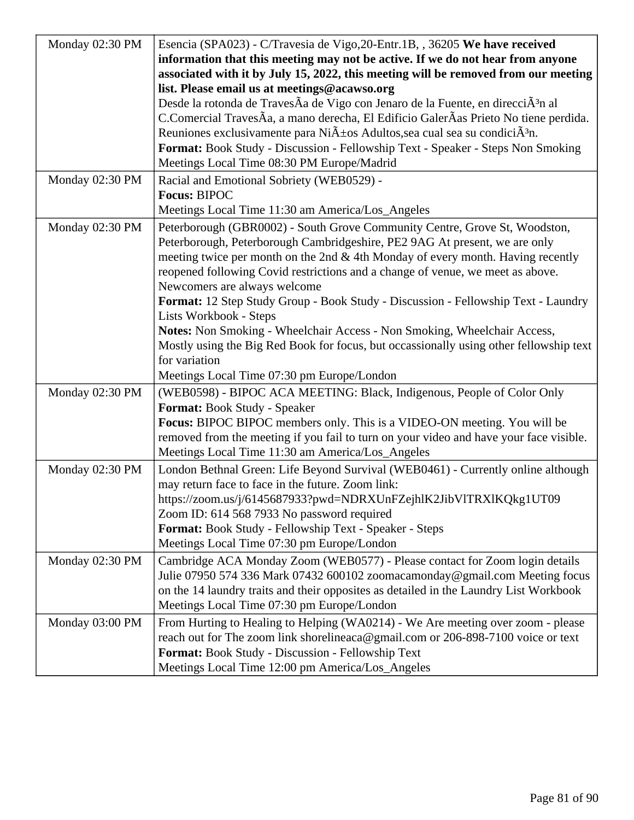| Monday 02:30 PM | Esencia (SPA023) - C/Travesia de Vigo, 20-Entr. 1B, , 36205 We have received                       |
|-----------------|----------------------------------------------------------------------------------------------------|
|                 | information that this meeting may not be active. If we do not hear from anyone                     |
|                 | associated with it by July 15, 2022, this meeting will be removed from our meeting                 |
|                 | list. Please email us at meetings@acawso.org                                                       |
|                 | Desde la rotonda de TravesÃa de Vigo con Jenaro de la Fuente, en direcciÃ <sup>3</sup> n al        |
|                 | C.Comercial TravesÃa, a mano derecha, El Edificio GalerÃas Prieto No tiene perdida.                |
|                 | Reuniones exclusivamente para Ni $\tilde{A}$ ±os Adultos, sea cual sea su condici $\tilde{A}^3$ n. |
|                 | Format: Book Study - Discussion - Fellowship Text - Speaker - Steps Non Smoking                    |
|                 | Meetings Local Time 08:30 PM Europe/Madrid                                                         |
| Monday 02:30 PM | Racial and Emotional Sobriety (WEB0529) -                                                          |
|                 | <b>Focus: BIPOC</b>                                                                                |
|                 | Meetings Local Time 11:30 am America/Los_Angeles                                                   |
| Monday 02:30 PM | Peterborough (GBR0002) - South Grove Community Centre, Grove St, Woodston,                         |
|                 | Peterborough, Peterborough Cambridgeshire, PE2 9AG At present, we are only                         |
|                 | meeting twice per month on the 2nd & 4th Monday of every month. Having recently                    |
|                 | reopened following Covid restrictions and a change of venue, we meet as above.                     |
|                 | Newcomers are always welcome                                                                       |
|                 | Format: 12 Step Study Group - Book Study - Discussion - Fellowship Text - Laundry                  |
|                 | Lists Workbook - Steps                                                                             |
|                 | Notes: Non Smoking - Wheelchair Access - Non Smoking, Wheelchair Access,                           |
|                 | Mostly using the Big Red Book for focus, but occassionally using other fellowship text             |
|                 | for variation                                                                                      |
|                 | Meetings Local Time 07:30 pm Europe/London                                                         |
| Monday 02:30 PM | (WEB0598) - BIPOC ACA MEETING: Black, Indigenous, People of Color Only                             |
|                 | Format: Book Study - Speaker                                                                       |
|                 | Focus: BIPOC BIPOC members only. This is a VIDEO-ON meeting. You will be                           |
|                 | removed from the meeting if you fail to turn on your video and have your face visible.             |
|                 | Meetings Local Time 11:30 am America/Los_Angeles                                                   |
| Monday 02:30 PM | London Bethnal Green: Life Beyond Survival (WEB0461) - Currently online although                   |
|                 | may return face to face in the future. Zoom link:                                                  |
|                 | https://zoom.us/j/6145687933?pwd=NDRXUnFZejhlK2JibVlTRXlKQkg1UT09                                  |
|                 | Zoom ID: 614 568 7933 No password required                                                         |
|                 | Format: Book Study - Fellowship Text - Speaker - Steps                                             |
|                 | Meetings Local Time 07:30 pm Europe/London                                                         |
| Monday 02:30 PM | Cambridge ACA Monday Zoom (WEB0577) - Please contact for Zoom login details                        |
|                 | Julie 07950 574 336 Mark 07432 600102 zoomacamonday@gmail.com Meeting focus                        |
|                 | on the 14 laundry traits and their opposites as detailed in the Laundry List Workbook              |
|                 | Meetings Local Time 07:30 pm Europe/London                                                         |
| Monday 03:00 PM | From Hurting to Healing to Helping (WA0214) - We Are meeting over zoom - please                    |
|                 | reach out for The zoom link shorelineaca@gmail.com or 206-898-7100 voice or text                   |
|                 | Format: Book Study - Discussion - Fellowship Text                                                  |
|                 | Meetings Local Time 12:00 pm America/Los_Angeles                                                   |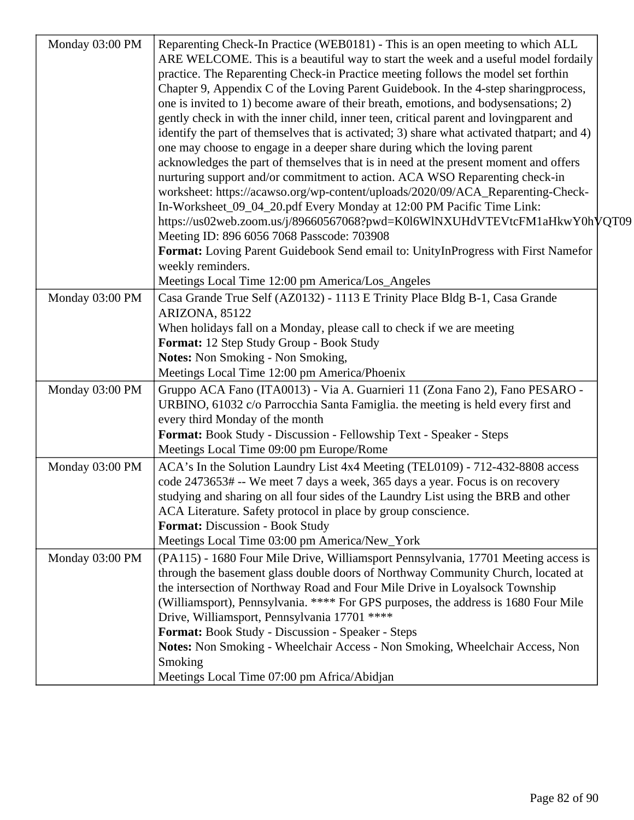| Monday 03:00 PM | Reparenting Check-In Practice (WEB0181) - This is an open meeting to which ALL<br>ARE WELCOME. This is a beautiful way to start the week and a useful model fordaily<br>practice. The Reparenting Check-in Practice meeting follows the model set forthin<br>Chapter 9, Appendix C of the Loving Parent Guidebook. In the 4-step sharingprocess,<br>one is invited to 1) become aware of their breath, emotions, and bodysensations; 2)<br>gently check in with the inner child, inner teen, critical parent and lovingparent and<br>identify the part of themselves that is activated; 3) share what activated that part; and 4)<br>one may choose to engage in a deeper share during which the loving parent<br>acknowledges the part of themselves that is in need at the present moment and offers<br>nurturing support and/or commitment to action. ACA WSO Reparenting check-in<br>worksheet: https://acawso.org/wp-content/uploads/2020/09/ACA_Reparenting-Check-<br>In-Worksheet_09_04_20.pdf Every Monday at 12:00 PM Pacific Time Link:<br>https://us02web.zoom.us/j/89660567068?pwd=K0l6WlNXUHdVTEVtcFM1aHkwY0hVQT09<br>Meeting ID: 896 6056 7068 Passcode: 703908<br>Format: Loving Parent Guidebook Send email to: UnityInProgress with First Namefor |  |
|-----------------|--------------------------------------------------------------------------------------------------------------------------------------------------------------------------------------------------------------------------------------------------------------------------------------------------------------------------------------------------------------------------------------------------------------------------------------------------------------------------------------------------------------------------------------------------------------------------------------------------------------------------------------------------------------------------------------------------------------------------------------------------------------------------------------------------------------------------------------------------------------------------------------------------------------------------------------------------------------------------------------------------------------------------------------------------------------------------------------------------------------------------------------------------------------------------------------------------------------------------------------------------------------------|--|
|                 | weekly reminders.<br>Meetings Local Time 12:00 pm America/Los_Angeles                                                                                                                                                                                                                                                                                                                                                                                                                                                                                                                                                                                                                                                                                                                                                                                                                                                                                                                                                                                                                                                                                                                                                                                              |  |
| Monday 03:00 PM | Casa Grande True Self (AZ0132) - 1113 E Trinity Place Bldg B-1, Casa Grande<br>ARIZONA, 85122<br>When holidays fall on a Monday, please call to check if we are meeting<br>Format: 12 Step Study Group - Book Study<br><b>Notes:</b> Non Smoking - Non Smoking,                                                                                                                                                                                                                                                                                                                                                                                                                                                                                                                                                                                                                                                                                                                                                                                                                                                                                                                                                                                                    |  |
| Monday 03:00 PM | Meetings Local Time 12:00 pm America/Phoenix<br>Gruppo ACA Fano (ITA0013) - Via A. Guarnieri 11 (Zona Fano 2), Fano PESARO -<br>URBINO, 61032 c/o Parrocchia Santa Famiglia. the meeting is held every first and<br>every third Monday of the month<br>Format: Book Study - Discussion - Fellowship Text - Speaker - Steps<br>Meetings Local Time 09:00 pm Europe/Rome                                                                                                                                                                                                                                                                                                                                                                                                                                                                                                                                                                                                                                                                                                                                                                                                                                                                                             |  |
| Monday 03:00 PM | ACA's In the Solution Laundry List 4x4 Meeting (TEL0109) - 712-432-8808 access<br>code 2473653# -- We meet 7 days a week, 365 days a year. Focus is on recovery<br>studying and sharing on all four sides of the Laundry List using the BRB and other<br>ACA Literature. Safety protocol in place by group conscience.<br><b>Format: Discussion - Book Study</b><br>Meetings Local Time 03:00 pm America/New_York                                                                                                                                                                                                                                                                                                                                                                                                                                                                                                                                                                                                                                                                                                                                                                                                                                                  |  |
| Monday 03:00 PM | (PA115) - 1680 Four Mile Drive, Williamsport Pennsylvania, 17701 Meeting access is<br>through the basement glass double doors of Northway Community Church, located at<br>the intersection of Northway Road and Four Mile Drive in Loyalsock Township<br>(Williamsport), Pennsylvania. **** For GPS purposes, the address is 1680 Four Mile<br>Drive, Williamsport, Pennsylvania 17701 ****<br>Format: Book Study - Discussion - Speaker - Steps<br>Notes: Non Smoking - Wheelchair Access - Non Smoking, Wheelchair Access, Non<br>Smoking<br>Meetings Local Time 07:00 pm Africa/Abidjan                                                                                                                                                                                                                                                                                                                                                                                                                                                                                                                                                                                                                                                                         |  |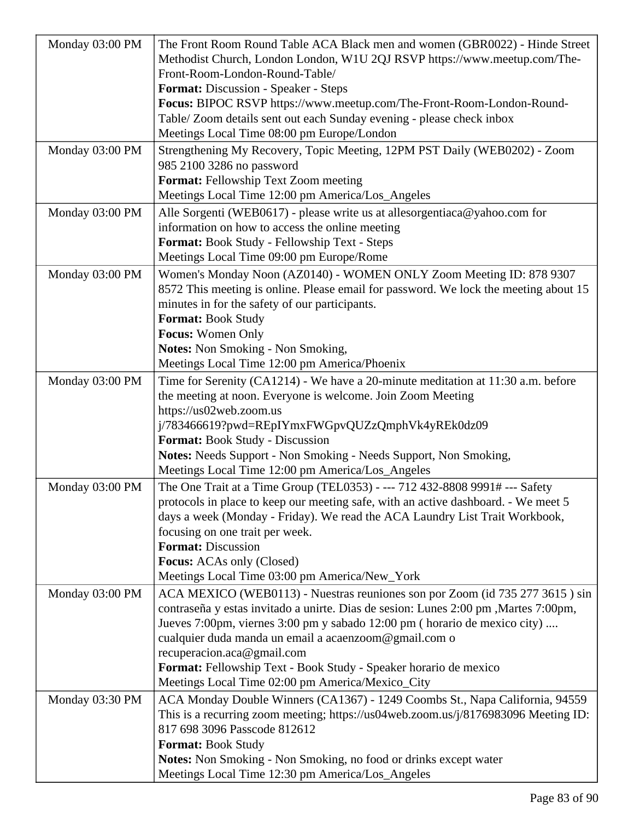| Monday 03:00 PM | The Front Room Round Table ACA Black men and women (GBR0022) - Hinde Street          |
|-----------------|--------------------------------------------------------------------------------------|
|                 | Methodist Church, London London, W1U 2QJ RSVP https://www.meetup.com/The-            |
|                 | Front-Room-London-Round-Table/                                                       |
|                 |                                                                                      |
|                 | <b>Format:</b> Discussion - Speaker - Steps                                          |
|                 | Focus: BIPOC RSVP https://www.meetup.com/The-Front-Room-London-Round-                |
|                 | Table/ Zoom details sent out each Sunday evening - please check inbox                |
|                 | Meetings Local Time 08:00 pm Europe/London                                           |
| Monday 03:00 PM | Strengthening My Recovery, Topic Meeting, 12PM PST Daily (WEB0202) - Zoom            |
|                 | 985 2100 3286 no password                                                            |
|                 | Format: Fellowship Text Zoom meeting                                                 |
|                 | Meetings Local Time 12:00 pm America/Los_Angeles                                     |
| Monday 03:00 PM | Alle Sorgenti (WEB0617) - please write us at allesorgentiaca@yahoo.com for           |
|                 | information on how to access the online meeting                                      |
|                 | Format: Book Study - Fellowship Text - Steps                                         |
|                 | Meetings Local Time 09:00 pm Europe/Rome                                             |
| Monday 03:00 PM | Women's Monday Noon (AZ0140) - WOMEN ONLY Zoom Meeting ID: 878 9307                  |
|                 | 8572 This meeting is online. Please email for password. We lock the meeting about 15 |
|                 | minutes in for the safety of our participants.                                       |
|                 | Format: Book Study                                                                   |
|                 |                                                                                      |
|                 | Focus: Women Only                                                                    |
|                 | <b>Notes:</b> Non Smoking - Non Smoking,                                             |
|                 | Meetings Local Time 12:00 pm America/Phoenix                                         |
| Monday 03:00 PM | Time for Serenity (CA1214) - We have a 20-minute meditation at 11:30 a.m. before     |
|                 | the meeting at noon. Everyone is welcome. Join Zoom Meeting                          |
|                 | https://us02web.zoom.us                                                              |
|                 | j/783466619?pwd=REpIYmxFWGpvQUZzQmphVk4yREk0dz09                                     |
|                 | <b>Format:</b> Book Study - Discussion                                               |
|                 | Notes: Needs Support - Non Smoking - Needs Support, Non Smoking,                     |
|                 | Meetings Local Time 12:00 pm America/Los_Angeles                                     |
| Monday 03:00 PM | The One Trait at a Time Group (TEL0353) - --- 712 432-8808 9991# --- Safety          |
|                 | protocols in place to keep our meeting safe, with an active dashboard. - We meet 5   |
|                 | days a week (Monday - Friday). We read the ACA Laundry List Trait Workbook,          |
|                 | focusing on one trait per week.                                                      |
|                 | <b>Format: Discussion</b>                                                            |
|                 | <b>Focus:</b> ACAs only (Closed)                                                     |
|                 | Meetings Local Time 03:00 pm America/New_York                                        |
| Monday 03:00 PM | ACA MEXICO (WEB0113) - Nuestras reuniones son por Zoom (id 735 277 3615) sin         |
|                 | contraseña y estas invitado a unirte. Dias de sesion: Lunes 2:00 pm , Martes 7:00pm, |
|                 | Jueves 7:00pm, viernes 3:00 pm y sabado 12:00 pm (horario de mexico city)            |
|                 | cualquier duda manda un email a acaenzoom@gmail.com o                                |
|                 | recuperacion.aca@gmail.com                                                           |
|                 | Format: Fellowship Text - Book Study - Speaker horario de mexico                     |
|                 | Meetings Local Time 02:00 pm America/Mexico_City                                     |
| Monday 03:30 PM | ACA Monday Double Winners (CA1367) - 1249 Coombs St., Napa California, 94559         |
|                 | This is a recurring zoom meeting; https://us04web.zoom.us/j/8176983096 Meeting ID:   |
|                 | 817 698 3096 Passcode 812612                                                         |
|                 |                                                                                      |
|                 | Format: Book Study                                                                   |
|                 | <b>Notes:</b> Non Smoking - Non Smoking, no food or drinks except water              |
|                 | Meetings Local Time 12:30 pm America/Los_Angeles                                     |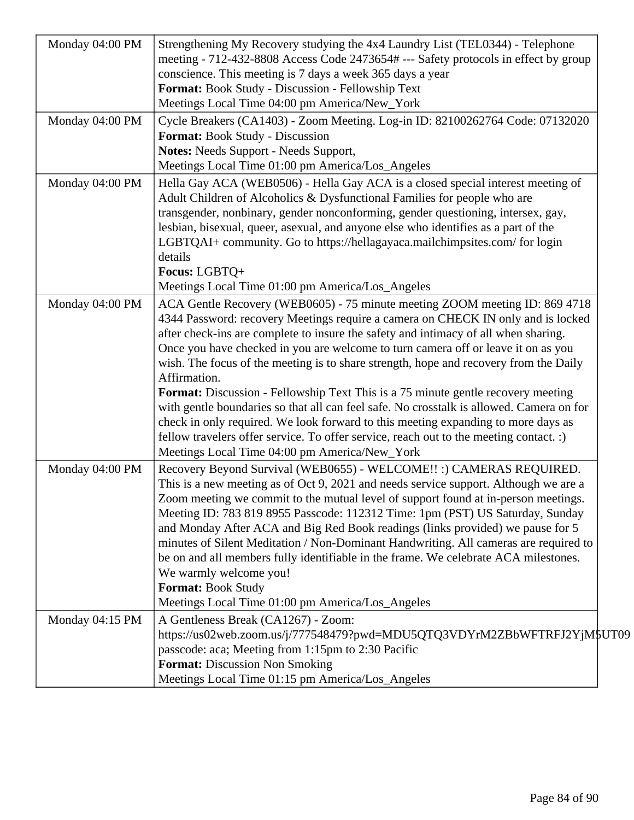| Monday 04:00 PM | Strengthening My Recovery studying the 4x4 Laundry List (TEL0344) - Telephone<br>meeting - 712-432-8808 Access Code 2473654# --- Safety protocols in effect by group                                                                                                                                                                                                                                                                                                                                                                                                                                                                                       |
|-----------------|------------------------------------------------------------------------------------------------------------------------------------------------------------------------------------------------------------------------------------------------------------------------------------------------------------------------------------------------------------------------------------------------------------------------------------------------------------------------------------------------------------------------------------------------------------------------------------------------------------------------------------------------------------|
|                 | conscience. This meeting is 7 days a week 365 days a year                                                                                                                                                                                                                                                                                                                                                                                                                                                                                                                                                                                                  |
|                 | Format: Book Study - Discussion - Fellowship Text                                                                                                                                                                                                                                                                                                                                                                                                                                                                                                                                                                                                          |
|                 | Meetings Local Time 04:00 pm America/New_York                                                                                                                                                                                                                                                                                                                                                                                                                                                                                                                                                                                                              |
| Monday 04:00 PM | Cycle Breakers (CA1403) - Zoom Meeting. Log-in ID: 82100262764 Code: 07132020<br><b>Format:</b> Book Study - Discussion                                                                                                                                                                                                                                                                                                                                                                                                                                                                                                                                    |
|                 | <b>Notes:</b> Needs Support - Needs Support,                                                                                                                                                                                                                                                                                                                                                                                                                                                                                                                                                                                                               |
|                 | Meetings Local Time 01:00 pm America/Los_Angeles                                                                                                                                                                                                                                                                                                                                                                                                                                                                                                                                                                                                           |
| Monday 04:00 PM | Hella Gay ACA (WEB0506) - Hella Gay ACA is a closed special interest meeting of<br>Adult Children of Alcoholics & Dysfunctional Families for people who are                                                                                                                                                                                                                                                                                                                                                                                                                                                                                                |
|                 | transgender, nonbinary, gender nonconforming, gender questioning, intersex, gay,<br>lesbian, bisexual, queer, asexual, and anyone else who identifies as a part of the<br>LGBTQAI+ community. Go to https://hellagayaca.mailchimpsites.com/ for login<br>details                                                                                                                                                                                                                                                                                                                                                                                           |
|                 | Focus: LGBTQ+                                                                                                                                                                                                                                                                                                                                                                                                                                                                                                                                                                                                                                              |
|                 | Meetings Local Time 01:00 pm America/Los_Angeles                                                                                                                                                                                                                                                                                                                                                                                                                                                                                                                                                                                                           |
| Monday 04:00 PM | ACA Gentle Recovery (WEB0605) - 75 minute meeting ZOOM meeting ID: 869 4718<br>4344 Password: recovery Meetings require a camera on CHECK IN only and is locked<br>after check-ins are complete to insure the safety and intimacy of all when sharing.<br>Once you have checked in you are welcome to turn camera off or leave it on as you<br>wish. The focus of the meeting is to share strength, hope and recovery from the Daily<br>Affirmation.                                                                                                                                                                                                       |
|                 | <b>Format:</b> Discussion - Fellowship Text This is a 75 minute gentle recovery meeting<br>with gentle boundaries so that all can feel safe. No crosstalk is allowed. Camera on for<br>check in only required. We look forward to this meeting expanding to more days as<br>fellow travelers offer service. To offer service, reach out to the meeting contact. :)<br>Meetings Local Time 04:00 pm America/New_York                                                                                                                                                                                                                                        |
| Monday 04:00 PM | Recovery Beyond Survival (WEB0655) - WELCOME!! :) CAMERAS REQUIRED.<br>This is a new meeting as of Oct 9, 2021 and needs service support. Although we are a<br>Zoom meeting we commit to the mutual level of support found at in-person meetings.<br>Meeting ID: 783 819 8955 Passcode: 112312 Time: 1pm (PST) US Saturday, Sunday<br>and Monday After ACA and Big Red Book readings (links provided) we pause for 5<br>minutes of Silent Meditation / Non-Dominant Handwriting. All cameras are required to<br>be on and all members fully identifiable in the frame. We celebrate ACA milestones.<br>We warmly welcome you!<br><b>Format: Book Study</b> |
|                 | Meetings Local Time 01:00 pm America/Los_Angeles                                                                                                                                                                                                                                                                                                                                                                                                                                                                                                                                                                                                           |
| Monday 04:15 PM | A Gentleness Break (CA1267) - Zoom:<br>https://us02web.zoom.us/j/777548479?pwd=MDU5QTQ3VDYrM2ZBbWFTRFJ2YjM\$UT09<br>passcode: aca; Meeting from 1:15pm to 2:30 Pacific<br><b>Format:</b> Discussion Non Smoking<br>Meetings Local Time 01:15 pm America/Los_Angeles                                                                                                                                                                                                                                                                                                                                                                                        |
|                 |                                                                                                                                                                                                                                                                                                                                                                                                                                                                                                                                                                                                                                                            |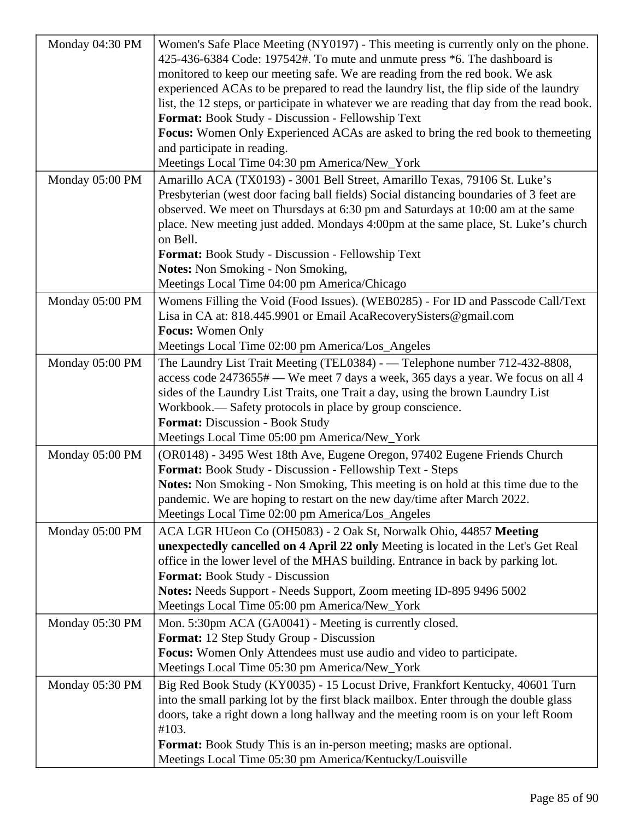| Monday 04:30 PM | Women's Safe Place Meeting (NY0197) - This meeting is currently only on the phone.<br>425-436-6384 Code: 197542#. To mute and unmute press *6. The dashboard is<br>monitored to keep our meeting safe. We are reading from the red book. We ask<br>experienced ACAs to be prepared to read the laundry list, the flip side of the laundry<br>list, the 12 steps, or participate in whatever we are reading that day from the read book.<br>Format: Book Study - Discussion - Fellowship Text<br><b>Focus:</b> Women Only Experienced ACAs are asked to bring the red book to themeeting<br>and participate in reading.<br>Meetings Local Time 04:30 pm America/New_York |
|-----------------|-------------------------------------------------------------------------------------------------------------------------------------------------------------------------------------------------------------------------------------------------------------------------------------------------------------------------------------------------------------------------------------------------------------------------------------------------------------------------------------------------------------------------------------------------------------------------------------------------------------------------------------------------------------------------|
| Monday 05:00 PM | Amarillo ACA (TX0193) - 3001 Bell Street, Amarillo Texas, 79106 St. Luke's<br>Presbyterian (west door facing ball fields) Social distancing boundaries of 3 feet are<br>observed. We meet on Thursdays at 6:30 pm and Saturdays at 10:00 am at the same<br>place. New meeting just added. Mondays 4:00pm at the same place, St. Luke's church<br>on Bell.<br><b>Format:</b> Book Study - Discussion - Fellowship Text<br><b>Notes:</b> Non Smoking - Non Smoking,<br>Meetings Local Time 04:00 pm America/Chicago                                                                                                                                                       |
| Monday 05:00 PM | Womens Filling the Void (Food Issues). (WEB0285) - For ID and Passcode Call/Text<br>Lisa in CA at: 818.445.9901 or Email AcaRecoverySisters@gmail.com<br><b>Focus:</b> Women Only<br>Meetings Local Time 02:00 pm America/Los_Angeles                                                                                                                                                                                                                                                                                                                                                                                                                                   |
| Monday 05:00 PM | The Laundry List Trait Meeting (TEL0384) - — Telephone number 712-432-8808,<br>access code 2473655# — We meet 7 days a week, 365 days a year. We focus on all 4<br>sides of the Laundry List Traits, one Trait a day, using the brown Laundry List<br>Workbook.— Safety protocols in place by group conscience.<br><b>Format: Discussion - Book Study</b><br>Meetings Local Time 05:00 pm America/New_York                                                                                                                                                                                                                                                              |
| Monday 05:00 PM | (OR0148) - 3495 West 18th Ave, Eugene Oregon, 97402 Eugene Friends Church<br>Format: Book Study - Discussion - Fellowship Text - Steps<br><b>Notes:</b> Non Smoking - Non Smoking, This meeting is on hold at this time due to the<br>pandemic. We are hoping to restart on the new day/time after March 2022.<br>Meetings Local Time 02:00 pm America/Los_Angeles                                                                                                                                                                                                                                                                                                      |
| Monday 05:00 PM | ACA LGR HUeon Co (OH5083) - 2 Oak St, Norwalk Ohio, 44857 Meeting<br>unexpectedly cancelled on 4 April 22 only Meeting is located in the Let's Get Real<br>office in the lower level of the MHAS building. Entrance in back by parking lot.<br><b>Format:</b> Book Study - Discussion<br>Notes: Needs Support - Needs Support, Zoom meeting ID-895 9496 5002<br>Meetings Local Time 05:00 pm America/New_York                                                                                                                                                                                                                                                           |
| Monday 05:30 PM | Mon. 5:30pm ACA (GA0041) - Meeting is currently closed.<br>Format: 12 Step Study Group - Discussion<br>Focus: Women Only Attendees must use audio and video to participate.<br>Meetings Local Time 05:30 pm America/New_York                                                                                                                                                                                                                                                                                                                                                                                                                                            |
| Monday 05:30 PM | Big Red Book Study (KY0035) - 15 Locust Drive, Frankfort Kentucky, 40601 Turn<br>into the small parking lot by the first black mailbox. Enter through the double glass<br>doors, take a right down a long hallway and the meeting room is on your left Room<br>#103.<br><b>Format:</b> Book Study This is an in-person meeting; masks are optional.<br>Meetings Local Time 05:30 pm America/Kentucky/Louisville                                                                                                                                                                                                                                                         |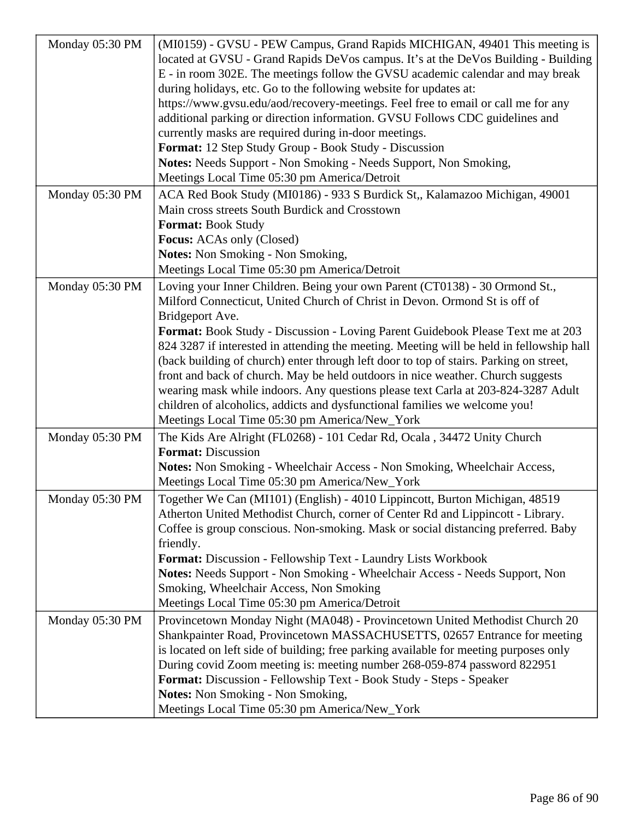| Monday 05:30 PM | (MI0159) - GVSU - PEW Campus, Grand Rapids MICHIGAN, 49401 This meeting is               |
|-----------------|------------------------------------------------------------------------------------------|
|                 | located at GVSU - Grand Rapids DeVos campus. It's at the DeVos Building - Building       |
|                 | E - in room 302E. The meetings follow the GVSU academic calendar and may break           |
|                 | during holidays, etc. Go to the following website for updates at:                        |
|                 | https://www.gvsu.edu/aod/recovery-meetings. Feel free to email or call me for any        |
|                 | additional parking or direction information. GVSU Follows CDC guidelines and             |
|                 | currently masks are required during in-door meetings.                                    |
|                 | Format: 12 Step Study Group - Book Study - Discussion                                    |
|                 | Notes: Needs Support - Non Smoking - Needs Support, Non Smoking,                         |
|                 | Meetings Local Time 05:30 pm America/Detroit                                             |
| Monday 05:30 PM | ACA Red Book Study (MI0186) - 933 S Burdick St,, Kalamazoo Michigan, 49001               |
|                 | Main cross streets South Burdick and Crosstown                                           |
|                 | Format: Book Study                                                                       |
|                 | <b>Focus:</b> ACAs only (Closed)                                                         |
|                 | <b>Notes:</b> Non Smoking - Non Smoking,                                                 |
|                 | Meetings Local Time 05:30 pm America/Detroit                                             |
| Monday 05:30 PM | Loving your Inner Children. Being your own Parent (CT0138) - 30 Ormond St.,              |
|                 | Milford Connecticut, United Church of Christ in Devon. Ormond St is off of               |
|                 | Bridgeport Ave.                                                                          |
|                 | Format: Book Study - Discussion - Loving Parent Guidebook Please Text me at 203          |
|                 | 824 3287 if interested in attending the meeting. Meeting will be held in fellowship hall |
|                 | (back building of church) enter through left door to top of stairs. Parking on street,   |
|                 | front and back of church. May be held outdoors in nice weather. Church suggests          |
|                 | wearing mask while indoors. Any questions please text Carla at 203-824-3287 Adult        |
|                 | children of alcoholics, addicts and dysfunctional families we welcome you!               |
|                 | Meetings Local Time 05:30 pm America/New_York                                            |
| Monday 05:30 PM | The Kids Are Alright (FL0268) - 101 Cedar Rd, Ocala, 34472 Unity Church                  |
|                 | <b>Format: Discussion</b>                                                                |
|                 | Notes: Non Smoking - Wheelchair Access - Non Smoking, Wheelchair Access,                 |
|                 | Meetings Local Time 05:30 pm America/New_York                                            |
| Monday 05:30 PM | Together We Can (MI101) (English) - 4010 Lippincott, Burton Michigan, 48519              |
|                 | Atherton United Methodist Church, corner of Center Rd and Lippincott - Library.          |
|                 | Coffee is group conscious. Non-smoking. Mask or social distancing preferred. Baby        |
|                 | friendly.                                                                                |
|                 | Format: Discussion - Fellowship Text - Laundry Lists Workbook                            |
|                 | Notes: Needs Support - Non Smoking - Wheelchair Access - Needs Support, Non              |
|                 | Smoking, Wheelchair Access, Non Smoking                                                  |
|                 | Meetings Local Time 05:30 pm America/Detroit                                             |
| Monday 05:30 PM | Provincetown Monday Night (MA048) - Provincetown United Methodist Church 20              |
|                 | Shankpainter Road, Provincetown MASSACHUSETTS, 02657 Entrance for meeting                |
|                 | is located on left side of building; free parking available for meeting purposes only    |
|                 | During covid Zoom meeting is: meeting number 268-059-874 password 822951                 |
|                 | Format: Discussion - Fellowship Text - Book Study - Steps - Speaker                      |
|                 | <b>Notes:</b> Non Smoking - Non Smoking,                                                 |
|                 | Meetings Local Time 05:30 pm America/New_York                                            |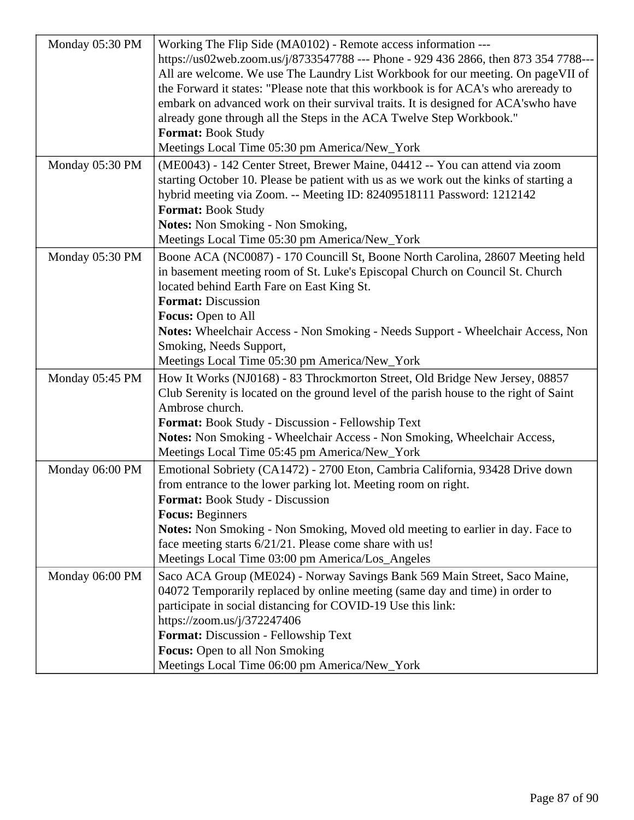| Monday 05:30 PM | Working The Flip Side (MA0102) - Remote access information ---<br>https://us02web.zoom.us/j/8733547788 --- Phone - 929 436 2866, then 873 354 7788---<br>All are welcome. We use The Laundry List Workbook for our meeting. On pageVII of<br>the Forward it states: "Please note that this workbook is for ACA's who are ready to<br>embark on advanced work on their survival traits. It is designed for ACA'swho have<br>already gone through all the Steps in the ACA Twelve Step Workbook."<br><b>Format: Book Study</b><br>Meetings Local Time 05:30 pm America/New_York |
|-----------------|-------------------------------------------------------------------------------------------------------------------------------------------------------------------------------------------------------------------------------------------------------------------------------------------------------------------------------------------------------------------------------------------------------------------------------------------------------------------------------------------------------------------------------------------------------------------------------|
| Monday 05:30 PM | (ME0043) - 142 Center Street, Brewer Maine, 04412 -- You can attend via zoom<br>starting October 10. Please be patient with us as we work out the kinks of starting a<br>hybrid meeting via Zoom. -- Meeting ID: 82409518111 Password: 1212142<br><b>Format: Book Study</b><br>Notes: Non Smoking - Non Smoking,<br>Meetings Local Time 05:30 pm America/New_York                                                                                                                                                                                                             |
| Monday 05:30 PM | Boone ACA (NC0087) - 170 Councill St, Boone North Carolina, 28607 Meeting held<br>in basement meeting room of St. Luke's Episcopal Church on Council St. Church<br>located behind Earth Fare on East King St.<br><b>Format: Discussion</b><br>Focus: Open to All<br>Notes: Wheelchair Access - Non Smoking - Needs Support - Wheelchair Access, Non<br>Smoking, Needs Support,<br>Meetings Local Time 05:30 pm America/New_York                                                                                                                                               |
| Monday 05:45 PM | How It Works (NJ0168) - 83 Throckmorton Street, Old Bridge New Jersey, 08857<br>Club Serenity is located on the ground level of the parish house to the right of Saint<br>Ambrose church.<br><b>Format:</b> Book Study - Discussion - Fellowship Text<br>Notes: Non Smoking - Wheelchair Access - Non Smoking, Wheelchair Access,<br>Meetings Local Time 05:45 pm America/New_York                                                                                                                                                                                            |
| Monday 06:00 PM | Emotional Sobriety (CA1472) - 2700 Eton, Cambria California, 93428 Drive down<br>from entrance to the lower parking lot. Meeting room on right.<br>Format: Book Study - Discussion<br><b>Focus: Beginners</b><br><b>Notes:</b> Non Smoking - Non Smoking, Moved old meeting to earlier in day. Face to<br>face meeting starts 6/21/21. Please come share with us!<br>Meetings Local Time 03:00 pm America/Los_Angeles                                                                                                                                                         |
| Monday 06:00 PM | Saco ACA Group (ME024) - Norway Savings Bank 569 Main Street, Saco Maine,<br>04072 Temporarily replaced by online meeting (same day and time) in order to<br>participate in social distancing for COVID-19 Use this link:<br>https://zoom.us/j/372247406<br><b>Format:</b> Discussion - Fellowship Text<br><b>Focus:</b> Open to all Non Smoking<br>Meetings Local Time 06:00 pm America/New_York                                                                                                                                                                             |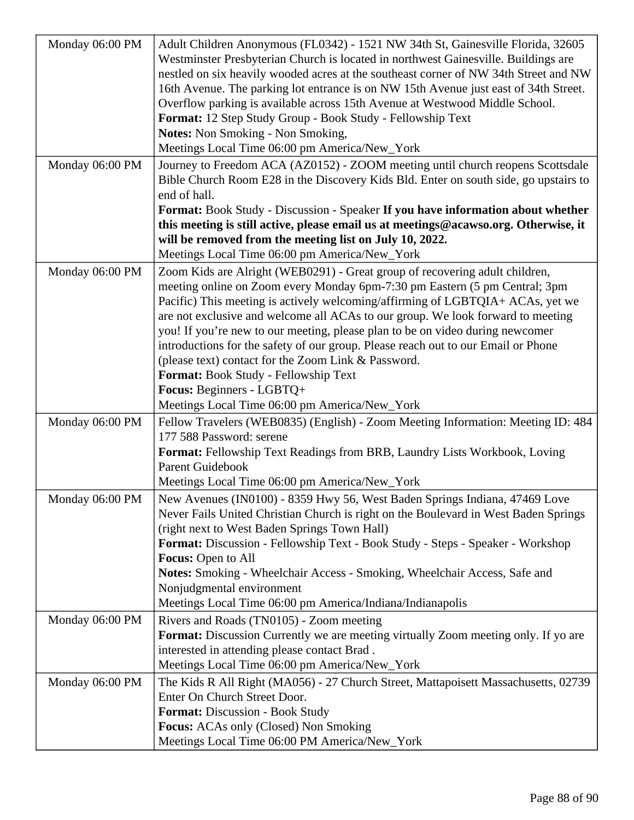| Monday 06:00 PM | Adult Children Anonymous (FL0342) - 1521 NW 34th St, Gainesville Florida, 32605<br>Westminster Presbyterian Church is located in northwest Gainesville. Buildings are                                                                       |
|-----------------|---------------------------------------------------------------------------------------------------------------------------------------------------------------------------------------------------------------------------------------------|
|                 | nestled on six heavily wooded acres at the southeast corner of NW 34th Street and NW                                                                                                                                                        |
|                 | 16th Avenue. The parking lot entrance is on NW 15th Avenue just east of 34th Street.                                                                                                                                                        |
|                 | Overflow parking is available across 15th Avenue at Westwood Middle School.                                                                                                                                                                 |
|                 | Format: 12 Step Study Group - Book Study - Fellowship Text                                                                                                                                                                                  |
|                 | <b>Notes:</b> Non Smoking - Non Smoking,                                                                                                                                                                                                    |
|                 | Meetings Local Time 06:00 pm America/New_York                                                                                                                                                                                               |
| Monday 06:00 PM | Journey to Freedom ACA (AZ0152) - ZOOM meeting until church reopens Scottsdale                                                                                                                                                              |
|                 | Bible Church Room E28 in the Discovery Kids Bld. Enter on south side, go upstairs to                                                                                                                                                        |
|                 | end of hall.                                                                                                                                                                                                                                |
|                 | Format: Book Study - Discussion - Speaker If you have information about whether                                                                                                                                                             |
|                 | this meeting is still active, please email us at meetings@acawso.org. Otherwise, it                                                                                                                                                         |
|                 | will be removed from the meeting list on July 10, 2022.                                                                                                                                                                                     |
|                 | Meetings Local Time 06:00 pm America/New_York                                                                                                                                                                                               |
| Monday 06:00 PM | Zoom Kids are Alright (WEB0291) - Great group of recovering adult children,<br>meeting online on Zoom every Monday 6pm-7:30 pm Eastern (5 pm Central; 3pm<br>Pacific) This meeting is actively welcoming/affirming of LGBTQIA+ ACAs, yet we |
|                 | are not exclusive and welcome all ACAs to our group. We look forward to meeting                                                                                                                                                             |
|                 | you! If you're new to our meeting, please plan to be on video during newcomer                                                                                                                                                               |
|                 | introductions for the safety of our group. Please reach out to our Email or Phone                                                                                                                                                           |
|                 | (please text) contact for the Zoom Link & Password.                                                                                                                                                                                         |
|                 | Format: Book Study - Fellowship Text                                                                                                                                                                                                        |
|                 | Focus: Beginners - LGBTQ+                                                                                                                                                                                                                   |
|                 | Meetings Local Time 06:00 pm America/New_York                                                                                                                                                                                               |
| Monday 06:00 PM | Fellow Travelers (WEB0835) (English) - Zoom Meeting Information: Meeting ID: 484                                                                                                                                                            |
|                 | 177 588 Password: serene                                                                                                                                                                                                                    |
|                 | Format: Fellowship Text Readings from BRB, Laundry Lists Workbook, Loving                                                                                                                                                                   |
|                 | <b>Parent Guidebook</b>                                                                                                                                                                                                                     |
|                 | Meetings Local Time 06:00 pm America/New_York                                                                                                                                                                                               |
| Monday 06:00 PM | New Avenues (IN0100) - 8359 Hwy 56, West Baden Springs Indiana, 47469 Love<br>Never Fails United Christian Church is right on the Boulevard in West Baden Springs                                                                           |
|                 | (right next to West Baden Springs Town Hall)                                                                                                                                                                                                |
|                 | Format: Discussion - Fellowship Text - Book Study - Steps - Speaker - Workshop                                                                                                                                                              |
|                 | Focus: Open to All                                                                                                                                                                                                                          |
|                 | Notes: Smoking - Wheelchair Access - Smoking, Wheelchair Access, Safe and                                                                                                                                                                   |
|                 | Nonjudgmental environment                                                                                                                                                                                                                   |
|                 | Meetings Local Time 06:00 pm America/Indiana/Indianapolis                                                                                                                                                                                   |
| Monday 06:00 PM | Rivers and Roads (TN0105) - Zoom meeting                                                                                                                                                                                                    |
|                 | <b>Format:</b> Discussion Currently we are meeting virtually Zoom meeting only. If yo are                                                                                                                                                   |
|                 | interested in attending please contact Brad.                                                                                                                                                                                                |
|                 | Meetings Local Time 06:00 pm America/New_York                                                                                                                                                                                               |
| Monday 06:00 PM | The Kids R All Right (MA056) - 27 Church Street, Mattapoisett Massachusetts, 02739                                                                                                                                                          |
|                 | Enter On Church Street Door.                                                                                                                                                                                                                |
|                 | Format: Discussion - Book Study                                                                                                                                                                                                             |
|                 |                                                                                                                                                                                                                                             |
|                 |                                                                                                                                                                                                                                             |
|                 | Focus: ACAs only (Closed) Non Smoking<br>Meetings Local Time 06:00 PM America/New_York                                                                                                                                                      |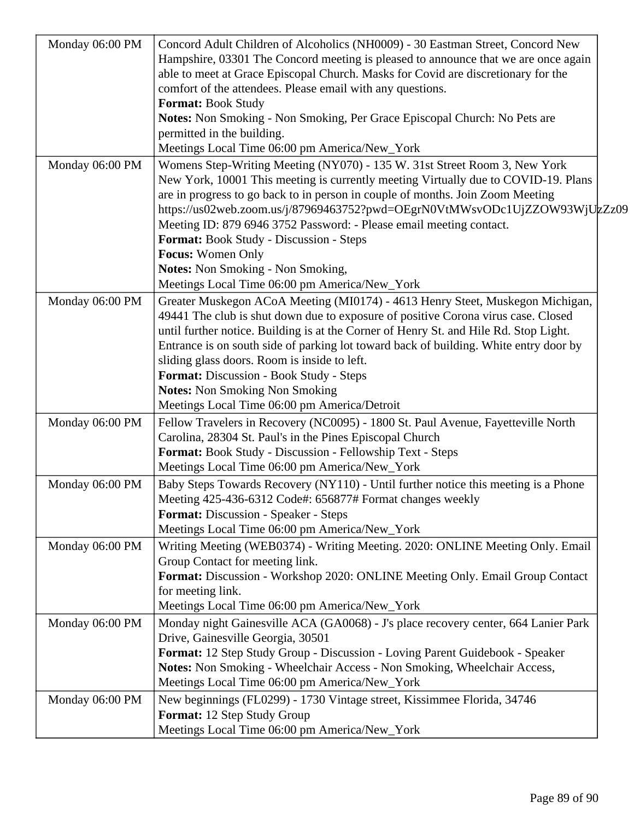| Monday 06:00 PM | Concord Adult Children of Alcoholics (NH0009) - 30 Eastman Street, Concord New        |
|-----------------|---------------------------------------------------------------------------------------|
|                 | Hampshire, 03301 The Concord meeting is pleased to announce that we are once again    |
|                 | able to meet at Grace Episcopal Church. Masks for Covid are discretionary for the     |
|                 | comfort of the attendees. Please email with any questions.                            |
|                 | Format: Book Study                                                                    |
|                 | Notes: Non Smoking - Non Smoking, Per Grace Episcopal Church: No Pets are             |
|                 | permitted in the building.                                                            |
|                 | Meetings Local Time 06:00 pm America/New_York                                         |
| Monday 06:00 PM | Womens Step-Writing Meeting (NY070) - 135 W. 31st Street Room 3, New York             |
|                 | New York, 10001 This meeting is currently meeting Virtually due to COVID-19. Plans    |
|                 | are in progress to go back to in person in couple of months. Join Zoom Meeting        |
|                 | https://us02web.zoom.us/j/87969463752?pwd=OEgrN0VtMWsvODc1UjZZOW93WjUzZz09            |
|                 | Meeting ID: 879 6946 3752 Password: - Please email meeting contact.                   |
|                 | <b>Format:</b> Book Study - Discussion - Steps                                        |
|                 | Focus: Women Only                                                                     |
|                 | <b>Notes:</b> Non Smoking - Non Smoking,                                              |
|                 | Meetings Local Time 06:00 pm America/New_York                                         |
|                 |                                                                                       |
| Monday 06:00 PM | Greater Muskegon ACoA Meeting (MI0174) - 4613 Henry Steet, Muskegon Michigan,         |
|                 | 49441 The club is shut down due to exposure of positive Corona virus case. Closed     |
|                 | until further notice. Building is at the Corner of Henry St. and Hile Rd. Stop Light. |
|                 | Entrance is on south side of parking lot toward back of building. White entry door by |
|                 | sliding glass doors. Room is inside to left.                                          |
|                 | Format: Discussion - Book Study - Steps                                               |
|                 | <b>Notes: Non Smoking Non Smoking</b>                                                 |
|                 | Meetings Local Time 06:00 pm America/Detroit                                          |
| Monday 06:00 PM | Fellow Travelers in Recovery (NC0095) - 1800 St. Paul Avenue, Fayetteville North      |
|                 | Carolina, 28304 St. Paul's in the Pines Episcopal Church                              |
|                 | Format: Book Study - Discussion - Fellowship Text - Steps                             |
|                 | Meetings Local Time 06:00 pm America/New_York                                         |
| Monday 06:00 PM | Baby Steps Towards Recovery (NY110) - Until further notice this meeting is a Phone    |
|                 | Meeting 425-436-6312 Code#: 656877# Format changes weekly                             |
|                 | <b>Format:</b> Discussion - Speaker - Steps                                           |
|                 | Meetings Local Time 06:00 pm America/New_York                                         |
| Monday 06:00 PM | Writing Meeting (WEB0374) - Writing Meeting. 2020: ONLINE Meeting Only. Email         |
|                 | Group Contact for meeting link.                                                       |
|                 | Format: Discussion - Workshop 2020: ONLINE Meeting Only. Email Group Contact          |
|                 | for meeting link.                                                                     |
|                 | Meetings Local Time 06:00 pm America/New_York                                         |
| Monday 06:00 PM | Monday night Gainesville ACA (GA0068) - J's place recovery center, 664 Lanier Park    |
|                 | Drive, Gainesville Georgia, 30501                                                     |
|                 | Format: 12 Step Study Group - Discussion - Loving Parent Guidebook - Speaker          |
|                 | Notes: Non Smoking - Wheelchair Access - Non Smoking, Wheelchair Access,              |
|                 | Meetings Local Time 06:00 pm America/New_York                                         |
| Monday 06:00 PM | New beginnings (FL0299) - 1730 Vintage street, Kissimmee Florida, 34746               |
|                 | Format: 12 Step Study Group                                                           |
|                 | Meetings Local Time 06:00 pm America/New_York                                         |
|                 |                                                                                       |